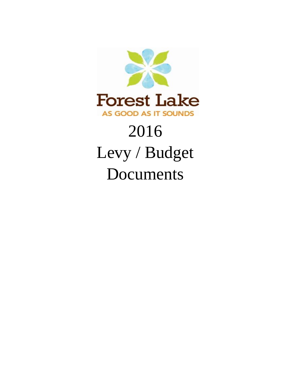

# 2016 Levy / Budget Documents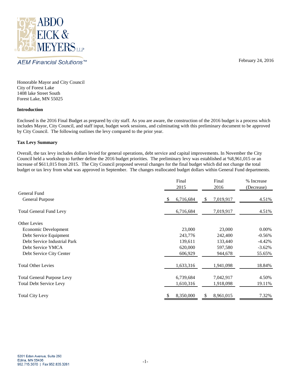

AEM Financial Solutions™

February 24, 2016

Honorable Mayor and City Council City of Forest Lake 1408 lake Street South Forest Lake, MN 55025

#### **Introduction**

Enclosed is the 2016 Final Budget as prepared by city staff. As you are aware, the construction of the 2016 budget is a process which includes Mayor, City Council, and staff input, budget work sessions, and culminating with this preliminary document to be approved by City Council. The following outlines the levy compared to the prior year.

## **Tax Levy Summary**

Overall, the tax levy includes dollars levied for general operations, debt service and capital improvements. In November the City Council held a workshop to further define the 2016 budget priorities. The preliminary levy was established at %8,961,015 or an increase of \$611,015 from 2015. The City Council proposed several changes for the final budget which did not change the total budget or tax levy from what was approved in September. The changes reallocated budget dollars within General Fund departments.

|                                   | Final<br>2015    | Final<br>2016   | % Increase<br>(Decrease) |
|-----------------------------------|------------------|-----------------|--------------------------|
| General Fund                      |                  |                 |                          |
| <b>General Purpose</b>            | 6,716,684<br>\$. | 7,019,917<br>\$ | 4.51%                    |
| <b>Total General Fund Levy</b>    | 6,716,684        | 7,019,917       | 4.51%                    |
| <b>Other Levies</b>               |                  |                 |                          |
| Economic Development              | 23,000           | 23,000          | 0.00%                    |
| Debt Service Equipment            | 243,776          | 242,400         | $-0.56%$                 |
| Debt Service Industrial Park      | 139,611          | 133,440         | $-4.42%$                 |
| Debt Service YMCA                 | 620,000          | 597,580         | $-3.62%$                 |
| Debt Service City Center          | 606,929          | 944,678         | 55.65%                   |
| <b>Total Other Levies</b>         | 1,633,316        | 1,941,098       | 18.84%                   |
| <b>Total General Purpose Levy</b> | 6,739,684        | 7,042,917       | 4.50%                    |
| <b>Total Debt Service Levy</b>    | 1,610,316        | 1,918,098       | 19.11%                   |
| <b>Total City Levy</b>            | 8,350,000<br>\$  | 8,961,015<br>S  | 7.32%                    |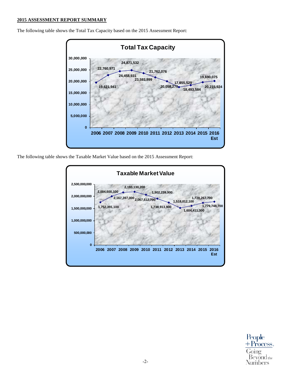#### **2015 ASSESSMENT REPORT SUMMARY**

**19,621,941 22,760,971 24,458,931 24,871,532 23,593,899 21,762,076 20,058,270 17,655,529 18,493,584 19,690,075 20,215,924 0 5,000,000 10,000,000 15,000,000 20,000,000 25,000,000 30,000,000 2006 2007 2008 2009 2010 2011 2012 2013 2014 2015 2016 Est Total Tax Capacity**

The following table shows the Total Tax Capacity based on the 2015 Assessment Report:

The following table shows the Taxable Market Value based on the 2015 Assessment Report:



People + Process. oino  $\operatorname{Bevond}$ the Numbers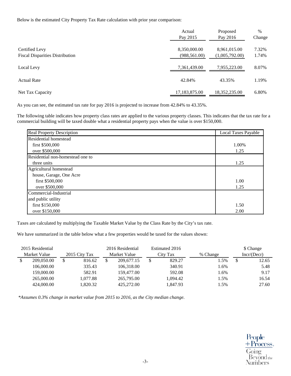Below is the estimated City Property Tax Rate calculation with prior year comparison:

|                                        | Actual<br>Pay 2015 | Proposed<br>Pay 2016 | $\%$<br>Change |
|----------------------------------------|--------------------|----------------------|----------------|
| Certified Levy                         | 8,350,000.00       | 8,961,015.00         | 7.32%          |
| <b>Fiscal Disparities Distribution</b> | (988, 561.00)      | (1,005,792.00)       | 1.74%          |
| Local Levy                             | 7,361,439.00       | 7,955,223.00         | 8.07%          |
| <b>Actual Rate</b>                     | 42.84%             | 43.35%               | 1.19%          |
| Net Tax Capacity                       | 17,183,875.00      | 18,352,235.00        | 6.80%          |

As you can see, the estimated tax rate for pay 2016 is projected to increase from 42.84% to 43.35%.

The following table indicates how property class rates are applied to the various property classes. This indicates that the tax rate for a commercial building will be taxed double what a residential property pays when the value is over \$150,000.

| <b>Real Property Description</b> | <b>Local Taxes Payable</b> |
|----------------------------------|----------------------------|
| <b>Residential homestead</b>     |                            |
| first \$500,000                  | 1.00%                      |
| over \$500,000                   | 1.25                       |
| Residential non-homestead one to |                            |
| three units                      | 1.25                       |
| Agricultural homestead           |                            |
| house, Garage, One Acre          |                            |
| first \$500,000                  | 1.00                       |
| over \$500,000                   | 1.25                       |
| Commercial-Industrial            |                            |
| and public utility               |                            |
| first \$150,000                  | 1.50                       |
| over \$150,000                   | 2.00                       |

Taxes are calculated by multiplying the Taxable Market Value by the Class Rate by the City's tax rate.

We have summarized in the table below what a few properties would be taxed for the values shown:

| 2015 Residential<br>Market Value | 2015 City Tax | 2016 Residential<br>Market Value | Estimated 2016<br>City Tax | % Change | \$ Change<br>Incr/(Decr) |
|----------------------------------|---------------|----------------------------------|----------------------------|----------|--------------------------|
| 209,050.00                       | 816.62        | \$<br>209,677.15                 | 829.27                     | 1.5%     | 12.65                    |
| 106,000.00                       | 335.43        | 106,318.00                       | 340.91                     | 1.6%     | 5.48                     |
| 159,000.00                       | 582.91        | 159,477.00                       | 592.08                     | 1.6%     | 9.17                     |
| 265,000.00                       | 1,077.88      | 265,795.00                       | 1,094.42                   | 1.5%     | 16.54                    |
| 424,000.00                       | 1.820.32      | 425,272.00                       | 1,847.93                   | 1.5%     | 27.60                    |

*\*Assumes 0.3% change in market value from 2015 to 2016, as the City median change.*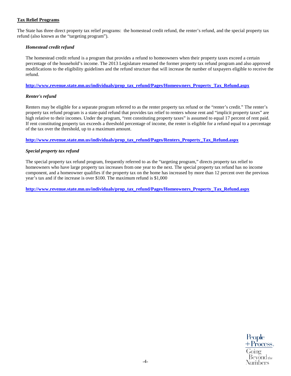# **Tax Relief Programs**

The State has three direct property tax relief programs: the homestead credit refund, the renter's refund, and the special property tax refund (also known as the "targeting program").

## *Homestead credit refund*

The homestead credit refund is a program that provides a refund to homeowners when their property taxes exceed a certain percentage of the household's income. The 2013 Legislature renamed the former property tax refund program and also approved modifications to the eligibility guidelines and the refund structure that will increase the number of taxpayers eligible to receive the refund.

#### **[http://www.revenue.state.mn.us/individuals/prop\\_tax\\_refund/Pages/Homeowners\\_Property\\_Tax\\_Refund.aspx](http://www.revenue.state.mn.us/individuals/prop_tax_refund/Pages/Homeowners_Property_Tax_Refund.aspx)**

#### *Renter's refund*

Renters may be eligible for a separate program referred to as the renter property tax refund or the "renter's credit." The renter's property tax refund program is a state-paid refund that provides tax relief to renters whose rent and "implicit property taxes" are high relative to their incomes. Under the program, "rent constituting property taxes" is assumed to equal 17 percent of rent paid. If rent constituting property tax exceeds a threshold percentage of income, the renter is eligible for a refund equal to a percentage of the tax over the threshold, up to a maximum amount.

**[http://www.revenue.state.mn.us/individuals/prop\\_tax\\_refund/Pages/Renters\\_Property\\_Tax\\_Refund.aspx](http://www.revenue.state.mn.us/individuals/prop_tax_refund/Pages/Renters_Property_Tax_Refund.aspx)**

## *Special property tax refund*

The special property tax refund program, frequently referred to as the "targeting program," directs property tax relief to homeowners who have large property tax increases from one year to the next. The special property tax refund has no income component, and a homeowner qualifies if the property tax on the home has increased by more than 12 percent over the previous year's tax and if the increase is over \$100. The maximum refund is \$1,000

**[http://www.revenue.state.mn.us/individuals/prop\\_tax\\_refund/Pages/Homeowners\\_Property\\_Tax\\_Refund.aspx](http://www.revenue.state.mn.us/individuals/prop_tax_refund/Pages/Homeowners_Property_Tax_Refund.aspx)**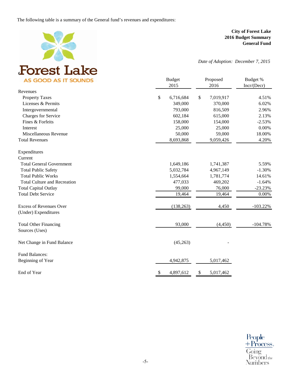The following table is a summary of the General fund's revenues and expenditures:



**City of Forest Lake 2016 Budget Summary General Fund**

*Date of Adoption: December 7, 2015*

| <b>AS GOOD AS IT SOUNDS</b>         | <b>Budget</b><br>2015 | Proposed<br>2016 |            |
|-------------------------------------|-----------------------|------------------|------------|
| Revenues                            |                       |                  |            |
| <b>Property Taxes</b>               | \$<br>6,716,684       | \$<br>7,019,917  | 4.51%      |
| Licenses & Permits                  | 349,000               | 370,000          | 6.02%      |
| Intergovernmental                   | 793,000               | 816,509          | 2.96%      |
| Charges for Service                 | 602,184               | 615,000          | 2.13%      |
| Fines & Forfeits                    | 158,000               | 154,000          | $-2.53%$   |
| Interest                            | 25,000                | 25,000           | 0.00%      |
| Miscellaneous Revenue               | 50,000                | 59,000           | 18.00%     |
| <b>Total Revenues</b>               | 8,693,868             | 9,059,426        | 4.20%      |
| Expenditures                        |                       |                  |            |
| Current                             |                       |                  |            |
| <b>Total General Government</b>     | 1,649,186             | 1,741,387        | 5.59%      |
| <b>Total Public Safety</b>          | 5,032,784             | 4,967,149        | $-1.30%$   |
| <b>Total Public Works</b>           | 1,554,664             | 1,781,774        | 14.61%     |
| <b>Total Culture and Recreation</b> | 477,033               | 469,202          | $-1.64%$   |
| <b>Total Capital Outlay</b>         | 99,000                | 76,000           | $-23.23%$  |
| <b>Total Debt Service</b>           | 19,464                | 19,464           | 0.00%      |
| <b>Excess of Revenues Over</b>      | (138, 263)            | 4,450            | $-103.22%$ |
| (Under) Expenditures                |                       |                  |            |
| <b>Total Other Financing</b>        | 93,000                | (4, 450)         | $-104.78%$ |
| Sources (Uses)                      |                       |                  |            |
| Net Change in Fund Balance          | (45,263)              |                  |            |
| <b>Fund Balances:</b>               |                       |                  |            |
| Beginning of Year                   | 4,942,875             | 5,017,462        |            |
| End of Year                         | \$<br>4,897,612       | \$<br>5,017,462  |            |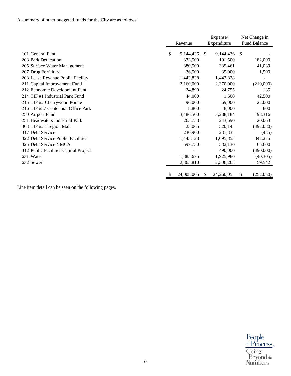A summary of other budgeted funds for the City are as follows:

|                                       |                 |          | Expense/    |    | Net Change in       |
|---------------------------------------|-----------------|----------|-------------|----|---------------------|
|                                       | Revenue         |          | Expenditure |    | <b>Fund Balance</b> |
| 101 General Fund                      | \$<br>9,144,426 | <b>S</b> | 9,144,426   | S  |                     |
| 203 Park Dedication                   | 373,500         |          | 191,500     |    | 182,000             |
| 205 Surface Water Management          | 380,500         |          | 339,461     |    | 41,039              |
| 207 Drug Forfeiture                   | 36,500          |          | 35,000      |    | 1,500               |
| 208 Lease Revenue Public Facility     | 1,442,828       |          | 1,442,828   |    |                     |
| 211 Capital Improvement Fund          | 2,160,000       |          | 2,370,000   |    | (210,000)           |
| 212 Economic Development Fund         | 24,890          |          | 24,755      |    | 135                 |
| 214 TIF #1 Industrial Park Fund       | 44,000          |          | 1,500       |    | 42,500              |
| 215 TIF #2 Cherrywood Pointe          | 96,000          |          | 69,000      |    | 27,000              |
| 216 TIF #87 Centennial Office Park    | 8,800           |          | 8,000       |    | 800                 |
| 250 Airport Fund                      | 3,486,500       |          | 3,288,184   |    | 198,316             |
| 251 Headwaters Industrial Park        | 263,753         |          | 243,690     |    | 20,063              |
| 303 TIF #21 Legion Mall               | 23,065          |          | 520,145     |    | (497,080)           |
| 317 Debt Service                      | 230,900         |          | 231,335     |    | (435)               |
| 322 Debt Service Public Facilities    | 1,443,128       |          | 1,095,853   |    | 347,275             |
| 325 Debt Service YMCA                 | 597,730         |          | 532,130     |    | 65,600              |
| 412 Public Facilities Capital Project |                 |          | 490,000     |    | (490,000)           |
| 631 Water                             | 1,885,675       |          | 1,925,980   |    | (40,305)            |
| 632 Sewer                             | 2,365,810       |          | 2,306,268   |    | 59,542              |
|                                       | 24,008,005      | S        | 24,260,055  | \$ | (252,050)           |

Line item detail can be seen on the following pages.

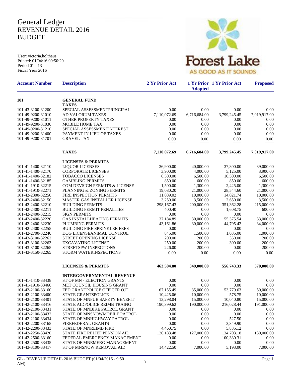# General Ledger REVENUE DETAIL 2016 BUDGET

User: victoria.holthaus Printed: 01/04/16 09:50:20 Period 01 - 13 Fiscal Year 2016



| <b>Account Number</b>                  | <b>Description</b>                                      | 2 Yr Prior Act | <b>Adopted</b> | 1 Yr Prior 1 Yr Prior Act | <b>Proposed</b>      |
|----------------------------------------|---------------------------------------------------------|----------------|----------------|---------------------------|----------------------|
| 101                                    | <b>GENERAL FUND</b>                                     |                |                |                           |                      |
| 101-43-3100-31200                      | <b>TAXES</b><br>SPECIAL ASSESSMENTPRINCIPAL             | 0.00           | 0.00           | 0.00                      |                      |
| 101-49-9200-31010                      | AD VALORUM TAXES                                        | 7,110,072.69   | 6,716,684.00   | 3,799,245.45              | 0.00<br>7,019,917.00 |
| 101-49-9200-31011                      | OTHER PROPERTY TAXES                                    | 0.00           | 0.00           | 0.00                      | 0.00                 |
| 101-49-9200-31030                      | <b>MOBILE HOME TAX</b>                                  | 0.00           | 0.00           | 0.00                      | 0.00                 |
| 101-49-9200-31210                      | SPECIAL ASSESSMENTINTEREST                              | 0.00           | 0.00           | 0.00                      | 0.00                 |
| 101-49-9200-31400                      | PAYMENT IN LIEU OF TAXES                                | 0.00           | 0.00           | 0.00                      | 0.00                 |
| 101-49-9200-31701                      | <b>GRAVEL TAX</b>                                       | 0.00           | 0.00           | 0.00                      | 0.00                 |
|                                        | <b>TAXES</b>                                            | 7,110,072.69   | 6,716,684.00   | 3,799,245.45              | 7,019,917.00         |
|                                        | <b>LICENSES &amp; PERMITS</b>                           |                |                |                           |                      |
| 101-41-1400-32110                      | <b>LIQUOR LICENSES</b>                                  | 36,900.00      | 40,000.00      | 37,800.00                 | 39,000.00            |
| 101-41-1400-32170                      | <b>CORPORATE LICENSES</b>                               | 3,900.00       | 4,000.00       | 5,125.00                  | 3,900.00             |
| 101-41-1400-32182                      | <b>TOBACCO LICENSES</b>                                 | 6,500.00       | 6,500.00       | 10,500.00                 | 6,500.00             |
| 101-41-1400-32185                      | <b>GAMBLING PERMITS</b>                                 | 850.00         | 600.00         | 850.00                    | 600.00               |
| 101-41-1910-32215                      | COM DEVSIGN PERMITS & LICENSE                           | 1,500.00       | 1,300.00       | 2,425.00                  | 1,300.00             |
| 101-41-1910-32271                      | PLANNING & ZONING PERMITS                               | 19,080.20      | 21,000.00      | 28,544.60                 | 21,000.00            |
| 101-42-2300-32250                      | FIRE INSPECTION PERMITS                                 | 11,089.02      | 10.000.00      | 14,021.74                 | 10,000.00            |
| 101-42-2400-32150                      | MASTER GAS INSTALLER LICENSE                            | 3,250.00       | 3,500.00       | 2,650.00                  | 3,500.00             |
| 101-42-2400-32210                      | <b>BUILDING PERMITS</b>                                 | 298,167.43     | 200,000.00     | 351,362.28                | 215,000.00           |
| 101-42-2400-32211                      | <b>BUILDING PERMIT PENALTIES</b>                        | 400.40         | 0.00           | 1,608.75                  | 600.00               |
| 101-42-2400-32215                      | <b>SIGN PERMITS</b>                                     | 0.00           | 0.00           | 0.00                      | 0.00                 |
| 101-42-2400-32220                      | GAS INSTALLHEATING PERMITS                              | 37,184.89      | 30,000.00      | 55,375.54                 | 33,000.00            |
| 101-42-2400-32230                      | <b>PLUMBING PERMITS</b>                                 | 43,161.86      | 30,000.00      | 44,795.42                 | 34,000.00            |
| 101-42-2400-32255                      | <b>BUILDING FIRE SPRINKLER FEES</b>                     | 0.00           | 0.00           | 0.00                      | 0.00                 |
| 101-42-2700-32240                      | DOG LICENSEANIMAL CONTROL                               | 845.00         | 1,500.00       | 1,035.00                  | 1,000.00             |
| 101-43-3100-32262                      | <b>STREET OPENING LICENSE</b>                           | 200.00         | 200.00         | 350.00                    | 200.00               |
| 101-43-3100-32263                      | <b>EXCAVATING LICENSE</b>                               | 250.00         | 200.00         | 300.00                    | 200.00               |
| 101-43-3100-32265                      | STREETSPW INSPECTIONS                                   | 226.00         | 200.00         | 0.00                      | 200.00               |
| 101-43-3150-32265                      | STORM WATERINSPECTIONS                                  | 0.00           | 0.00           | 0.00                      | 0.00                 |
|                                        | <b>LICENSES &amp; PERMITS</b>                           | 463,504.80     | 349,000.00     | 556,743.33                | 370,000.00           |
|                                        | <b>INTERGOVERNMENTAL REVENUE</b>                        |                |                |                           |                      |
| 101-41-1410-33438                      | ST OF MN - ELECTION GRANTS                              | 0.00           | 0.00           | 0.00                      | 0.00                 |
| 101-41-1910-33460                      | MET COUNCIL HOUSING GRANT                               | 0.00           | 0.00           | 0.00                      | 0.00                 |
| 101-42-2100-33160                      | FED GRANTPOLICE OFFICER OJT                             | 67,155.49      | 35,000.00      | 53,779.63                 | 50,000.00            |
| 101-42-2100-33400                      | STATE GRANTSPOLICE                                      | 10,425.06      | 10,000.00      | 578.75                    | 10,000.00            |
| 101-42-2100-33401                      | STATE OF MNPUB SAFETY BENEFIT                           | 13,298.04      | 15,000.00      | 10,040.80                 | 15,000.00            |
| 101-42-2100-33416                      | STATE AIDPOLICE REIMB TRAING                            | 190,399.62     | 190,000.00     | 216,028.44                | 191,000.00           |
| 101-42-2100-33431                      | STATE OF MNBIKE PATROL GRANT                            | 0.00           | 0.00           | 0.00                      | 0.00                 |
| 101-42-2100-33432                      | STATE OF MNSNOWMOBILE PATROL                            | 0.00           | 0.00           | 0.00                      | 0.00                 |
| 101-42-2100-33434                      | STATE OF MNHIGHWAY PATROL                               | 0.00           | 0.00           | 527.50                    | 0.00                 |
| 101-42-2200-33165                      | FIREFEDERAL GRANTS                                      | 0.00           | 0.00           | 3,349.90                  | 0.00                 |
| 101-42-2200-33433                      | <b>STATE OF MNREIMB FIRE</b>                            | 4,460.75       | 0.00           | 5.835.12                  | 0.00                 |
| 101-42-2250-33420                      | STATE FIRE RELIEF PENSION AID                           | 126, 183. 48   | 127,000.00     | 134,703.18                | 130,000.00           |
| 101-42-2500-33160<br>101-42-2500-33435 | FEDERAL EMERGENCY MANAGEMENT                            | 0.00           | 0.00           | 100,330.31                | 0.00                 |
| 101-43-3100-33417                      | STATE OF MNEMERG MANAGEMENT<br>ST OF MNSNOW REMOVAL AID | 0.00           | 0.00           | 0.00                      | 0.00                 |
|                                        |                                                         | 14,422.50      | 7,000.00       | 5,193.00                  | 7,000.00             |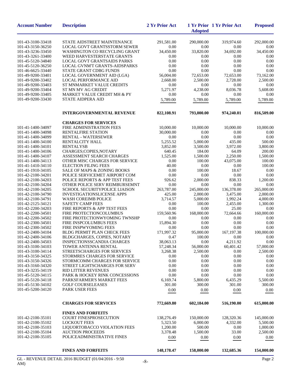| <b>Account Number</b>                  | <b>Description</b>                                            | 2 Yr Prior Act | <b>Adopted</b> | 1 Yr Prior 1 Yr Prior Act | <b>Proposed</b>  |
|----------------------------------------|---------------------------------------------------------------|----------------|----------------|---------------------------|------------------|
| 101-43-3100-33418                      | STATE AIDSTREET MAINTENANCE                                   | 291,581.00     | 290,000.00     | 319,974.60                | 292,000.00       |
| 101-43-3150-36250                      | <b>LOCAL GOVT GRANTSSTORM SEWER</b>                           | 0.00           | 0.00           | 0.00                      | 0.00             |
| 101-43-3236-33450                      | <b>WASHINGTON CO RECYCLING GRANT</b>                          | 34,450.00      | 33,820.00      | 34,692.00                 | 34,450.00        |
| 101-43-3261-33400                      | WEED HARVESTERSTATE GRANTS                                    | 0.00           | 0.00           | 0.00                      | 0.00             |
| 101-45-5120-34840                      | <b>LOCAL GOVT GRANTSAIDS PARKS</b>                            | 0.00           | 0.00           | 0.00                      | 0.00             |
| 101-45-5120-36250                      | LOCAL GVNM'T GRANTS-AIDSPARKS                                 | 0.00           | 0.00           | 0.00                      | 0.00             |
| 101-46-6625-33440                      | STATE GRANT CDBG FUNDS                                        | 0.00           | 0.00           | 0.00                      | 0.00             |
| 101-49-9200-33401                      | LOCAL GOVERNMENT AID (LGA)                                    | 56,004.00      | 72,653.00      | 72,653.00                 | 73,162.00        |
| 101-49-9200-33402                      | <b>LOCAL PERFORMANCE AID</b>                                  | 2,668.00       | 2,500.00       | 2,728.00                  | 2,500.00         |
| 101-49-9200-33403                      | ST MNMARKET VALUE CREDITS                                     | 0.00           | 0.00           | 0.00                      | 0.00             |
| 101-49-9200-33404                      | ST MN MV AG CREDIT                                            | 5,271.97       | 4,238.00       | 8,036.78                  | 5,608.00         |
| 101-49-9200-33405                      | MARKET VALUE CREDIT MH & PY                                   | 0.00           | 0.00           | 0.00                      | 0.00             |
| 101-49-9200-33430                      | <b>STATE AIDPERA AID</b>                                      | 5,789.00       | 5,789.00       | 5,789.00                  | 5,789.00         |
|                                        | <b>INTERGOVERNMENTAL REVENUE</b>                              | 822,108.91     | 793,000.00     | 974,240.01                | 816,509.00       |
|                                        | <b>CHARGES FOR SERVICES</b>                                   |                |                |                           |                  |
| 101-41-1400-34097                      | FIRE ADMINISTRATION FEES                                      | 10,000.00      | 10,000.00      | 10,000.00                 | 10,000.00        |
| 101-41-1400-34098                      | <b>RENTALFIRE STATION</b>                                     | 30,000.00      | 0.00           | 0.00                      | 0.00             |
| 101-41-1400-34099                      | RENTAL - WATERSEWER                                           | 0.00           | 0.00           | 0.00                      | 0.00             |
| 101-41-1400-34100                      | RENTALCITY HALL                                               | 5,255.52       | 5,000.00       | 435.00                    | 500.00           |
| 101-41-1400-34101                      | <b>RENTALYSB</b>                                              | 3,852.00       | 3,500.00       | 3,972.00                  | 3,800.00         |
| 101-41-1400-34106                      | CHARGES;COPIES, NOTARY                                        | 640.45         | 184.00         | 64.09                     | 200.00           |
| 101-41-1400-34107                      | ASSESSMENT SEARCH CHARGES                                     | 1,525.00       | 1,500.00       | 2,250.00                  | 1,500.00         |
| 101-41-1400-34113                      | OTHER MISC CHARGES FOR SERVICE<br><b>ELECTION FILING FEES</b> | 0.00<br>40.00  | 100.00<br>0.00 | 43,075.00                 | 100.00<br>100.00 |
| 101-41-1410-34110<br>101-41-1910-34105 | <b>SALE OF MAPS &amp; ZONING BOOKS</b>                        | 0.00           | 100.00         | 0.00<br>18.67             | 0.00             |
| 101-42-2100-34201                      | POLICE SERVICEMET AIRPORT COM                                 | 0.00           | 0.00           | 0.00                      | 0.00             |
| 101-42-2100-34203                      | POLICE REPORTS & APP TEST FEES                                | 926.62         | 2,000.00       | 838.33                    | 1,200.00         |
| 101-42-2100-34204                      | OTHER POLICE SERV REIMBURSEMNT                                | 0.00           | 0.00           | 0.00                      | 0.00             |
| 101-42-2100-34205                      | SCHOOL SECURITYPOLICE LIAISON                                 | 263,787.00     | 245,000.00     | 136,378.00                | 265,000.00       |
| 101-42-2100-34790                      | <b>INVESTIGATIONSLICENSE APPS</b>                             | 425.00         | 2,000.00       | 3,475.00                  | 2,000.00         |
| 101-42-2100-34791                      | <b>WASH COREIMB POLICE</b>                                    | 3,714.57       | 5,000.00       | 1,992.24                  | 4,000.00         |
| 101-42-2125-34121                      | <b>SAFETY CAMP FEES</b>                                       | 0.00           | 100.00         | 2,455.00                  | 1,300.00         |
| 101-42-2200-34203                      | FIRE REPORTS & APP TEST FEES                                  | 0.00           | 0.00           | 25.00                     | 0.00             |
| 101-42-2200-34501                      | FIRE PROTECTIONCOLUMBUS                                       | 159,560.96     | 168,000.00     | 72,664.66                 | 160,000.00       |
| 101-42-2200-34502                      | FIRE PROTECTIONWYOMING TWNSHP                                 | 0.00           | 0.00           | 0.00                      | 0.00             |
| 101-42-2300-34501                      | FIRE INSPCOLUMBUS FEES                                        | 15,894.30      | 0.00           | 0.00                      | 0.00             |
| 101-42-2300-34502                      | FIRE INSPWYOMING FEES                                         | 0.00           | 0.00           | 0.00                      | 0.00             |
| 101-42-2400-34104                      | BLDG PERMIT PLAN CHECK FEES                                   | 171,997.32     | 95,000.00      | 167, 197. 38              | 100,000.00       |
| 101-42-2400-34106                      | BLDGCHARGES, COPIES, NOTARY                                   | 0.47           | 100.00         | 0.00                      | 0.00             |
| 101-42-2400-34503                      | INSPECTIONSSCANDIA CHARGES                                    | 38,063.13      | 0.00           | 4,211.92                  | 0.00             |
| 101-43-3100-34103                      | TOWER ANTENNA RENTAL                                          | 57,248.34      | 56,000.00      | 60,401.42                 | 57,000.00        |
| 101-43-3100-34114                      | STREETSCHARGES FOR SERVICES                                   | 3,268.38       | 2,500.00       | 0.00                      | 2,500.00         |
| 101-43-3150-34325                      | STORMRES CHARGES FOR SERVICE<br>STORMCOMM CHARGES FOR SERVICE | 0.00           | 0.00           | 0.00                      | 0.00             |
| 101-43-3150-34326<br>101-43-3160-34320 | STREET LIGHTSCHARGES FOR SERV                                 | 0.00<br>0.00   | 0.00<br>0.00   | 0.00<br>0.00              | 0.00<br>0.00     |
| 101-43-3235-34119                      | RID LITTER REVENUES                                           | 0.00           | 0.00           | 0.00                      | 0.00             |
| 101-45-5120-34115                      | <b>PARK &amp; HOCKEY RINK CONCESSIONS</b>                     | 0.00           | 0.00           | 0.00                      | 0.00             |
| 101-45-5120-34118                      | PARKSFARMER'S MARKET FEES                                     | 6,169.74       | 5,800.00       | 6,435.29                  | 5,500.00         |
| 101-45-5130-34102                      | <b>GOLF COURSELEASES</b>                                      | 301.00         | 300.00         | 301.00                    | 300.00           |
| 101-45-5200-34120                      | <b>PARK USER FEES</b>                                         | 0.00           | 0.00           | 0.00                      | 0.00             |
|                                        | <b>CHARGES FOR SERVICES</b>                                   | 772,669.80     | 602,184.00     | 516,190.00                | 615,000.00       |
|                                        | <b>FINES AND FORFEITS</b>                                     |                |                |                           |                  |
| 101-42-2100-35101                      | COURT FINESPROSECUTION                                        | 138,276.49     | 150,000.00     | 128,320.36                | 145,000.00       |
| 101-42-2100-35102                      | <b>LOCKOUT FEES</b>                                           | 5,323.50       | 6,000.00       | 4,332.00                  | 5,500.00         |
| 101-42-2100-35103                      | LIQUORTOBACCO VIOLATION FEES                                  | 1,200.00       | 500.00         | 0.00                      | 1,000.00         |
| 101-42-2100-35104                      | <b>AUCTION PROCEEDS</b>                                       | 3,378.48       | 1,500.00       | 33.00                     | 2,500.00         |
| 101-42-2100-35105                      | POLICEADMINISTRATIVE FINES                                    | 0.00           | 0.00           | 0.00                      | 0.00             |
|                                        | <b>FINES AND FORFEITS</b>                                     | 148,178.47     | 158,000.00     | 132,685.36                | 154,000.00       |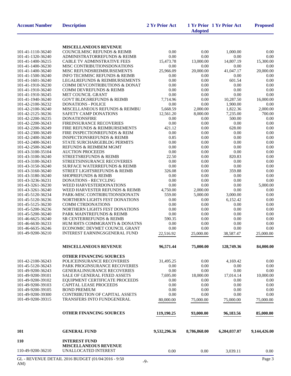| <b>Account Number</b>                  | <b>Description</b>                                                  | 2 Yr Prior Act | <b>Adopted</b> | 1 Yr Prior 1 Yr Prior Act | <b>Proposed</b> |
|----------------------------------------|---------------------------------------------------------------------|----------------|----------------|---------------------------|-----------------|
|                                        | <b>MISCELLANEOUS REVENUE</b>                                        |                |                |                           |                 |
| 101-41-1110-36240                      | <b>COUNCILMISC REFUNDS &amp; REIMB</b>                              | 0.00           | 0.00           | 1,000.00                  | 0.00            |
| 101-41-1320-36240                      | ADMINISTRATORREFUNDS & REIMB                                        | 0.00           | 0.00           | 0.00                      | 0.00            |
| 101-41-1400-36215                      | CABLE TV ADMINSTRATIVE FEES                                         | 15,473.78      | 13,000.00      | 14,807.19                 | 15,300.00       |
| 101-41-1400-36230                      | MISC CONTRIBUTIONSDONATIONS                                         | 0.00           | 0.00           | 0.00                      | 0.00            |
| 101-41-1400-36240                      | MISC REFUNDSREIMBURSEMENTS                                          | 25,966.09      | 20,000.00      | 41,047.17                 | 20,000.00       |
| 101-41-1500-36240                      | INFO TECHMISC REFUNDS & REIMB                                       | 0.00           | 0.00           | 0.00                      | 0.00            |
| 101-41-1601-36240                      | <b>LEGALREFUNDS &amp; REIMBURSEMENTS</b>                            | 0.00           | 0.00           | 601.54                    | 0.00            |
| 101-41-1910-36230                      | <b>COMM DEVCONTRIBUTIONS &amp; DONAT</b>                            | 0.00           | 0.00           | 0.00                      | 0.00            |
| 101-41-1910-36240<br>101-41-1910-36245 | COMM DEVREFUNDS & REIMB<br>MET COUNCIL GRANT                        | 0.00<br>0.00   | 0.00<br>0.00   | 0.00<br>0.00              | 0.00<br>0.00    |
| 101-41-1940-36240                      | <b>GOVT BLDGSREFUNDS &amp; REIMB</b>                                | 7,714.96       | 0.00           | 10,287.50                 | 16,000.00       |
| 101-42-2100-36232                      | <b>DONATIONS - POLICE</b>                                           | 0.00           | 0.00           | 1,900.00                  | 0.00            |
| 101-42-2100-36240                      | MISCELLANEOUS REFUNDS & REIMBU                                      | 5,668.59       | 2,000.00       | 1,822.36                  | 2,000.00        |
| 101-42-2125-36236                      | SAFETY CAMP DONATIONS                                               | 12,561.20      | 8,000.00       | 7,235.00                  | 700.00          |
| 101-42-2200-36235                      | <b>DONATIONSFIRE</b>                                                | 0.00           | 0.00           | 500.00                    | 0.00            |
| 101-42-2200-36243                      | <b>FIREINSURANCE RECOVERIES</b>                                     | $0.00\,$       | 0.00           | 0.00                      | 0.00            |
| 101-42-2200-36249                      | FIRE REFUNDS & REIMBURSEMENTS                                       | 421.12         | 0.00           | 628.00                    | 0.00            |
| 101-42-2300-36249                      | FIRE INSPECTIONREFUNDS & REIM                                       | 0.00           | 0.00           | 0.00                      | 0.00            |
| 101-42-2400-36240                      | <b>INSPECTIONSREFUNDS &amp; REIMB</b>                               | 0.85           | 0.00           | 0.00                      | 0.00            |
| 101-42-2400-36241                      | STATE SURCHARGEBLDG PERMITS                                         | 0.00           | 0.00           | 0.00                      | 0.00            |
| 101-42-2500-36240                      | REFUNDS & REIMBEM MGMT                                              | 0.00           | 0.00           | 0.00                      | 0.00            |
| 101-43-3100-35104                      | <b>AUCTION PROCEEDS</b><br><b>STREETSREFUNDS &amp; REIMB</b>        | 0.00           | 0.00           | 0.00                      | 0.00            |
| 101-43-3100-36240<br>101-43-3100-36243 | <b>STREETSINSURANCE RECOVERIES</b>                                  | 22.50<br>0.00  | 0.00<br>0.00   | 820.83<br>0.00            | 0.00<br>0.00    |
| 101-43-3150-36240                      | <b>SURFACE WATERREFUNDS &amp; REIMB</b>                             | 0.00           | 0.00           | 0.00                      | 0.00            |
| 101-43-3160-36240                      | STREET LIGHTSREFUNDS & REIMB                                        | 326.08         | 0.00           | 359.88                    | 0.00            |
| 101-43-3180-36240                      | <b>SHOPREFUNDS &amp; REIMB</b>                                      | 0.00           | 0.00           | 0.00                      | 0.00            |
| 101-43-3236-36231                      | <b>DONATIONS - RECYCLING</b>                                        | 0.00           | 0.00           | 0.00                      | 0.00            |
| 101-43-3261-36230                      | WEED HARVESTERDONATIONS                                             | 0.00           | 0.00           | 0.00                      | 5,000.00        |
| 101-43-3261-36240                      | WEED HARVESTER REFUNDS & REIMB                                      | 4,750.00       | 2,000.00       | 0.00                      | 0.00            |
| 101-45-5120-36234                      | PARK-MISC CONTRIBUTIONSDONATN                                       | 559.00         | 5,000.00       | 3,000.00                  | 0.00            |
| 101-45-5120-36236                      | NORTHERN LIGHTS FEST DONATIONS                                      | 0.00           | 0.00           | 6,152.42                  | 0.00            |
| 101-45-5125-36230                      | <b>COMM CTRDONATIONS</b>                                            | 0.00           | 0.00           | 0.00                      | 0.00            |
| 101-45-5200-36236                      | NORTHERN LIGHTS FEST DONATIONS                                      | 0.00           | 0.00           | 0.00                      | 0.00            |
| 101-45-5200-36240                      | PARK MAINTREFUNDS & REIMB                                           | 0.00           | 0.00           | 0.00                      | 0.00            |
| 101-46-6625-36240<br>101-46-6630-36233 | SR CENTERREFUNDS & REIMB<br>HUM RHTS COMMGRANTS & DONATNS           | 590.35<br>0.00 | 0.00<br>0.00   | 0.00<br>0.00              | 0.00<br>0.00    |
| 101-46-6635-36246                      | ECONOMIC DEVMET COUNCIL GRANT                                       | 0.00           | 0.00           | 0.00                      | 0.00            |
| 101-49-9200-36210                      | INTEREST EARNINGSGENERAL FUND                                       | 22,516.92      | 25,000.00      | 38,587.47                 | 25,000.00       |
|                                        |                                                                     |                |                |                           |                 |
|                                        | <b>MISCELLANEOUS REVENUE</b>                                        | 96,571.44      | 75,000.00      | 128,749.36                | 84,000.00       |
|                                        | <b>OTHER FINANCING SOURCES</b>                                      |                |                |                           |                 |
| 101-42-2100-36243                      | POLICEINSURANCE RECOVERIES                                          | 31,495.25      | 0.00           | 4,169.42                  | 0.00            |
| 101-45-5120-36243                      | PARK PROGINSURANCE RECOVERIES                                       | 0.00           | 0.00           | 0.00                      | 0.00            |
| 101-49-9200-36243                      | <b>GENERALINSURANCE RECOVERIES</b>                                  | 0.00           | 0.00           | 0.00                      | 0.00            |
| 101-49-9200-39101                      | <b>SALE OF GENERAL FIXED ASSETS</b>                                 | 7,695.00       | 18,000.00      | 17,014.14                 | 10,000.00       |
| 101-49-9200-39102                      | EQUIPMENT CERTIFICATE PROCEEDS                                      | 0.00           | 0.00           | 0.00                      | 0.00            |
| 101-49-9200-39103                      | <b>CAPITAL LEASE PROCEEDS</b>                                       | 0.00           | 0.00           | 0.00                      | 0.00            |
| 101-49-9200-39105                      | <b>BOND PREMIUM</b>                                                 | 0.00           | 0.00           | 0.00                      | 0.00            |
| 101-49-9200-39300<br>101-49-9200-39315 | <b>CONTRIBUTION OF CAPITAL ASSETS</b><br>TRANSFERS INTO FUNDGENERAL | 0.00           | 0.00           | 0.00                      | 0.00            |
|                                        |                                                                     | 80,000.00      | 75,000.00      | 75,000.00                 | 75,000.00       |
|                                        | <b>OTHER FINANCING SOURCES</b>                                      | 119,190.25     | 93,000.00      | 96,183.56                 | 85,000.00       |
| 101                                    | <b>GENERAL FUND</b>                                                 | 9,532,296.36   | 8,786,868.00   | 6,204,037.07              | 9,144,426.00    |
| <b>110</b>                             | <b>INTEREST FUND</b><br><b>MISCELLANEOUS REVENUE</b>                |                |                |                           |                 |
| 110-49-9200-36210                      | UNALLOCATED INTEREST                                                | 0.00           | 0.00           | 3,039.11                  | 0.00            |
|                                        |                                                                     |                |                |                           |                 |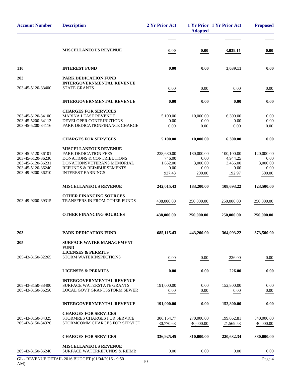| <b>Account Number</b>                                                                                 | <b>Description</b>                                                                                                                                                                 | 2 Yr Prior Act                                     | <b>Adopted</b>                                   | 1 Yr Prior 1 Yr Prior Act                            | <b>Proposed</b>                                  |
|-------------------------------------------------------------------------------------------------------|------------------------------------------------------------------------------------------------------------------------------------------------------------------------------------|----------------------------------------------------|--------------------------------------------------|------------------------------------------------------|--------------------------------------------------|
|                                                                                                       | <b>MISCELLANEOUS REVENUE</b>                                                                                                                                                       | 0.00                                               | 0.00                                             | 3,039.11                                             | 0.00                                             |
| 110                                                                                                   | <b>INTEREST FUND</b>                                                                                                                                                               | 0.00                                               | 0.00                                             | 3,039.11                                             | 0.00                                             |
| 203                                                                                                   | <b>PARK DEDICATION FUND</b>                                                                                                                                                        |                                                    |                                                  |                                                      |                                                  |
| 203-45-5120-33400                                                                                     | <b>INTERGOVERNMENTAL REVENUE</b><br><b>STATE GRANTS</b>                                                                                                                            | 0.00                                               | 0.00                                             | 0.00                                                 | 0.00                                             |
|                                                                                                       | <b>INTERGOVERNMENTAL REVENUE</b>                                                                                                                                                   | 0.00                                               | 0.00                                             | 0.00                                                 | 0.00                                             |
| 203-45-5120-34100<br>203-45-5200-34113<br>203-45-5200-34116                                           | <b>CHARGES FOR SERVICES</b><br><b>MARINA LEASE REVENUE</b><br>DEVELOPER CONTRIBUTIONS<br>PARK DEDICATIONFINANCE CHARGE                                                             | 5,100.00<br>0.00<br>0.00                           | 10.000.00<br>0.00<br>0.00                        | 6,300.00<br>0.00<br>0.00                             | 0.00<br>0.00<br>0.00                             |
|                                                                                                       | <b>CHARGES FOR SERVICES</b>                                                                                                                                                        | 5,100.00                                           | 10,000.00                                        | 6,300.00                                             | 0.00                                             |
| 203-45-5120-36101<br>203-45-5120-36230<br>203-45-5120-36231<br>203-45-5120-36240<br>203-49-9200-36210 | <b>MISCELLANEOUS REVENUE</b><br>PARK DEDICATION FEES<br><b>DONATIONS &amp; CONTRIBUTIONS</b><br>DONATIONSVETERANS MEMORIAL<br>REFUNDS & REIMBURSEMENTS<br><b>INTEREST EARNINGS</b> | 238,680.00<br>746.00<br>1,652.00<br>0.00<br>937.43 | 180,000.00<br>0.00<br>3,000.00<br>0.00<br>200.00 | 100,100.00<br>4,944.25<br>3,456.00<br>0.00<br>192.97 | 120,000.00<br>0.00<br>3,000.00<br>0.00<br>500.00 |
|                                                                                                       | <b>MISCELLANEOUS REVENUE</b>                                                                                                                                                       | 242,015.43                                         | 183,200.00                                       | 108,693.22                                           | 123,500.00                                       |
| 203-49-9200-39315                                                                                     | <b>OTHER FINANCING SOURCES</b><br>TRANSFERS IN FROM OTHER FUNDS                                                                                                                    | 438,000.00                                         | 250,000.00                                       | 250,000.00                                           | 250,000.00                                       |
|                                                                                                       | <b>OTHER FINANCING SOURCES</b>                                                                                                                                                     | 438,000.00                                         | 250,000.00                                       | 250,000.00                                           | 250,000.00                                       |
| 203                                                                                                   | <b>PARK DEDICATION FUND</b>                                                                                                                                                        | 685,115.43                                         | 443,200.00                                       | 364,993.22                                           | 373,500.00                                       |
| 205<br>205-43-3150-32265                                                                              | <b>SURFACE WATER MANAGEMENT</b><br><b>FUND</b><br><b>LICENSES &amp; PERMITS</b><br>STORM WATERINSPECTIONS                                                                          |                                                    |                                                  |                                                      |                                                  |
|                                                                                                       |                                                                                                                                                                                    | 0.00                                               | 0.00                                             | 226.00                                               | 0.00                                             |
|                                                                                                       | <b>LICENSES &amp; PERMITS</b>                                                                                                                                                      | 0.00                                               | 0.00                                             | 226.00                                               | 0.00                                             |
| 205-43-3150-33400<br>205-43-3150-36250                                                                | <b>INTERGOVERNMENTAL REVENUE</b><br><b>SURFACE WATERSTATE GRANTS</b><br><b>LOCAL GOVT GRANTSSTORM SEWER</b>                                                                        | 191,000.00<br>0.00                                 | 0.00<br>0.00                                     | 152,800.00<br>0.00                                   | 0.00<br>0.00                                     |
|                                                                                                       | <b>INTERGOVERNMENTAL REVENUE</b>                                                                                                                                                   | 191,000.00                                         | 0.00                                             | 152,800.00                                           | 0.00                                             |
| 205-43-3150-34325<br>205-43-3150-34326                                                                | <b>CHARGES FOR SERVICES</b><br>STORMRES CHARGES FOR SERVICE<br>STORMCOMM CHARGES FOR SERVICE                                                                                       | 306,154.77<br>30,770.68                            | 270,000.00<br>40,000.00                          | 199,062.81<br>21,569.53                              | 340,000.00<br>40,000.00                          |
|                                                                                                       | <b>CHARGES FOR SERVICES</b>                                                                                                                                                        | 336,925.45                                         | 310,000.00                                       | 220,632.34                                           | 380,000.00                                       |
| 205-43-3150-36240                                                                                     | <b>MISCELLANEOUS REVENUE</b><br><b>SURFACE WATERREFUNDS &amp; REIMB</b>                                                                                                            | 0.00                                               | 0.00                                             | 0.00                                                 | 0.00                                             |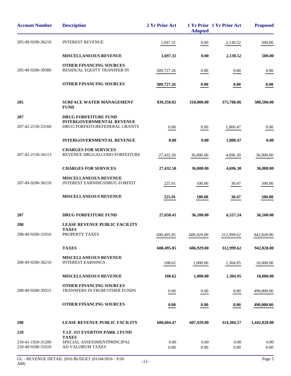| <b>Account Number</b>                  | <b>Description</b>                                                   | 2 Yr Prior Act   | <b>Adopted</b>   | 1 Yr Prior 1 Yr Prior Act | <b>Proposed</b> |
|----------------------------------------|----------------------------------------------------------------------|------------------|------------------|---------------------------|-----------------|
| 205-49-9200-36210                      | <b>INTEREST REVENUE</b>                                              | 1,697.31         | 0.00             | 2,130.52                  | 500.00          |
|                                        | <b>MISCELLANEOUS REVENUE</b>                                         | 1,697.31         | 0.00             | 2,130.52                  | 500.00          |
| 205-49-9200-39300                      | <b>OTHER FINANCING SOURCES</b><br>RESIDUAL EQUITY TRANSFER IN        | 309,727.26       | 0.00             | 0.00                      | 0.00            |
|                                        | <b>OTHER FINANCING SOURCES</b>                                       | 309,727.26       | 0.00             | 0.00                      | 0.00            |
| 205                                    | <b>SURFACE WATER MANAGEMENT</b><br><b>FUND</b>                       | 839,350.02       | 310,000.00       | 375,788.86                | 380,500.00      |
| 207                                    | <b>DRUG FORFEITURE FUND</b><br><b>INTERGOVERNMENTAL REVENUE</b>      |                  |                  |                           |                 |
| 207-42-2150-33160                      | DRUG FORFEITUREFEDERAL GRANTS                                        | 0.00             | 0.00             | 1,800.47                  | 0.00            |
|                                        | <b>INTERGOVERNMENTAL REVENUE</b>                                     | 0.00             | 0.00             | 1,800.47                  | 0.00            |
| 207-42-2150-34113                      | <b>CHARGES FOR SERVICES</b><br>REVENUE DRUGALCOHO FORFEITURE         | 27,432.50        | 36,000.00        | 4,696.30                  | 36,000.00       |
|                                        | <b>CHARGES FOR SERVICES</b>                                          | 27,432.50        | 36,000.00        | 4,696.30                  | 36,000.00       |
| 207-49-9200-36210                      | <b>MISCELLANEOUS REVENUE</b><br><b>INTEREST EARNINGSDRUG FORFEIT</b> | 225.91           | 100.00           | 30.47                     | 500.00          |
|                                        | <b>MISCELLANEOUS REVENUE</b>                                         | 225.91           | 100.00           | 30.47                     | 500.00          |
| 207                                    | DRUG FORFEITURE FUND                                                 | 27,658.41        | 36,100.00        | 6,527.24                  | 36,500.00       |
| 208                                    | LEASE REVENUE PUBLIC FACILITY<br>TAXES                               |                  |                  |                           |                 |
| 208-49-9200-31010                      | PROPERTY TAXES                                                       | 600,495.85       | 606,929.00       | 312,999.62                | 942,828.00      |
|                                        | <b>TAXES</b>                                                         | 600,495.85       | 606,929.00       | 312,999.62                | 942,828.00      |
| 208-49-9200-36210                      | <b>MISCELLANEOUS REVENUE</b><br><b>INTEREST EARNINGS</b>             | 108.62           | 1,000.00         | 1,304.95                  | 10,000.00       |
|                                        | <b>MISCELLANEOUS REVENUE</b>                                         | 108.62           | 1,000.00         | 1,304.95                  | 10,000.00       |
| 208-49-9200-39315                      | <b>OTHER FINANCING SOURCES</b><br>TRANSFERS IN FROM OTHER FUNDS      | 0.00             | 0.00             | 0.00                      | 490,000.00      |
|                                        | OTHER FINANCING SOURCES                                              | 0.00             | 0.00             | 0.00                      | 490,000.00      |
| 208                                    | LEASE REVENUE PUBLIC FACILITY                                        | 600,604.47       | 607,929.00       | 314,304.57                | 1,442,828.00    |
| 210                                    | T.I.F. #15 EVERTON PARK 2 FUND<br><b>TAXES</b>                       |                  |                  |                           |                 |
| 210-41-1920-31200<br>210-49-9200-31010 | SPECIAL ASSESSMENTPRINCIPAL<br>AD VALORUM TAXES                      | 0.00<br>$0.00\,$ | 0.00<br>$0.00\,$ | 0.00<br>0.00              | 0.00<br>0.00    |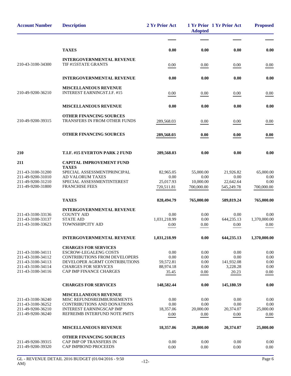| <b>Account Number</b>                                                                                 | <b>Description</b>                                                                                                                                                                             | 2 Yr Prior Act                                  | <b>Adopted</b>                               | 1 Yr Prior 1 Yr Prior Act                       | <b>Proposed</b>                         |
|-------------------------------------------------------------------------------------------------------|------------------------------------------------------------------------------------------------------------------------------------------------------------------------------------------------|-------------------------------------------------|----------------------------------------------|-------------------------------------------------|-----------------------------------------|
|                                                                                                       |                                                                                                                                                                                                |                                                 |                                              |                                                 |                                         |
|                                                                                                       | <b>TAXES</b>                                                                                                                                                                                   | 0.00                                            | 0.00                                         | 0.00                                            | 0.00                                    |
| 210-43-3100-34300                                                                                     | <b>INTERGOVERNMENTAL REVENUE</b><br>TIF #15STATE GRANTS                                                                                                                                        | 0.00                                            | 0.00                                         | 0.00                                            | 0.00                                    |
|                                                                                                       | <b>INTERGOVERNMENTAL REVENUE</b>                                                                                                                                                               | 0.00                                            | 0.00                                         | 0.00                                            | 0.00                                    |
| 210-49-9200-36210                                                                                     | <b>MISCELLANEOUS REVENUE</b><br><b>INTEREST EARNINGST.I.F. #15</b>                                                                                                                             | 0.00                                            | 0.00                                         | 0.00                                            | 0.00                                    |
|                                                                                                       | <b>MISCELLANEOUS REVENUE</b>                                                                                                                                                                   | 0.00                                            | 0.00                                         | 0.00                                            | 0.00                                    |
| 210-49-9200-39315                                                                                     | OTHER FINANCING SOURCES<br>TRANSFERS IN FROM OTHER FUNDS                                                                                                                                       | 289,568.03                                      | $0.00\,$                                     | 0.00                                            | 0.00                                    |
|                                                                                                       | <b>OTHER FINANCING SOURCES</b>                                                                                                                                                                 | 289,568.03                                      | 0.00                                         | 0.00                                            | 0.00                                    |
| 210                                                                                                   | T.I.F. #15 EVERTON PARK 2 FUND                                                                                                                                                                 | 289,568.03                                      | 0.00                                         | 0.00                                            | 0.00                                    |
| 211                                                                                                   | <b>CAPITAL IMPROVEMENT FUND</b>                                                                                                                                                                |                                                 |                                              |                                                 |                                         |
| 211-43-3100-31200<br>211-49-9200-31010<br>211-49-9200-31210<br>211-49-9200-31800                      | <b>TAXES</b><br>SPECIAL ASSESSMENTPRINCIPAL<br>AD VALORUM TAXES<br>SPECIAL ASSESSMENTINTEREST<br><b>FRANCHISE FEES</b>                                                                         | 82,965.05<br>0.00<br>25,017.93<br>720,511.81    | 55,000.00<br>0.00<br>10,000.00<br>700,000.00 | 21,926.82<br>0.00<br>22,642.64<br>545,249.78    | 65,000.00<br>0.00<br>0.00<br>700,000.00 |
|                                                                                                       | <b>TAXES</b>                                                                                                                                                                                   | 828,494.79                                      | 765,000.00                                   | 589,819.24                                      | 765,000.00                              |
| 211-43-3100-33136<br>211-43-3100-33137<br>211-43-3100-33623                                           | <b>INTERGOVERNMENTAL REVENUE</b><br><b>COUNTY AID</b><br><b>STATE AID</b><br>TOWNSHIPCITY AID                                                                                                  | 0.00<br>1,031,218.99<br>0.00                    | 0.00<br>0.00<br>0.00                         | 0.00<br>644,235.13<br>0.00                      | 0.00<br>1,370,000.00<br>0.00            |
|                                                                                                       | <b>INTERGOVERNMENTAL REVENUE</b>                                                                                                                                                               | 1,031,218.99                                    | 0.00                                         | 644,235.13                                      | 1,370,000.00                            |
| 211-43-3100-34111<br>211-43-3100-34112<br>211-43-3100-34113<br>211-43-3100-34114<br>211-43-3100-34116 | <b>CHARGES FOR SERVICES</b><br><b>ESCROW-LEGALENG COSTS</b><br>CONTRIBUTIONS FROM DEVELOPERS<br>DEVELOPER AGRMT CONTRIBUTIONS<br><b>CHARGES FOR SERVICES</b><br><b>CAP IMP FINANCE CHARGES</b> | 0.00<br>0.00<br>59,572.81<br>88,974.18<br>35.45 | 0.00<br>0.00<br>0.00<br>0.00<br>0.00         | 0.00<br>0.00<br>141,932.08<br>3,228.28<br>20.23 | 0.00<br>0.00<br>0.00<br>0.00<br>0.00    |
|                                                                                                       | <b>CHARGES FOR SERVICES</b>                                                                                                                                                                    | 148,582.44                                      | 0.00                                         | 145,180.59                                      | 0.00                                    |
| 211-43-3100-36240<br>211-43-3100-36252<br>211-49-9200-36210<br>211-49-9200-36240                      | <b>MISCELLANEOUS REVENUE</b><br>MISC REFUNDSREIMBURSEMENTS<br>CONTRIBUTIONS AND DONATIONS<br><b>INTEREST EARNINGSCAP IMP</b><br>REFREIMB INTERFUND NOTE PMTS                                   | 0.00<br>0.00<br>18,357.06<br>0.00               | 0.00<br>0.00<br>20,000.00<br>0.00            | 0.00<br>0.00<br>20,374.07<br>0.00               | 0.00<br>0.00<br>25,000.00<br>0.00       |
|                                                                                                       | <b>MISCELLANEOUS REVENUE</b>                                                                                                                                                                   | 18,357.06                                       | 20,000.00                                    | 20,374.07                                       | 25,000.00                               |
| 211-49-9200-39315<br>211-49-9200-39320                                                                | <b>OTHER FINANCING SOURCES</b><br>CAP IMP OP TRANSFERS IN<br>CAP IMPBOND PROCEEDS                                                                                                              | 0.00<br>0.00                                    | 0.00<br>0.00                                 | 0.00<br>0.00                                    | 0.00<br>0.00                            |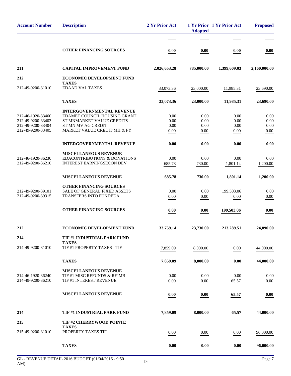| <b>Account Number</b>                                                            | <b>Description</b>                                                                                                                                 | 2 Yr Prior Act               | <b>Adopted</b>               | 1 Yr Prior 1 Yr Prior Act    | <b>Proposed</b>              |
|----------------------------------------------------------------------------------|----------------------------------------------------------------------------------------------------------------------------------------------------|------------------------------|------------------------------|------------------------------|------------------------------|
|                                                                                  |                                                                                                                                                    |                              |                              |                              |                              |
|                                                                                  | <b>OTHER FINANCING SOURCES</b>                                                                                                                     | 0.00                         | 0.00                         | 0.00                         | 0.00                         |
| 211                                                                              | <b>CAPITAL IMPROVEMENT FUND</b>                                                                                                                    | 2,026,653.28                 | 785,000.00                   | 1,399,609.03                 | 2,160,000.00                 |
| 212                                                                              | <b>ECONOMIC DEVELOPMENT FUND</b>                                                                                                                   |                              |                              |                              |                              |
| 212-49-9200-31010                                                                | <b>TAXES</b><br><b>EDAAD VAL TAXES</b>                                                                                                             | 33,073.36                    | 23,000.00                    | 11,985.31                    | 23,690.00                    |
|                                                                                  | <b>TAXES</b>                                                                                                                                       | 33,073.36                    | 23,000.00                    | 11,985.31                    | 23,690.00                    |
| 212-46-1920-33460<br>212-49-9200-33403<br>212-49-9200-33404<br>212-49-9200-33405 | <b>INTERGOVERNMENTAL REVENUE</b><br>EDAMET COUNCIL HOUSING GRANT<br>ST MNMARKET VALUE CREDITS<br>ST MN MV AG CREDIT<br>MARKET VALUE CREDIT MH & PY | 0.00<br>0.00<br>0.00<br>0.00 | 0.00<br>0.00<br>0.00<br>0.00 | 0.00<br>0.00<br>0.00<br>0.00 | 0.00<br>0.00<br>0.00<br>0.00 |
|                                                                                  | <b>INTERGOVERNMENTAL REVENUE</b>                                                                                                                   | 0.00                         | 0.00                         | 0.00                         | 0.00                         |
| 212-46-1920-36230<br>212-49-9200-36210                                           | <b>MISCELLANEOUS REVENUE</b><br><b>EDACONTRIBUTIONS &amp; DONATIONS</b><br><b>INTEREST EARNINGSECON DEV</b>                                        | 0.00<br>685.78               | 0.00<br>730.00               | 0.00<br>1,801.14             | 0.00<br>1,200.00             |
|                                                                                  | MISCELLANEOUS REVENUE                                                                                                                              | 685.78                       | 730.00                       | 1,801.14                     | 1,200.00                     |
| 212-49-9200-39101<br>212-49-9200-39315                                           | <b>OTHER FINANCING SOURCES</b><br><b>SALE OF GENERAL FIXED ASSETS</b><br><b>TRANSFERS INTO FUNDEDA</b>                                             | 0.00<br>0.00                 | 0.00<br>0.00                 | 199,503.06<br>0.00           | 0.00<br>0.00                 |
|                                                                                  | <b>OTHER FINANCING SOURCES</b>                                                                                                                     | 0.00                         | 0.00                         | 199,503.06                   | 0.00                         |
| 212                                                                              | ECONOMIC DEVELOPMENT FUND                                                                                                                          | 33,759.14                    | 23,730.00                    | 213,289.51                   | 24,890.00                    |
| 214                                                                              | TIF #1 INDUSTRIAL PARK FUND                                                                                                                        |                              |                              |                              |                              |
| 214-49-9200-31010                                                                | <b>TAXES</b><br>TIF #1 PROPERTY TAXES - TIF                                                                                                        | 7,859.09                     | 8,000.00                     | 0.00                         | 44,000.00                    |
|                                                                                  | <b>TAXES</b>                                                                                                                                       | 7,859.09                     | 8,000.00                     | 0.00                         | 44,000.00                    |
| 214-46-1920-36240<br>214-49-9200-36210                                           | <b>MISCELLANEOUS REVENUE</b><br>TIF #1 MISC REFUNDS & REIMB<br>TIF #1 INTEREST REVENUE                                                             | 0.00<br>0.00                 | 0.00<br>0.00                 | 0.00<br>65.57                | 0.00<br>$0.00\,$             |
|                                                                                  | <b>MISCELLANEOUS REVENUE</b>                                                                                                                       | 0.00                         | 0.00                         | 65.57                        | 0.00                         |
| 214                                                                              | TIF #1 INDUSTRIAL PARK FUND                                                                                                                        | 7,859.09                     | 8,000.00                     | 65.57                        | 44,000.00                    |
| 215                                                                              | TIF #2 CHERRYWOOD POINTE<br><b>TAXES</b>                                                                                                           |                              |                              |                              |                              |
| 215-49-9200-31010                                                                | PROPERTY TAXES TIF                                                                                                                                 | 0.00                         | 0.00                         | 0.00                         | 96,000.00                    |
|                                                                                  | <b>TAXES</b>                                                                                                                                       | 0.00                         | 0.00                         | 0.00                         | 96,000.00                    |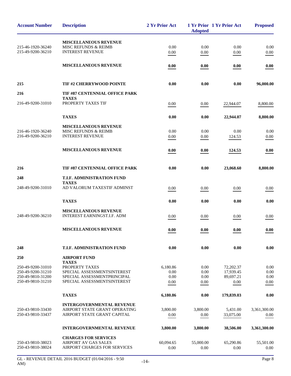| <b>Account Number</b>                  | <b>Description</b>                                          | 2 Yr Prior Act    | <b>Adopted</b>    | 1 Yr Prior 1 Yr Prior Act | <b>Proposed</b>   |
|----------------------------------------|-------------------------------------------------------------|-------------------|-------------------|---------------------------|-------------------|
|                                        | <b>MISCELLANEOUS REVENUE</b>                                |                   |                   |                           |                   |
| 215-46-1920-36240                      | <b>MISC REFUNDS &amp; REIMB</b>                             | 0.00              | 0.00              | 0.00                      | 0.00              |
| 215-49-9200-36210                      | <b>INTEREST REVENUE</b>                                     | 0.00              | 0.00              | 0.00                      | 0.00              |
|                                        | <b>MISCELLANEOUS REVENUE</b>                                | 0.00              | 0.00              | 0.00                      | 0.00              |
| 215                                    | TIF #2 CHERRYWOOD POINTE                                    | 0.00              | 0.00              | 0.00                      | 96,000.00         |
| 216                                    | <b>TIF #87 CENTENNIAL OFFICE PARK</b>                       |                   |                   |                           |                   |
|                                        | <b>TAXES</b>                                                |                   |                   |                           |                   |
| 216-49-9200-31010                      | PROPERTY TAXES TIF                                          | 0.00              | 0.00              | 22,944.07                 | 8,800.00          |
|                                        | <b>TAXES</b>                                                | 0.00              | 0.00              | 22,944.07                 | 8,800.00          |
|                                        | <b>MISCELLANEOUS REVENUE</b>                                |                   |                   |                           |                   |
| 216-46-1920-36240                      | <b>MISC REFUNDS &amp; REIMB</b>                             | 0.00              | 0.00              | 0.00                      | 0.00              |
| 216-49-9200-36210                      | <b>INTEREST REVENUE</b>                                     | 0.00              | 0.00              | 124.53                    | 0.00              |
|                                        | <b>MISCELLANEOUS REVENUE</b>                                | 0.00              | 0.00              | 124.53                    | 0.00              |
|                                        |                                                             |                   |                   |                           |                   |
| 216                                    | TIF #87 CENTENNIAL OFFICE PARK                              | 0.00              | 0.00              | 23,068.60                 | 8,800.00          |
| 248                                    | T.I.F. ADMINISTRATION FUND<br><b>TAXES</b>                  |                   |                   |                           |                   |
| 248-49-9200-31010                      | AD VALORUM TAXESTIF ADMINST                                 | 0.00              | 0.00              | 0.00                      | 0.00              |
|                                        | <b>TAXES</b>                                                | 0.00              | 0.00              | 0.00                      | 0.00              |
| 248-49-9200-36210                      | <b>MISCELLANEOUS REVENUE</b><br>INTEREST EARNINGST.I.F. ADM | 0.00              | 0.00              | 0.00                      | 0.00              |
|                                        | <b>MISCELLANEOUS REVENUE</b>                                | 0.00              | 0.00              | 0.00                      | 0.00              |
| 248                                    | <b>T.I.F. ADMINISTRATION FUND</b>                           | 0.00              | 0.00              | 0.00                      | 0.00              |
| 250                                    | <b>AIRPORT FUND</b>                                         |                   |                   |                           |                   |
| 250-49-9200-31010                      | <b>TAXES</b><br>PROPERTY TAXES                              | 6,180.86          | 0.00              | 72,202.37                 | 0.00              |
| 250-49-9200-31210                      | SPECIAL ASSESSMENTSINTEREST                                 | 0.00              | 0.00              | 17,939.45                 | 0.00              |
| 250-49-9810-31200                      | SPECIAL ASSESSMENTPRINCIPAL                                 | 0.00              | 0.00              | 89,697.21                 | 0.00              |
| 250-49-9810-31210                      | SPECIAL ASSESSMENTSINTEREST                                 | 0.00              | 0.00              | 0.00                      | 0.00              |
|                                        | <b>TAXES</b>                                                | 6,180.86          | 0.00              | 179,839.03                | 0.00              |
|                                        | <b>INTERGOVERNMENTAL REVENUE</b>                            |                   |                   |                           |                   |
| 250-43-9810-33430                      | AIRPORT STATE GRANT OPERATING                               | 3,800.00          | 3,800.00          | 5,431.00                  | 3,361,300.00      |
| 250-43-9810-33437                      | AIRPORT STATE GRANT CAPITAL                                 | 0.00              | 0.00              | 33,075.00                 | 0.00              |
|                                        | <b>INTERGOVERNMENTAL REVENUE</b>                            | 3,800.00          | 3,800.00          | 38,506.00                 | 3,361,300.00      |
|                                        | <b>CHARGES FOR SERVICES</b>                                 |                   |                   |                           |                   |
| 250-43-9810-38023<br>250-43-9810-38024 | <b>AIRPORT AV GAS SALES</b><br>AIRPORT CHARGES FOR SERVICES | 60,094.65<br>0.00 | 55,000.00<br>0.00 | 65,290.86<br>0.00         | 55,501.00<br>0.00 |
|                                        |                                                             |                   |                   |                           |                   |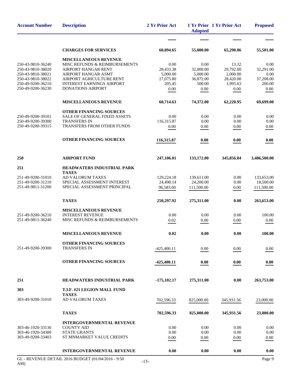| <b>Account Number</b>                                                                                                      | <b>Description</b>                                                                                                                                                                               | 2 Yr Prior Act                                               | <b>Adopted</b>                                               | 1 Yr Prior 1 Yr Prior Act                                       | <b>Proposed</b>                                          |
|----------------------------------------------------------------------------------------------------------------------------|--------------------------------------------------------------------------------------------------------------------------------------------------------------------------------------------------|--------------------------------------------------------------|--------------------------------------------------------------|-----------------------------------------------------------------|----------------------------------------------------------|
|                                                                                                                            |                                                                                                                                                                                                  |                                                              |                                                              |                                                                 |                                                          |
|                                                                                                                            | <b>CHARGES FOR SERVICES</b>                                                                                                                                                                      | 60,094.65                                                    | 55,000.00                                                    | 65,290.86                                                       | 55,501.00                                                |
| 250-43-9810-36240<br>250-43-9810-38020<br>250-43-9810-38021<br>250-43-9810-38022<br>250-49-9200-36210<br>250-49-9200-36230 | <b>MISCELLANEOUS REVENUE</b><br>MISC REFUNDS & REIMBURSEMENTS<br>AIRPORT HANGAR RENT<br>AIRPORT HANGAR ASMT<br>AIRPORT AGRICULTURE RENT<br><b>INTEREST EARNINGS AIRPORT</b><br>DONATIONS AIRPORT | 0.00<br>28,433.38<br>5,000.00<br>27,075.80<br>205.45<br>0.00 | 0.00<br>32,000.00<br>5,000.00<br>36,872.00<br>500.00<br>0.00 | 13.32<br>29,792.00<br>2,000.00<br>28,420.00<br>1,995.63<br>0.00 | 0.00<br>32,291.00<br>0.00<br>37,208.00<br>200.00<br>0.00 |
|                                                                                                                            | <b>MISCELLANEOUS REVENUE</b>                                                                                                                                                                     | 60,714.63                                                    | 74,372.00                                                    | 62,220.95                                                       | 69,699.00                                                |
| 250-49-9200-39101<br>250-49-9200-39300<br>250-49-9200-39315                                                                | <b>OTHER FINANCING SOURCES</b><br><b>SALE OF GENERAL FIXED ASSETS</b><br><b>TRANSFERS IN</b><br><b>TRANSFERS FROM OTHER FUNDS</b><br><b>OTHER FINANCING SOURCES</b>                              | 0.00<br>116,315.87<br>0.00<br>116,315.87                     | 0.00<br>0.00<br>0.00<br>0.00                                 | 0.00<br>0.00<br>0.00<br>0.00                                    | 0.00<br>0.00<br>0.00<br>0.00                             |
| 250                                                                                                                        | <b>AIRPORT FUND</b>                                                                                                                                                                              | 247,106.01                                                   | 133,172.00                                                   | 345,856.84                                                      | 3,486,500.00                                             |
| 251                                                                                                                        | HEADWATERS INDUSTRIAL PARK                                                                                                                                                                       |                                                              |                                                              |                                                                 |                                                          |
| 251-49-9200-31010<br>251-49-9200-31210<br>251-49-9811-31200                                                                | <b>TAXES</b><br>AD VALORUM TAXES<br>SPECIAL ASSESSMENT INTEREST<br>SPECIAL ASSESSMENT PRINCIPAL                                                                                                  | 129,224.18<br>24,490.14<br>96,583.60                         | 139,611.00<br>24,200.00<br>111,500.00                        | 0.00<br>0.00<br>0.00                                            | 133,653.00<br>18,500.00<br>111,500.00                    |
|                                                                                                                            | <b>TAXES</b>                                                                                                                                                                                     | 250,297.92                                                   | 275,311.00                                                   | 0.00                                                            | 263,653.00                                               |
| 251-49-9200-36210<br>251-49-9811-36240                                                                                     | <b>MISCELLANEOUS REVENUE</b><br><b>INTEREST REVENUE</b><br>MISC REFUNDS & REIMBURSEMENTS                                                                                                         | 0.00<br>0.02                                                 | 0.00<br>0.00                                                 | 0.00<br>0.00                                                    | 100.00<br>0.00                                           |
|                                                                                                                            | <b>MISCELLANEOUS REVENUE</b>                                                                                                                                                                     | 0.02                                                         | 0.00                                                         | 0.00                                                            | 100.00                                                   |
| 251-49-9200-39300                                                                                                          | OTHER FINANCING SOURCES<br><b>TRANSFERS IN</b>                                                                                                                                                   | $-425,400.11$                                                | 0.00                                                         | 0.00                                                            | 0.00                                                     |
|                                                                                                                            | OTHER FINANCING SOURCES                                                                                                                                                                          | $-425,400.11$                                                | 0.00                                                         | 0.00                                                            | 0.00                                                     |
| 251                                                                                                                        | <b>HEADWATERS INDUSTRIAL PARK</b>                                                                                                                                                                | $-175,102.17$                                                | 275,311.00                                                   | 0.00                                                            | 263,753.00                                               |
| 303                                                                                                                        | T.I.F. #21 LEGION MALL FUND<br><b>TAXES</b>                                                                                                                                                      |                                                              |                                                              |                                                                 |                                                          |
| 303-49-9200-31010                                                                                                          | AD VALORUM TAXES                                                                                                                                                                                 | 702,596.33                                                   | 825,000.00                                                   | 345,931.56                                                      | 23,000.00                                                |
|                                                                                                                            | <b>TAXES</b>                                                                                                                                                                                     | 702,596.33                                                   | 825,000.00                                                   | 345,931.56                                                      | 23,000.00                                                |
| 303-46-1920-33136<br>303-46-1920-34300<br>303-49-9200-33403                                                                | <b>INTERGOVERNMENTAL REVENUE</b><br><b>COUNTY AID</b><br><b>STATE GRANTS</b><br>ST MNMARKET VALUE CREDITS                                                                                        | 0.00<br>0.00<br>0.00                                         | 0.00<br>0.00<br>0.00                                         | 0.00<br>0.00<br>0.00                                            | 0.00<br>0.00<br>0.00                                     |
|                                                                                                                            | <b>INTERGOVERNMENTAL REVENUE</b>                                                                                                                                                                 | 0.00                                                         | 0.00                                                         | 0.00                                                            | 0.00                                                     |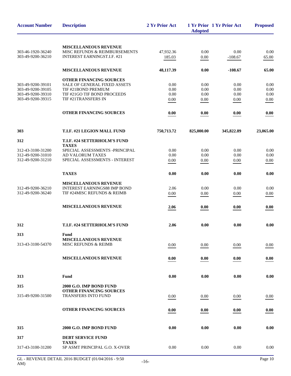| <b>Account Number</b> | <b>Description</b>                                             | 2 Yr Prior Act | <b>Adopted</b> | 1 Yr Prior 1 Yr Prior Act | <b>Proposed</b> |
|-----------------------|----------------------------------------------------------------|----------------|----------------|---------------------------|-----------------|
|                       | <b>MISCELLANEOUS REVENUE</b>                                   |                |                |                           |                 |
| 303-46-1920-36240     | MISC REFUNDS & REIMBURSEMENTS                                  | 47,932.36      | 0.00           | 0.00                      | 0.00            |
| 303-49-9200-36210     | INTEREST EARNINGST.I.F. #21                                    | 185.03         | 0.00           | $-108.67$                 | 65.00           |
|                       |                                                                |                |                |                           |                 |
|                       | <b>MISCELLANEOUS REVENUE</b>                                   | 48,117.39      | 0.00           | $-108.67$                 | 65.00           |
| 303-49-9200-39101     | OTHER FINANCING SOURCES<br><b>SALE OF GENERAL FIXED ASSETS</b> | 0.00           |                | 0.00                      |                 |
| 303-49-9200-39105     | TIF #21BOND PREMIUM                                            | 0.00           | 0.00<br>0.00   | 0.00                      | 0.00<br>0.00    |
| 303-49-9200-39310     | TIF #21GO TIF BOND PROCEEDS                                    | 0.00           | 0.00           | 0.00                      | 0.00            |
| 303-49-9200-39315     | TIF #21TRANSFERS IN                                            | 0.00           | 0.00           | 0.00                      | 0.00            |
|                       | OTHER FINANCING SOURCES                                        | 0.00           | 0.00           | 0.00                      | 0.00            |
| 303                   | T.I.F. #21 LEGION MALL FUND                                    | 750,713.72     | 825,000.00     | 345,822.89                | 23,065.00       |
| 312                   | T.I.F. #24 SETTERHOLM'S FUND<br><b>TAXES</b>                   |                |                |                           |                 |
| 312-43-3100-31200     | SPECIAL ASSESSMENTS -PRINCIPAL                                 | 0.00           | 0.00           | 0.00                      | 0.00            |
| 312-49-9200-31010     | AD VALORUM TAXES                                               | 0.00           | 0.00           | 0.00                      | 0.00            |
| 312-49-9200-31210     | SPECIAL ASSESSMENTS - INTEREST                                 | 0.00           | 0.00           | 0.00                      | 0.00            |
|                       | <b>TAXES</b>                                                   | 0.00           | 0.00           | 0.00                      | 0.00            |
|                       | MISCELLANEOUS REVENUE                                          |                |                |                           |                 |
| 312-49-9200-36210     | <b>INTEREST EARNINGS88 IMP BOND</b>                            | 2.06           | 0.00           | 0.00                      | 0.00            |
| 312-49-9200-36240     | TIF #24MISC REFUNDS & REIMB                                    | $0.00\,$       | 0.00           | 0.00                      | 0.00            |
|                       | <b>MISCELLANEOUS REVENUE</b>                                   | 2.06           | 0.00           | 0.00                      | 0.00            |
| 312                   | T.I.F. #24 SETTERHOLM'S FUND                                   | 2.06           | 0.00           | 0.00                      | 0.00            |
| 313                   | Fund                                                           |                |                |                           |                 |
|                       | <b>MISCELLANEOUS REVENUE</b>                                   |                |                |                           |                 |
| 313-43-3100-54370     | <b>MISC REFUNDS &amp; REIMB</b>                                | 0.00           | 0.00           | 0.00                      | 0.00            |
|                       | <b>MISCELLANEOUS REVENUE</b>                                   | 0.00           | 0.00           | 0.00                      | 0.00            |
|                       |                                                                |                |                |                           |                 |
| 313                   | Fund                                                           | 0.00           | 0.00           | 0.00                      | 0.00            |
| 315                   | 2000 G.O. IMP BOND FUND                                        |                |                |                           |                 |
| 315-49-9200-31500     | <b>OTHER FINANCING SOURCES</b><br><b>TRANSFERS INTO FUND</b>   | 0.00           | 0.00           | 0.00                      | 0.00            |
|                       |                                                                |                |                |                           |                 |
|                       | OTHER FINANCING SOURCES                                        | 0.00           | 0.00           | 0.00                      | 0.00            |
| 315                   | 2000 G.O. IMP BOND FUND                                        | 0.00           | 0.00           | 0.00                      | 0.00            |
| 317                   | <b>DEBT SERVICE FUND</b>                                       |                |                |                           |                 |
|                       | <b>TAXES</b>                                                   |                |                |                           |                 |
| 317-43-3100-31200     | SP ASMT PRINCIPAL G.O. X-OVER                                  | $0.00\,$       | 0.00           | 0.00                      | 0.00            |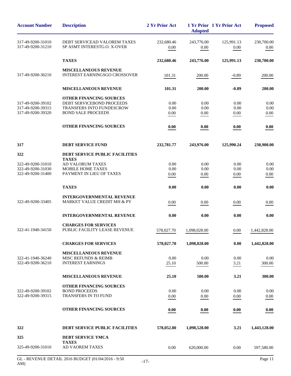| <b>Account Number</b>                                       | <b>Description</b>                                                                                                    | 2 Yr Prior Act       | <b>Adopted</b>       | 1 Yr Prior 1 Yr Prior Act | <b>Proposed</b>      |
|-------------------------------------------------------------|-----------------------------------------------------------------------------------------------------------------------|----------------------|----------------------|---------------------------|----------------------|
| 317-49-9200-31010<br>317-49-9200-31210                      | DEBT SERVICEAD VALOREM TAXES<br>SP ASMT INTERESTG.O. X-OVER                                                           | 232,680.46<br>0.00   | 243,776.00<br>0.00   | 125,991.13<br>0.00        | 230,700.00<br>0.00   |
|                                                             | <b>TAXES</b>                                                                                                          | 232,680.46           | 243,776.00           | 125,991.13                | 230,700.00           |
| 317-49-9200-36210                                           | <b>MISCELLANEOUS REVENUE</b><br><b>INTEREST EARNINGSGO CROSSOVER</b>                                                  | 101.31               | 200.00               | $-0.89$                   | 200.00               |
|                                                             | <b>MISCELLANEOUS REVENUE</b>                                                                                          | 101.31               | 200.00               | $-0.89$                   | 200.00               |
| 317-49-9200-39102<br>317-49-9200-39315<br>317-49-9200-39320 | <b>OTHER FINANCING SOURCES</b><br>DEBT SERVICEBOND PROCEEDS<br>TRANSFERS INTO FUNDESCROW<br><b>BOND SALE PROCEEDS</b> | 0.00<br>0.00<br>0.00 | 0.00<br>0.00<br>0.00 | 0.00<br>0.00<br>0.00      | 0.00<br>0.00<br>0.00 |
|                                                             | <b>OTHER FINANCING SOURCES</b>                                                                                        | 0.00                 | 0.00                 | 0.00                      | 0.00                 |
| 317                                                         | <b>DEBT SERVICE FUND</b>                                                                                              | 232,781.77           | 243,976.00           | 125,990.24                | 230,900.00           |
| 322                                                         | <b>DEBT SERVICE PUBLIC FACILITIES</b><br><b>TAXES</b>                                                                 |                      |                      |                           |                      |
| 322-49-9200-31010<br>322-49-9200-31030<br>322-49-9200-31400 | <b>AD VALORUM TAXES</b><br>MOBILE HOME TAXES<br>PAYMENT IN LIEU OF TAXES                                              | 0.00<br>0.00<br>0.00 | 0.00<br>0.00<br>0.00 | 0.00<br>0.00<br>0.00      | 0.00<br>0.00<br>0.00 |
|                                                             | <b>TAXES</b>                                                                                                          | 0.00                 | 0.00                 | 0.00                      | 0.00                 |
| 322-49-9200-33405                                           | <b>INTERGOVERNMENTAL REVENUE</b><br>MARKET VALUE CREDIT MH & PY                                                       | 0.00                 | 0.00                 | 0.00                      | 0.00                 |
|                                                             | <b>INTERGOVERNMENTAL REVENUE</b>                                                                                      | 0.00                 | 0.00                 | 0.00                      | 0.00                 |
| 322-41-1940-34150                                           | <b>CHARGES FOR SERVICES</b><br>PUBLIC FACILITY LEASE REVENUE                                                          | 578,027.70           | 1,098,028.00         | 0.00                      | 1,442,828.00         |
|                                                             | <b>CHARGES FOR SERVICES</b>                                                                                           | 578,027.70           | 1,098,028.00         | 0.00                      | 1,442,828.00         |
| 322-41-1940-36240<br>322-49-9200-36210                      | <b>MISCELLANEOUS REVENUE</b><br><b>MISC REFUNDS &amp; REIMB</b><br><b>INTEREST EARNINGS</b>                           | 0.00<br>25.10        | 0.00<br>500.00       | 0.00<br>3.21              | 0.00<br>300.00       |
|                                                             | <b>MISCELLANEOUS REVENUE</b>                                                                                          | 25.10                | 500.00               | 3.21                      | 300.00               |
| 322-49-9200-39102<br>322-49-9200-39315                      | <b>OTHER FINANCING SOURCES</b><br><b>BOND PROCEEDS</b><br><b>TRANSFERS IN TO FUND</b>                                 | 0.00<br>0.00         | 0.00<br>0.00         | 0.00<br>0.00              | 0.00<br>0.00         |
|                                                             | <b>OTHER FINANCING SOURCES</b>                                                                                        | 0.00                 | 0.00                 | 0.00                      | 0.00                 |
| 322                                                         | <b>DEBT SERVICE PUBLIC FACILITIES</b>                                                                                 | 578,052.80           | 1,098,528.00         | 3.21                      | 1,443,128.00         |
| 325                                                         | <b>DEBT SERVICE YMCA</b>                                                                                              |                      |                      |                           |                      |
| 325-49-9200-31010                                           | <b>TAXES</b><br><b>AD VAOREM TAXES</b>                                                                                | 0.00                 | 620,000.00           | 0.00                      | 597,580.00           |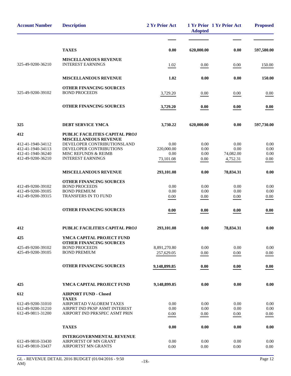| <b>Account Number</b>                  | <b>Description</b>                                          | 2 Yr Prior Act    | <b>Adopted</b> | 1 Yr Prior 1 Yr Prior Act | <b>Proposed</b> |
|----------------------------------------|-------------------------------------------------------------|-------------------|----------------|---------------------------|-----------------|
|                                        |                                                             |                   |                |                           |                 |
|                                        | <b>TAXES</b>                                                | 0.00              | 620,000.00     | 0.00                      | 597,580.00      |
|                                        | <b>MISCELLANEOUS REVENUE</b>                                |                   |                |                           |                 |
| 325-49-9200-36210                      | <b>INTEREST EARNINGS</b>                                    | 1.02              | 0.00           | 0.00                      | 150.00          |
|                                        | <b>MISCELLANEOUS REVENUE</b>                                | 1.02              | 0.00           | 0.00                      | 150.00          |
| 325-49-9200-39102                      | OTHER FINANCING SOURCES<br><b>BOND PROCEEDS</b>             |                   |                |                           |                 |
|                                        |                                                             | 3,729.20          | 0.00           | 0.00                      | 0.00            |
|                                        | <b>OTHER FINANCING SOURCES</b>                              | 3,729.20          | 0.00           | 0.00                      | 0.00            |
| 325                                    | DEBT SERVICE YMCA                                           | 3,730.22          | 620,000.00     | 0.00                      | 597,730.00      |
| 412                                    | PUBLIC FACILITIES CAPITAL PROJ                              |                   |                |                           |                 |
| 412-41-1940-34112                      | <b>MISCELLANEOUS REVENUE</b><br>DEVELOPER CONTRIBUTIONSLAND | 0.00              | 0.00           | 0.00                      | 0.00            |
| 412-41-1940-34113                      | DEVELOPER CONTRIBUTIONS                                     | 220,000.00        | 0.00           | 0.00                      | 0.00            |
| 412-41-1940-36240<br>412-49-9200-36210 | MISC REFUNDS & REIMB<br><b>INTEREST EARNINGS</b>            | 0.00<br>73,101.08 | 0.00<br>0.00   | 74,082.00<br>4,752.31     | 0.00<br>0.00    |
|                                        |                                                             |                   |                |                           |                 |
|                                        | <b>MISCELLANEOUS REVENUE</b>                                | 293,101.08        | 0.00           | 78,834.31                 | 0.00            |
|                                        | OTHER FINANCING SOURCES                                     |                   |                |                           |                 |
| 412-49-9200-39102<br>412-49-9200-39105 | <b>BOND PROCEEDS</b><br><b>BOND PREMIUM</b>                 | 0.00<br>0.00      | 0.00<br>0.00   | 0.00<br>0.00              | 0.00<br>0.00    |
| 412-49-9200-39315                      | TRANSFERS IN TO FUND                                        | 0.00              | 0.00           | 0.00                      | 0.00            |
|                                        |                                                             |                   |                |                           |                 |
|                                        | OTHER FINANCING SOURCES                                     | 0.00              | 0.00           | 0.00                      | 0.00            |
| 412                                    | PUBLIC FACILITIES CAPITAL PROJ                              | 293,101.08        | 0.00           | 78,834.31                 | 0.00            |
| 425                                    | YMCA CAPITAL PROJECT FUND                                   |                   |                |                           |                 |
| 425-49-9200-39102                      | <b>OTHER FINANCING SOURCES</b><br><b>BOND PROCEEDS</b>      | 8,891,270.80      | 0.00           | 0.00                      | 0.00            |
| 425-49-9200-39105                      | <b>BOND PREMIUM</b>                                         | 257,629.05        | 0.00           | 0.00                      | 0.00            |
|                                        | <b>OTHER FINANCING SOURCES</b>                              |                   |                |                           |                 |
|                                        |                                                             | 9,148,899.85      | 0.00           | 0.00                      | 0.00            |
| 425                                    | YMCA CAPITAL PROJECT FUND                                   | 9,148,899.85      | 0.00           | 0.00                      | 0.00            |
| 612                                    | <b>AIRPORT FUND - Closed</b>                                |                   |                |                           |                 |
| 612-49-9200-31010                      | <b>TAXES</b><br>AIRPORTAD VALOREM TAXES                     | 0.00              | 0.00           | 0.00                      | 0.00            |
| 612-49-9200-31210                      | AIRPRT IND PKSP ASMT INTEREST                               | 0.00              | 0.00           | 0.00                      | 0.00            |
| 612-49-9811-31200                      | AIRPORT IND PRKSPEC ASMT PRIN                               | 0.00              | 0.00           | $0.00\,$                  | 0.00            |
|                                        | <b>TAXES</b>                                                | 0.00              | 0.00           | 0.00                      | 0.00            |
|                                        | <b>INTERGOVERNMENTAL REVENUE</b>                            |                   |                |                           |                 |
| 612-49-9810-33430                      | AIRPORTST OF MN GRANT                                       | 0.00              | 0.00           | 0.00                      | 0.00            |
| 612-49-9810-33437                      | <b>AIRPORTST MN GRANTS</b>                                  | 0.00              | 0.00           | 0.00                      | 0.00            |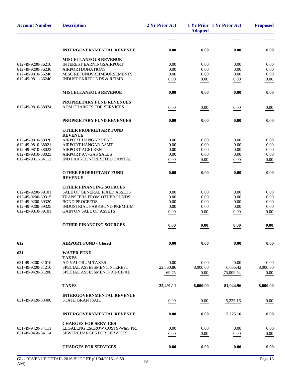| <b>Account Number</b>                  | <b>Description</b>                                        | 2 Yr Prior Act | <b>Adopted</b> | 1 Yr Prior 1 Yr Prior Act | <b>Proposed</b>  |
|----------------------------------------|-----------------------------------------------------------|----------------|----------------|---------------------------|------------------|
|                                        |                                                           |                |                |                           |                  |
|                                        | <b>INTERGOVERNMENTAL REVENUE</b>                          | 0.00           | 0.00           | 0.00                      | 0.00             |
|                                        | <b>MISCELLANEOUS REVENUE</b>                              |                |                |                           |                  |
| 612-49-9200-36210                      | <b>INTEREST EARNINGSAIRPORT</b>                           | 0.00           | 0.00           | 0.00                      | 0.00             |
| 612-49-9200-36230                      | <b>AIRPORTDONATIONS</b>                                   | 0.00           | 0.00           | 0.00                      | 0.00             |
| 612-49-9810-36240                      | MISC REFUNDSREIMBURSEMENTS                                | 0.00           | 0.00           | 0.00                      | 0.00             |
| 612-49-9811-36240                      | <b>INDUST PKREFUNDS &amp; REIMB</b>                       | 0.00           | 0.00           | 0.00                      | 0.00             |
|                                        | <b>MISCELLANEOUS REVENUE</b>                              | 0.00           | 0.00           | 0.00                      | 0.00             |
|                                        | <b>PROPRIETARY FUND REVENUES</b>                          |                |                |                           |                  |
| 612-49-9810-38024                      | ADM CHARGES FOR SERVICES                                  | 0.00           | 0.00           | 0.00                      | 0.00             |
|                                        | PROPRIETARY FUND REVENUES                                 | 0.00           | 0.00           | 0.00                      | 0.00             |
|                                        | <b>OTHER PROPRIETARY FUND</b>                             |                |                |                           |                  |
|                                        | <b>REVENUE</b>                                            |                |                |                           |                  |
| 612-49-9810-38020                      | <b>AIRPORT HANGAR RENT</b>                                | 0.00           | 0.00           | 0.00                      | 0.00             |
| 612-49-9810-38021<br>612-49-9810-38022 | <b>AIRPORT HANGAR ASMT</b><br><b>AIRPORT AGRI RENT</b>    | 0.00<br>0.00   | 0.00<br>0.00   | 0.00<br>0.00              | $0.00\,$<br>0.00 |
| 612-49-9810-38023                      | <b>AIRPORT AV-GAS SALES</b>                               | 0.00           | 0.00           | 0.00                      | 0.00             |
| 612-49-9811-34112                      | IND PARKCONTRIBUTED CAPITAL                               | 0.00           | 0.00           | 0.00                      | 0.00             |
|                                        |                                                           |                |                |                           |                  |
|                                        | <b>OTHER PROPRIETARY FUND</b><br><b>REVENUE</b>           | 0.00           | 0.00           | 0.00                      | 0.00             |
|                                        | <b>OTHER FINANCING SOURCES</b>                            |                |                |                           |                  |
| 612-49-9200-39101                      | <b>SALE OF GENERAL FIXED ASSETS</b>                       | 0.00           | 0.00           | 0.00                      | 0.00             |
| 612-49-9200-39315                      | <b>TRANSFERS FROM OTHER FUNDS</b>                         | 0.00           | 0.00           | 0.00                      | 0.00             |
| 612-49-9200-39320                      | <b>BOND PROCEEDS</b>                                      | 0.00           | 0.00           | 0.00                      | 0.00             |
| 612-49-9200-39325                      | INDUSTRIAL PARKBOND PREMIUM                               | 0.00           | 0.00           | 0.00                      | 0.00             |
| 612-49-9810-39101                      | <b>GAIN ON SALE OF ASSETS</b>                             | 0.00           | 0.00           | 0.00                      | 0.00             |
|                                        | OTHER FINANCING SOURCES                                   | 0.00           | 0.00           | 0.00                      | 0.00             |
| 612                                    | <b>AIRPORT FUND - Closed</b>                              | 0.00           | 0.00           | 0.00                      | 0.00             |
| 631                                    | <b>WATER FUND</b>                                         |                |                |                           |                  |
|                                        | <b>TAXES</b>                                              |                |                |                           |                  |
| 631-49-9200-31010                      | AD VALORUM TAXES                                          | 0.00           | 0.00           | 0.00                      | 0.00             |
| 631-49-9200-31210                      | SPECIAL ASSESSMENTINTEREST<br>SPECIAL ASSESSMENTPRINCIPAL | 22,560.86      | 8,000.00       | 6,035.42                  | 8,000.00         |
| 631-49-9420-31200                      |                                                           | $-69.75$       | 0.00           | 75,009.54                 | 0.00             |
|                                        | <b>TAXES</b>                                              | 22,491.11      | 8,000.00       | 81,044.96                 | 8,000.00         |
|                                        | <b>INTERGOVERNMENTAL REVENUE</b>                          |                |                |                           |                  |
| 631-49-9420-33400                      | <b>STATE GRANTSAID</b>                                    | 0.00           | 0.00           | 5,225.16                  | 0.00             |
|                                        | <b>INTERGOVERNMENTAL REVENUE</b>                          | 0.00           | 0.00           | 5,225.16                  | 0.00             |
|                                        | <b>CHARGES FOR SERVICES</b>                               |                |                |                           |                  |
| 631-49-9420-34111                      | LEGALENG ESCROW COSTS-W&S PRJ                             | 0.00           | 0.00           | 0.00                      | 0.00             |
| 631-49-9450-34114                      | <b>SEWERCHARGES FOR SERVICES</b>                          | 0.00           | 0.00           | 0.00                      | 0.00             |
|                                        | <b>CHARGES FOR SERVICES</b>                               | 0.00           |                |                           |                  |
|                                        |                                                           |                | 0.00           | 0.00                      | 0.00             |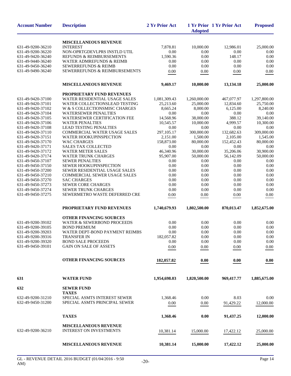| <b>Account Number</b> | <b>Description</b>                  | 2 Yr Prior Act | <b>Adopted</b> | 1 Yr Prior 1 Yr Prior Act | <b>Proposed</b> |
|-----------------------|-------------------------------------|----------------|----------------|---------------------------|-----------------|
|                       | <b>MISCELLANEOUS REVENUE</b>        |                |                |                           |                 |
| 631-49-9200-36210     | <b>INTEREST</b>                     | 7,878.81       | 10,000.00      | 12,986.01                 | 25,000.00       |
| 631-49-9200-36220     | NON-OPRTGDEVLPRS INSTLD UTIL        | 0.00           | 0.00           | 0.00                      | 0.00            |
| 631-49-9420-36240     | REFUNDS & REIMBURSEMENTS            | 1,590.36       | 0.00           | 148.17                    | 0.00            |
| 631-49-9440-36240     | <b>WATER ADMREFUNDS &amp; REIMB</b> | 0.00           | 0.00           | 0.00                      | 0.00            |
| 631-49-9450-36240     | <b>SEWERREFUNDS &amp; REIMB</b>     | 0.00           | 0.00           | 0.00                      | 0.00            |
| 631-49-9490-36240     | SEWERREFUNDS & REIMBURSEMENTS       | 0.00           | 0.00           | 0.00                      | 0.00            |
|                       | <b>MISCELLANEOUS REVENUE</b>        | 9,469.17       | 10,000.00      | 13,134.18                 | 25,000.00       |
|                       | <b>PROPRIETARY FUND REVENUES</b>    |                |                |                           |                 |
| 631-49-9420-37100     | WATER RESIDENTIAL USAGE SALES       | 1,081,309.43   | 1,260,000.00   | 467,077.97                | 1,297,800.00    |
| 631-49-9420-37101     | WATER COLLECTIONSLEAD TESTING       | 25,213.60      | 25,000.00      | 12,834.60                 | 25,750.00       |
| 631-49-9420-37102     | W & S COLLECTIONSMISC CHARGES       | 8,665.24       | 8,000.00       | 6,125.00                  | 8,240.00        |
| 631-49-9420-37104     | <b>WATERSEWER PENALTIES</b>         | 0.00           | 0.00           | 0.00                      | 0.00            |
| 631-49-9420-37105     | WATERSEWER CERTIFICATION FEE        | 14,568.96      | 38,000.00      | 388.12                    | 39,140.00       |
| 631-49-9420-37106     | <b>WATER PENALTIES</b>              | 10,545.57      | 10,000.00      | 4,999.57                  | 10,300.00       |
| 631-49-9420-37108     | <b>LEAD TESTING PENALTIES</b>       | 0.00           | 0.00           | 0.00                      | 0.00            |
| 631-49-9420-37110     | <b>COMMERCIAL WATER USAGE SALES</b> | 297,105.17     | 300,000.00     | 132,682.63                | 309,000.00      |
| 631-49-9420-37151     | <b>WATER HOOKUPINSPECTION</b>       | 2,151.00       | 1,500.00       | 2,105.00                  | 1,545.00        |
| 631-49-9420-37170     | <b>WAC CHARGES</b>                  | 158,873.00     | 80,000.00      | 152,452.43                | 80,000.00       |
|                       | <b>SALES TAX COLLECTED</b>          |                |                |                           |                 |
| 631-49-9420-37171     |                                     | 0.00           | 0.00           | 0.00                      | 0.00            |
| 631-49-9420-37172     | <b>WATER METER SALES</b>            | 46,340.96      | 30,000.00      | 35,206.06                 | 30,900.00       |
| 631-49-9420-37174     | <b>WATER TRUNK CHARGES</b>          | 95,907.00      | 50,000.00      | 56,142.09                 | 50,000.00       |
| 631-49-9450-37107     | <b>SEWER PENALTIES</b>              | 0.00           | 0.00           | 0.00                      | 0.00            |
| 631-49-9450-37150     | SEWER HOOKUPINSPECTION              | $0.00\,$       | 0.00           | 0.00                      | 0.00            |
| 631-49-9450-37200     | SEWER RESIDENTIAL USAGE SALES       | 0.00           | 0.00           | 0.00                      | 0.00            |
| 631-49-9450-37210     | <b>COMMERCIAL SEWER USAGE SALES</b> | 0.00           | 0.00           | 0.00                      | 0.00            |
| 631-49-9450-37270     | <b>SAC CHARGES</b>                  | 0.00           | 0.00           | 0.00                      | 0.00            |
| 631-49-9450-37273     | <b>SEWER CORE CHARGES</b>           | 0.00           | 0.00           | 0.00                      | 0.00            |
| 631-49-9450-37274     | <b>SEWER TRUNK CHARGES</b>          | 0.00           | 0.00           | 0.00                      | 0.00            |
| 631-49-9450-37275     | SEWERMETRO WASTE DEFERRED CRE       | 0.00           | 0.00           | 0.00                      | 0.00            |
|                       | PROPRIETARY FUND REVENUES           | 1,740,679.93   | 1,802,500.00   | 870,013.47                | 1,852,675.00    |
|                       | <b>OTHER FINANCING SOURCES</b>      |                |                |                           |                 |
| 631-49-9200-39102     | WATER & SEWERBOND PROCEEDS          | 0.00           | 0.00           | 0.00                      | 0.00            |
| 631-49-9200-39105     | <b>BOND PREMIUM</b>                 | 0.00           | 0.00           | 0.00                      | 0.00            |
| 631-49-9200-39203     | WATER DEPT-BOND PAYMENT REIMBS      | 0.00           | 0.00           | 0.00                      | 0.00            |
| 631-49-9200-39316     | <b>TRANSFER IN</b>                  | 182,057.82     | 0.00           | 0.00                      | 0.00            |
| 631-49-9200-39320     | <b>BOND SALE PROCEEDS</b>           | 0.00           | 0.00           | 0.00                      | 0.00            |
| 631-49-9450-39101     | <b>GAIN ON SALE OF ASSETS</b>       |                |                |                           |                 |
|                       |                                     | 0.00           | 0.00           | 0.00                      | 0.00            |
|                       | OTHER FINANCING SOURCES             | 182,057.82     | 0.00           | 0.00                      | 0.00            |
| 631                   | <b>WATER FUND</b>                   | 1,954,698.03   | 1,820,500.00   | 969,417.77                | 1,885,675.00    |
| 632                   | <b>SEWER FUND</b>                   |                |                |                           |                 |
|                       | <b>TAXES</b>                        |                |                |                           |                 |
| 632-49-9200-31210     | SPECIAL ASMTS INTEREST SEWER        | 1,368.46       | 0.00           | 8.03                      | 0.00            |
| 632-49-9450-31200     | SPECIAL ASMTS PRINCIPAL SEWER       | 0.00           | 0.00           | 91,429.22                 | 12,000.00       |
|                       | <b>TAXES</b>                        | 1,368.46       | 0.00           | 91,437.25                 | 12,000.00       |
|                       | <b>MISCELLANEOUS REVENUE</b>        |                |                |                           |                 |
| 632-49-9200-36210     | <b>INTEREST ON INVESTMENTS</b>      | 10,381.14      | 15,000.00      | 17,422.12                 | 25,000.00       |
|                       | <b>MISCELLANEOUS REVENUE</b>        | 10,381.14      | 15,000.00      | 17,422.12                 | 25,000.00       |
|                       |                                     |                |                |                           |                 |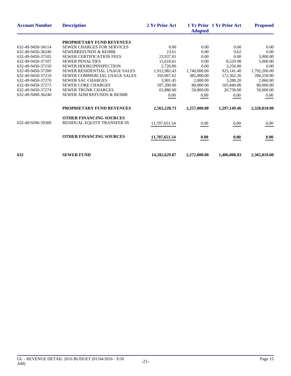| <b>Account Number</b> | <b>Description</b>                   | 2 Yr Prior Act | <b>Adopted</b> | 1 Yr Prior 1 Yr Prior Act | <b>Proposed</b> |
|-----------------------|--------------------------------------|----------------|----------------|---------------------------|-----------------|
|                       | <b>PROPRIETARY FUND REVENUES</b>     |                |                |                           |                 |
| 632-49-9450-34114     | <b>SEWER CHARGES FOR SERVICES</b>    | 0.00           | 0.00           | 0.00                      | 0.00            |
| 632-49-9450-36240     | <b>SEWERREFUNDS &amp; REIMB</b>      | 23.61          | 0.00           | 9.62                      | 0.00            |
| 632-49-9450-37105     | <b>SEWER CERTIFICATION FEES</b>      | 23,937.01      | 0.00           | 0.00                      | 3,000.00        |
| 632-49-9450-37107     | <b>SEWER PENALTIES</b>               | 15,610.61      | 0.00           | 8,529.98                  | 5,000.00        |
| 632-49-9450-37150     | <b>SEWER HOOKUPINSPECTION</b>        | 2,726.00       | 0.00           | 3,256.00                  | 0.00            |
| 632-49-9450-37200     | <b>SEWER RESIDENTIAL USAGE SALES</b> | 1,912,982.43   | 1,740,000.00   | 923,141.40                | 1,792,200.00    |
| 632-49-9450-37210     | SEWER COMMERCIAL USAGE SALES         | 350,967.62     | 385,000.00     | 172,362.26                | 396,550.00      |
| 632-49-9450-37270     | <b>SEWER SAC CHARGES</b>             | 3.901.45       | 2,000.00       | 3,280.20                  | 2,060.00        |
| 632-49-9450-37273     | <b>SEWER CORE CHARGES</b>            | 187,200.00     | 80,000.00      | 165,840.00                | 80,000.00       |
| 632-49-9450-37274     | <b>SEWER TRUNK CHARGES</b>           | 65,880.00      | 50,000.00      | 20,730.00                 | 50,000.00       |
| 632-49-9490-36240     | SEWER ADM REFUNDS & REIMB            | $0.00\,$       | 0.00           | $0.00\,$                  | $0.00\,$        |
|                       | PROPRIETARY FUND REVENUES            | 2,563,228.73   | 2,257,000.00   | 1,297,149.46              | 2,328,810.00    |
|                       | <b>OTHER FINANCING SOURCES</b>       |                |                |                           |                 |
| 632-49-9200-39300     | RESIDUAL EQUITY TRANSFER IN          | 11,707,651.54  | 0.00           | 0.00                      | $0.00\,$        |
|                       | <b>OTHER FINANCING SOURCES</b>       | 11,707,651.54  | 0.00           | 0.00                      | 0.00            |
| 632                   | <b>SEWER FUND</b>                    | 14,282,629.87  | 2,272,000.00   | 1,406,008.83              | 2,365,810.00    |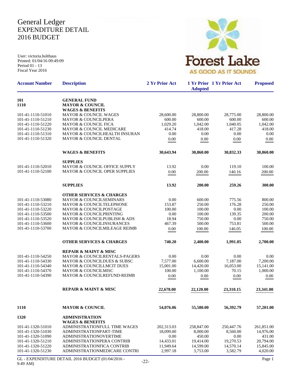# General Ledger EXPENDITURE DETAIL 2016 BUDGET

User: victoria.holthaus Printed: 01/04/16 09:49:09 Period 01 - 13 Fiscal Year 2016



| <b>Account Number</b>                  | <b>Description</b>                                                              | 2 Yr Prior Act         | <b>Adopted</b>         | 1 Yr Prior 1 Yr Prior Act | <b>Proposed</b>        |
|----------------------------------------|---------------------------------------------------------------------------------|------------------------|------------------------|---------------------------|------------------------|
| 101                                    | <b>GENERAL FUND</b>                                                             |                        |                        |                           |                        |
| 1110                                   | <b>MAYOR &amp; COUNCIL</b>                                                      |                        |                        |                           |                        |
| 101-41-1110-51010                      | <b>WAGES &amp; BENEFITS</b><br><b>MAYOR &amp; COUNCIL WAGES</b>                 | 28,600.00              | 28,800.00              | 28,775.00                 | 28,800.00              |
| 101-41-1110-51210                      | <b>MAYOR &amp; COUNCILPERA</b>                                                  | 600.00                 | 600.00                 | 600.00                    | 600.00                 |
| 101-41-1110-51220                      | <b>MAYOR &amp; COUNCIL FICA</b>                                                 | 1,029.20               | 1.042.00               | 1,040.05                  | 1,042.00               |
| 101-41-1110-51230                      | MAYOR & COUNCIL MEDICARE                                                        | 414.74                 | 418.00                 | 417.28                    | 418.00                 |
| 101-41-1110-51310                      | MAYOR & COUNCILHEALTH INSURAN                                                   | 0.00                   | 0.00                   | 0.00                      | 0.00                   |
| 101-41-1110-51320                      | MAYOR & COUNCIL DENTAL                                                          | 0.00                   | 0.00                   | 0.00                      | 0.00                   |
|                                        | <b>WAGES &amp; BENEFITS</b>                                                     | 30,643.94              | 30,860.00              | 30,832.33                 | 30,860.00              |
|                                        | <b>SUPPLIES</b>                                                                 |                        |                        |                           |                        |
| 101-41-1110-52010                      | MAYOR & COUNCIL OFFICE SUPPLY                                                   | 13.92                  | 0.00                   | 119.10                    | 100.00                 |
| 101-41-1110-52100                      | <b>MAYOR &amp; COUNCIL OPER SUPPLIES</b>                                        | 0.00                   | 200.00                 | 140.16                    | 200.00                 |
|                                        |                                                                                 |                        |                        |                           |                        |
|                                        | <b>SUPPLIES</b>                                                                 | 13.92                  | 200.00                 | 259.26                    | 300.00                 |
|                                        | <b>OTHER SERVICES &amp; CHARGES</b>                                             |                        |                        |                           |                        |
| 101-41-1110-53080                      | <b>MAYOR &amp; COUNCILSEMINARS</b>                                              | 0.00                   | 600.00                 | 775.56                    | 800.00                 |
| 101-41-1110-53210                      | MAYOR & COUNCILTELEPHONE                                                        | 153.87                 | 250.00                 | 176.28                    | 250.00                 |
| 101-41-1110-53220                      | <b>MAYOR &amp; COUNCILPOSTAGE</b>                                               | 100.00                 | 100.00                 | 0.00                      | 100.00                 |
| 101-41-1110-53500                      | MAYOR & COUNCILPRINTING                                                         | 0.00                   | 100.00                 | 139.35                    | 200.00                 |
| 101-41-1110-53520                      | MAYOR & COUNCILPUBLISH & ADS                                                    | 18.94                  | 750.00                 | 0.00                      | 750.00                 |
| 101-41-1110-53600<br>101-41-1110-53700 | <b>MAYOR &amp; COUNCILINSURANCES</b><br><b>MAYOR &amp; COUNCILMILEAGE REIMB</b> | 467.39                 | 500.00                 | 753.81                    | 500.00                 |
|                                        |                                                                                 | 0.00                   | 100.00                 | 146.05                    | 100.00                 |
|                                        | <b>OTHER SERVICES &amp; CHARGES</b>                                             | 740.20                 | 2,400.00               | 1,991.05                  | 2,700.00               |
|                                        | <b>REPAIR &amp; MAINT &amp; MISC</b>                                            |                        |                        |                           |                        |
| 101-41-1110-54250                      | <b>MAYOR &amp; COUNCILRENTALS-PAGERS</b>                                        | 0.00                   | 0.00                   | 0.00                      | 0.00                   |
| 101-41-1110-54330                      | MAYOR & COUNCILDUES & SUBSC                                                     | 7,577.00               | 6,600.00               | 7,187.00                  | 7,200.00               |
| 101-41-1110-54340<br>101-41-1110-54370 | MAYOR & COUNCILLMCIT DUES                                                       | 15,001.00              | 14,420.00              | 16,053.00                 | 15,141.00              |
| 101-41-1110-54390                      | <b>MAYOR &amp; COUNCILMISC</b><br><b>MAYOR &amp; COUNCILREFUND-REIMB</b>        | 100.00                 | 1,100.00               | 70.15                     | 1,000.00               |
|                                        |                                                                                 | 0.00                   | 0.00                   | 0.00                      | 0.00                   |
|                                        | REPAIR & MAINT & MISC                                                           | 22,678.00              | 22,120.00              | 23,310.15                 | 23,341.00              |
| 1110                                   | <b>MAYOR &amp; COUNCIL</b>                                                      | 54,076.06              | 55,580.00              | 56,392.79                 | 57,201.00              |
| 1320                                   | <b>ADMINISTRATION</b>                                                           |                        |                        |                           |                        |
|                                        | <b>WAGES &amp; BENEFITS</b>                                                     |                        |                        |                           |                        |
| 101-41-1320-51010                      | ADMINISTRATIONFULL TIME WAGES                                                   | 202,313.03             | 258,847.00             | 250,447.76                | 261,851.00             |
| 101-41-1320-51030                      | ADMINISTRATIONPART-TIME                                                         | 18,099.00              | 8,000.00               | 8,560.00                  | 14,976.00              |
| 101-41-1320-51090                      | <b>ADMINISTRATIONOVERTIME</b>                                                   | 0.00                   | 450.00                 | 0.00                      | 431.00                 |
| 101-41-1320-51210<br>101-41-1320-51220 | ADMINISTRATIONPERA CONTRIB<br>ADMINISTRATIONFICA CONTRIB                        | 14,433.01<br>11,949.64 | 19,414.00<br>14,599.00 | 19,270.53<br>14,570.14    | 20,794.00<br>15,845.00 |
| 101-41-1320-51230                      | ADMINISTRATIONMEDICARE CONTRI                                                   | 2,997.18               | 3,753.00               | 3,582.79                  | 4,020.00               |
|                                        |                                                                                 |                        |                        |                           |                        |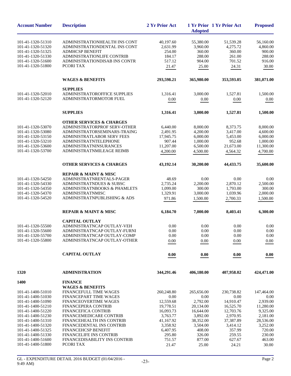| <b>Account Number</b> | <b>Description</b>                              | 2 Yr Prior Act | <b>Adopted</b> | 1 Yr Prior 1 Yr Prior Act | <b>Proposed</b> |
|-----------------------|-------------------------------------------------|----------------|----------------|---------------------------|-----------------|
| 101-41-1320-51310     | ADMINISTRATIONHEALTH INS CONT                   | 40,197.60      | 55,380.00      | 51,539.28                 | 56,160.00       |
| 101-41-1320-51320     | ADMINISTRATIONDENTAL INS CONT                   | 2,631.99       | 3,960.00       | 4,275.72                  | 4.860.00        |
| 101-41-1320-51325     | <b>ADMHCSP BENEFIT</b>                          | 254.00         | 360.00         | 360.00                    | 900.00          |
| 101-41-1320-51330     | ADMINISTRATIONLIFE CONTRIB                      | 184.17         | 288.00         | 261.00                    | 288.00          |
| 101-41-1320-51600     | ADMINISTRATIONDISAB INS CONTR                   | 517.12         | 904.00         | 701.52                    | 916.00          |
| 101-41-1320-51800     | PCORI TAX                                       | 21.47          | 25.00          | 24.31                     | 30.00           |
|                       |                                                 |                |                |                           |                 |
|                       | <b>WAGES &amp; BENEFITS</b>                     | 293,598.21     | 365,980.00     | 353,593.05                | 381,071.00      |
| 101-41-1320-52010     | <b>SUPPLIES</b><br>ADMINISTRATOROFFICE SUPPLIES | 1,316.41       | 3,000.00       | 1,527.81                  | 1,500.00        |
| 101-41-1320-52120     | ADMINISTRATORMOTOR FUEL                         | 0.00           | 0.00           | 0.00                      | 0.00            |
|                       |                                                 |                |                |                           |                 |
|                       | <b>SUPPLIES</b>                                 | 1,316.41       | 3,000.00       | 1,527.81                  | 1,500.00        |
|                       | <b>OTHER SERVICES &amp; CHARGES</b>             |                |                |                           |                 |
| 101-41-1320-53070     | ADMINISTRATORPROF SERV-OTHER                    | 6,440.00       | 8,000.00       | 8,373.75                  | 8,000.00        |
| 101-41-1320-53080     | ADMINISTRATORSEMINARS-TRAING                    | 2,491.95       | 4,200.00       | 3,417.00                  | 4,600.00        |
| 101-41-1320-53150     | ADMINISTRATLABOR SERV FEES                      | 17,945.75      | 6,000.00       | 5,453.00                  | 6,000.00        |
| 101-41-1320-53210     | <b>ADMINISTRATNTELEPHONE</b>                    | 907.44         | 1,000.00       | 952.68                    | 1,000.00        |
| 101-41-1320-53600     | <b>ADMINISTRATNINSURANCES</b>                   | 11,207.00      | 6,500.00       | 21,673.00                 | 11,300.00       |
| 101-41-1320-53700     | ADMINISTRATNMILEAGE REIMB                       | 4,200.00       | 4,500.00       | 4,564.32                  | 4,700.00        |
|                       | <b>OTHER SERVICES &amp; CHARGES</b>             | 43,192.14      | 30,200.00      | 44,433.75                 | 35,600.00       |
|                       | <b>REPAIR &amp; MAINT &amp; MISC</b>            |                |                |                           |                 |
| 101-41-1320-54250     | ADMINISTRATNRENTALS-PAGER                       | 48.69          | 0.00           | 0.00                      | 0.00            |
| 101-41-1320-54330     | <b>ADMINISTRATNDUES &amp; SUBSC</b>             | 2,735.24       | 2,200.00       | 2,870.12                  | 2,500.00        |
| 101-41-1320-54350     | ADMINISTRATNBOOKS & PHAMLETS                    | 1,099.00       | 300.00         | 1,793.00                  | 300.00          |
| 101-41-1320-54370     | <b>ADMINISTRATNMISC</b>                         | 1,329.91       | 3,000.00       | 1,039.96                  | 2,000.00        |
| 101-41-1320-54520     | ADMINISTRATNPUBLISHING & ADS                    | 971.86         | 1,500.00       | 2,700.33                  | 1,500.00        |
|                       | <b>REPAIR &amp; MAINT &amp; MISC</b>            | 6,184.70       | 7,000.00       | 8,403.41                  | 6,300.00        |
|                       | <b>CAPITAL OUTLAY</b>                           |                |                |                           |                 |
| 101-41-1320-55500     | ADMINISTRATNCAP OUTLAY-VEH                      | 0.00           | 0.00           | 0.00                      | 0.00            |
| 101-41-1320-55600     | ADMINISTRATNCAP OUTLAY-FURNI                    | 0.00           | 0.00           | 0.00                      | 0.00            |
| 101-41-1320-55700     | ADMINISTRATNCAP OUTLAY-COMP                     | 0.00           | 0.00           | 0.00                      | 0.00            |
| 101-41-1320-55800     | ADMINISTRATNCAP OUTLAY-OTHER                    | 0.00           | 0.00           | 0.00                      | 0.00            |
|                       | <b>CAPITAL OUTLAY</b>                           | 0.00           | 0.00           | 0.00                      | 0.00            |
|                       |                                                 |                |                |                           |                 |
| 1320                  | <b>ADMINISTRATION</b>                           | 344,291.46     | 406,180.00     | 407,958.02                | 424,471.00      |
| 1400                  | <b>FINANCE</b>                                  |                |                |                           |                 |
|                       | <b>WAGES &amp; BENEFITS</b>                     |                |                |                           |                 |
| 101-41-1400-51010     | FINANCEFULL TIME WAGES                          | 260,248.80     | 265,656.00     | 230,738.82                | 147,464.00      |
| 101-41-1400-51030     | FINANCEPART TIME WAGES                          | 0.00           | 0.00           | 0.00                      | 0.00            |
| 101-41-1400-51090     | <b>FINANCEOVERTIME WAGES</b>                    | 12,559.68      | 2,792.00       | 14,910.47                 | 2,939.00        |
| 101-41-1400-51210     | <b>FINANCEPERA CONTRIB</b>                      | 19,778.51      | 20,134.00      | 16,525.70                 | 11,280.00       |
| 101-41-1400-51220     | <b>FINANCEFICA CONTRIB</b>                      | 16,093.73      | 16,644.00      | 12,703.76                 | 9,325.00        |
| 101-41-1400-51230     | <b>FINANCEMEDICARE CONTRIB</b>                  | 3,763.77       | 3,892.00       | 2,970.95                  | 2,181.00        |
| 101-41-1400-51310     | FINANCEHEALTH INS CONTRIB                       | 41,167.92      | 38,352.00      | 37,387.89                 | 28,536.00       |
| 101-41-1400-51320     | FINANCEDENTAL INS CONTRIB                       | 3,358.92       | 3,504.00       | 3,414.12                  | 3,252.00        |
| 101-41-1400-51325     | <b>FINANCEHCSP BENEFIT</b>                      | 6,407.95       | 408.00         | 357.99                    | 720.00          |
| 101-41-1400-51330     | <b>FINANCELIFE INS CONTRIB</b>                  | 295.80         | 326.00         | 259.55                    | 230.00          |
| 101-41-1400-51600     | FINANCEDISABILITY INS CONTRIB                   | 751.57         | 877.00         | 627.67                    | 463.00          |
| 101-41-1400-51800     | PCORI TAX                                       | 21.47          | 25.00          | 24.21                     | 30.00           |
|                       |                                                 |                |                |                           |                 |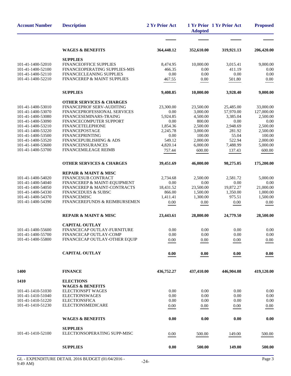| <b>Account Number</b>                  | <b>Description</b>                                    | 2 Yr Prior Act | <b>Adopted</b>     | 1 Yr Prior 1 Yr Prior Act | <b>Proposed</b>    |
|----------------------------------------|-------------------------------------------------------|----------------|--------------------|---------------------------|--------------------|
|                                        |                                                       |                |                    |                           |                    |
|                                        | <b>WAGES &amp; BENEFITS</b>                           | 364,448.12     | 352,610.00         | 319,921.13                | 206,420.00         |
|                                        | <b>SUPPLIES</b>                                       |                |                    |                           |                    |
| 101-41-1400-52010                      | FINANCEOFFICE SUPPLIES                                | 8,474.95       | 10,000.00          | 3,015.41                  | 9,000.00           |
| 101-41-1400-52100                      | FINANCEOPERATING SUPPLIES-MIS                         | 466.35         | 0.00               | 411.19                    | 0.00               |
| 101-41-1400-52110                      | FINANCECLEANING SUPPLIES                              | 0.00           | 0.00               | 0.00                      | 0.00               |
| 101-41-1400-52210                      | FINANCEREP & MAINT SUPPLIES                           | 467.55         | 0.00               | 501.80                    | 0.00               |
|                                        | <b>SUPPLIES</b>                                       | 9,408.85       | 10,000.00          | 3,928.40                  | 9,000.00           |
|                                        | <b>OTHER SERVICES &amp; CHARGES</b>                   |                |                    |                           |                    |
| 101-41-1400-53010                      | FINANCEPROF SERV-AUDITING                             | 23,300.00      | 23,500.00          | 25,485.00                 | 33,000.00          |
| 101-41-1400-53070                      | FINANCEPROFESSIONAL SERVICES                          | 0.00           | 3,000.00           | 57,970.00                 | 127,000.00         |
| 101-41-1400-53080                      | FINANCESEMINARS-TRAING                                | 5,924.85       | 4,500.00           | 3,385.04                  | 2,500.00           |
| 101-41-1400-53090                      | FINANCECOMPUTER SUPPORT                               | 0.00           | 800.00             | 0.00                      | 0.00               |
| 101-41-1400-53210                      | <b>FINANCETELEPHONE</b>                               | 1,854.36       | 2,500.00           | 2,948.69                  | 2,500.00           |
| 101-41-1400-53220                      | <b>FINANCEPOSTAGE</b>                                 | 2,245.78       | 3,000.00<br>100.00 | 281.92                    | 2,500.00<br>100.00 |
| 101-41-1400-53500<br>101-41-1400-53520 | FINANCEPRINTING<br><b>FINANCEPUBLISHING &amp; ADS</b> | 0.00<br>549.12 | 2,000.00           | 55.04<br>522.94           | 2,000.00           |
| 101-41-1400-53600                      | <b>FINANCEINSURANCES</b>                              | 4,820.14       | 6,000.00           | 7,488.99                  | 5,000.00           |
| 101-41-1400-53700                      | FINANCEMILEAGE REIMB                                  | 757.44         | 600.00             | 137.43                    | 600.00             |
|                                        |                                                       |                |                    |                           |                    |
|                                        | <b>OTHER SERVICES &amp; CHARGES</b>                   | 39,451.69      | 46,000.00          | 98,275.05                 | 175,200.00         |
|                                        | <b>REPAIR &amp; MAINT &amp; MISC</b>                  |                |                    |                           |                    |
| 101-41-1400-54020                      | FINANCESUB CONTRACT                                   | 2,734.68       | 2,500.00           | 2,581.72                  | 5,000.00           |
| 101-41-1400-54040                      | FINANCEREP & MAINT-EQUIPMENT                          | 0.00           | 0.00               | 0.00                      | 0.00               |
| 101-41-1400-54050                      | FINANCEREP & MAINT-CONTRACTS                          | 18,431.52      | 23,500.00          | 19,872.27                 | 21,000.00          |
| 101-41-1400-54330                      | <b>FINANCEDUES &amp; SUBSC</b>                        | 866.00         | 1,500.00           | 1,350.00                  | 1,000.00           |
| 101-41-1400-54370                      | <b>FINANCEMISC</b>                                    | 1,411.41       | 1,300.00           | 975.51                    | 1,500.00           |
| 101-41-1400-54390                      | FINANCEREFUNDS & REIMBURSEMEN                         | 0.00           | $0.00\,$           | 0.00                      | 0.00               |
|                                        | <b>REPAIR &amp; MAINT &amp; MISC</b>                  | 23,443.61      | 28,800.00          | 24,779.50                 | 28,500.00          |
|                                        | <b>CAPITAL OUTLAY</b>                                 |                |                    |                           |                    |
| 101-41-1400-55600                      | FINANCECAP OUTLAY-FURNITURE                           | 0.00           | 0.00               | 0.00                      | 0.00               |
| 101-41-1400-55700                      | FINANCECAP OUTLAY-COMP                                | $0.00\,$       | 0.00               | 0.00                      | 0.00               |
| 101-41-1400-55800                      | FINANCECAP OUTLAY-OTHER EQUIP                         | 0.00           | 0.00               | 0.00                      | 0.00               |
|                                        | <b>CAPITAL OUTLAY</b>                                 | 0.00           | 0.00               | 0.00                      | 0.00               |
| 1400                                   | <b>FINANCE</b>                                        | 436,752.27     | 437,410.00         | 446,904.08                | 419,120.00         |
| 1410                                   | <b>ELECTIONS</b>                                      |                |                    |                           |                    |
|                                        | <b>WAGES &amp; BENEFITS</b>                           |                |                    |                           |                    |
| 101-41-1410-51030                      | <b>ELECTIONSPT WAGES</b>                              | 0.00           | 0.00               | 0.00                      | 0.00               |
| 101-41-1410-51040                      | <b>ELECTIONSWAGES</b>                                 | 0.00           | 0.00               | 0.00                      | 0.00               |
| 101-41-1410-51220                      | <b>ELECTIONSFICA</b>                                  | 0.00           | 0.00               | 0.00                      | 0.00               |
| 101-41-1410-51230                      | ELECTIONSMEDICARE                                     | 0.00           | 0.00               | 0.00                      | $0.00\,$           |
|                                        |                                                       |                |                    |                           |                    |
|                                        | <b>WAGES &amp; BENEFITS</b>                           | 0.00           | 0.00               | 0.00                      | 0.00               |
|                                        | <b>SUPPLIES</b>                                       |                |                    |                           |                    |
| 101-41-1410-52100                      | ELECTIONSOPERATING SUPP-MISC                          | 0.00           | 500.00             | 149.00                    | 500.00             |
|                                        | <b>SUPPLIES</b>                                       | 0.00           | 500.00             | 149.00                    | 500.00             |
|                                        |                                                       |                |                    |                           |                    |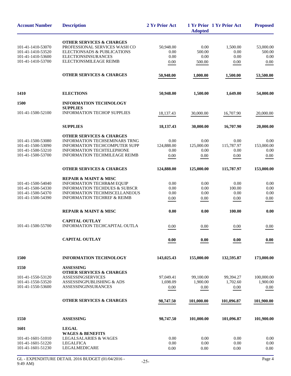| <b>Account Number</b>                  | <b>Description</b>                                                        | 2 Yr Prior Act        | <b>Adopted</b>        | 1 Yr Prior 1 Yr Prior Act | <b>Proposed</b>        |
|----------------------------------------|---------------------------------------------------------------------------|-----------------------|-----------------------|---------------------------|------------------------|
| 101-41-1410-53070                      | <b>OTHER SERVICES &amp; CHARGES</b><br>PROFESSIONAL SERVICES WASH CO      | 50,948.00             | 0.00                  | 1,500.00                  | 53,000.00              |
| 101-41-1410-53520                      | ELECTIONSADS & PUBLICATIONS                                               | 0.00                  | 500.00                | 0.00                      | 500.00                 |
| 101-41-1410-53600                      | <b>ELECTIONSINSURANCES</b>                                                | 0.00                  | 0.00                  | 0.00                      | 0.00                   |
| 101-41-1410-53700                      | ELECTIONSMILEAGE REIMB                                                    | 0.00                  | 500.00                | 0.00                      | 0.00                   |
|                                        | <b>OTHER SERVICES &amp; CHARGES</b>                                       | 50,948.00             | 1,000.00              | 1,500.00                  | 53,500.00              |
| 1410                                   | <b>ELECTIONS</b>                                                          | 50,948.00             | 1,500.00              | 1,649.00                  | 54,000.00              |
| 1500                                   | <b>INFORMATION TECHNOLOGY</b>                                             |                       |                       |                           |                        |
| 101-41-1500-52100                      | <b>SUPPLIES</b><br><b>INFORMATION TECHOP SUPPLIES</b>                     | 18,137.43             | 30,000.00             | 16,707.90                 | 20,000.00              |
|                                        | <b>SUPPLIES</b>                                                           | 18,137.43             | 30,000.00             | 16,707.90                 | 20,000.00              |
|                                        | <b>OTHER SERVICES &amp; CHARGES</b>                                       |                       |                       |                           |                        |
| 101-41-1500-53080                      | <b>INFORMATION TECHSEMINARS TRNG</b>                                      | 0.00                  | 0.00                  | 0.00                      | 0.00                   |
| 101-41-1500-53090                      | <b>INFORMATION TECHCOMPUTER SUPP</b>                                      | 124,888.00            | 125,000.00            | 115,787.97                | 153,000.00             |
| 101-41-1500-53210                      | INFORMATION TECHTELEPHONE                                                 | 0.00                  | 0.00                  | 0.00                      | 0.00                   |
| 101-41-1500-53700                      | <b>INFORMATION TECHMILEAGE REIMB</b>                                      | 0.00                  | 0.00                  | 0.00                      | 0.00                   |
|                                        | <b>OTHER SERVICES &amp; CHARGES</b>                                       | 124,888.00            | 125,000.00            | 115,787.97                | 153,000.00             |
|                                        | <b>REPAIR &amp; MAINT &amp; MISC</b>                                      |                       |                       |                           |                        |
| 101-41-1500-54040                      | <b>INFORMATION TECHR&amp;M EQUIP</b>                                      | 0.00                  | 0.00                  | 0.00                      | 0.00                   |
| 101-41-1500-54330<br>101-41-1500-54370 | <b>INFORMATION TECHDUES &amp; SUBSCR</b><br>INFORMATION TECHMISCELLANEOUS | 0.00<br>0.00          | 0.00<br>0.00          | 100.00<br>0.00            | 0.00<br>0.00           |
| 101-41-1500-54390                      | <b>INFORMATION TECHREF &amp; REIMB</b>                                    | 0.00                  | 0.00                  | 0.00                      | 0.00                   |
|                                        | <b>REPAIR &amp; MAINT &amp; MISC</b>                                      | 0.00                  | 0.00                  | 100.00                    | 0.00                   |
|                                        | <b>CAPITAL OUTLAY</b>                                                     |                       |                       |                           |                        |
| 101-41-1500-55700                      | INFORMATION TECHCAPITAL OUTLA                                             | 0.00                  | 0.00                  | 0.00                      | 0.00                   |
|                                        | <b>CAPITAL OUTLAY</b>                                                     | 0.00                  | 0.00                  | 0.00                      | 0.00                   |
| 1500                                   | <b>INFORMATION TECHNOLOGY</b>                                             | 143,025.43            | 155,000.00            | 132,595.87                | 173,000.00             |
| 1550                                   | <b>ASSESSING</b>                                                          |                       |                       |                           |                        |
|                                        | <b>OTHER SERVICES &amp; CHARGES</b>                                       |                       |                       |                           |                        |
| 101-41-1550-53120<br>101-41-1550-53520 | <b>ASSESSINGSERVICES</b><br>ASSESSINGPUBLISHING & ADS                     | 97,049.41<br>1,698.09 | 99,100.00<br>1,900.00 | 99,394.27<br>1.702.60     | 100,000.00<br>1,900.00 |
| 101-41-1550-53600                      | <b>ASSESSINGINSURANCES</b>                                                | 0.00                  | 0.00                  | 0.00                      | 0.00                   |
|                                        |                                                                           |                       |                       |                           |                        |
|                                        | <b>OTHER SERVICES &amp; CHARGES</b>                                       | 98,747.50             | 101,000.00            | 101,096.87                | 101,900.00             |
| 1550                                   | <b>ASSESSING</b>                                                          | 98,747.50             | 101,000.00            | 101,096.87                | 101,900.00             |
| 1601                                   | <b>LEGAL</b>                                                              |                       |                       |                           |                        |
|                                        | <b>WAGES &amp; BENEFITS</b>                                               |                       |                       |                           |                        |
| 101-41-1601-51010                      | <b>LEGALSALARIES &amp; WAGES</b>                                          | 0.00                  | 0.00                  | 0.00                      | 0.00                   |
| 101-41-1601-51220                      | <b>LEGALFICA</b>                                                          | 0.00                  | 0.00                  | 0.00                      | 0.00                   |
| 101-41-1601-51230                      | LEGALMEDICARE                                                             | 0.00                  | 0.00                  | 0.00                      | 0.00                   |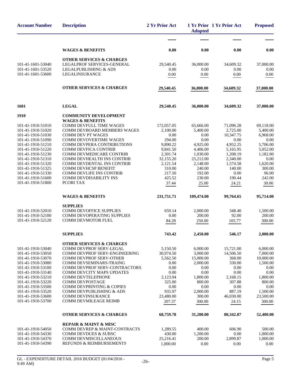| <b>Account Number</b>                  | <b>Description</b>                                        | 2 Yr Prior Act        | <b>Adopted</b>        | 1 Yr Prior 1 Yr Prior Act | <b>Proposed</b>       |
|----------------------------------------|-----------------------------------------------------------|-----------------------|-----------------------|---------------------------|-----------------------|
|                                        |                                                           |                       |                       |                           |                       |
|                                        | <b>WAGES &amp; BENEFITS</b>                               | 0.00                  | 0.00                  | 0.00                      | 0.00                  |
|                                        | <b>OTHER SERVICES &amp; CHARGES</b>                       |                       |                       |                           |                       |
| 101-41-1601-53040                      | LEGALPROF SERVICES-GENERAL                                | 29,540.45             | 36,000.00             | 34,609.32                 | 37,000.00             |
| 101-41-1601-53520                      | LEGALPUBLISHING & ADS                                     | 0.00                  | 0.00                  | 0.00                      | 0.00                  |
| 101-41-1601-53600                      | LEGALINSURANCE                                            | 0.00                  | 0.00                  | 0.00                      | 0.00                  |
|                                        | <b>OTHER SERVICES &amp; CHARGES</b>                       | 29,540.45             | 36,000.00             | 34,609.32                 | 37,000.00             |
| 1601                                   | <b>LEGAL</b>                                              | 29,540.45             | 36,000.00             | 34,609.32                 | 37,000.00             |
| 1910                                   | <b>COMMUNITY DEVELOPMENT</b>                              |                       |                       |                           |                       |
|                                        | <b>WAGES &amp; BENEFITS</b>                               |                       |                       |                           |                       |
| 101-41-1910-51010                      | COMM DEVFULL TIME WAGES                                   | 172,057.05            | 65,666.00             | 71,096.28                 | 69,118.00             |
| 101-41-1910-51020                      | COMM DEVBOARD MEMBERS WAGES                               | 2,100.00              | 5,400.00              | 2,725.00                  | 5,400.00              |
| 101-41-1910-51030                      | <b>COMM DEV PT WAGES</b>                                  | 0.00                  | 0.00                  | 10,347.75                 | 6,968.00              |
| 101-41-1910-51090                      | <b>COMM DEVOVERTIME WAGES</b>                             | 294.00                | 0.00                  | 0.00                      | 0.00                  |
| 101-41-1910-51210<br>101-41-1910-51220 | COMM DEVPERA CONTRIBUTIONS<br><b>COMM DEVFICA CONTRIB</b> | 9,890.22              | 4,925.00              | 4,952.25                  | 5,706.00              |
| 101-41-1910-51230                      | COMM DEVMEDICARE CONTRIB                                  | 9,841.50<br>2,301.74  | 4,406.00<br>1,030.00  | 5,165.95<br>1.208.19      | 5,052.00<br>1,182.00  |
| 101-41-1910-51310                      | COMM DEVHEALTH INS CONTRIB                                | 32,155.20             | 25,212.00             | 2,340.00                  | 0.00                  |
| 101-41-1910-51320                      | COMM DEVDENTAL INS CONTRIB                                | 2,121.54              | 2,148.00              | 1,574.58                  | 1,620.00              |
| 101-41-1910-51325                      | <b>COMM DEVHCSP BENEFIT</b>                               | 310.00                | 240.00                | 140.00                    | 300.00                |
| 101-41-1910-51330                      | <b>COMM DEVLIFE INS CONTRIB</b>                           | 217.50                | 192.00                | 0.00                      | 96.00                 |
| 101-41-1910-51600                      | <b>COMM DEVDISABILITY INS</b>                             | 425.52                | 230.00                | 190.44                    | 242.00                |
| 101-41-1910-51800                      | PCORI TAX                                                 | 37.44                 | 25.00                 | 24.21                     | 30.00                 |
|                                        | <b>WAGES &amp; BENEFITS</b>                               | 231,751.71            | 109,474.00            | 99,764.65                 | 95,714.00             |
|                                        | <b>SUPPLIES</b>                                           |                       |                       |                           |                       |
| 101-41-1910-52010<br>101-41-1910-52100 | <b>COMM DEVOFFICE SUPPLIES</b>                            | 659.14                | 2,000.00              | 348.40                    | 1,500.00              |
| 101-41-1910-52120                      | COMM DEVOPERATING SUPPLIES<br><b>COMM DEVMOTOR FUEL</b>   | 0.00                  | 200.00                | 92.00                     | 200.00                |
|                                        |                                                           | 84.28                 | 250.00                | 105.77                    | 300.00                |
|                                        | <b>SUPPLIES</b>                                           | 743.42                | 2,450.00              | 546.17                    | 2,000.00              |
|                                        | <b>OTHER SERVICES &amp; CHARGES</b>                       |                       |                       |                           |                       |
| 101-41-1910-53040                      | COMM DEVPROF SERV-LEGAL                                   | 5,150.50              | 6,000.00              | 15,721.00                 | 6,000.00              |
| 101-41-1910-53050<br>101-41-1910-53070 | COMM DEVPROF SERV-ENGINEERING<br>COMM DEVPROF SERV-OTHER  | 30,974.50<br>5,562.50 | 3,000.00<br>15,000.00 | 14,506.50<br>368.00       | 7,000.00<br>10,000.00 |
| 101-41-1910-53080                      | <b>COMM DEVSEMINARS-TRAING</b>                            | 0.00                  | 2,000.00              | 330.00                    | 1,500.00              |
| 101-41-1910-53100                      | COMM DEVPROF SERV-CONTRACTORS                             | 0.00                  | 0.00                  | 0.00                      | 0.00                  |
| 101-41-1910-53140                      | <b>COMM DEVCITY MAPS UPDATES</b>                          | 0.00                  | 0.00                  | 0.00                      | 0.00                  |
| 101-41-1910-53210                      | COMM DEVTELEPHONE                                         | 2,123.94              | 1,800.00              | 2,168.15                  | 1,800.00              |
| 101-41-1910-53220                      | COMM DEVPOSTAGE                                           | 325.00                | 800.00                | 307.88                    | 800.00                |
| 101-41-1910-53500                      | <b>COMM DEVPRINTING &amp; COPIES</b>                      | 0.00                  | 0.00                  | 0.00                      | 0.00                  |
| 101-41-1910-53520                      | COMM DEVPUBLISHING & ADS<br><b>COMM DEVINSURANCE</b>      | 935.97                | 2,000.00              | 887.19                    | 1,500.00              |
| 101-41-1910-53600<br>101-41-1910-53700 | <b>COMM DEVMILEAGE REIMB</b>                              | 23,480.00<br>207.37   | 300.00<br>300.00      | 46,030.00<br>24.15        | 23,500.00<br>300.00   |
|                                        |                                                           |                       |                       |                           |                       |
|                                        | <b>OTHER SERVICES &amp; CHARGES</b>                       | 68,759.78             | 31,200.00             | 80,342.87                 | 52,400.00             |
|                                        | <b>REPAIR &amp; MAINT &amp; MISC</b>                      |                       |                       |                           |                       |
| 101-41-1910-54050                      | COMM DEVREP & MAINT-CONTRACTS                             | 1,289.55              | 400.00                | 606.90                    | 500.00                |
| 101-41-1910-54330                      | <b>COMM DEVDUES &amp; SUBSC</b>                           | 430.00                | 1,200.00              | 0.00                      | 1,000.00              |
| 101-41-1910-54370<br>101-41-1910-54390 | <b>COMM DEVMISCELLANEOUS</b><br>REFUNDS & REIMBURSEMENTS  | 25,216.41             | 200.00<br>0.00        | 2,899.87                  | 1,000.00              |
|                                        |                                                           | 1,000.00              |                       | 0.00                      | 0.00                  |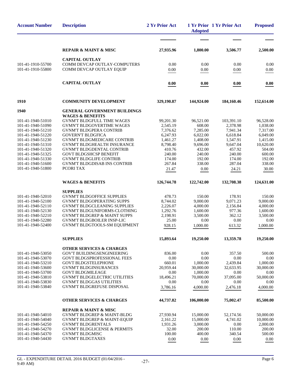| <b>Account Number</b>                  | <b>Description</b>                                                  | 2 Yr Prior Act       | <b>Adopted</b>        | 1 Yr Prior 1 Yr Prior Act | <b>Proposed</b>       |
|----------------------------------------|---------------------------------------------------------------------|----------------------|-----------------------|---------------------------|-----------------------|
|                                        |                                                                     |                      |                       |                           |                       |
|                                        | <b>REPAIR &amp; MAINT &amp; MISC</b>                                | 27,935.96            | 1,800.00              | 3,506.77                  | 2,500.00              |
|                                        | <b>CAPITAL OUTLAY</b>                                               |                      |                       |                           |                       |
| 101-41-1910-55700<br>101-41-1910-55800 | COMM DEVCAP OUTLAY-COMPUTERS<br>COMM DEVCAP OUTLAY EQUIP            | 0.00<br>0.00         | 0.00<br>0.00          | 0.00<br>0.00              | 0.00<br>0.00          |
|                                        | <b>CAPITAL OUTLAY</b>                                               | 0.00                 | 0.00                  | 0.00                      | 0.00                  |
| 1910                                   | <b>COMMUNITY DEVELOPMENT</b>                                        | 329,190.87           | 144,924.00            | 184,160.46                | 152,614.00            |
| 1940                                   | <b>GENERAL GOVERNMENT BUILDINGS</b><br><b>WAGES &amp; BENEFITS</b>  |                      |                       |                           |                       |
| 101-41-1940-51010                      | <b>GVNM'T BLDGFULL TIME WAGES</b>                                   | 99,201.30            | 96,521.00             | 103,391.10                | 96,528.00             |
| 101-41-1940-51090                      | <b>GVMN'T BLDGOVERTIME WAGES</b>                                    | 2,545.19             | 608.00                | 2,378.98                  | 1,038.00              |
| 101-41-1940-51210                      | <b>GVNM'T BLDGPERA CONTRIB</b>                                      | 7,376.62             | 7,285.00              | 7,941.34                  | 7,317.00              |
| 101-41-1940-51220                      | <b>GOVERN'T BLDGFICA</b>                                            | 6,247.93             | 6,022.00              | 6,618.84                  | 6,049.00              |
| 101-41-1940-51230<br>101-41-1940-51310 | GVNM'T BLDGMEDICARE CONTRIB<br>GVNM'T BLDGHEALTH INSURANCE          | 1,461.27<br>8,798.40 | 1,408.00<br>9,696.00  | 1,547.91<br>9,647.04      | 1,415.00<br>10,620.00 |
| 101-41-1940-51320                      | <b>GVNM'T BLDGDENTAL CONTRIB</b>                                    | 410.76               | 432.00                | 457.92                    | 504.00                |
| 101-41-1940-51325                      | <b>GOVT BLDGSHCSP BENEFIT</b>                                       | 240.00               | 240.00                | 240.00                    | 600.00                |
| 101-41-1940-51330                      | <b>GVNM'T BLDGLIFE CONTRIB</b>                                      | 174.00               | 192.00                | 174.00                    | 192.00                |
| 101-41-1940-51600                      | <b>GVNM'T BLDGDISAB INS CONTRIB</b>                                 | 267.84               | 338.00                | 287.04                    | 338.00                |
| 101-41-1940-51800                      | PCORI TAX                                                           | 21.47                | 0.00                  | 24.21                     | 30.00                 |
|                                        | <b>WAGES &amp; BENEFITS</b>                                         | 126,744.78           | 122,742.00            | 132,708.38                | 124,631.00            |
|                                        | <b>SUPPLIES</b>                                                     |                      |                       |                           |                       |
| 101-41-1940-52010                      | <b>GVNM'T BLDGOFFICE SUPPLIES</b>                                   | 478.73               | 150.00                | 178.91                    | 150.00                |
| 101-41-1940-52100                      | <b>GVNM'T BLDGOPERATING SUPPS</b>                                   | 8,744.02             | 9,000.00              | 9,071.23                  | 9,000.00              |
| 101-41-1940-52110<br>101-41-1940-52130 | <b>GVNM'T BLDGCLEANING SUPPLIES</b><br>GVNM'T BLDGUNIFORMS-CLOTHING | 2,226.07<br>1,292.76 | 4,000.00<br>1,600.00  | 2,156.84<br>977.36        | 4,000.00<br>1,600.00  |
| 101-41-1940-52210                      | <b>GVNM'T BLDGREP &amp; MAINT SUPPS</b>                             | 2,198.91             | 3,500.00              | 362.12                    | 3,500.00              |
| 101-41-1940-52280                      | <b>GVNM'T BLDGBOILER INSP-LIC</b>                                   | 25.00                | 0.00                  | 0.00                      | 0.00                  |
| 101-41-1940-52400                      | GVNM'T BLDGTOOLS-SM EQUIPMENT                                       | 928.15               | 1,000.00              | 613.32                    | 1,000.00              |
|                                        | <b>SUPPLIES</b>                                                     | 15,893.64            | 19,250.00             | 13,359.78                 | 19,250.00             |
|                                        | <b>OTHER SERVICES &amp; CHARGES</b>                                 |                      |                       |                           |                       |
| 101-41-1940-53050                      | <b>GOV'T BUILDINGSENGINEERING</b>                                   | 836.00               | 0.00                  | 357.50                    | 500.00                |
| 101-41-1940-53070                      | <b>GOVT BLDGSPROFESSIONAL FEES</b>                                  | 0.00                 | 0.00                  | 0.00                      | 0.00                  |
| 101-41-1940-53210                      | <b>GOVT BLDGSTELEPHONE</b>                                          | 660.01               | 1,000.00              | 2,439.84                  | 1,000.00              |
| 101-41-1940-53600<br>101-41-1940-53700 | <b>GVNM'T BLDGINSURANCES</b><br><b>GOVT BLDGMILEAGE</b>             | 20,959.44<br>0.00    | 30,000.00<br>1,000.00 | 32,633.95<br>0.00         | 30,000.00<br>0.00     |
| 101-41-1940-53810                      | <b>GVNM'T BLDGELECTRIC UTILITIES</b>                                | 18,496.21            | 70,000.00             | 37,095.00                 | 50,000.00             |
| 101-41-1940-53830                      | <b>GVNM'T BLDGGAS UTILITIES</b>                                     | 0.00                 | 0.00                  | 0.00                      | 0.00                  |
| 101-41-1940-53840                      | <b>GVNM'T BLDGREFUSE DISPOSAL</b>                                   | 3,786.16             | 4,000.00              | 2,476.18                  | 4,000.00              |
|                                        | <b>OTHER SERVICES &amp; CHARGES</b>                                 | 44,737.82            | 106,000.00            | 75,002.47                 | 85,500.00             |
|                                        | <b>REPAIR &amp; MAINT &amp; MISC</b>                                |                      |                       |                           |                       |
| 101-41-1940-54010                      | <b>GVNM'T BLDGREP &amp; MAINT-BLDG</b>                              | 27,930.94            | 15,000.00             | 52,174.56                 | 50,000.00             |
| 101-41-1940-54040                      | <b>GVNM'T BLDGREP &amp; MAINT-EOUIP</b>                             | 2,161.22             | 15,000.00             | 4,741.02                  | 10,000.00             |
| 101-41-1940-54250                      | <b>GVNM'T BLDGRENTALS</b>                                           | 1,931.26             | 3,000.00              | 0.00                      | 2,000.00              |
| 101-41-1940-54270<br>101-41-1940-54370 | <b>GVNM'T BLDGLICENSE &amp; PERMITS</b><br><b>GVNM'T BLDGMISC</b>   | 32.00<br>100.00      | 200.00<br>400.00      | 110.00<br>340.54          | 200.00<br>500.00      |
| 101-41-1940-54430                      | <b>GVNM'T BLDGTAXES</b>                                             | 0.00                 | $0.00\,$              | 0.00                      | 0.00                  |
|                                        |                                                                     |                      |                       |                           |                       |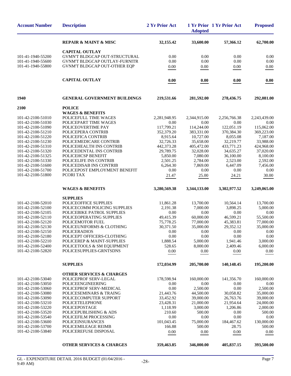|                                        |                                              |                         | <b>Adopted</b>         |                         |                       |
|----------------------------------------|----------------------------------------------|-------------------------|------------------------|-------------------------|-----------------------|
|                                        | <b>REPAIR &amp; MAINT &amp; MISC</b>         | 32,155.42               | 33,600.00              | 57,366.12               | 62,700.00             |
|                                        | <b>CAPITAL OUTLAY</b>                        |                         |                        |                         |                       |
| 101-41-1940-55200                      | GVMN'T BLDGCAP OUT-STRUCTURAL                | 0.00                    | 0.00                   | 0.00                    | 0.00                  |
| 101-41-1940-55600                      | <b>GVNM'T BLDGCAP OUTLAY-FURNITR</b>         | 0.00                    | 0.00                   | 0.00                    | 0.00                  |
| 101-41-1940-55800                      | GVNM'T BLDGCAP OUT-OTHER EQP                 | 0.00                    | 0.00                   | 0.00                    | 0.00                  |
|                                        | <b>CAPITAL OUTLAY</b>                        | 0.00                    | 0.00                   | 0.00                    | 0.00                  |
| 1940                                   | <b>GENERAL GOVERNMENT BUILDINGS</b>          | 219,531.66              | 281,592.00             | 278,436.75              | 292,081.00            |
| 2100                                   | <b>POLICE</b>                                |                         |                        |                         |                       |
|                                        | <b>WAGES &amp; BENEFITS</b>                  |                         |                        |                         |                       |
| 101-42-2100-51010                      | POLICEFULL TIME WAGES                        | 2,281,948.95            | 2,344,915.00           | 2,256,766.38            | 2,243,439.00          |
| 101-42-2100-51030                      | POLICEPART TIME WAGES                        | 0.00                    | 0.00                   | 0.00                    | 0.00                  |
| 101-42-2100-51090                      | POLICEOVERTIME PAY                           | 117,799.21              | 114,244.00             | 122,051.19              | 115,062.00            |
| 101-42-2100-51210                      | POLICEPERA CONTRIB                           | 352,379.20              | 383,331.00             | 370,384.30              | 369,223.00            |
| 101-42-2100-51220                      | POLICEFICA CONTRIB<br>POLICEMEDICARE CONTRIB | 8,915.64                | 10,727.00<br>35,658.00 | 8,055.08                | 7,187.00<br>33,988.00 |
| 101-42-2100-51230<br>101-42-2100-51310 | POLICEHEALTH INS CONTRIB                     | 32,726.33<br>442,373.28 | 405,472.00             | 32,219.77<br>433.771.23 | 424,968.00            |
| 101-42-2100-51320                      | POLICEDENTAL INS CONTRIB                     | 29,789.75               | 32,028.00              | 34,635.27               | 37,020.00             |
| 101-42-2100-51325                      | POLICEHCSP BENEFIT                           | 5,850.00                | 7,080.00               | 36,100.00               | 8,100.00              |
| 101-42-2100-51330                      | POLICELIFE INS CONTRIB                       | 2,501.25                | 2,784.00               | 2,523.00                | 2,592.00              |
| 101-42-2100-51600                      | POLICEDISAB INS CONTRIB                      | 6,264.30                | 7,869.00               | 6,447.09                | 7,456.00              |
| 101-42-2100-51700                      | POLICEPOST EMPLOYMENT BENEFIT                | 0.00                    | 0.00                   | 0.00                    | 0.00                  |
| 101-42-2100-51800                      | PCORI TAX                                    | 21.47                   | 25.00                  | 24.21                   | 30.00                 |
|                                        | <b>WAGES &amp; BENEFITS</b>                  | 3,280,569.38            | 3,344,133.00           | 3,302,977.52            | 3,249,065.00          |
|                                        | <b>SUPPLIES</b>                              |                         |                        |                         |                       |
| 101-42-2100-52010                      | POLICEOFFICE SUPPLIES                        | 11,861.28               | 13,700.00              | 10,564.14               | 13,700.00             |
| 101-42-2100-52100                      | POLICECOMM POLICING SUPPLIES                 | 2,191.38                | 7,000.00               | 3,898.25                | 5,000.00              |
| 101-42-2100-52105                      | POLICEBIKE PATROL SUPPLIES                   | 0.00                    | 0.00                   | 0.00                    | 0.00                  |
| 101-42-2100-52110                      | POLICEOPERATING SUPPLIES                     | 49,415.39               | 60,000.00              | 46,599.21               | 55,500.00             |
| 101-42-2100-52120                      | POLICEMOTOR FUEL                             | 75,778.25               | 77,000.00              | 45,383.81               | 77,000.00             |
| 101-42-2100-52130                      | POLICEUNIFORMS & CLOTHING                    | 30,371.50               | 35,000.00              | 29,352.12               | 35,000.00             |
| 101-42-2100-52150                      | <b>POLICERADIOS</b>                          | 0.00                    | 0.00                   | 0.00                    | 0.00                  |
| 101-42-2100-52180                      | POLICEPT OFFICERS-CLOTHING                   | 0.00                    | 0.00                   | 0.00                    | 0.00                  |
| 101-42-2100-52210                      | POLICEREP & MAINT-SUPPLIES                   | 1,888.54                | 5,000.00               | 1,941.46                | 3,000.00              |
| 101-42-2100-52400                      | POLICETOOLS & SM EQUIPMENT                   | 528.65                  | 8,000.00               | 2,409.46                | 6,000.00              |
| 101-42-2100-52820                      | POLICESUPPLIES-GRNTSDNS                      | 0.00                    | 0.00                   | 0.00                    | 0.00                  |
|                                        | <b>SUPPLIES</b>                              | 172,034.99              | 205,700.00             | 140,148.45              | 195,200.00            |
|                                        | <b>OTHER SERVICES &amp; CHARGES</b>          |                         |                        |                         |                       |
| 101-42-2100-53040                      | POLICEPROF SERV-LEGAL                        | 178,598.94              | 160,000.00             | 141,356.70              | 160,000.00            |
| 101-42-2100-53050                      | <b>POLICEENGINEERING</b>                     | 0.00                    | 0.00                   | 0.00                    | 0.00                  |
| 101-42-2100-53060                      | POLICEPROF SERV-MEDICAL                      | 0.00                    | 2,500.00               | 0.00                    | 2,500.00              |
| 101-42-2100-53080                      | POLICESEMINARS & TRAING                      | 21,443.76               | 44,500.00              | 30,058.82               | 35,000.00             |
| 101-42-2100-53090                      | POLICECOMPUTER SUPPORT                       | 33,452.92               | 39,000.00              | 26,763.76               | 39,000.00             |
| 101-42-2100-53210                      | <b>POLICETELEPHONE</b>                       | 23,428.31               | 21,000.00              | 21,954.64               | 24,000.00             |
| 101-42-2100-53220<br>101-42-2100-53520 | POLICEPOSTAGE<br>POLICEPUBLISHING & ADS      | 1,118.99<br>210.60      | 3,000.00<br>500.00     | 1,206.86<br>0.00        | 2,000.00<br>500.00    |
| 101-42-2100-53540                      | POLICEFILM PROCESSING                        | 0.00                    | 0.00                   | 0.00                    | 0.00                  |
| 101-42-2100-53600                      | POLICEINSURANCES                             | 101,043.45              | 75,000.00              | 184,467.62              | 130,000.00            |
| 101-42-2100-53700                      | POLICEMILEAGE REIMB                          | 166.88                  | 500.00                 | 28.75                   | 500.00                |
| 101-42-2100-53840                      | POLICEREFUSE DISPOSAL                        | 0.00                    | 0.00                   | 0.00                    | 0.00                  |
|                                        | <b>OTHER SERVICES &amp; CHARGES</b>          | 359,463.85              | 346,000.00             | 405,837.15              | 393,500.00            |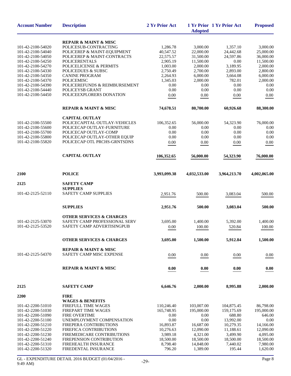| <b>Account Number</b> | <b>Description</b>                   | 2 Yr Prior Act | <b>Adopted</b> | 1 Yr Prior 1 Yr Prior Act | <b>Proposed</b> |
|-----------------------|--------------------------------------|----------------|----------------|---------------------------|-----------------|
|                       | <b>REPAIR &amp; MAINT &amp; MISC</b> |                |                |                           |                 |
| 101-42-2100-54020     | POLICESUB-CONTRACTING                | 1,286.78       | 3,000.00       | 1,357.10                  | 3,000.00        |
| 101-42-2100-54040     | POLICEREP & MAINT-EQUIPMENT          | 40,547.52      | 22,000.00      | 24,442.68                 | 25,000.00       |
| 101-42-2100-54050     | POLICEREP & MAINT-CONTRACTS          | 22,575.57      | 31,500.00      | 24,597.86                 | 36,000.00       |
| 101-42-2100-54250     | <b>POLICERENTALS</b>                 | 2,905.19       | 11,500.00      | 0.00                      | 11,500.00       |
| 101-42-2100-54270     | POLICELICENSE & PERMITS              | 1,003.00       | 2,000.00       | 3,189.95                  | 2,000.00        |
| 101-42-2100-54330     | <b>POLICEDUES &amp; SUBSC</b>        | 2,750.49       | 2,700.00       | 2,893.00                  | 2,800.00        |
| 101-42-2100-54350     | <b>CANINE PROGRAM</b>                | 2,264.93       | 6,000.00       | 3,664.08                  | 6,000.00        |
| 101-42-2100-54370     | <b>POLICEMISC</b>                    | 1,345.03       | 2,000.00       | 782.01                    | 2,000.00        |
| 101-42-2100-54390     | POLICEREFUNDS & REIMBURSEMENT        | 0.00           | 0.00           | 0.00                      | 0.00            |
| 101-42-2100-54440     | POLICEYSB GRANT                      | 0.00           | 0.00           | 0.00                      | 0.00            |
| 101-42-2100-54450     | POLICEEXPLORERS DONATION             | 0.00           | 0.00           | 0.00                      | 0.00            |
|                       | <b>REPAIR &amp; MAINT &amp; MISC</b> | 74,678.51      | 80,700.00      | 60,926.68                 | 88,300.00       |
|                       | <b>CAPITAL OUTLAY</b>                |                |                |                           |                 |
| 101-42-2100-55500     | POLICECAPITAL OUTLAY-VEHICLES        | 106,352.65     | 56,000.00      | 54,323.90                 | 76,000.00       |
| 101-42-2100-55600     | POLICECAP OUTLAY-FURNITURE           | 0.00           | 0.00           | 0.00                      | 0.00            |
| 101-42-2100-55700     | POLICECAP OUTLAY-COMP                | 0.00           | 0.00           | 0.00                      | 0.00            |
| 101-42-2100-55800     | POLICECAP OUTLAY-OTHER EQUIP         | 0.00           | 0.00           | 0.00                      | 0.00            |
| 101-42-2100-55820     | POLICECAP OTL PRCHS-GRNTSDNS         | 0.00           | 0.00           | 0.00                      | 0.00            |
|                       |                                      |                |                |                           |                 |
|                       | <b>CAPITAL OUTLAY</b>                | 106,352.65     | 56,000.00      | 54,323.90                 | 76,000.00       |
| 2100                  | <b>POLICE</b>                        | 3,993,099.38   | 4,032,533.00   | 3,964,213.70              | 4,002,065.00    |
| 2125                  | <b>SAFETY CAMP</b>                   |                |                |                           |                 |
|                       | <b>SUPPLIES</b>                      |                |                |                           |                 |
| 101-42-2125-52110     | SAFETY CAMP SUPPLIES                 | 2,951.76       | 500.00         | 3,083.04                  | 500.00          |
|                       |                                      |                |                |                           |                 |
|                       | <b>SUPPLIES</b>                      | 2,951.76       | 500.00         | 3,083.04                  | 500.00          |
|                       | <b>OTHER SERVICES &amp; CHARGES</b>  |                |                |                           |                 |
| 101-42-2125-53070     | SAFETY CAMP PROFESSIONAL SERV        | 3,695.00       | 1,400.00       | 5,392.00                  | 1,400.00        |
| 101-42-2125-53520     | SAFETY CAMP ADVERTISINGPUB           | 0.00           | 100.00         | 520.84                    | 100.00          |
|                       | <b>OTHER SERVICES &amp; CHARGES</b>  | 3,695.00       | 1,500.00       | 5,912.84                  | 1,500.00        |
|                       | <b>REPAIR &amp; MAINT &amp; MISC</b> |                |                |                           |                 |
| 101-42-2125-54370     | SAFETY CAMP MISC EXPENSE             | 0.00           | 0.00           | 0.00                      | 0.00            |
|                       | <b>REPAIR &amp; MAINT &amp; MISC</b> | 0.00           | 0.00           | 0.00                      | 0.00            |
|                       |                                      |                |                |                           |                 |
| 2125                  | <b>SAFETY CAMP</b>                   | 6,646.76       | 2,000.00       | 8,995.88                  | 2,000.00        |
| 2200                  | <b>FIRE</b>                          |                |                |                           |                 |
|                       | <b>WAGES &amp; BENEFITS</b>          |                |                |                           |                 |
| 101-42-2200-51010     | FIREFULL TIME WAGES                  | 110,246.40     | 103,007.00     | 104,875.45                | 86,798.00       |
| 101-42-2200-51030     | FIREPART TIME WAGES                  | 165,748.95     | 195,000.00     | 159,175.69                | 195,000.00      |
| 101-42-2200-51090     | <b>FIRE OVERTIME</b>                 | 0.00           | 0.00           | 688.80                    | 646.00          |
| 101-42-2200-51100     | UNEMPLOYMENT COMPENSATION            | 0.00           | 0.00           | 13,992.00                 | 0.00            |
| 101-42-2200-51210     | FIREPERA CONTRIBUTIONS               | 16,893.87      | 16,687.00      | 10,279.35                 | 14,166.00       |
| 101-42-2200-51220     | FIREFICA CONTRIBUTIONS               | 10,276.63      | 12,090.00      | 11,188.61                 | 12,090.00       |
| 101-42-2200-51230     | FIREMEDICARE CONTRIBUTIONS           | 3,989.18       | 4,321.00       | 3,499.90                  | 4,095.00        |
| 101-42-2200-51240     | FIREPENSION CONTRIBUTION             | 18,500.00      | 18,500.00      | 18,500.00                 | 18,500.00       |
| 101-42-2200-51310     | FIREHEALTH INSURANCE                 | 8,798.40       | 14,848.00      | 7,440.02                  | 7,980.00        |
| 101-42-2200-51320     | FIREDENTAL INSURANCE                 | 796.20         | 1,389.00       | 195.44                    | 1,620.00        |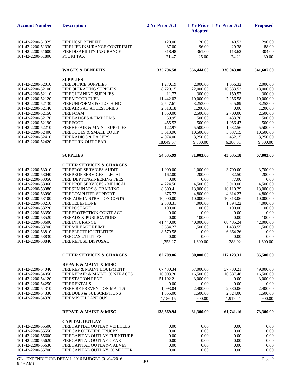| <b>Account Number</b>                  | <b>Description</b>                                 | 2 Yr Prior Act        | <b>Adopted</b>        | 1 Yr Prior 1 Yr Prior Act | <b>Proposed</b>       |
|----------------------------------------|----------------------------------------------------|-----------------------|-----------------------|---------------------------|-----------------------|
| 101-42-2200-51325                      | <b>FIREHCSP BENEFIT</b>                            | 120.00                | 120.00                | 40.53                     | 290.00                |
| 101-42-2200-51330                      | FIRELIFE INSURANCE CONTRIBUT                       | 87.00                 | 96.00                 | 29.38                     | 88.00                 |
| 101-42-2200-51600                      | FIREDISABILITY INSURANCE                           | 318.48                | 361.00                | 113.62                    | 304.00                |
| 101-42-2200-51800                      | PCORI TAX                                          | 21.47                 | 25.00                 | 24.21                     | 30.00                 |
|                                        |                                                    |                       |                       |                           |                       |
|                                        | <b>WAGES &amp; BENEFITS</b>                        | 335,796.58            | 366,444.00            | 330,043.00                | 341,607.00            |
|                                        | <b>SUPPLIES</b>                                    |                       |                       |                           |                       |
| 101-42-2200-52010                      | <b>FIREOFFICE SUPPLIES</b>                         | 1,270.19              | 2,000.00              | 1,056.32                  | 2,000.00              |
| 101-42-2200-52100                      | FIREOPERATING SUPPLIES                             | 8,720.15              | 22,000.00             | 16,333.53                 | 18,000.00             |
| 101-42-2200-52110                      | FIRECLEANING SUPPLIES                              | 11.77                 | 300.00                | 150.52                    | 300.00                |
| 101-42-2200-52120                      | FIREMOTOR FUEL                                     | 11,442.02             | 10,000.00             | 7,256.58                  | 10,000.00             |
| 101-42-2200-52130<br>101-42-2200-52140 | FIREUNIFORMS & CLOTHING<br>FIREAIR PAC ACCESSORIES | 2,547.61<br>2,818.18  | 3,253.00              | 645.89<br>$0.00\,$        | 3,253.00<br>1,200.00  |
| 101-42-2200-52150                      | <b>FIREFOAM</b>                                    | 1,350.00              | 1,200.00<br>2,500.00  | 2,700.00                  | 2,500.00              |
| 101-42-2200-52170                      | <b>FIREBADGES &amp; EMBLEMS</b>                    | 59.95                 | 500.00                | 433.70                    | 500.00                |
| 101-42-2200-52190                      | <b>FIREFOOD</b>                                    | 455.52                | 500.00                | 1,056.47                  | 500.00                |
| 101-42-2200-52210                      | FIREREPAIR & MAINT SUPPLIES                        | 122.97                | 5,500.00              | 1,632.56                  | 5,500.00              |
| 101-42-2200-52400                      | FIRETOOLS & SMALL EQUIP                            | 3,613.96              | 10,500.00             | 5,537.15                  | 10,500.00             |
| 101-42-2200-52410                      | <b>FIRERADIOS &amp; PAGERS</b>                     | 4,074.00              | 3,250.00              | 452.15                    | 3,250.00              |
| 101-42-2200-52420                      | FIRETURN-OUT GEAR                                  | 18,049.67             | 9,500.00              | 6,380.31                  | 9,500.00              |
|                                        | <b>SUPPLIES</b>                                    | 54,535.99             | 71,003.00             | 43,635.18                 | 67,003.00             |
|                                        |                                                    |                       |                       |                           |                       |
|                                        | <b>OTHER SERVICES &amp; CHARGES</b>                |                       |                       |                           |                       |
| 101-42-2200-53010                      | FIREPROF SERVICES AUDIT                            | 1,000.00              | 1,000.00              | 3,700.00                  | 3,700.00              |
| 101-42-2200-53040                      | FIREPROF SERVICES - LEGAL                          | 162.00                | 200.00                | 82.50                     | 200.00                |
| 101-42-2200-53050                      | FIRE DEPTENGINEERING FEES                          | 0.00                  | 0.00                  | 77.00                     | 0.00                  |
| 101-42-2200-53060                      | FIREPROF SERVICES - MEDICAL                        | 4,224.50              | 4,500.00              | 3,910.00                  | 4,500.00              |
| 101-42-2200-53080                      | FIRESEMINARS & TRAINING                            | 8,600.41              | 13,000.00             | 16,110.29                 | 13,000.00             |
| 101-42-2200-53090                      | FIRECOMPUTER SUPPORT<br>FIRE ADMINISTRATION COSTS  | 876.72                | 4,800.00              | 4,814.27                  | 4,800.00              |
| 101-42-2200-53100<br>101-42-2200-53210 | <b>FIRETELEPHONE</b>                               | 10,000.00<br>2,838.31 | 10,000.00<br>4,000.00 | 10,313.06<br>1,394.22     | 10,000.00<br>4,000.00 |
| 101-42-2200-53220                      | <b>FIREPOSTAGE</b>                                 | 100.00                | 100.00                | 100.00                    | 100.00                |
| 101-42-2200-53350                      | FIREPROTECTION CONTRACT                            | 0.00                  | 0.00                  | 0.00                      | 0.00                  |
| 101-42-2200-53520                      | <b>FIREADS &amp; PUBLICATIONS</b>                  | 0.00                  | 100.00                | 0.00                      | 100.00                |
| 101-42-2200-53600                      | <b>FIREINSURANCE</b>                               | 41,440.00             | 40,000.00             | 68,485.24                 | 42,000.00             |
| 101-42-2200-53700                      | <b>FIREMILEAGE REIMB</b>                           | 3,534.27              | 1,500.00              | 1,483.55                  | 1,500.00              |
| 101-42-2200-53810                      | FIREELECTRIC UTILITIES                             | 8,579.58              | 0.00                  | 6,364.26                  | 0.00                  |
| 101-42-2200-53830                      | <b>FIREGAS UTILITIES</b>                           | 0.00                  | 0.00                  | 0.00                      | 0.00                  |
| 101-42-2200-53840                      | FIREREFUSE DISPOSAL                                | 1,353.27              | 1,600.00              | 288.92                    | 1,600.00              |
|                                        | <b>OTHER SERVICES &amp; CHARGES</b>                | 82,709.06             | 80,800.00             | 117,123.31                | 85,500.00             |
|                                        | <b>REPAIR &amp; MAINT &amp; MISC</b>               |                       |                       |                           |                       |
| 101-42-2200-54040                      | FIREREP & MAINT EQUIPMENT                          | 67,430.34             | 57,000.00             | 37,730.21                 | 49,000.00             |
| 101-42-2200-54050                      | FIREREPAIR & MAINT CONTRACTS                       | 16,003.20             | 16,500.00             | 16,887.48                 | 16,500.00             |
| 101-42-2200-54120                      | <b>FIRESTATION RENT</b>                            | 51,102.21             | 3.000.00              | 0.00                      | 3,000.00              |
| 101-42-2200-54250                      | <b>FIRERENTALS</b>                                 | 0.00                  | 0.00                  | 0.00                      | 0.00                  |
| 101-42-2200-54310                      | FIREFIRE PREVENTION MAT'LS                         | 1,093.04              | 2,400.00              | 2,880.06                  | 2,400.00              |
| 101-42-2200-54330                      | <b>FIREDUES &amp; SUBSCRIPTIONS</b>                | 1,855.00              | 1,500.00              | 2,324.00                  | 1,500.00              |
| 101-42-2200-54370                      | <b>FIREMISCELLANEOUS</b>                           | 1,186.15              | 900.00                | 1,919.41                  | 900.00                |
|                                        | <b>REPAIR &amp; MAINT &amp; MISC</b>               | 138,669.94            | 81,300.00             | 61,741.16                 | 73,300.00             |
|                                        | <b>CAPITAL OUTLAY</b>                              |                       |                       |                           |                       |
| 101-42-2200-55500                      | FIRECAPTIAL OUTLAY VEHICLES                        | 0.00                  | 0.00                  | 0.00                      | 0.00                  |
| 101-42-2200-55550                      | <b>FIRECAP OUT-FIRE TRUCKS</b>                     | 0.00                  | 0.00                  | 0.00                      | $0.00\,$              |
| 101-42-2200-55600                      | FIRECAPITAL OUTLAY FURNITURE                       | 0.00                  | 0.00                  | 0.00                      | 0.00                  |
| 101-42-2200-55620                      | FIRECAPITAL OUTLAY GEAR                            | 0.00                  | 0.00                  | 0.00                      | 0.00                  |
| 101-42-2200-55630                      | FIRECAPITAL OUTLAY-VALVES                          | 0.00                  | 0.00                  | 0.00                      | 0.00                  |
| 101-42-2200-55700                      | FIRECAPITAL OUTLAY COMPUTER                        | 0.00                  | 0.00                  | 0.00                      | 0.00                  |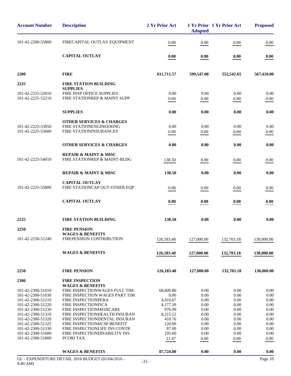| <b>Account Number</b><br><b>Description</b>                              | 2 Yr Prior Act    | <b>Adopted</b> | 1 Yr Prior 1 Yr Prior Act | <b>Proposed</b> |
|--------------------------------------------------------------------------|-------------------|----------------|---------------------------|-----------------|
| 101-42-2200-55800<br>FIRECAPITAL OUTLAY EQUIPMENT                        | 0.00              | 0.00           | 0.00                      | 0.00            |
| <b>CAPITAL OUTLAY</b>                                                    | 0.00              | 0.00           | 0.00                      | 0.00            |
| 2200<br><b>FIRE</b>                                                      | 611,711.57        | 599,547.00     | 552,542.65                | 567,410.00      |
| <b>FIRE STATION BUILDING</b><br>2225                                     |                   |                |                           |                 |
| <b>SUPPLIES</b><br>FIRE INSP OFFICE SUPPLIES                             | 0.00              | 0.00           | 0.00                      | 0.00            |
| 101-42-2225-52010<br>101-42-2225-52210<br>FIRE STATIONREP & MAINT SUPP   | 0.00              | 0.00           | 0.00                      | 0.00            |
| <b>SUPPLIES</b>                                                          | 0.00              | 0.00           | 0.00                      | 0.00            |
| <b>OTHER SERVICES &amp; CHARGES</b>                                      |                   |                |                           |                 |
| 101-42-2225-53050<br>FIRE STATIONENGINEERING                             | 0.00              | 0.00           | 0.00                      | 0.00            |
| 101-42-2225-53600<br>FIRE STATIONINSURANCES                              | 0.00              | 0.00           | 0.00                      | 0.00            |
| <b>OTHER SERVICES &amp; CHARGES</b>                                      | 0.00              | 0.00           | 0.00                      | 0.00            |
|                                                                          |                   |                |                           |                 |
| <b>REPAIR &amp; MAINT &amp; MISC</b>                                     |                   |                |                           |                 |
| 101-42-2225-54010<br>FIRE STATIONREP & MAINT-BLDG                        | 138.50            | 0.00           | 0.00                      | 0.00            |
| <b>REPAIR &amp; MAINT &amp; MISC</b>                                     | 138.50            | 0.00           | 0.00                      | 0.00            |
| <b>CAPITAL OUTLAY</b>                                                    |                   |                |                           |                 |
| 101-42-2225-55800<br>FIRE STATIONCAP OUT-OTHER EQP                       | 0.00              | 0.00           | 0.00                      | 0.00            |
| <b>CAPITAL OUTLAY</b>                                                    | 0.00              | 0.00           | 0.00                      | 0.00            |
| 2225<br><b>FIRE STATION BUILDING</b>                                     | 138.50            | 0.00           | 0.00                      | 0.00            |
| 2250<br><b>FIRE PENSION</b>                                              |                   |                |                           |                 |
| <b>WAGES &amp; BENEFITS</b>                                              |                   |                |                           |                 |
| FIREPENSION CONTRIBUTION<br>101-42-2250-51240                            | 126,183.48        | 127,000.00     | 132,703.18                | 130,000.00      |
| <b>WAGES &amp; BENEFITS</b>                                              | 126, 183. 48      | 127,000.00     | 132,703.18                | 130,000.00      |
|                                                                          |                   |                |                           |                 |
| 2250<br><b>FIRE PENSION</b>                                              | 126, 183. 48      | 127,000.00     | 132,703.18                | 130,000.00      |
| 2300<br><b>FIRE INSPECTION</b>                                           |                   |                |                           |                 |
| <b>WAGES &amp; BENEFITS</b><br>FIRE INSPECTIONWAGES FULL TIM             |                   |                | 0.00                      | 0.00            |
| 101-42-2300-51010<br>101-42-2300-51030<br>FIRE INSPECTION WAGES PART TIM | 68,609.80<br>0.00 | 0.00<br>0.00   | 0.00                      | 0.00            |
| 101-42-2300-51210<br>FIRE INSPECTIONPERA                                 | 4,910.67          | 0.00           | 0.00                      | 0.00            |
| 101-42-2300-51220<br>FIRE INSPECTIONFICA                                 | 4,177.39          | 0.00           | 0.00                      | 0.00            |
| 101-42-2300-51230<br>FIRE INSPECTIONMEDICARE                             | 976.99            | 0.00           | 0.00                      | 0.00            |
| 101-42-2300-51310<br>FIRE INSPECTIONHEALTH INSURAN                       | 8,215.12          | 0.00           | 0.00                      | 0.00            |
| FIRE INSPECTIONDENTAL INSURAN<br>101-42-2300-51320                       | 410.76            | 0.00           | 0.00                      | 0.00            |
| 101-42-2300-51325<br>FIRE INSPECTIONHCSP BENEFIT                         | 120.00            | 0.00           | 0.00                      | 0.00            |
| 101-42-2300-51330<br>FIRE INSPECTIONLIFE INS CONTR                       | 87.00             | 0.00           | 0.00                      | 0.00            |
| 101-42-2300-51600<br>FIRE INSPECTIONDISABILITY INS                       | 195.60            | 0.00           | 0.00                      | 0.00            |
| 101-42-2300-51800<br>PCORI TAX                                           | 21.47             | 0.00           | 0.00                      | 0.00            |
| <b>WAGES &amp; BENEFITS</b>                                              | 87,724.80         | 0.00           | 0.00                      | 0.00            |
| GL - EXPENDITURE DETAIL 2016 BUDGET (01/04/2016 -                        |                   |                |                           | Page 10         |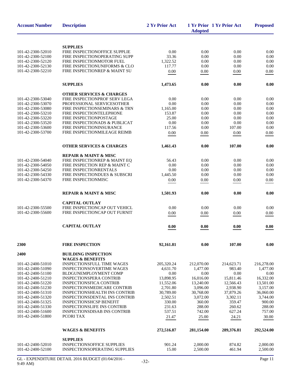| <b>Description</b>                   | 2 Yr Prior Act                                                                                                                                                                                                                                                                                                                                                                                                                                                                                                                                                                                                                                                                                                                                                                                                                                                                                                                                                                                                                                         | <b>Adopted</b>                                                                                                                                                                                                                                                                                   |                                                                                                                                                                                                                                                            | <b>Proposed</b>                                                                                                                                                                                                                                                                        |
|--------------------------------------|--------------------------------------------------------------------------------------------------------------------------------------------------------------------------------------------------------------------------------------------------------------------------------------------------------------------------------------------------------------------------------------------------------------------------------------------------------------------------------------------------------------------------------------------------------------------------------------------------------------------------------------------------------------------------------------------------------------------------------------------------------------------------------------------------------------------------------------------------------------------------------------------------------------------------------------------------------------------------------------------------------------------------------------------------------|--------------------------------------------------------------------------------------------------------------------------------------------------------------------------------------------------------------------------------------------------------------------------------------------------|------------------------------------------------------------------------------------------------------------------------------------------------------------------------------------------------------------------------------------------------------------|----------------------------------------------------------------------------------------------------------------------------------------------------------------------------------------------------------------------------------------------------------------------------------------|
|                                      |                                                                                                                                                                                                                                                                                                                                                                                                                                                                                                                                                                                                                                                                                                                                                                                                                                                                                                                                                                                                                                                        |                                                                                                                                                                                                                                                                                                  |                                                                                                                                                                                                                                                            |                                                                                                                                                                                                                                                                                        |
|                                      |                                                                                                                                                                                                                                                                                                                                                                                                                                                                                                                                                                                                                                                                                                                                                                                                                                                                                                                                                                                                                                                        |                                                                                                                                                                                                                                                                                                  |                                                                                                                                                                                                                                                            |                                                                                                                                                                                                                                                                                        |
|                                      |                                                                                                                                                                                                                                                                                                                                                                                                                                                                                                                                                                                                                                                                                                                                                                                                                                                                                                                                                                                                                                                        |                                                                                                                                                                                                                                                                                                  |                                                                                                                                                                                                                                                            | 0.00<br>0.00                                                                                                                                                                                                                                                                           |
|                                      |                                                                                                                                                                                                                                                                                                                                                                                                                                                                                                                                                                                                                                                                                                                                                                                                                                                                                                                                                                                                                                                        |                                                                                                                                                                                                                                                                                                  |                                                                                                                                                                                                                                                            | 0.00                                                                                                                                                                                                                                                                                   |
|                                      |                                                                                                                                                                                                                                                                                                                                                                                                                                                                                                                                                                                                                                                                                                                                                                                                                                                                                                                                                                                                                                                        |                                                                                                                                                                                                                                                                                                  |                                                                                                                                                                                                                                                            | 0.00                                                                                                                                                                                                                                                                                   |
| FIRE INSPECTIONREP & MAINT SU        | 0.00                                                                                                                                                                                                                                                                                                                                                                                                                                                                                                                                                                                                                                                                                                                                                                                                                                                                                                                                                                                                                                                   | 0.00                                                                                                                                                                                                                                                                                             | 0.00                                                                                                                                                                                                                                                       | 0.00                                                                                                                                                                                                                                                                                   |
|                                      |                                                                                                                                                                                                                                                                                                                                                                                                                                                                                                                                                                                                                                                                                                                                                                                                                                                                                                                                                                                                                                                        |                                                                                                                                                                                                                                                                                                  |                                                                                                                                                                                                                                                            | 0.00                                                                                                                                                                                                                                                                                   |
|                                      |                                                                                                                                                                                                                                                                                                                                                                                                                                                                                                                                                                                                                                                                                                                                                                                                                                                                                                                                                                                                                                                        |                                                                                                                                                                                                                                                                                                  |                                                                                                                                                                                                                                                            |                                                                                                                                                                                                                                                                                        |
| <b>OTHER SERVICES &amp; CHARGES</b>  |                                                                                                                                                                                                                                                                                                                                                                                                                                                                                                                                                                                                                                                                                                                                                                                                                                                                                                                                                                                                                                                        |                                                                                                                                                                                                                                                                                                  |                                                                                                                                                                                                                                                            |                                                                                                                                                                                                                                                                                        |
|                                      |                                                                                                                                                                                                                                                                                                                                                                                                                                                                                                                                                                                                                                                                                                                                                                                                                                                                                                                                                                                                                                                        |                                                                                                                                                                                                                                                                                                  |                                                                                                                                                                                                                                                            | 0.00                                                                                                                                                                                                                                                                                   |
|                                      |                                                                                                                                                                                                                                                                                                                                                                                                                                                                                                                                                                                                                                                                                                                                                                                                                                                                                                                                                                                                                                                        |                                                                                                                                                                                                                                                                                                  |                                                                                                                                                                                                                                                            | 0.00                                                                                                                                                                                                                                                                                   |
|                                      |                                                                                                                                                                                                                                                                                                                                                                                                                                                                                                                                                                                                                                                                                                                                                                                                                                                                                                                                                                                                                                                        |                                                                                                                                                                                                                                                                                                  |                                                                                                                                                                                                                                                            | 0.00<br>0.00                                                                                                                                                                                                                                                                           |
|                                      |                                                                                                                                                                                                                                                                                                                                                                                                                                                                                                                                                                                                                                                                                                                                                                                                                                                                                                                                                                                                                                                        |                                                                                                                                                                                                                                                                                                  |                                                                                                                                                                                                                                                            | 0.00                                                                                                                                                                                                                                                                                   |
|                                      |                                                                                                                                                                                                                                                                                                                                                                                                                                                                                                                                                                                                                                                                                                                                                                                                                                                                                                                                                                                                                                                        |                                                                                                                                                                                                                                                                                                  |                                                                                                                                                                                                                                                            | 0.00                                                                                                                                                                                                                                                                                   |
|                                      |                                                                                                                                                                                                                                                                                                                                                                                                                                                                                                                                                                                                                                                                                                                                                                                                                                                                                                                                                                                                                                                        |                                                                                                                                                                                                                                                                                                  |                                                                                                                                                                                                                                                            | 0.00                                                                                                                                                                                                                                                                                   |
| FIRE INSPECTIONMILEAGE REIMB         | 0.00                                                                                                                                                                                                                                                                                                                                                                                                                                                                                                                                                                                                                                                                                                                                                                                                                                                                                                                                                                                                                                                   | 0.00                                                                                                                                                                                                                                                                                             | 0.00                                                                                                                                                                                                                                                       | 0.00                                                                                                                                                                                                                                                                                   |
|                                      |                                                                                                                                                                                                                                                                                                                                                                                                                                                                                                                                                                                                                                                                                                                                                                                                                                                                                                                                                                                                                                                        |                                                                                                                                                                                                                                                                                                  |                                                                                                                                                                                                                                                            |                                                                                                                                                                                                                                                                                        |
| <b>OTHER SERVICES &amp; CHARGES</b>  | 1,461.43                                                                                                                                                                                                                                                                                                                                                                                                                                                                                                                                                                                                                                                                                                                                                                                                                                                                                                                                                                                                                                               | 0.00                                                                                                                                                                                                                                                                                             | 107.00                                                                                                                                                                                                                                                     | 0.00                                                                                                                                                                                                                                                                                   |
| <b>REPAIR &amp; MAINT &amp; MISC</b> |                                                                                                                                                                                                                                                                                                                                                                                                                                                                                                                                                                                                                                                                                                                                                                                                                                                                                                                                                                                                                                                        |                                                                                                                                                                                                                                                                                                  |                                                                                                                                                                                                                                                            |                                                                                                                                                                                                                                                                                        |
|                                      |                                                                                                                                                                                                                                                                                                                                                                                                                                                                                                                                                                                                                                                                                                                                                                                                                                                                                                                                                                                                                                                        |                                                                                                                                                                                                                                                                                                  |                                                                                                                                                                                                                                                            | 0.00                                                                                                                                                                                                                                                                                   |
|                                      |                                                                                                                                                                                                                                                                                                                                                                                                                                                                                                                                                                                                                                                                                                                                                                                                                                                                                                                                                                                                                                                        |                                                                                                                                                                                                                                                                                                  |                                                                                                                                                                                                                                                            | 0.00                                                                                                                                                                                                                                                                                   |
|                                      |                                                                                                                                                                                                                                                                                                                                                                                                                                                                                                                                                                                                                                                                                                                                                                                                                                                                                                                                                                                                                                                        |                                                                                                                                                                                                                                                                                                  |                                                                                                                                                                                                                                                            | 0.00                                                                                                                                                                                                                                                                                   |
|                                      |                                                                                                                                                                                                                                                                                                                                                                                                                                                                                                                                                                                                                                                                                                                                                                                                                                                                                                                                                                                                                                                        |                                                                                                                                                                                                                                                                                                  |                                                                                                                                                                                                                                                            | 0.00                                                                                                                                                                                                                                                                                   |
|                                      |                                                                                                                                                                                                                                                                                                                                                                                                                                                                                                                                                                                                                                                                                                                                                                                                                                                                                                                                                                                                                                                        |                                                                                                                                                                                                                                                                                                  |                                                                                                                                                                                                                                                            | 0.00                                                                                                                                                                                                                                                                                   |
| <b>REPAIR &amp; MAINT &amp; MISC</b> | 1,501.93                                                                                                                                                                                                                                                                                                                                                                                                                                                                                                                                                                                                                                                                                                                                                                                                                                                                                                                                                                                                                                               | 0.00                                                                                                                                                                                                                                                                                             | 0.00                                                                                                                                                                                                                                                       | 0.00                                                                                                                                                                                                                                                                                   |
| <b>CAPITAL OUTLAY</b>                |                                                                                                                                                                                                                                                                                                                                                                                                                                                                                                                                                                                                                                                                                                                                                                                                                                                                                                                                                                                                                                                        |                                                                                                                                                                                                                                                                                                  |                                                                                                                                                                                                                                                            |                                                                                                                                                                                                                                                                                        |
|                                      |                                                                                                                                                                                                                                                                                                                                                                                                                                                                                                                                                                                                                                                                                                                                                                                                                                                                                                                                                                                                                                                        | 0.00                                                                                                                                                                                                                                                                                             |                                                                                                                                                                                                                                                            | 0.00                                                                                                                                                                                                                                                                                   |
|                                      |                                                                                                                                                                                                                                                                                                                                                                                                                                                                                                                                                                                                                                                                                                                                                                                                                                                                                                                                                                                                                                                        |                                                                                                                                                                                                                                                                                                  |                                                                                                                                                                                                                                                            | 0.00                                                                                                                                                                                                                                                                                   |
| <b>CAPITAL OUTLAY</b>                | 0.00                                                                                                                                                                                                                                                                                                                                                                                                                                                                                                                                                                                                                                                                                                                                                                                                                                                                                                                                                                                                                                                   | 0.00                                                                                                                                                                                                                                                                                             | 0.00                                                                                                                                                                                                                                                       | 0.00                                                                                                                                                                                                                                                                                   |
|                                      |                                                                                                                                                                                                                                                                                                                                                                                                                                                                                                                                                                                                                                                                                                                                                                                                                                                                                                                                                                                                                                                        |                                                                                                                                                                                                                                                                                                  |                                                                                                                                                                                                                                                            | 0.00                                                                                                                                                                                                                                                                                   |
|                                      |                                                                                                                                                                                                                                                                                                                                                                                                                                                                                                                                                                                                                                                                                                                                                                                                                                                                                                                                                                                                                                                        |                                                                                                                                                                                                                                                                                                  |                                                                                                                                                                                                                                                            |                                                                                                                                                                                                                                                                                        |
|                                      |                                                                                                                                                                                                                                                                                                                                                                                                                                                                                                                                                                                                                                                                                                                                                                                                                                                                                                                                                                                                                                                        |                                                                                                                                                                                                                                                                                                  |                                                                                                                                                                                                                                                            |                                                                                                                                                                                                                                                                                        |
| <b>INSPECTIONSFULL TIME WAGES</b>    | 205,320.24                                                                                                                                                                                                                                                                                                                                                                                                                                                                                                                                                                                                                                                                                                                                                                                                                                                                                                                                                                                                                                             | 212,070.00                                                                                                                                                                                                                                                                                       | 214,623.71                                                                                                                                                                                                                                                 | 216,278.00                                                                                                                                                                                                                                                                             |
| <b>INSPECTIONSOVERTIME WAGES</b>     | 4,631.70                                                                                                                                                                                                                                                                                                                                                                                                                                                                                                                                                                                                                                                                                                                                                                                                                                                                                                                                                                                                                                               | 1,477.00                                                                                                                                                                                                                                                                                         | 983.40                                                                                                                                                                                                                                                     | 1,477.00                                                                                                                                                                                                                                                                               |
| <b>BLDGUNEMPLOYMENT COMP</b>         | 0.00                                                                                                                                                                                                                                                                                                                                                                                                                                                                                                                                                                                                                                                                                                                                                                                                                                                                                                                                                                                                                                                   | 0.00                                                                                                                                                                                                                                                                                             | 0.00                                                                                                                                                                                                                                                       | 0.00                                                                                                                                                                                                                                                                                   |
|                                      |                                                                                                                                                                                                                                                                                                                                                                                                                                                                                                                                                                                                                                                                                                                                                                                                                                                                                                                                                                                                                                                        |                                                                                                                                                                                                                                                                                                  |                                                                                                                                                                                                                                                            | 16,332.00                                                                                                                                                                                                                                                                              |
|                                      |                                                                                                                                                                                                                                                                                                                                                                                                                                                                                                                                                                                                                                                                                                                                                                                                                                                                                                                                                                                                                                                        |                                                                                                                                                                                                                                                                                                  | 12,566.43                                                                                                                                                                                                                                                  | 13,501.00                                                                                                                                                                                                                                                                              |
|                                      |                                                                                                                                                                                                                                                                                                                                                                                                                                                                                                                                                                                                                                                                                                                                                                                                                                                                                                                                                                                                                                                        |                                                                                                                                                                                                                                                                                                  |                                                                                                                                                                                                                                                            | 3,157.00                                                                                                                                                                                                                                                                               |
|                                      |                                                                                                                                                                                                                                                                                                                                                                                                                                                                                                                                                                                                                                                                                                                                                                                                                                                                                                                                                                                                                                                        |                                                                                                                                                                                                                                                                                                  |                                                                                                                                                                                                                                                            | 36,060.00                                                                                                                                                                                                                                                                              |
|                                      |                                                                                                                                                                                                                                                                                                                                                                                                                                                                                                                                                                                                                                                                                                                                                                                                                                                                                                                                                                                                                                                        |                                                                                                                                                                                                                                                                                                  |                                                                                                                                                                                                                                                            | 3,744.00                                                                                                                                                                                                                                                                               |
|                                      |                                                                                                                                                                                                                                                                                                                                                                                                                                                                                                                                                                                                                                                                                                                                                                                                                                                                                                                                                                                                                                                        |                                                                                                                                                                                                                                                                                                  |                                                                                                                                                                                                                                                            | 900.00                                                                                                                                                                                                                                                                                 |
|                                      |                                                                                                                                                                                                                                                                                                                                                                                                                                                                                                                                                                                                                                                                                                                                                                                                                                                                                                                                                                                                                                                        |                                                                                                                                                                                                                                                                                                  |                                                                                                                                                                                                                                                            | 288.00<br>757.00                                                                                                                                                                                                                                                                       |
|                                      |                                                                                                                                                                                                                                                                                                                                                                                                                                                                                                                                                                                                                                                                                                                                                                                                                                                                                                                                                                                                                                                        |                                                                                                                                                                                                                                                                                                  |                                                                                                                                                                                                                                                            | 30.00                                                                                                                                                                                                                                                                                  |
|                                      |                                                                                                                                                                                                                                                                                                                                                                                                                                                                                                                                                                                                                                                                                                                                                                                                                                                                                                                                                                                                                                                        |                                                                                                                                                                                                                                                                                                  |                                                                                                                                                                                                                                                            |                                                                                                                                                                                                                                                                                        |
| <b>WAGES &amp; BENEFITS</b>          | 272,516.87                                                                                                                                                                                                                                                                                                                                                                                                                                                                                                                                                                                                                                                                                                                                                                                                                                                                                                                                                                                                                                             | 281,154.00                                                                                                                                                                                                                                                                                       | 289,376.81                                                                                                                                                                                                                                                 | 292,524.00                                                                                                                                                                                                                                                                             |
| <b>SUPPLIES</b>                      |                                                                                                                                                                                                                                                                                                                                                                                                                                                                                                                                                                                                                                                                                                                                                                                                                                                                                                                                                                                                                                                        |                                                                                                                                                                                                                                                                                                  |                                                                                                                                                                                                                                                            |                                                                                                                                                                                                                                                                                        |
| <b>INSPECTIONSOPERATING SUPPLIES</b> | 901.24<br>15.00                                                                                                                                                                                                                                                                                                                                                                                                                                                                                                                                                                                                                                                                                                                                                                                                                                                                                                                                                                                                                                        | 2,000.00<br>2,500.00                                                                                                                                                                                                                                                                             | 874.82<br>461.94                                                                                                                                                                                                                                           | 2,000.00<br>2,500.00                                                                                                                                                                                                                                                                   |
|                                      | <b>SUPPLIES</b><br>FIRE INSPECTIONOFFICE SUPPLIE<br>FIRE INSPECTIONOPERATING SUPP<br>FIRE INSPECTIONMOTOR FUEL<br>FIRE INSPECTIONUNIFORMS & CLO<br><b>SUPPLIES</b><br>FIRE INSPECTIONPROF SERV LEGA<br>PROFESSIONAL SERVICESOTHER<br>FIRE INSPECTIONSEMINARS & TRN<br>FIRE INSPECTIONTELEPHONE<br>FIRE INSPECTIONPOSTAGE<br>FIRE INSPECTIONADS & PUBLICAT<br>FIRE INSPECTIONINSURANCE<br>FIRE INSPECTIONREP & MAINT EQ<br>FIRE INSPECTION REP & MAINT C<br>FIRE INSPECTIONRENTALS<br>FIRE INSPECTIONDUES & SUBSCRI<br>FIRE INSPECTIONMISC<br>FIRE INSPECTIONCAP OUT VEHICL<br>FIRE INSPECTIONCAP OUT FURNIT<br><b>FIRE INSPECTION</b><br><b>BUILDING INSPECTION</b><br><b>WAGES &amp; BENEFITS</b><br><b>INSPECTIONSPERA CONTRIB</b><br><b>INSPECTIONSFICA CONTRIB</b><br><b>INSPECTIONSMEDICARE CONTRIB</b><br><b>INSPECTIONSHEALTH INS CONTRIB</b><br>INSPECTIONSDENTAL INS CONTRIB<br><b>INSPECTIONSHCSP BENEFIT</b><br><b>INSPECTIONSLIFE INS CONTRIB</b><br><b>INSPECTIONSDISAB INS CONTRIB</b><br>PCORI TAX<br><b>INSPECTIONSOFFICE SUPPLIES</b> | 0.00<br>33.36<br>1,322.52<br>117.77<br>1,473.65<br>0.00<br>0.00<br>1,165.00<br>153.87<br>25.00<br>0.00<br>117.56<br>56.43<br>0.00<br>0.00<br>1,445.50<br>0.00<br>0.00<br>0.00<br>92,161.81<br>13,898.95<br>11,552.06<br>2,701.80<br>30,789.00<br>2,502.51<br>330.00<br>231.63<br>537.51<br>21.47 | 0.00<br>0.00<br>0.00<br>0.00<br>0.00<br>0.00<br>0.00<br>0.00<br>0.00<br>0.00<br>0.00<br>0.00<br>0.00<br>0.00<br>0.00<br>0.00<br>0.00<br>0.00<br>0.00<br>16,016.00<br>13,240.00<br>3,096.00<br>30,768.00<br>3,072.00<br>360.00<br>288.00<br>742.00<br>25.00 | 1 Yr Prior 1 Yr Prior Act<br>0.00<br>0.00<br>0.00<br>0.00<br>0.00<br>0.00<br>0.00<br>0.00<br>0.00<br>0.00<br>0.00<br>107.00<br>0.00<br>0.00<br>0.00<br>0.00<br>0.00<br>0.00<br>0.00<br>107.00<br>15,811.46<br>2,938.90<br>37,879.26<br>3,302.11<br>359.47<br>260.62<br>627.24<br>24.21 |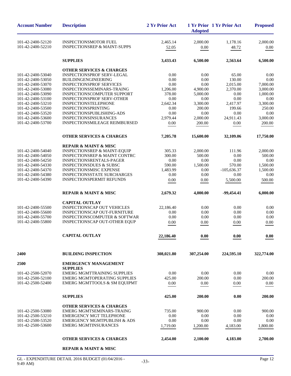| <b>Account Number</b>                  | <b>Description</b>                                                   | 2 Yr Prior Act     | <b>Adopted</b>      | 1 Yr Prior 1 Yr Prior Act | <b>Proposed</b>      |
|----------------------------------------|----------------------------------------------------------------------|--------------------|---------------------|---------------------------|----------------------|
| 101-42-2400-52120                      | <b>INSPECTIONSMOTOR FUEL</b>                                         | 2,465.14           | 2,000.00            | 1,178.16                  | 2,000.00             |
| 101-42-2400-52210                      | <b>INSPECTIONSREP &amp; MAINT-SUPPS</b>                              | 52.05              | 0.00                | 48.72                     | $0.00\,$             |
|                                        | <b>SUPPLIES</b>                                                      | 3,433.43           | 6,500.00            | 2,563.64                  | 6,500.00             |
|                                        | <b>OTHER SERVICES &amp; CHARGES</b>                                  |                    |                     |                           |                      |
| 101-42-2400-53040                      | <b>INSPECTIONSPROF SERV-LEGAL</b>                                    | 0.00               | 0.00                | 65.00                     | 0.00                 |
| 101-42-2400-53050                      | BUILDINGENGINEERING                                                  | 0.00               | 0.00                | 130.00                    | 0.00                 |
| 101-42-2400-53070                      | <b>INSPECTIONSPROF SERVICES</b>                                      | 0.00               | 0.00                | 2,015.00                  | 7,000.00             |
| 101-42-2400-53080                      | INSPECTIONSSEMINARS-TRAING                                           | 1,206.00           | 4,900.00            | 2,370.00                  | 3,000.00             |
| 101-42-2400-53090<br>101-42-2400-53100 | INSPECTIONSCOMPUTER SUPPORT<br><b>INSPECTIONSPROF SERV-OTHER</b>     | 378.00<br>0.00     | 5,000.00<br>0.00    | 0.00<br>0.00              | 1,000.00<br>0.00     |
| 101-42-2400-53210                      | <b>INSPECTIONSTELEPHONE</b>                                          | 2,642.34           | 3,300.00            | 2,417.97                  | 3,300.00             |
| 101-42-2400-53500                      | INSPECTIONSPRINTING                                                  | 0.00               | 200.00              | 199.66                    | 250.00               |
| 101-42-2400-53520                      | INSPECTIONSPUBLISHING-ADS                                            | 0.00               | 0.00                | 0.00                      | 0.00                 |
| 101-42-2400-53600                      | <b>INSPECTIONSINSURANCES</b>                                         | 2,979.44           | 2,000.00            | 24,911.43                 | 3,000.00             |
| 101-42-2400-53700                      | <b>INSPECTIONSMILEAGE REIMBURSED</b>                                 | 0.00               | 200.00              | 0.00                      | 200.00               |
|                                        | <b>OTHER SERVICES &amp; CHARGES</b>                                  | 7,205.78           | 15,600.00           | 32,109.06                 | 17,750.00            |
|                                        | <b>REPAIR &amp; MAINT &amp; MISC</b>                                 |                    |                     |                           |                      |
| 101-42-2400-54040                      | <b>INSPECTIONSREP &amp; MAINT-EQUIP</b>                              | 305.33             | 2,000.00            | 111.96                    | 2,000.00             |
| 101-42-2400-54050                      | <b>INSPECTIONSREP &amp; MAINT CONTRC</b>                             | 300.00             | 500.00              | 0.00                      | 500.00               |
| 101-42-2400-54250                      | INSPECTIONSRENTALS-PAGER                                             | 0.00               | 0.00                | 0.00                      | 0.00                 |
| 101-42-2400-54330<br>101-42-2400-54370 | <b>INSPECTIONSDUES &amp; SUBSC</b><br><b>INSPECTIONSMISC EXPENSE</b> | 590.00<br>1,483.99 | 1,500.00<br>0.00    | 570.00<br>$-105,636.37$   | 1,500.00<br>1,500.00 |
| 101-42-2400-54380                      | <b>INSPECTIONSSTATE SURCHARGES</b>                                   | 0.00               | 0.00                | 0.00                      | 0.00                 |
| 101-42-2400-54390                      | <b>INSPECTIONSPERMIT REFUNDS</b>                                     | 0.00               | 0.00                | 5,500.00                  | 500.00               |
|                                        | <b>REPAIR &amp; MAINT &amp; MISC</b>                                 | 2,679.32           | 4,000.00            | -99,454.41                | 6,000.00             |
|                                        |                                                                      |                    |                     |                           |                      |
| 101-42-2400-55500                      | <b>CAPITAL OUTLAY</b><br><b>INSPECTIONSCAP OUT VEHICLES</b>          | 22,186.40          | 0.00                | 0.00                      | 0.00                 |
| 101-42-2400-55600                      | <b>INSPECTIONSCAP OUT-FURNITURE</b>                                  | 0.00               | 0.00                | 0.00                      | 0.00                 |
| 101-42-2400-55700                      | INSPECTIONSCOMPUTER & SOFTWAR                                        | 0.00               | 0.00                | 0.00                      | 0.00                 |
| 101-42-2400-55800                      | INSPECTIONSCAP OUT-OTHER EQUP                                        | 0.00               | 0.00                | 0.00                      | 0.00                 |
|                                        | <b>CAPITAL OUTLAY</b>                                                | 22,186.40          | $\boldsymbol{0.00}$ | $\boldsymbol{0.00}$       | $\boldsymbol{0.00}$  |
| 2400                                   | <b>BUILDING INSPECTION</b>                                           | 308,021.80         | 307,254.00          | 224,595.10                | 322,774.00           |
| 2500                                   | <b>EMERGENCY MANAGEMENT</b>                                          |                    |                     |                           |                      |
|                                        | <b>SUPPLIES</b>                                                      |                    |                     |                           |                      |
| 101-42-2500-52070                      | <b>EMERG MGMTTRAINING SUPPLIES</b>                                   | 0.00               | 0.00                | 0.00                      | 0.00                 |
| 101-42-2500-52100                      | <b>EMERG MGMTOPERATING SUPPLIES</b>                                  | 425.00             | 200.00              | 0.00                      | 200.00               |
| 101-42-2500-52400                      | EMERG MGMTTOOLS & SM EQUIPMT                                         | 0.00               | 0.00                | 0.00                      | 0.00                 |
|                                        | <b>SUPPLIES</b>                                                      | 425.00             | 200.00              | 0.00                      | 200.00               |
|                                        | <b>OTHER SERVICES &amp; CHARGES</b>                                  |                    |                     |                           |                      |
| 101-42-2500-53080                      | EMERG MGMTSEMINARS-TRAING                                            | 735.00             | 900.00              | 0.00                      | 900.00               |
| 101-42-2500-53210                      | <b>EMERGENCY MGT TELEPHONE</b>                                       | 0.00               | 0.00                | 0.00                      | 0.00                 |
| 101-42-2500-53520                      | <b>EMERGENCY MGMTPUBLISH &amp; ADS</b>                               | 0.00               | 0.00                | 0.00                      | 0.00                 |
| 101-42-2500-53600                      | <b>EMERG MGMTINSURANCES</b>                                          | 1,719.00           | 1,200.00            | 4,183.00                  | 1,800.00             |
|                                        | <b>OTHER SERVICES &amp; CHARGES</b>                                  | 2,454.00           | 2,100.00            | 4,183.00                  | 2,700.00             |
|                                        | <b>REPAIR &amp; MAINT &amp; MISC</b>                                 |                    |                     |                           |                      |
|                                        |                                                                      |                    |                     |                           |                      |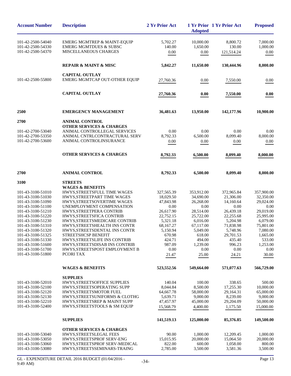| <b>Account Number</b>                  | <b>Description</b>                                        | 2 Yr Prior Act        | <b>Adopted</b>        | 1 Yr Prior 1 Yr Prior Act | <b>Proposed</b>       |
|----------------------------------------|-----------------------------------------------------------|-----------------------|-----------------------|---------------------------|-----------------------|
| 101-42-2500-54040                      | EMERG MGMTREP & MAINT-EQUIP                               | 5,702.27              | 10,000.00             | 8,800.72                  | 7,000.00              |
| 101-42-2500-54330                      | <b>EMERG MGMTDUES &amp; SUBSC</b>                         | 140.00                | 1,650.00              | 130.00                    | 1,000.00              |
| 101-42-2500-54370                      | <b>MISCELLANEOUS CHARGES</b>                              | 0.00                  | 0.00                  | 121,514.24                | 0.00                  |
|                                        | <b>REPAIR &amp; MAINT &amp; MISC</b>                      | 5,842.27              | 11,650.00             | 130,444.96                | 8,000.00              |
|                                        | <b>CAPITAL OUTLAY</b>                                     |                       |                       |                           |                       |
| 101-42-2500-55800                      | EMERG MGMTCAP OUT-OTHER EQUIP                             | 27,760.36             | 0.00                  | 7,550.00                  | 0.00                  |
|                                        | <b>CAPITAL OUTLAY</b>                                     | 27,760.36             | 0.00                  | 7,550.00                  | 0.00                  |
| 2500                                   | <b>EMERGENCY MANAGEMENT</b>                               | 36,481.63             | 13,950.00             | 142,177.96                | 10,900.00             |
| 2700                                   | <b>ANIMAL CONTROL</b>                                     |                       |                       |                           |                       |
|                                        | <b>OTHER SERVICES &amp; CHARGES</b>                       |                       |                       |                           |                       |
| 101-42-2700-53040                      | ANIMAL CONTROLLEGAL SERVICES                              | 0.00                  | 0.00                  | 0.00                      | 0.00                  |
| 101-42-2700-53350                      | ANIMAL CNTRLCONTRACTURAL SERV                             | 8,792.33              | 6,500.00              | 8,099.40                  | 8,000.00              |
| 101-42-2700-53600                      | ANIMAL CONTROLINSURANCE                                   | 0.00                  | 0.00                  | 0.00                      | 0.00                  |
|                                        | <b>OTHER SERVICES &amp; CHARGES</b>                       | 8,792.33              | 6,500.00              | 8,099.40                  | 8,000.00              |
| 2700                                   | <b>ANIMAL CONTROL</b>                                     | 8,792.33              | 6,500.00              | 8,099.40                  | 8,000.00              |
| 3100                                   | <b>STREETS</b>                                            |                       |                       |                           |                       |
|                                        | <b>WAGES &amp; BENEFITS</b>                               |                       |                       |                           |                       |
| 101-43-3100-51010                      | HWYS, STREETSFULL TIME WAGES                              | 327,565.39            | 353,912.00            | 372,965.84                | 357,900.00            |
| 101-43-3100-51030                      | HWYS, STREETPART TIME WAGES                               | 18,029.50             | 34,690.00             | 21,306.00                 | 32,350.00             |
| 101-43-3100-51090                      | HWYS, STREETSOVERTIME WAGES                               | 47,843.98             | 26,268.00             | 14,160.64                 | 29,024.00             |
| 101-43-3100-51100<br>101-43-3100-51210 | UNEMPLOYMENT COMPENSATION<br>HWYS, STREETPERA CONTRIB     | 0.00<br>26,617.90     | 0.00<br>28,514.00     | 0.00<br>26,439.18         | 0.00<br>29,019.00     |
| 101-43-3100-51220                      | HWYS, STREETSFICA CONTRIB                                 | 22,752.15             | 25,722.00             | 22,255.68                 | 25,995.00             |
| 101-43-3100-51230                      | HWYS, STREETSMEDICARE CONTRIB                             | 5,321.18              | 6,016.00              | 5,204.98                  | 6,079.00              |
| 101-43-3100-51310                      | HWYS, STREETSHEALTH INS CONTR                             | 68,167.27             | 67,117.00             | 71,838.98                 | 75,801.00             |
| 101-43-3100-51320                      | HWYS.STREETSDENTAL INS CONTR                              | 5,150.94              | 5.049.00              | 5.748.96                  | 7,080.00              |
| 101-43-3100-51325                      | STREETSHCSP BENEFIT                                       | 670.98                | 618.00                | 29,701.53                 | 1,665.00              |
| 101-43-3100-51330                      | HWYS, STREETSLIFE INS CONTRIB                             | 424.71                | 494.00                | 435.40                    | 533.00                |
| 101-43-3100-51600                      | HWYS, STREETSDISAB INS CONTRIB                            | 987.09                | 1,239.00              | 996.23                    | 1,253.00              |
| 101-43-3100-51700<br>101-43-3100-51800 | HWYS, STREETSPOST EMPLOYMENT B<br>PCORI TAX               | 0.00                  | 0.00                  | 0.00                      | 0.00                  |
|                                        |                                                           | 21.47                 | 25.00                 | 24.21                     | 30.00                 |
|                                        | <b>WAGES &amp; BENEFITS</b>                               | 523,552.56            | 549,664.00            | 571,077.63                | 566,729.00            |
|                                        | <b>SUPPLIES</b>                                           |                       |                       |                           |                       |
| 101-43-3100-52010                      | HWYS, STREETS OFFICE SUPPLIES                             | 140.04                | 100.00                | 338.65                    | 500.00                |
| 101-43-3100-52100                      | HWYS, STREETS OPERATING SUPP                              | 8,044.84              | 8,500.00              | 17,255.30                 | 10,000.00             |
| 101-43-3100-52120<br>101-43-3100-52130 | HWYS, STREETSMOTOR FUEL<br>HWYS, STREETSUNIFORMS & CLOTHG | 64,667.78<br>5,639.71 | 58,000.00<br>9,000.00 | 29.164.31<br>8,239.00     | 65,000.00<br>9,000.00 |
| 101-43-3100-52210                      | HWYS, STREETSREP & MAINT SUPP                             | 47,457.97             | 45,000.00             | 29,204.09                 | 50,000.00             |
| 101-43-3100-52400                      | HWYS, STREETSTOOLS & SM EQUIP                             | 15,568.79             | 4,400.00              | 1,175.50                  | 15,000.00             |
|                                        | <b>SUPPLIES</b>                                           | 141,519.13            | 125,000.00            | 85,376.85                 | 149,500.00            |
|                                        | <b>OTHER SERVICES &amp; CHARGES</b>                       |                       |                       |                           |                       |
| 101-43-3100-53040                      | HWYS, STREETSLEGAL FEES                                   | 90.00                 | 1,000.00              | 12,209.45                 | 1,000.00              |
| 101-43-3100-53050                      | HWYS, STREETSPROF SERV-ENG                                | 15,015.95             | 20,000.00             | 15,064.50                 | 20,000.00             |
| 101-43-3100-53060                      | HWYS, STREETSPROF SERV-MEDICAL                            | 822.00                | 600.00                | 1,058.00                  | 800.00                |
| 101-43-3100-53080                      | HWYS, STREETS SEMINARS-TRAING                             | 2,785.00              | 3,500.00              | 3,581.36                  | 3,500.00              |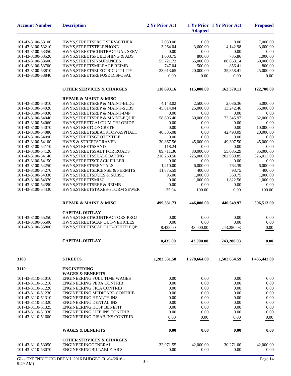| <b>Account Number</b>                  | <b>Description</b>                                                    | 2 Yr Prior Act          | <b>Adopted</b>          | 1 Yr Prior 1 Yr Prior Act | <b>Proposed</b>         |
|----------------------------------------|-----------------------------------------------------------------------|-------------------------|-------------------------|---------------------------|-------------------------|
| 101-43-3100-53100                      | HWYS, STREETSPROF SERV-OTHER                                          | 7,030.00                | 0.00                    | 0.00                      | 7,000.00                |
| 101-43-3100-53210                      | HWYS, STREETS TELEPHONE                                               | 3,264.04                | 3,600.00                | 4,142.98                  | 3,600.00                |
| 101-43-3100-53350                      | HWYS, STREETSCONTRACTUAL SERV                                         | 0.00                    | 0.00                    | 0.00                      | 0.00                    |
| 101-43-3100-53520                      | HWYS, STREETSPUBLISHING & ADS                                         | 1,603.75                | 800.00                  | 735.86                    | 1,000.00                |
| 101-43-3100-53600                      | HWYS, STREETSINSURANCES                                               | 55,721.73               | 65,000.00               | 88,863.14                 | 60,000.00               |
| 101-43-3100-53700                      | HWYS, STREETS MILEAGE REIMB                                           | 747.04                  | 500.00                  | 856.41                    | 800.00                  |
| 101-43-3100-53810                      | HWYS, STREETSELECTRIC UTILITY                                         | 23,613.65               | 20,000.00               | 35.858.41                 | 25,000.00               |
| 101-43-3100-53840                      | HWYS, STREETSREFUSE DISPOSAL                                          | 0.00                    | 0.00                    | 0.00                      | 0.00                    |
|                                        | <b>OTHER SERVICES &amp; CHARGES</b>                                   | 110,693.16              | 115,000.00              | 162,370.11                | 122,700.00              |
|                                        | <b>REPAIR &amp; MAINT &amp; MISC</b>                                  |                         |                         |                           |                         |
| 101-43-3100-54010                      | HWYS, STREETSREP & MAINT-BLDG                                         | 4,143.02                | 2,500.00                | 2,086.36                  | 5,000.00                |
| 101-43-3100-54020                      | HWYS, STREETSREP & MAINT-SUBS                                         | 45,814.04               | 25,000.00               | 13,242.46                 | 35,000.00               |
| 101-43-3100-54030                      | HWYS, STREETSREP & MAINT-IMP                                          | 0.00                    | 0.00                    | 0.00                      | 0.00                    |
| 101-43-3100-54040                      | HWYS, STREETSREP & MAINT-EQUIP                                        | 58,806.40               | 60,000.00               | 72,345.97                 | 62,000.00               |
| 101-43-3100-54060                      | HWYS,STREETCALCIUM CHLORIDE                                           | 0.00                    | 0.00                    | 0.00                      | 0.00                    |
| 101-43-3100-54070                      | HWYS, STREETCONCRETE                                                  | 0.00                    | 0.00                    | 0.00                      | 10,000.00               |
| 101-43-3100-54080                      | HWYS, STREETSBLACKTOP-ASPHALT                                         | 40,385.08               | 0.00                    | 42,493.09                 | 20,000.00               |
| 101-43-3100-54090                      | HWYS, STREETS GEOTEXTILE                                              | 0.00                    | 0.00                    | 0.00                      | 0.00                    |
| 101-43-3100-54100                      | <b>HWYS &amp; STREETSGRAVEL</b>                                       | 30,867.56               | 45,000.00               | 49,307.50                 | 45,000.00               |
| 101-43-3100-54110                      | HWYS, STREETSSAND                                                     | 118.24                  | 0.00                    | 0.00                      | 0.00                    |
| 101-43-3100-54120<br>101-43-3100-54140 | HWYS, STREETSSALT FOR ROADS                                           | 89,711.36<br>216,269.50 | 80,000.00<br>225,000.00 | 55,085.29<br>202,939.85   | 85,000.00<br>326,013.00 |
| 101-43-3100-54150                      | HWYS, STREETS SEAL COATING<br>HWYS, STREETSCRACK FILLER               | 0.00                    | 0.00                    | 0.00                      | 0.00                    |
| 101-43-3100-54250                      | HWYS, STREETSRENTALS                                                  | 1,210.00                | 6,000.00                | 764.39                    | 6,000.00                |
| 101-43-3100-54270                      | HWYS, STREETSLICENSE & PERMITS                                        | 11,875.59               | 400.00                  | 93.75                     | 400.00                  |
| 101-43-3100-54330                      | HWYS, STREETSDUES & SUBSC                                             | 95.00                   | 1,000.00                | 368.75                    | 1,000.00                |
| 101-43-3100-54370                      | HWYS, STREETSMISC                                                     | 0.00                    | 1,000.00                | 1,822.56                  | 1,000.00                |
| 101-43-3100-54390                      | <b>HWYS, STREETSREF &amp; REIMB</b>                                   | 0.00                    | 0.00                    | 0.00                      | 0.00                    |
| 101-43-3100-54430                      | HWYS, STREETSTAXES-STORM SEWER                                        | 35.94                   | 100.00                  | 0.00                      | 100.00                  |
|                                        |                                                                       |                         |                         |                           |                         |
|                                        | <b>REPAIR &amp; MAINT &amp; MISC</b>                                  | 499,331.73              | 446,000.00              | 440,549.97                | 596,513.00              |
|                                        | <b>CAPITAL OUTLAY</b>                                                 |                         |                         |                           |                         |
| 101-43-3100-55250                      | HWYS,STREETSCONTRACTORS-PROJ                                          | 0.00                    | 0.00                    | 0.00                      | 0.00                    |
| 101-43-3100-55500                      | HWYS, STREETSCAP OUT-VEHICLES                                         | 0.00                    | 0.00                    | 0.00                      | 0.00                    |
| 101-43-3100-55800                      | HWYS, STREETSCAP OUT-OTHER EQP                                        | 8,435.00                | 43,000.00               | 243,280.03                | 0.00                    |
|                                        | <b>CAPITAL OUTLAY</b>                                                 | 8,435.00                | 43,000.00               | 243,280.03                | 0.00                    |
| 3100                                   | <b>STREETS</b>                                                        | 1,283,531.58            | 1,278,664.00            | 1,502,654.59              | 1,435,442.00            |
|                                        |                                                                       |                         |                         |                           |                         |
| 3110                                   | <b>ENGINEERING</b>                                                    |                         |                         |                           |                         |
|                                        | <b>WAGES &amp; BENEFITS</b>                                           |                         |                         |                           |                         |
| 101-43-3110-51010<br>101-43-3110-51210 | <b>ENGINEERING FULL TIME WAGES</b><br><b>ENGINEERING PERA CONTRIB</b> | 0.00<br>0.00            | 0.00                    | 0.00<br>0.00              | 0.00<br>0.00            |
| 101-43-3110-51220                      | <b>ENGINEERING FICA CONTRIB</b>                                       | 0.00                    | 0.00<br>0.00            | 0.00                      | 0.00                    |
| 101-43-3110-51230                      | ENGINEERING MEDICARE CONTRIB                                          | 0.00                    | 0.00                    | 0.00                      | 0.00                    |
| 101-43-3110-51310                      | <b>ENGINEERING HEALTH INS</b>                                         | 0.00                    |                         | 0.00                      | 0.00                    |
| 101-43-3110-51320                      | <b>ENGINEERING DENTAL INS</b>                                         | 0.00                    | 0.00<br>0.00            | 0.00                      | 0.00                    |
| 101-43-3110-51325                      | <b>ENGINEERING HCSP BENEFIT</b>                                       | 0.00                    | 0.00                    | 0.00                      | 0.00                    |
| 101-43-3110-51330                      | <b>ENGINEERING LIFE INS CONTRIB</b>                                   | 0.00                    | 0.00                    | 0.00                      | 0.00                    |
| 101-43-3110-51600                      | <b>ENGINEERING DISAB INS CONTRIB</b>                                  | 0.00                    | 0.00                    | 0.00                      | 0.00                    |
|                                        |                                                                       |                         |                         |                           |                         |
|                                        | <b>WAGES &amp; BENEFITS</b>                                           | 0.00                    | 0.00                    | 0.00                      | 0.00                    |
|                                        | <b>OTHER SERVICES &amp; CHARGES</b>                                   |                         |                         |                           |                         |
| 101-43-3110-53050                      | ENGINEERINGGENERAL                                                    | 32,971.55               | 42,000.00               | 30,271.00                 | 42,000.00               |
| 101-43-3110-53070                      | ENGINEERINGBILLABLE-AR'S                                              | 0.00                    | 0.00                    | 0.00                      | 0.00                    |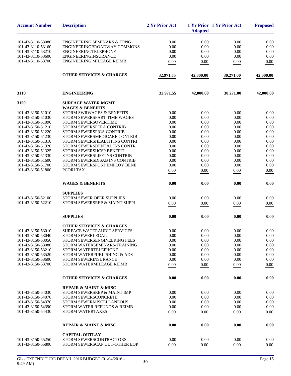| <b>Account Number</b>                  | <b>Description</b>                                            | 2 Yr Prior Act | <b>Adopted</b> | 1 Yr Prior 1 Yr Prior Act | <b>Proposed</b> |
|----------------------------------------|---------------------------------------------------------------|----------------|----------------|---------------------------|-----------------|
| 101-43-3110-53080                      | <b>ENGINEERING SEMINARS &amp; TRNG</b>                        | 0.00           | 0.00           | 0.00                      | 0.00            |
| 101-43-3110-53160                      | ENGINEERINGBROADWAY COMMONS                                   | 0.00           | 0.00           | 0.00                      | 0.00            |
| 101-43-3110-53210                      | <b>ENGINEERINGTELEPHONE</b>                                   | 0.00           | 0.00           | 0.00                      | 0.00            |
| 101-43-3110-53600                      | ENGINEERINGINSURANCE                                          | 0.00           | 0.00           | 0.00                      | 0.00            |
| 101-43-3110-53700                      | <b>ENGINEERING MILEAGE REIMB</b>                              | 0.00           | $0.00\,$       | 0.00                      | 0.00            |
|                                        | <b>OTHER SERVICES &amp; CHARGES</b>                           | 32,971.55      | 42,000.00      | 30,271.00                 | 42,000.00       |
| 3110                                   | <b>ENGINEERING</b>                                            | 32,971.55      | 42,000.00      | 30,271.00                 | 42,000.00       |
| 3150                                   | <b>SURFACE WATER MGMT</b>                                     |                |                |                           |                 |
|                                        | <b>WAGES &amp; BENEFITS</b>                                   |                |                |                           |                 |
| 101-43-3150-51010                      | STORM SWRWAGES & BENEFITS                                     | 0.00           | 0.00           | 0.00                      | 0.00            |
| 101-43-3150-51030                      | STORM SEWERSPART TIME WAGES                                   | 0.00           | 0.00           | 0.00                      | 0.00            |
| 101-43-3150-51090                      | STORM SEWERSOVERTIME                                          | 0.00           | 0.00           | 0.00                      | 0.00            |
| 101-43-3150-51210                      | STORM SEWERSPERA CONTRIB                                      | 0.00           | 0.00           | 0.00                      | 0.00            |
| 101-43-3150-51220<br>101-43-3150-51230 | STORM SEWERSFICA CONTRIB                                      | 0.00           | 0.00<br>0.00   | 0.00<br>0.00              | 0.00<br>0.00    |
| 101-43-3150-51310                      | STORM SEWERSMEDICARE CONTRIB<br>STORM SEWERSHEALTH INS CONTRI | 0.00<br>0.00   | 0.00           | 0.00                      | 0.00            |
| 101-43-3150-51320                      | STORM SEWERSDENTAL INS CONTR                                  | 0.00           | 0.00           | 0.00                      | 0.00            |
| 101-43-3150-51325                      | STORM SEWERSHCSP BENEFIT                                      | 0.00           | 0.00           | 0.00                      | 0.00            |
| 101-43-3150-51330                      | STORM SEWERSLIFE INS CONTRIB                                  | 0.00           | 0.00           | 0.00                      | 0.00            |
| 101-43-3150-51600                      | STORM SEWERSDISAB INS CONTRIB                                 | 0.00           | 0.00           | 0.00                      | 0.00            |
| 101-43-3150-51700                      | STORM SEWERSPOST EMPLOY BENE                                  | 0.00           | 0.00           | 0.00                      | 0.00            |
| 101-43-3150-51800                      | PCORI TAX                                                     | 0.00           | 0.00           | 0.00                      | 0.00            |
|                                        | <b>WAGES &amp; BENEFITS</b>                                   | 0.00           | 0.00           | 0.00                      | 0.00            |
|                                        | <b>SUPPLIES</b>                                               |                |                |                           |                 |
| 101-43-3150-52100                      | STORM SEWER OPER SUPPLIES                                     | 0.00           | 0.00           | 0.00                      | 0.00            |
| 101-43-3150-52210                      | STORM SEWERSREP & MAINT SUPPL                                 | 0.00           | 0.00           | 0.00                      | 0.00            |
|                                        | <b>SUPPLIES</b>                                               | 0.00           | 0.00           | 0.00                      | 0.00            |
|                                        |                                                               |                |                |                           |                 |
|                                        | <b>OTHER SERVICES &amp; CHARGES</b>                           |                |                |                           |                 |
| 101-43-3150-53010                      | <b>SURFACE WATERAUDIT SERVICES</b>                            | 0.00           | 0.00           | 0.00                      | 0.00            |
| 101-43-3150-53040<br>101-43-3150-53050 | <b>STORM SEWERLEGAL</b><br>STORM SEWERSENGINEERING FEES       | 0.00<br>0.00   | 0.00<br>0.00   | 0.00<br>0.00              | 0.00<br>0.00    |
| 101-43-3150-53080                      | STORM WATERSEMINARS-TRAINING                                  | 0.00           | 0.00           | 0.00                      | 0.00            |
| 101-43-3150-53210                      | <b>STORM WATERTELEPHONE</b>                                   | 0.00           | 0.00           | 0.00                      | 0.00            |
| 101-43-3150-53520                      | STORM WATERPUBLISHING & ADS                                   | 0.00           | 0.00           | 0.00                      | 0.00            |
| 101-43-3150-53600                      | STORM SEWERINSURANCE                                          | 0.00           | 0.00           | 0.00                      | 0.00            |
| 101-43-3150-53700                      | STORM WATERMILEAGE REIMB                                      | 0.00           | 0.00           | 0.00                      | 0.00            |
|                                        | <b>OTHER SERVICES &amp; CHARGES</b>                           | 0.00           | 0.00           | 0.00                      | 0.00            |
|                                        | <b>REPAIR &amp; MAINT &amp; MISC</b>                          |                |                |                           |                 |
| 101-43-3150-54030                      | STORM SEWERSREP & MAINT IMP                                   | 0.00           | 0.00           | 0.00                      | 0.00            |
| 101-43-3150-54070                      | STORM SEWERSCONCRETE                                          | 0.00           | 0.00           | 0.00                      | $0.00\,$        |
| 101-43-3150-54370                      | STORM SEWERMISCELLANEOUS                                      | 0.00           | 0.00           | 0.00                      | 0.00            |
| 101-43-3150-54390                      | STORM WATER REFUNDS & REIMB                                   | 0.00           | 0.00           | 0.00                      | 0.00            |
| 101-43-3150-54430                      | <b>STORM WATERTAXES</b>                                       | 0.00           | 0.00           | 0.00                      | 0.00            |
|                                        | <b>REPAIR &amp; MAINT &amp; MISC</b>                          | 0.00           | 0.00           | 0.00                      | 0.00            |
|                                        | <b>CAPITAL OUTLAY</b>                                         |                |                |                           |                 |
| 101-43-3150-55250                      | STORM SEWERSCONTRACTORS                                       | 0.00           | 0.00           | 0.00                      | 0.00            |
| 101-43-3150-55800                      | STORM SEWERSCAP OUT-OTHER EQP                                 | 0.00           | 0.00           | 0.00                      | 0.00            |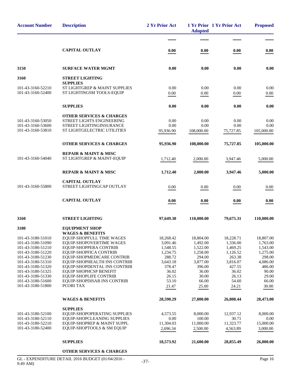| <b>Account Number</b>                                                                                                                                                                                                               | <b>Description</b>                                                                                                                                                                                                                                                                                                                                          | 2 Yr Prior Act                                                                                                                 | <b>Adopted</b>                                                                                                                 | 1 Yr Prior 1 Yr Prior Act                                                                                                      | <b>Proposed</b>                                                                                                                |
|-------------------------------------------------------------------------------------------------------------------------------------------------------------------------------------------------------------------------------------|-------------------------------------------------------------------------------------------------------------------------------------------------------------------------------------------------------------------------------------------------------------------------------------------------------------------------------------------------------------|--------------------------------------------------------------------------------------------------------------------------------|--------------------------------------------------------------------------------------------------------------------------------|--------------------------------------------------------------------------------------------------------------------------------|--------------------------------------------------------------------------------------------------------------------------------|
|                                                                                                                                                                                                                                     |                                                                                                                                                                                                                                                                                                                                                             |                                                                                                                                |                                                                                                                                |                                                                                                                                |                                                                                                                                |
|                                                                                                                                                                                                                                     | <b>CAPITAL OUTLAY</b>                                                                                                                                                                                                                                                                                                                                       | 0.00                                                                                                                           | 0.00                                                                                                                           | 0.00                                                                                                                           | 0.00                                                                                                                           |
| 3150                                                                                                                                                                                                                                | <b>SURFACE WATER MGMT</b>                                                                                                                                                                                                                                                                                                                                   | 0.00                                                                                                                           | 0.00                                                                                                                           | 0.00                                                                                                                           | 0.00                                                                                                                           |
| 3160                                                                                                                                                                                                                                | <b>STREET LIGHTING</b>                                                                                                                                                                                                                                                                                                                                      |                                                                                                                                |                                                                                                                                |                                                                                                                                |                                                                                                                                |
| 101-43-3160-52210<br>101-43-3160-52400                                                                                                                                                                                              | <b>SUPPLIES</b><br>ST LIGHTGREP & MAINT SUPPLIES<br>ST LIGHTINGSM TOOLS-EQUIP                                                                                                                                                                                                                                                                               | 0.00<br>0.00                                                                                                                   | 0.00<br>0.00                                                                                                                   | 0.00<br>0.00                                                                                                                   | 0.00<br>0.00                                                                                                                   |
|                                                                                                                                                                                                                                     | <b>SUPPLIES</b>                                                                                                                                                                                                                                                                                                                                             | 0.00                                                                                                                           | 0.00                                                                                                                           | 0.00                                                                                                                           | 0.00                                                                                                                           |
| 101-43-3160-53050<br>101-43-3160-53600<br>101-43-3160-53810                                                                                                                                                                         | <b>OTHER SERVICES &amp; CHARGES</b><br>STREET LIGHTS ENGINEERING<br>STREET LIGHTINGINSURANCE<br>ST LIGHTGELECTRIC UTILITIES                                                                                                                                                                                                                                 | 0.00<br>0.00<br>95,936.90                                                                                                      | 0.00<br>0.00<br>108,000.00                                                                                                     | 0.00<br>0.00<br>75,727.85                                                                                                      | 0.00<br>0.00<br>105,000.00                                                                                                     |
|                                                                                                                                                                                                                                     | <b>OTHER SERVICES &amp; CHARGES</b>                                                                                                                                                                                                                                                                                                                         | 95,936.90                                                                                                                      | 108,000.00                                                                                                                     | 75,727.85                                                                                                                      | 105,000.00                                                                                                                     |
| 101-43-3160-54040                                                                                                                                                                                                                   | <b>REPAIR &amp; MAINT &amp; MISC</b><br>ST LIGHTGREP & MAINT-EQUIP                                                                                                                                                                                                                                                                                          | 1,712.40                                                                                                                       | 2,000.00                                                                                                                       | 3,947.46                                                                                                                       | 5,000.00                                                                                                                       |
|                                                                                                                                                                                                                                     | <b>REPAIR &amp; MAINT &amp; MISC</b>                                                                                                                                                                                                                                                                                                                        | 1,712.40                                                                                                                       | 2,000.00                                                                                                                       | 3,947.46                                                                                                                       | 5,000.00                                                                                                                       |
| 101-43-3160-55800                                                                                                                                                                                                                   | <b>CAPITAL OUTLAY</b><br>STREET LIGHTINGCAP OUTLAY                                                                                                                                                                                                                                                                                                          | 0.00                                                                                                                           | 0.00                                                                                                                           | 0.00                                                                                                                           | 0.00                                                                                                                           |
|                                                                                                                                                                                                                                     | <b>CAPITAL OUTLAY</b>                                                                                                                                                                                                                                                                                                                                       | 0.00                                                                                                                           | 0.00                                                                                                                           | 0.00                                                                                                                           | 0.00                                                                                                                           |
| 3160                                                                                                                                                                                                                                | <b>STREET LIGHTING</b>                                                                                                                                                                                                                                                                                                                                      | 97,649.30                                                                                                                      | 110,000.00                                                                                                                     | 79,675.31                                                                                                                      | 110,000.00                                                                                                                     |
| 3180                                                                                                                                                                                                                                | <b>EQUIPMENT SHOP</b><br><b>WAGES &amp; BENEFITS</b>                                                                                                                                                                                                                                                                                                        |                                                                                                                                |                                                                                                                                |                                                                                                                                |                                                                                                                                |
| 101-43-3180-51010<br>101-43-3180-51090<br>101-43-3180-51210<br>101-43-3180-51220<br>101-43-3180-51230<br>101-43-3180-51310<br>101-43-3180-51320<br>101-43-3180-51325<br>101-43-3180-51330<br>101-43-3180-51600<br>101-43-3180-51800 | EQUIP-SHOPFULL TIME WAGES<br>EQUIP-SHOPOVERTIME WAGES<br>EQUIP-SHOPPERA CONTRIB<br><b>EQUIP-SHOPFICA CONTRIB</b><br>EQUIP-SHOPMEDICARE CONTRIB<br>EQUIP-SHOPHEALTH INS CONTRIB<br>EQUIP-SHOPDENTAL INS CONTRIB<br><b>EQUIP SHOPHCSP BENEFIT</b><br><b>EQUIP-SHOPLIFE CONTRIB</b><br>EQUIP-SHOPDISAB INS CONTRIB<br>PCORI TAX<br><b>WAGES &amp; BENEFITS</b> | 18,268.42<br>3,091.46<br>1,548.55<br>1,234.75<br>288.72<br>3,643.18<br>378.47<br>36.02<br>26.15<br>53.10<br>21.47<br>28,590.29 | 18,804.00<br>1,492.00<br>1,522.00<br>1,258.00<br>294.00<br>3,877.00<br>396.00<br>36.00<br>30.00<br>66.00<br>25.00<br>27,800.00 | 18,228.71<br>1,336.00<br>1,469.25<br>1,126.52<br>263.38<br>3,816.07<br>427.55<br>36.02<br>26.13<br>54.60<br>24.21<br>26,808.44 | 18,807.00<br>1,763.00<br>1,543.00<br>1,275.00<br>298.00<br>4,086.00<br>486.00<br>90.00<br>29.00<br>66.00<br>30.00<br>28,473.00 |
|                                                                                                                                                                                                                                     | <b>SUPPLIES</b>                                                                                                                                                                                                                                                                                                                                             |                                                                                                                                |                                                                                                                                |                                                                                                                                |                                                                                                                                |
| 101-43-3180-52100<br>101-43-3180-52110<br>101-43-3180-52210<br>101-43-3180-52400                                                                                                                                                    | EQUIP-SHOPOPERATING SUPPLIES<br>EQUIP-SHOPCLEANING SUPPLIES<br>EQUIP-SHOPREP & MAINT SUPPL<br>EQUIP-SHOPTOOLS & SM EQUIP                                                                                                                                                                                                                                    | 4,573.55<br>0.00<br>11,304.03<br>2,696.34                                                                                      | 8,000.00<br>100.00<br>11,000.00<br>2,500.00                                                                                    | 12,937.12<br>30.71<br>11,323.77<br>4,563.89                                                                                    | 8,000.00<br>0.00<br>15,000.00<br>3,000.00                                                                                      |
|                                                                                                                                                                                                                                     | <b>SUPPLIES</b>                                                                                                                                                                                                                                                                                                                                             | 18,573.92                                                                                                                      | 21,600.00                                                                                                                      | 28,855.49                                                                                                                      | 26,000.00                                                                                                                      |
|                                                                                                                                                                                                                                     | <b>OTHER SERVICES &amp; CHARGES</b>                                                                                                                                                                                                                                                                                                                         |                                                                                                                                |                                                                                                                                |                                                                                                                                |                                                                                                                                |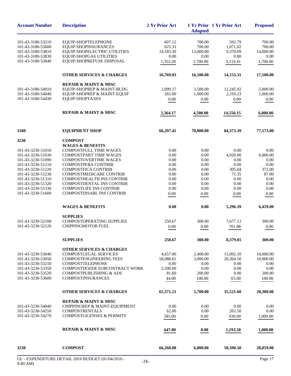| EQUIP-SHOPTELEPHONE<br>EQUIP-SHOPINSURANCES | 607.12                                                                                                                                                                                                                                                                                                                                                                                                                                                                                                                                                                       |                                                                                                                                  |                                                                                                                      |                                                             |
|---------------------------------------------|------------------------------------------------------------------------------------------------------------------------------------------------------------------------------------------------------------------------------------------------------------------------------------------------------------------------------------------------------------------------------------------------------------------------------------------------------------------------------------------------------------------------------------------------------------------------------|----------------------------------------------------------------------------------------------------------------------------------|----------------------------------------------------------------------------------------------------------------------|-------------------------------------------------------------|
|                                             |                                                                                                                                                                                                                                                                                                                                                                                                                                                                                                                                                                              |                                                                                                                                  | 592.79                                                                                                               | 700.00                                                      |
|                                             | 625.33                                                                                                                                                                                                                                                                                                                                                                                                                                                                                                                                                                       | 700.00<br>700.00                                                                                                                 | 1,071.02                                                                                                             | 700.00                                                      |
| <b>EQUIP-SHOPELECTRIC UTILITIES</b>         | 14,183.30                                                                                                                                                                                                                                                                                                                                                                                                                                                                                                                                                                    | 13,000.00                                                                                                                        | 9,370.09                                                                                                             | 14,000.00                                                   |
| <b>EQUIP-SHOPGAS UTILITIES</b>              | 0.00                                                                                                                                                                                                                                                                                                                                                                                                                                                                                                                                                                         | 0.00                                                                                                                             | 0.00                                                                                                                 | 0.00                                                        |
| EQUIP-SHOPREFUSE DISPOSAL                   | 1,353.28                                                                                                                                                                                                                                                                                                                                                                                                                                                                                                                                                                     | 1,700.00                                                                                                                         | 3,119.41                                                                                                             | 1,700.00                                                    |
| <b>OTHER SERVICES &amp; CHARGES</b>         | 16,769.03                                                                                                                                                                                                                                                                                                                                                                                                                                                                                                                                                                    | 16,100.00                                                                                                                        | 14,153.31                                                                                                            | 17,100.00                                                   |
|                                             |                                                                                                                                                                                                                                                                                                                                                                                                                                                                                                                                                                              |                                                                                                                                  |                                                                                                                      |                                                             |
|                                             |                                                                                                                                                                                                                                                                                                                                                                                                                                                                                                                                                                              |                                                                                                                                  |                                                                                                                      | 5,000.00                                                    |
| EQUIP-SHOPREP & MAINT-EQUIP                 | 265.00                                                                                                                                                                                                                                                                                                                                                                                                                                                                                                                                                                       | 1,000.00                                                                                                                         | 2,310.23                                                                                                             | 1,000.00                                                    |
| EQUIP-SHOPTAXES                             | 0.00                                                                                                                                                                                                                                                                                                                                                                                                                                                                                                                                                                         | $0.00\,$                                                                                                                         | 0.00                                                                                                                 | $0.00\,$                                                    |
| <b>REPAIR &amp; MAINT &amp; MISC</b>        | 2,364.17                                                                                                                                                                                                                                                                                                                                                                                                                                                                                                                                                                     | 4,500.00                                                                                                                         | 14,556.15                                                                                                            | 6,000.00                                                    |
| <b>EQUIPMENT SHOP</b>                       | 66,297.41                                                                                                                                                                                                                                                                                                                                                                                                                                                                                                                                                                    | 70,000.00                                                                                                                        | 84,373.39                                                                                                            | 77,573.00                                                   |
|                                             |                                                                                                                                                                                                                                                                                                                                                                                                                                                                                                                                                                              |                                                                                                                                  |                                                                                                                      |                                                             |
| <b>WAGES &amp; BENEFITS</b>                 |                                                                                                                                                                                                                                                                                                                                                                                                                                                                                                                                                                              |                                                                                                                                  |                                                                                                                      |                                                             |
| <b>COMPOSTFULL TIME WAGES</b>               | 0.00                                                                                                                                                                                                                                                                                                                                                                                                                                                                                                                                                                         | 0.00                                                                                                                             | 0.00                                                                                                                 | 0.00                                                        |
| <b>COMPOSTPART TIME WAGES</b>               | 0.00                                                                                                                                                                                                                                                                                                                                                                                                                                                                                                                                                                         | 0.00                                                                                                                             | 4,920.00                                                                                                             | 6,000.00                                                    |
| <b>COMPOSTOVERTIME WAGES</b>                | 0.00                                                                                                                                                                                                                                                                                                                                                                                                                                                                                                                                                                         | 0.00                                                                                                                             | 0.00                                                                                                                 | 0.00                                                        |
| <b>COMPOSTPERA CONTRIB</b>                  |                                                                                                                                                                                                                                                                                                                                                                                                                                                                                                                                                                              | 0.00                                                                                                                             |                                                                                                                      | 0.00                                                        |
|                                             |                                                                                                                                                                                                                                                                                                                                                                                                                                                                                                                                                                              |                                                                                                                                  |                                                                                                                      | 372.00                                                      |
|                                             |                                                                                                                                                                                                                                                                                                                                                                                                                                                                                                                                                                              |                                                                                                                                  |                                                                                                                      | 87.00                                                       |
|                                             |                                                                                                                                                                                                                                                                                                                                                                                                                                                                                                                                                                              |                                                                                                                                  |                                                                                                                      | 0.00<br>0.00                                                |
|                                             |                                                                                                                                                                                                                                                                                                                                                                                                                                                                                                                                                                              |                                                                                                                                  |                                                                                                                      | 0.00                                                        |
| COMPOSTDISABL INS CONTRIB                   | 0.00                                                                                                                                                                                                                                                                                                                                                                                                                                                                                                                                                                         | 0.00                                                                                                                             | 0.00                                                                                                                 | 0.00                                                        |
| <b>WAGES &amp; BENEFITS</b>                 | 0.00                                                                                                                                                                                                                                                                                                                                                                                                                                                                                                                                                                         | 0.00                                                                                                                             | 0.00<br>305.04<br>71.35<br>0.00<br>0.00<br>0.00<br>5,296.39<br>7,677.13<br>701.88<br>8,379.01                        | 6,459.00                                                    |
|                                             |                                                                                                                                                                                                                                                                                                                                                                                                                                                                                                                                                                              |                                                                                                                                  |                                                                                                                      |                                                             |
|                                             |                                                                                                                                                                                                                                                                                                                                                                                                                                                                                                                                                                              |                                                                                                                                  |                                                                                                                      | 300.00                                                      |
|                                             |                                                                                                                                                                                                                                                                                                                                                                                                                                                                                                                                                                              |                                                                                                                                  |                                                                                                                      | 0.00                                                        |
|                                             |                                                                                                                                                                                                                                                                                                                                                                                                                                                                                                                                                                              |                                                                                                                                  |                                                                                                                      |                                                             |
| <b>SUPPLIES</b>                             | 250.67                                                                                                                                                                                                                                                                                                                                                                                                                                                                                                                                                                       | 300.00                                                                                                                           |                                                                                                                      | 300.00                                                      |
| <b>OTHER SERVICES &amp; CHARGES</b>         |                                                                                                                                                                                                                                                                                                                                                                                                                                                                                                                                                                              |                                                                                                                                  |                                                                                                                      |                                                             |
|                                             |                                                                                                                                                                                                                                                                                                                                                                                                                                                                                                                                                                              |                                                                                                                                  |                                                                                                                      | 10,000.00                                                   |
|                                             |                                                                                                                                                                                                                                                                                                                                                                                                                                                                                                                                                                              |                                                                                                                                  |                                                                                                                      | 10,000.00                                                   |
|                                             |                                                                                                                                                                                                                                                                                                                                                                                                                                                                                                                                                                              |                                                                                                                                  |                                                                                                                      | 0.00<br>0.00                                                |
|                                             |                                                                                                                                                                                                                                                                                                                                                                                                                                                                                                                                                                              |                                                                                                                                  |                                                                                                                      | 200.00                                                      |
| <b>COMPOSTINSURANCES</b>                    | 44.00                                                                                                                                                                                                                                                                                                                                                                                                                                                                                                                                                                        | 100.00                                                                                                                           | 65.00                                                                                                                | 100.00                                                      |
| <b>OTHER SERVICES &amp; CHARGES</b>         | 65,371.21                                                                                                                                                                                                                                                                                                                                                                                                                                                                                                                                                                    | 5,700.00                                                                                                                         | 35,521.60                                                                                                            | 20,300.00                                                   |
|                                             |                                                                                                                                                                                                                                                                                                                                                                                                                                                                                                                                                                              |                                                                                                                                  |                                                                                                                      |                                                             |
| CHIPPINGREP & MAINT-EQUIPMENT               | 0.00                                                                                                                                                                                                                                                                                                                                                                                                                                                                                                                                                                         | 0.00                                                                                                                             | 0.00                                                                                                                 | 0.00                                                        |
| <b>COMPOSTRENTALS</b>                       | 62.00                                                                                                                                                                                                                                                                                                                                                                                                                                                                                                                                                                        | 0.00                                                                                                                             | 263.50                                                                                                               | 0.00                                                        |
| <b>COMPOSTLICENSES &amp; PERMITS</b>        | 585.00                                                                                                                                                                                                                                                                                                                                                                                                                                                                                                                                                                       | 0.00                                                                                                                             | 930.00                                                                                                               | 1,000.00                                                    |
| <b>REPAIR &amp; MAINT &amp; MISC</b>        | 647.00                                                                                                                                                                                                                                                                                                                                                                                                                                                                                                                                                                       | 0.00                                                                                                                             | 1,193.50                                                                                                             | 1,000.00                                                    |
| <b>COMPOST</b>                              | 66,268.88                                                                                                                                                                                                                                                                                                                                                                                                                                                                                                                                                                    | 6,000.00                                                                                                                         | 50,390.50                                                                                                            | 28,059.00                                                   |
|                                             | <b>REPAIR &amp; MAINT &amp; MISC</b><br>EQUIP-SHOPREP & MAINT-BLDG<br><b>COMPOST</b><br><b>COMPOSTFICA CONTRIB</b><br>COMPOSTMEDICARE CONTRIB<br><b>COMPOSTHEALTH INS CONTRIB</b><br><b>COMPOSTDENTAL INS CONTRIB</b><br><b>COMPOSTLIFE INS CONTRIB</b><br><b>SUPPLIES</b><br><b>COMPOSTOPERATING SUPPLIES</b><br>CHIPPINGMOTOR FUEL<br><b>COMPOSTLEGAL SERVICES</b><br><b>COMPOSTENGINEERING FEES</b><br><b>COMPOSTTELEPHONE</b><br>COMPOSTDOZER SUBCONTRACT WORK<br><b>COMPOSTPUBLISHING &amp; ADS</b><br><b>REPAIR &amp; MAINT &amp; MISC</b><br>$2016$ DUDCET (01/04/201 | 2,099.17<br>0.00<br>0.00<br>0.00<br>0.00<br>0.00<br>0.00<br>250.67<br>0.00<br>4,657.00<br>58,088.61<br>0.00<br>2,500.00<br>81.60 | 3,500.00<br>0.00<br>0.00<br>0.00<br>0.00<br>0.00<br>300.00<br>0.00<br>2,400.00<br>3,000.00<br>0.00<br>0.00<br>200.00 | 12,245.92<br>15,092.10<br>20.364.50<br>0.00<br>0.00<br>0.00 |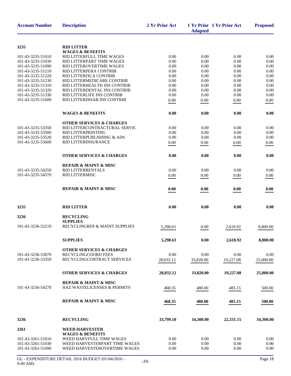| <b>Account Number</b>                  | <b>Description</b>                                      | 2 Yr Prior Act    | <b>Adopted</b>    | 1 Yr Prior 1 Yr Prior Act | <b>Proposed</b> |
|----------------------------------------|---------------------------------------------------------|-------------------|-------------------|---------------------------|-----------------|
| 3235                                   | <b>RID LITTER</b>                                       |                   |                   |                           |                 |
|                                        | <b>WAGES &amp; BENEFITS</b>                             |                   |                   |                           |                 |
| 101-43-3235-51010                      | RID LITTERFULL TIME WAGES                               | 0.00              | 0.00              | 0.00                      | 0.00            |
| 101-43-3235-51030                      | RID LITTERPART TIME WAGES                               | 0.00              | 0.00              | 0.00                      | 0.00            |
| 101-43-3235-51090                      | RID LITTEROVERTIME WAGES                                | 0.00              | 0.00              | 0.00                      | 0.00            |
| 101-43-3235-51210<br>101-43-3235-51220 | RID LITTERPERA CONTRIB                                  | 0.00              | 0.00              | 0.00                      | 0.00            |
| 101-43-3235-51230                      | RID LITTERFICA CONTRIB<br>RID LITTERMEDICARE CONTRIB    | 0.00<br>0.00      | 0.00<br>0.00      | 0.00<br>0.00              | 0.00<br>0.00    |
| 101-43-3235-51310                      | RID LITTERHEALTH INS CONTRIB                            | 0.00              | 0.00              | 0.00                      | 0.00            |
| 101-43-3235-51320                      | RID LITTERDENTAL INS CONTRIB                            | 0.00              | 0.00              | 0.00                      | 0.00            |
| 101-43-3235-51330                      | RID LITTERLIFE INS CONTRIB                              | 0.00              | 0.00              | 0.00                      | 0.00            |
| 101-43-3235-51600                      | RID LITTERDISAB INS CONTRIB                             | 0.00              | 0.00              | 0.00                      | 0.00            |
|                                        | <b>WAGES &amp; BENEFITS</b>                             | 0.00              | 0.00              | 0.00                      | 0.00            |
|                                        | <b>OTHER SERVICES &amp; CHARGES</b>                     |                   |                   |                           |                 |
| 101-43-3235-53350                      | RID LITTERCONTRACTURAL SERVIC                           | 0.00              | 0.00              | 0.00                      | 0.00            |
| 101-43-3235-53500                      | RID LITTERPRINTING                                      | 0.00              | 0.00              | 0.00                      | 0.00            |
| 101-43-3235-53520                      | RID LITTERPUBLISHING & ADS                              | 0.00              | 0.00              | 0.00                      | 0.00            |
| 101-43-3235-53600                      | RID LITTERINSURANCE                                     | 0.00              | 0.00              | 0.00                      | 0.00            |
|                                        | <b>OTHER SERVICES &amp; CHARGES</b>                     | 0.00              | 0.00              | 0.00                      | 0.00            |
|                                        | <b>REPAIR &amp; MAINT &amp; MISC</b>                    |                   |                   |                           |                 |
| 101-43-3235-54250                      | RID LITTERRENTALS                                       | 0.00              | 0.00              | 0.00                      | 0.00            |
| 101-43-3235-54370                      | RID LITTERMISC                                          | 0.00              | 0.00              | 0.00                      | 0.00            |
|                                        | <b>REPAIR &amp; MAINT &amp; MISC</b>                    | 0.00              | 0.00              | 0.00                      | 0.00            |
| 3235                                   | <b>RID LITTER</b>                                       | 0.00              | 0.00              | 0.00                      | 0.00            |
| 3236                                   | <b>RECYCLING</b>                                        |                   |                   |                           |                 |
|                                        | <b>SUPPLIES</b>                                         |                   |                   |                           |                 |
| 101-43-3236-52210                      | RECYCLINGREP & MAINT SUPPLIES                           | 5,298.63          | 0.00              | 2,618.92                  | 8,800.00        |
|                                        | <b>SUPPLIES</b>                                         | 5,298.63          | 0.00              | 2.618.92                  | 8,800.00        |
|                                        |                                                         |                   |                   |                           |                 |
|                                        | <b>OTHER SERVICES &amp; CHARGES</b>                     |                   |                   |                           |                 |
| 101-43-3236-53070<br>101-43-3236-53350 | RECYCLINGCOORD FEES<br>RECYCLINGCONTRACT SERVICES       | 0.00<br>28,032.12 | 0.00<br>33,820.00 | 0.00                      | 0.00            |
|                                        |                                                         |                   |                   | 19,227.08                 | 25,000.00       |
|                                        | <b>OTHER SERVICES &amp; CHARGES</b>                     | 28,032.12         | 33,820.00         | 19,227.08                 | 25,000.00       |
|                                        | <b>REPAIR &amp; MAINT &amp; MISC</b>                    |                   |                   |                           |                 |
| 101-43-3236-54270                      | HAZ WASTELICENSES & PERMITS                             | 468.35            | 480.00            | 485.15                    | 500.00          |
|                                        | <b>REPAIR &amp; MAINT &amp; MISC</b>                    | 468.35            | 480.00            | 485.15                    | 500.00          |
|                                        |                                                         |                   |                   |                           |                 |
| 3236                                   | <b>RECYCLING</b>                                        | 33,799.10         | 34,300.00         | 22,331.15                 | 34,300.00       |
| 3261                                   | <b>WEED HARVESTER</b>                                   |                   |                   |                           |                 |
| 101-43-3261-51010                      | <b>WAGES &amp; BENEFITS</b><br>WEED HARVFULL TIME WAGES | 0.00              | 0.00              | 0.00                      | 0.00            |
| 101-43-3261-51030                      | WEED HARVESTERPART TIME WAGES                           | 0.00              | 0.00              | 0.00                      | 0.00            |
| 101-43-3261-51090                      | WEED HARVESTEROVERTIME WAGES                            | 0.00              | 0.00              | 0.00                      | 0.00            |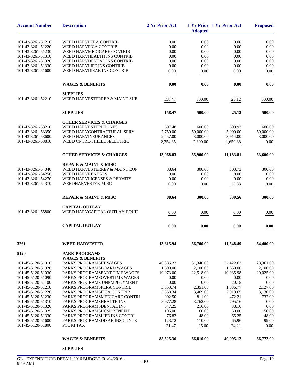| <b>Account Number</b> | <b>Description</b>                   | 2 Yr Prior Act | <b>Adopted</b> | 1 Yr Prior 1 Yr Prior Act | <b>Proposed</b> |
|-----------------------|--------------------------------------|----------------|----------------|---------------------------|-----------------|
| 101-43-3261-51210     | WEED HARVPERA CONTRIB                | 0.00           | 0.00           | 0.00                      | 0.00            |
| 101-43-3261-51220     | WEED HARVFICA CONTRIB                | 0.00           | 0.00           | 0.00                      | 0.00            |
| 101-43-3261-51230     | WEED HARVMEDICARE CONTRIB            | 0.00           | 0.00           | 0.00                      | 0.00            |
| 101-43-3261-51310     | WEED HARVHEALTH INS CONTRIB          | 0.00           | 0.00           | 0.00                      | 0.00            |
| 101-43-3261-51320     | WEED HARVDENTAL INS CONTRIB          | 0.00           | 0.00           | 0.00                      | 0.00            |
| 101-43-3261-51330     | WEED HARVLIFE INS CONTRIB            | 0.00           | 0.00           | 0.00                      | 0.00            |
| 101-43-3261-51600     | WEED HARVDISAB INS CONTRIB           | 0.00           | 0.00           | 0.00                      | 0.00            |
|                       | <b>WAGES &amp; BENEFITS</b>          | 0.00           | 0.00           | 0.00                      | 0.00            |
|                       | <b>SUPPLIES</b>                      |                |                |                           |                 |
| 101-43-3261-52210     | WEED HARVESTERREP & MAINT SUP        | 158.47         | 500.00         | 25.12                     | 500.00          |
|                       | <b>SUPPLIES</b>                      | 158.47         | 500.00         | 25.12                     | 500.00          |
|                       | <b>OTHER SERVICES &amp; CHARGES</b>  |                |                |                           |                 |
| 101-43-3261-53210     | WEED HARVESTERPHONES                 | 607.48         | 600.00         | 609.93                    | 600.00          |
| 101-43-3261-53350     | WEED HARVCONTRACTURAL SERV           | 7,750.00       | 50,000.00      | 5,000.00                  | 50,000.00       |
| 101-43-3261-53600     | WEED HARVINSURANCES                  | 2,457.00       | 3,000.00       | 3,914.00                  | 3,000.00        |
| 101-43-3261-53810     | WEED CNTRL-SHIELDSELECTRIC           | 2,254.35       | 2,300.00       | 1,659.88                  | 0.00            |
|                       | <b>OTHER SERVICES &amp; CHARGES</b>  | 13,068.83      | 55,900.00      | 11,183.81                 | 53,600.00       |
|                       | <b>REPAIR &amp; MAINT &amp; MISC</b> |                |                |                           |                 |
| 101-43-3261-54040     | WEED HARVESTERREP & MAINT EQP        | 88.64          | 300.00         | 303.73                    | 300.00          |
| 101-43-3261-54250     | <b>WEED HARVRENTALS</b>              | 0.00           | 0.00           | 0.00                      | 0.00            |
| 101-43-3261-54270     | WEED HARVLICENSES & PERMITS          | 0.00           | 0.00           | 0.00                      | 0.00            |
| 101-43-3261-54370     | WEEDHARVESTER-MISC                   | 0.00           | 0.00           | 35.83                     | 0.00            |
|                       | <b>REPAIR &amp; MAINT &amp; MISC</b> | 88.64          | 300.00         | 339.56                    | 300.00          |
|                       | <b>CAPITAL OUTLAY</b>                |                |                |                           |                 |
| 101-43-3261-55800     | WEED HARVCAPITAL OUTLAY-EQUIP        | 0.00           | 0.00           | 0.00                      | 0.00            |
|                       | <b>CAPITAL OUTLAY</b>                | 0.00           | 0.00           | 0.00                      | 0.00            |
| 3261                  | <b>WEED HARVESTER</b>                | 13,315.94      | 56,700.00      | 11,548.49                 | 54,400.00       |
| 5120                  | <b>PARK PROGRAMS</b>                 |                |                |                           |                 |
|                       | <b>WAGES &amp; BENEFITS</b>          |                |                |                           |                 |
| 101-45-5120-51010     | PARKS PROGRAMSFT WAGES               | 46,885.23      | 31,340.00      | 22,422.62                 | 28,361.00       |
| 101-45-5120-51020     | PARKS PROGRAMSBOARD WAGES            | 1,600.00       | 2,100.00       | 1,650.00                  | 2,100.00        |
| 101-45-5120-51030     | PARKS PROGRAMSPART TIME WAGES        | 19,073.00      | 22,518.00      | 10,935.98                 | 20,025.00       |
| 101-45-5120-51090     | PARKS PROGRAMSOVERTIME WAGES         | 0.00           | 0.00           | 0.00                      | 0.00            |
| 101-45-5120-51100     | PARKS PROGRAMS UNEMPLOYMENT          | 0.00           | 0.00           | 20.15                     | 0.00            |
| 101-45-5120-51210     | PARKS PROGRAMSPERA CONTRIB           | 3,353.74       | 2,351.00       | 1,536.77                  | 2,127.00        |
| 101-45-5120-51220     | PARKS PROGRAMSFICA CONTRIB           | 3,858.34       | 3,469.00       | 2,018.65                  | 3,130.00        |
| 101-45-5120-51230     | PARKS PROGRAMSMEDICARE CONTRI        | 902.50         | 811.00         | 472.21                    | 732.00          |
| 101-45-5120-51310     | PARKS PROGRAMSHEALTH INS             | 8,977.28       | 3,762.00       | 795.16                    | 0.00            |
| 101-45-5120-51320     | PARKS PROGRAMSDENTAL INS             | 547.25         | 216.00         | 38.16                     | 0.00            |
| 101-45-5120-51325     | PARKS PROGRAMSHCSP BENEFIT           | 106.00         | 60.00          | 50.00                     | 150.00          |
| 101-45-5120-51330     | PARKS PROGRAMSLIFE INS CONTRI        | 76.83          | 48.00          | 65.25                     | 48.00           |
| 101-45-5120-51600     | PARKS PROGRAMSDISAB INS CONTR        | 123.72         | 110.00         | 65.96                     | 99.00           |
| 101-45-5120-51800     | PCORI TAX                            | 21.47          | 25.00          | 24.21                     | 0.00            |
|                       | <b>WAGES &amp; BENEFITS</b>          | 85,525.36      | 66,810.00      | 40,095.12                 | 56,772.00       |

**SUPPLIES**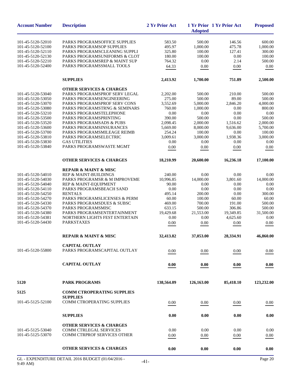| <b>Account Number</b> | <b>Description</b>                                   | 2 Yr Prior Act | <b>Adopted</b> | 1 Yr Prior 1 Yr Prior Act                                                                                                                                                                                                                                                     | <b>Proposed</b> |
|-----------------------|------------------------------------------------------|----------------|----------------|-------------------------------------------------------------------------------------------------------------------------------------------------------------------------------------------------------------------------------------------------------------------------------|-----------------|
| 101-45-5120-52010     | PARKS PROGRAMSOFFICE SUPPLIES                        | 583.50         | 500.00         |                                                                                                                                                                                                                                                                               | 600.00          |
| 101-45-5120-52100     | PARKS PROGRAMSOP SUPPLIES                            | 495.97         | 1,000.00       |                                                                                                                                                                                                                                                                               | 1,000.00        |
| 101-45-5120-52110     | PARKS PROGRAMSCLEANING SUPPLI                        | 325.80         | 100.00         |                                                                                                                                                                                                                                                                               | 300.00          |
| 101-45-5120-52130     | PARKS PROGRAMSUNIFORMS & CLOT                        | 180.00         | 100.00         |                                                                                                                                                                                                                                                                               | 100.00          |
| 101-45-5120-52210     | PARKS PROGRAMSREP & MAINT SUP                        | 764.32         | 0.00           |                                                                                                                                                                                                                                                                               | 500.00          |
| 101-45-5120-52400     | PARKS PROGRAMSSMALL TOOLS                            | 64.33          | 0.00           |                                                                                                                                                                                                                                                                               | 0.00            |
|                       |                                                      |                |                |                                                                                                                                                                                                                                                                               |                 |
|                       | <b>SUPPLIES</b>                                      | 2,413.92       | 1,700.00       | 751.89                                                                                                                                                                                                                                                                        | 2,500.00        |
|                       | <b>OTHER SERVICES &amp; CHARGES</b>                  |                |                |                                                                                                                                                                                                                                                                               |                 |
| 101-45-5120-53040     | PARKS PROGRAMSPROF SERV LEGAL                        | 2,202.00       | 500.00         |                                                                                                                                                                                                                                                                               | 500.00          |
| 101-45-5120-53050     | PARKS PROGRAMSENGINEERING                            | 275.00         | 500.00         |                                                                                                                                                                                                                                                                               | 500.00          |
| 101-45-5120-53070     | PARKS PROGRAMSPROF SERV CONS                         | 3,552.69       | 5,000.00       |                                                                                                                                                                                                                                                                               | 4,000.00        |
| 101-45-5120-53080     | PARKS PROGRAMSTRNG & SEMINARS                        | 760.00         | 1,000.00       |                                                                                                                                                                                                                                                                               | 800.00          |
| 101-45-5120-53210     | PARKS PROGRAMSTELEPHONE                              | 0.00           | 0.00           |                                                                                                                                                                                                                                                                               | 0.00            |
| 101-45-5120-53500     | PARKS PROGRAMSPRINTING                               | 390.00         | 500.00         |                                                                                                                                                                                                                                                                               | 500.00          |
| 101-45-5120-53520     | <b>PARKS PROGRAMSADS &amp; PUBS</b>                  | 2.098.45       | 2,000.00       |                                                                                                                                                                                                                                                                               | 2,000.00        |
| 101-45-5120-53600     | PARKS PROGRAMSINSURANCES                             | 5,669.00       | 8,000.00       |                                                                                                                                                                                                                                                                               | 5,700.00        |
| 101-45-5120-53700     | PARKS PROGRAMSMILEAGE REIMB                          | 254.24         | 100.00         |                                                                                                                                                                                                                                                                               | 100.00          |
| 101-45-5120-53810     | PARKS PROGRAMSELECTRIC                               | 3,009.61       | 3,000.00       |                                                                                                                                                                                                                                                                               | 3,000.00        |
| 101-45-5120-53830     | <b>GAS UTILITIES</b>                                 | 0.00           | 0.00           |                                                                                                                                                                                                                                                                               | 0.00            |
| 101-45-5120-53840     | PARKS PROGRAMSWASTE MGMT                             | $0.00\,$       | 0.00           | 0.00                                                                                                                                                                                                                                                                          | 0.00            |
|                       | <b>OTHER SERVICES &amp; CHARGES</b>                  | 18,210.99      | 20,600.00      | 16,236.18                                                                                                                                                                                                                                                                     | 17,100.00       |
|                       | <b>REPAIR &amp; MAINT &amp; MISC</b>                 |                |                |                                                                                                                                                                                                                                                                               |                 |
| 101-45-5120-54010     | <b>REP &amp; MAINT-BUILDINGS</b>                     | 240.00         | 0.00           | 0.00                                                                                                                                                                                                                                                                          | 0.00            |
| 101-45-5120-54030     | PARKS PROGRAMSR & M IMPROVEME                        | 10,996.85      | 14,000.00      | 3,801.60                                                                                                                                                                                                                                                                      | 14,000.00       |
| 101-45-5120-54040     | REP & MAINT-EQUIPMENT                                | 90.00          | 0.00           | 0.00                                                                                                                                                                                                                                                                          | 0.00            |
| 101-45-5120-54110     | PARKS PROGRAMSBEACH SAND                             | 0.00           | 0.00           |                                                                                                                                                                                                                                                                               | 0.00            |
| 101-45-5120-54250     | <b>RENTALS</b>                                       | 495.14         | 200.00         | 0.00                                                                                                                                                                                                                                                                          | 300.00          |
| 101-45-5120-54270     | PARKS PROGRAMSLICENSES & PERM                        | 60.00          | 100.00         | 60.00                                                                                                                                                                                                                                                                         | 60.00           |
| 101-45-5120-54330     | PARKS PROGRAMSDUES & SUBSC                           | 469.00         | 700.00         | 191.00                                                                                                                                                                                                                                                                        | 500.00          |
| 101-45-5120-54370     | PARKS PROGRAMSMISC                                   | 633.15         | 500.00         |                                                                                                                                                                                                                                                                               | 500.00          |
| 101-45-5120-54380     | PARKS PROGRAMSENTERTAINMENT                          | 19,429.68      | 21,553.00      | 19,349.85                                                                                                                                                                                                                                                                     | 31,500.00       |
| 101-45-5120-54381     | NORTHERN LIGHTS FEST ENTERTAIN                       | 0.00           | 0.00           |                                                                                                                                                                                                                                                                               | 0.00            |
| 101-45-5120-54430     | <b>PARKSTAXES</b>                                    | 0.00           | 0.00           | 0.00                                                                                                                                                                                                                                                                          | 0.00            |
|                       | <b>REPAIR &amp; MAINT &amp; MISC</b>                 | 32,413.82      | 37,053.00      | 146.56<br>475.78<br>127.41<br>0.00<br>2.14<br>0.00<br>210.00<br>89.00<br>2,846.20<br>0.00<br>0.00<br>0.00<br>1,516.62<br>9.636.00<br>0.00<br>1,938.36<br>0.00<br>0.00<br>306.86<br>4.625.60<br>28,334.91<br>0.00<br>0.00<br>85,418.10<br>0.00<br>0.00<br>0.00<br>0.00<br>0.00 | 46,860.00       |
|                       | <b>CAPITAL OUTLAY</b>                                |                |                |                                                                                                                                                                                                                                                                               |                 |
| 101-45-5120-55800     | PARKS PROGRAMSCAPITAL OUTLAY                         | 0.00           | 0.00           |                                                                                                                                                                                                                                                                               | 0.00            |
|                       | <b>CAPITAL OUTLAY</b>                                | 0.00           | 0.00           |                                                                                                                                                                                                                                                                               | 0.00            |
|                       |                                                      |                |                |                                                                                                                                                                                                                                                                               |                 |
| 5120                  | <b>PARK PROGRAMS</b>                                 | 138,564.09     | 126,163.00     |                                                                                                                                                                                                                                                                               | 123,232.00      |
| 5125                  | <b>COMM CTROPERATING SUPPLIES</b><br><b>SUPPLIES</b> |                |                |                                                                                                                                                                                                                                                                               |                 |
| 101-45-5125-52100     | COMM CTROPERATING SUPPLIES                           | 0.00           | 0.00           |                                                                                                                                                                                                                                                                               | 0.00            |
|                       |                                                      |                |                |                                                                                                                                                                                                                                                                               |                 |
|                       | <b>SUPPLIES</b>                                      | 0.00           | 0.00           |                                                                                                                                                                                                                                                                               | 0.00            |
|                       | <b>OTHER SERVICES &amp; CHARGES</b>                  |                |                |                                                                                                                                                                                                                                                                               |                 |
| 101-45-5125-53040     | <b>COMM CTRLEGAL SERVICES</b>                        | 0.00           | 0.00           |                                                                                                                                                                                                                                                                               | 0.00            |
| 101-45-5125-53070     | COMM CTRPROF SERVICES OTHER                          | 0.00           | 0.00           |                                                                                                                                                                                                                                                                               | $0.00\,$        |
|                       |                                                      |                |                |                                                                                                                                                                                                                                                                               |                 |
|                       | <b>OTHER SERVICES &amp; CHARGES</b>                  | 0.00           | 0.00           |                                                                                                                                                                                                                                                                               | 0.00            |
|                       |                                                      |                |                |                                                                                                                                                                                                                                                                               |                 |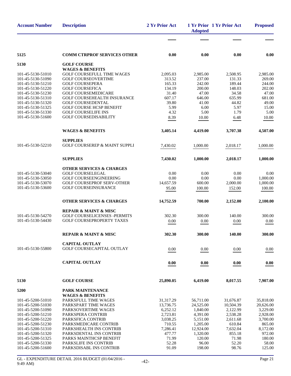| <b>Account Number</b>                  | <b>Description</b>                                   | 2 Yr Prior Act  | <b>Adopted</b>  | 1 Yr Prior 1 Yr Prior Act | <b>Proposed</b> |
|----------------------------------------|------------------------------------------------------|-----------------|-----------------|---------------------------|-----------------|
|                                        |                                                      |                 |                 |                           |                 |
| 5125                                   | <b>COMM CTRPROF SERVICES OTHER</b>                   | 0.00            | 0.00            | 0.00                      | 0.00            |
| 5130                                   | <b>GOLF COURSE</b>                                   |                 |                 |                           |                 |
|                                        | <b>WAGES &amp; BENEFITS</b>                          |                 |                 |                           |                 |
| 101-45-5130-51010                      | GOLF COURSEFULL TIME WAGES                           | 2,095.03        | 2,985.00        | 2,508.95                  | 2,985.00        |
| 101-45-5130-51090                      | <b>GOLF COURSEOVERTIME</b>                           | 313.52          | 237.00          | 131.33                    | 269.00          |
| 101-45-5130-51210                      | <b>GOLF COURSEPERA</b>                               | 165.33          | 242.00          | 189.44                    | 244.00          |
| 101-45-5130-51220<br>101-45-5130-51230 | <b>GOLF COURSEFICA</b><br><b>GOLF COURSEMEDICARE</b> | 134.19<br>31.40 | 200.00<br>47.00 | 148.03<br>34.58           | 202.00<br>47.00 |
| 101-45-5130-51310                      | <b>GOLF COURSEHEALTH INSURANCE</b>                   | 607.17          | 646.00          | 635.99                    | 681.00          |
| 101-45-5130-51320                      | <b>GOLF COURSEDENTAL</b>                             | 39.80           | 41.00           | 44.82                     | 49.00           |
| 101-45-5130-51325                      | <b>GOLF COURSE HCSP BENEFIT</b>                      | 5.99            | 6.00            | 5.97                      | 15.00           |
| 101-45-5130-51330                      | <b>GOLF COURSELIFE INS</b>                           | 4.32            | 5.00            | 1.79                      | 5.00            |
| 101-45-5130-51600                      | <b>GOLF COURSEDISABILITY</b>                         | 8.39            | 10.00           | 6.48                      | 10.00           |
|                                        |                                                      |                 |                 |                           |                 |
|                                        | <b>WAGES &amp; BENEFITS</b>                          | 3,405.14        | 4,419.00        | 3,707.38                  | 4,507.00        |
|                                        | <b>SUPPLIES</b>                                      |                 |                 |                           |                 |
| 101-45-5130-52210                      | <b>GOLF COURSEREP &amp; MAINT SUPPLI</b>             | 7,430.02        | 1,000.00        | 2,018.17                  | 1,000.00        |
|                                        | <b>SUPPLIES</b>                                      | 7,430.02        | 1,000.00        | 2,018.17                  | 1,000.00        |
|                                        | <b>OTHER SERVICES &amp; CHARGES</b>                  |                 |                 |                           |                 |
| 101-45-5130-53040                      | <b>GOLF COURSELEGAL</b>                              | 0.00            | 0.00            | 0.00                      | 0.00            |
| 101-45-5130-53050                      | GOLF COURSEENGINEERING                               | 0.00            | 0.00            | 0.00                      | 1,000.00        |
| 101-45-5130-53070                      | <b>GOLF COURSEPROF SERV-OTHER</b>                    | 14,657.59       | 600.00          | 2,000.00                  | 1,000.00        |
| 101-45-5130-53600                      | <b>GOLF COURSEINSURANCE</b>                          | 95.00           | 100.00          | 152.00                    | 100.00          |
|                                        | <b>OTHER SERVICES &amp; CHARGES</b>                  | 14,752.59       | 700.00          | 2,152.00                  | 2,100.00        |
|                                        | <b>REPAIR &amp; MAINT &amp; MISC</b>                 |                 |                 |                           |                 |
| 101-45-5130-54270                      | <b>GOLF COURSELICENSES -PERMITS</b>                  | 302.30          | 300.00          | 140.00                    | 300.00          |
| 101-45-5130-54430                      | <b>GOLF COURSEPROPERTY TAXES</b>                     | 0.00            | 0.00            | 0.00                      | 0.00            |
|                                        |                                                      |                 |                 |                           |                 |
|                                        | <b>REPAIR &amp; MAINT &amp; MISC</b>                 | 302.30          | 300.00          | 140.00                    | 300.00          |
| 101-45-5130-55800                      | <b>CAPITAL OUTLAY</b><br>GOLF COURSECAPITAL OUTLAY   | $0.00\,$        | $0.00\,$        | 0.00                      | 0.00            |
|                                        |                                                      |                 |                 |                           |                 |
|                                        | <b>CAPITAL OUTLAY</b>                                | 0.00            | 0.00            | 0.00                      | 0.00            |
| 5130                                   | <b>GOLF COURSE</b>                                   | 25,890.05       | 6,419.00        | 8,017.55                  | 7,907.00        |
| 5200                                   | PARK MAINTENANCE                                     |                 |                 |                           |                 |
|                                        | <b>WAGES &amp; BENEFITS</b>                          |                 |                 |                           |                 |
| 101-45-5200-51010                      | PARKSFULL TIME WAGES                                 | 31,317.29       | 56,711.00       | 31,676.87                 | 35,818.00       |
| 101-45-5200-51030                      | PARKSPART TIME WAGES                                 | 13,736.75       | 24,525.00       | 10,504.39                 | 20,626.00       |
| 101-45-5200-51090                      | PARKSOVERTIME WAGES                                  | 6,252.12        | 1,840.00        | 2,122.99                  | 3,229.00        |
| 101-45-5200-51210                      | PARKSPERA CONTRIB                                    | 2,723.81        | 4,391.00        | 2,538.28                  | 2,928.00        |
| 101-45-5200-51220                      | PARKSFICA CONTRIB                                    | 3,038.25        | 5,151.00        | 2,611.68                  | 3,700.00        |
| 101-45-5200-51230                      | PARKSMEDICARE CONTRIB                                | 710.55          | 1,205.00        | 610.84                    | 865.00          |
| 101-45-5200-51310                      | PARKSHEALTH INS CONTRIB                              | 7,286.41        | 12,924.00       | 7,632.04                  | 8,172.00        |
| 101-45-5200-51320                      | PARKSDENTAL INS CONTRIB                              | 477.77          | 1,320.00        | 855.18                    | 972.00          |
| 101-45-5200-51325<br>101-45-5200-51330 | PARKS MAINTHCSP BENEFIT<br>PARKSLIFE INS CONTRIB     | 71.99<br>52.28  | 120.00<br>96.00 | 71.98<br>52.20            | 180.00<br>58.00 |
| 101-45-5200-51600                      | PARKSDISABL INS CONTRIB                              | 91.09           | 198.00          | 98.76                     | 125.00          |
|                                        |                                                      |                 |                 |                           |                 |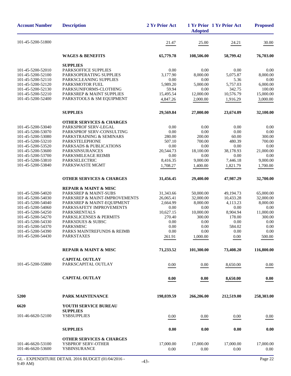| <b>Account Number</b>                  | <b>Description</b>                                        | 2 Yr Prior Act     | <b>Adopted</b>    | 1 Yr Prior 1 Yr Prior Act                                                                                                                                                                                                                                                                    | <b>Proposed</b>     |
|----------------------------------------|-----------------------------------------------------------|--------------------|-------------------|----------------------------------------------------------------------------------------------------------------------------------------------------------------------------------------------------------------------------------------------------------------------------------------------|---------------------|
| 101-45-5200-51800                      |                                                           | 21.47              | 25.00             | 24.21                                                                                                                                                                                                                                                                                        | 30.00               |
|                                        | <b>WAGES &amp; BENEFITS</b>                               | 65,779.78          | 108,506.00        | 58,799.42                                                                                                                                                                                                                                                                                    | 76,703.00           |
|                                        | <b>SUPPLIES</b>                                           |                    |                   |                                                                                                                                                                                                                                                                                              |                     |
| 101-45-5200-52010                      | PARKSOFFICE SUPPLIES                                      | 0.00               | 0.00              |                                                                                                                                                                                                                                                                                              | 0.00                |
| 101-45-5200-52100                      | PARKSOPERATING SUPPLIES                                   | 3,177.90           | 8,000.00          |                                                                                                                                                                                                                                                                                              | 8,000.00            |
| 101-45-5200-52110                      | PARKSCLEANING SUPPLIES                                    | 0.00               | 0.00              |                                                                                                                                                                                                                                                                                              | 0.00                |
| 101-45-5200-52120                      | PARKSMOTOR FUEL<br>PARKSUNIFORMS-CLOTHING                 | 5,989.20           | 5,000.00          |                                                                                                                                                                                                                                                                                              | 6,000.00            |
| 101-45-5200-52130<br>101-45-5200-52210 | PARKSREP & MAINT SUPPLIES                                 | 59.94<br>15,495.54 | 0.00<br>12,000.00 |                                                                                                                                                                                                                                                                                              | 100.00<br>15,000.00 |
| 101-45-5200-52400                      | PARKSTOOLS & SM EQUIPMENT                                 | 4,847.26           | 2,000.00          |                                                                                                                                                                                                                                                                                              | 3,000.00            |
|                                        |                                                           |                    |                   |                                                                                                                                                                                                                                                                                              |                     |
|                                        | <b>SUPPLIES</b>                                           | 29,569.84          | 27,000.00         | 23,674.09                                                                                                                                                                                                                                                                                    | 32,100.00           |
|                                        | <b>OTHER SERVICES &amp; CHARGES</b>                       |                    |                   |                                                                                                                                                                                                                                                                                              |                     |
| 101-45-5200-53040                      | PARKSPROF SERV-LEGAL                                      | 0.00               | 0.00              |                                                                                                                                                                                                                                                                                              | 0.00                |
| 101-45-5200-53070<br>101-45-5200-53080 | PARKSPROF SERV-CONSULTING                                 | 0.00<br>280.00     | 0.00<br>200.00    |                                                                                                                                                                                                                                                                                              | 0.00<br>300.00      |
| 101-45-5200-53210                      | PARKSTRAINING & SEMINARS<br><b>PARKSTELEPHONE</b>         | 507.10             | 700.00            |                                                                                                                                                                                                                                                                                              | 700.00              |
| 101-45-5200-53520                      | PARKSADS & PUBLICATIONS                                   | 0.00               | 0.00              |                                                                                                                                                                                                                                                                                              | 0.00                |
| 101-45-5200-53600                      | <b>PARKSINSURANCES</b>                                    | 20,544.73          | 18,100.00         |                                                                                                                                                                                                                                                                                              | 21,000.00           |
| 101-45-5200-53700                      | PARKSMILEAGE REIMB                                        | 0.00               | 0.00              | 0.00                                                                                                                                                                                                                                                                                         | 0.00                |
| 101-45-5200-53810                      | PARKSELECTRIC                                             | 8,416.35           | 9,000.00          | 7,446.18                                                                                                                                                                                                                                                                                     | 9,000.00            |
| 101-45-5200-53840                      | PARKSWASTE MGMT                                           | 1,708.27           | 1,400.00          | 1,821.79                                                                                                                                                                                                                                                                                     | 1,700.00            |
|                                        | <b>OTHER SERVICES &amp; CHARGES</b>                       | 31,456.45          | 29,400.00         | 47,987.29                                                                                                                                                                                                                                                                                    | 32,700.00           |
|                                        | <b>REPAIR &amp; MAINT &amp; MISC</b>                      |                    |                   |                                                                                                                                                                                                                                                                                              |                     |
| 101-45-5200-54020                      | PARKSREP & MAINT-SUBS                                     | 31,343.66          | 50,000.00         |                                                                                                                                                                                                                                                                                              | 65,000.00           |
| 101-45-5200-54030                      | PARKSREP & MAINT-IMPROVEMENTS                             | 26,065.41          | 32,000.00         | 10,433.28                                                                                                                                                                                                                                                                                    | 32,000.00           |
| 101-45-5200-54040                      | PARKSREP & MAINT-EQUIPMENT                                | 2,664.99           | 8,000.00          | 4,113.23                                                                                                                                                                                                                                                                                     | 8,000.00            |
| 101-45-5200-54060                      | PARKSSAFETY IMPROVEMENTS                                  | 0.00               | 0.00              | 0.00                                                                                                                                                                                                                                                                                         | 0.00                |
| 101-45-5200-54250                      | <b>PARKSRENTALS</b>                                       | 10,627.15          | 10,000.00         |                                                                                                                                                                                                                                                                                              | 11,000.00           |
| 101-45-5200-54270                      | <b>PARKSLICENSES &amp; PERMITS</b>                        | 270.40             | 300.00            |                                                                                                                                                                                                                                                                                              | 300.00              |
| 101-45-5200-54330<br>101-45-5200-54370 | PARKSDUES & SUBSC<br><b>PARKSMISC</b>                     | 0.00<br>0.00       | 0.00<br>0.00      |                                                                                                                                                                                                                                                                                              | 0.00<br>0.00        |
| 101-45-5200-54390                      | PARKS MAINTREFUNDS & REIMB                                | 0.00               | 0.00              |                                                                                                                                                                                                                                                                                              | 0.00                |
| 101-45-5200-54430                      | PARKSTAXES                                                | 261.91             | 1,000.00          |                                                                                                                                                                                                                                                                                              | 500.00              |
|                                        |                                                           |                    |                   |                                                                                                                                                                                                                                                                                              |                     |
|                                        | <b>REPAIR &amp; MAINT &amp; MISC</b>                      | 71,233.52          | 101,300.00        | 0.00<br>5,075.87<br>5.36<br>5,757.03<br>342.75<br>10,576.79<br>1,916.29<br>0.00<br>0.00<br>60.00<br>480.39<br>0.00<br>38,178.93<br>49,194.73<br>8,904.94<br>178.00<br>0.00<br>584.02<br>0.00<br>0.00<br>73,408.20<br>8,650.00<br>8,650.00<br>212,519.00<br>0.00<br>0.00<br>17,000.00<br>0.00 | 116,800.00          |
|                                        | <b>CAPITAL OUTLAY</b>                                     |                    |                   |                                                                                                                                                                                                                                                                                              |                     |
| 101-45-5200-55800                      | PARKSCAPITAL OUTLAY                                       | 0.00               | 0.00              |                                                                                                                                                                                                                                                                                              | 0.00                |
|                                        | <b>CAPITAL OUTLAY</b>                                     | 0.00               | 0.00              |                                                                                                                                                                                                                                                                                              | 0.00                |
| 5200                                   | PARK MAINTENANCE                                          | 198,039.59         | 266,206.00        |                                                                                                                                                                                                                                                                                              | 258,303.00          |
| 6620                                   | <b>YOUTH SERVICE BUREAU</b>                               |                    |                   |                                                                                                                                                                                                                                                                                              |                     |
|                                        | <b>SUPPLIES</b>                                           |                    |                   |                                                                                                                                                                                                                                                                                              |                     |
| 101-46-6620-52100                      | <b>YSBSUPPLIES</b>                                        | 0.00               | 0.00              |                                                                                                                                                                                                                                                                                              | 0.00                |
|                                        | <b>SUPPLIES</b>                                           | 0.00               | 0.00              |                                                                                                                                                                                                                                                                                              | 0.00                |
|                                        |                                                           |                    |                   |                                                                                                                                                                                                                                                                                              |                     |
| 101-46-6620-53100                      | <b>OTHER SERVICES &amp; CHARGES</b><br>YSBPROF SERV-OTHER | 17,000.00          | 17,000.00         |                                                                                                                                                                                                                                                                                              | 17,000.00           |
| 101-46-6620-53600                      | YSBINSURANCE                                              | 0.00               | 0.00              |                                                                                                                                                                                                                                                                                              | 0.00                |
|                                        |                                                           |                    |                   |                                                                                                                                                                                                                                                                                              |                     |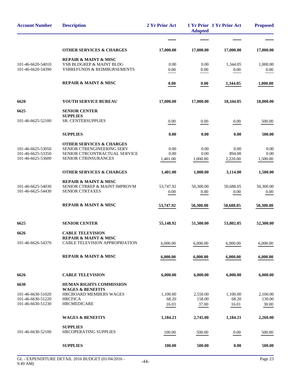| <b>Account Number</b>                  | <b>Description</b>                                           | 2 Yr Prior Act | <b>Adopted</b> | 1 Yr Prior 1 Yr Prior Act | <b>Proposed</b> |
|----------------------------------------|--------------------------------------------------------------|----------------|----------------|---------------------------|-----------------|
|                                        |                                                              |                |                |                           |                 |
|                                        | <b>OTHER SERVICES &amp; CHARGES</b>                          | 17,000.00      | 17,000.00      | 17,000.00                 | 17,000.00       |
|                                        | <b>REPAIR &amp; MAINT &amp; MISC</b>                         |                |                |                           |                 |
| 101-46-6620-54010<br>101-46-6620-54390 | YSB BLDGREP & MAINT BLDG<br>YSBREFUNDS & REIMBURSEMENTS      | 0.00           | 0.00           | 1,344.05                  | 1,000.00        |
|                                        |                                                              | 0.00           | $0.00\,$       | 0.00                      | 0.00            |
|                                        | <b>REPAIR &amp; MAINT &amp; MISC</b>                         | 0.00           | 0.00           | 1,344.05                  | 1,000.00        |
| 6620                                   | YOUTH SERVICE BUREAU                                         | 17,000.00      | 17,000.00      | 18,344.05                 | 18,000.00       |
| 6625                                   | <b>SENIOR CENTER</b>                                         |                |                |                           |                 |
| 101-46-6625-52100                      | <b>SUPPLIES</b><br>SR. CENTERSUPPLIES                        | 0.00           | 0.00           | 0.00                      | 500.00          |
|                                        |                                                              |                |                |                           |                 |
|                                        | <b>SUPPLIES</b>                                              | 0.00           | 0.00           | 0.00                      | 500.00          |
|                                        | <b>OTHER SERVICES &amp; CHARGES</b>                          |                |                |                           |                 |
| 101-46-6625-53050<br>101-46-6625-53350 | SENIOR CTRENGINEERING SERV<br>SENIOR CTRCONTRACTUAL SERVICE  | 0.00<br>0.00   | 0.00<br>0.00   | 0.00<br>894.00            | 0.00<br>0.00    |
| 101-46-6625-53600                      | SENIOR CTRINSURANCES                                         | 1,401.00       | 1,000.00       | 2,220.00                  | 1,500.00        |
|                                        | <b>OTHER SERVICES &amp; CHARGES</b>                          | 1,401.00       | 1,000.00       | 3,114.00                  | 1,500.00        |
|                                        | <b>REPAIR &amp; MAINT &amp; MISC</b>                         |                |                |                           |                 |
| 101-46-6625-54030                      | SENIOR CTRREP & MAINT IMPROVM                                | 53,747.92      | 50,300.00      | 50,688.05                 | 50,300.00       |
| 101-46-6625-54430                      | SENIOR CTRTAXES                                              | 0.00           | 0.00           | 0.00                      | 0.00            |
|                                        | <b>REPAIR &amp; MAINT &amp; MISC</b>                         | 53,747.92      | 50,300.00      | 50,688.05                 | 50,300.00       |
| 6625                                   | <b>SENIOR CENTER</b>                                         | 55,148.92      | 51,300.00      | 53,802.05                 | 52,300.00       |
| 6626                                   | <b>CABLE TELEVISION</b>                                      |                |                |                           |                 |
|                                        | <b>REPAIR &amp; MAINT &amp; MISC</b>                         |                |                |                           |                 |
| 101-46-6626-54370                      | <b>CABLE TELEVISION APPROPRIATION</b>                        | 6,000.00       | 6,000.00       | 6,000.00                  | 6,000.00        |
|                                        | <b>REPAIR &amp; MAINT &amp; MISC</b>                         | 6,000.00       | 6,000.00       | 6,000.00                  | 6,000.00        |
| 6626                                   | <b>CABLE TELEVISION</b>                                      | 6,000.00       | 6,000.00       | 6,000.00                  | 6,000.00        |
| 6630                                   | <b>HUMAN RIGHTS COMMISSION</b>                               |                |                |                           |                 |
| 101-46-6630-51020                      | <b>WAGES &amp; BENEFITS</b><br><b>HRCBOARD MEMBERS WAGES</b> | 1,100.00       | 2,550.00       | 1,100.00                  | 2,100.00        |
| 101-46-6630-51220                      | <b>HRCFICA</b>                                               | 68.20          | 158.00         | 68.20                     | 130.00          |
| 101-46-6630-51230                      | <b>HRCMEDICARE</b>                                           | 16.03          | 37.00          | 16.01                     | 30.00           |
|                                        | <b>WAGES &amp; BENEFITS</b>                                  | 1,184.23       | 2,745.00       | 1,184.21                  | 2,260.00        |
|                                        | <b>SUPPLIES</b>                                              |                |                |                           |                 |
| 101-46-6630-52100                      | <b>HRCOPERATING SUPPLIES</b>                                 | 100.00         | 500.00         | 0.00                      | 500.00          |
|                                        |                                                              | 100.00         | 500.00         | 0.00                      |                 |
|                                        | <b>SUPPLIES</b>                                              |                |                |                           | 500.00          |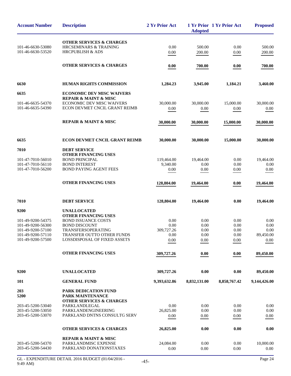| <b>Account Number</b>                  | <b>Description</b>                                                | 2 Yr Prior Act    | <b>Adopted</b> | 1 Yr Prior 1 Yr Prior Act | <b>Proposed</b> |
|----------------------------------------|-------------------------------------------------------------------|-------------------|----------------|---------------------------|-----------------|
|                                        | <b>OTHER SERVICES &amp; CHARGES</b>                               |                   |                |                           |                 |
| 101-46-6630-53080                      | <b>HRCSEMINARS &amp; TRAINING</b>                                 | 0.00              | 500.00         | 0.00                      | 500.00          |
| 101-46-6630-53520                      | <b>HRCPUBLISH &amp; ADS</b>                                       | 0.00              | 200.00         | 0.00                      | 200.00          |
|                                        |                                                                   |                   |                |                           |                 |
|                                        | <b>OTHER SERVICES &amp; CHARGES</b>                               | 0.00              | 700.00         | 0.00                      | 700.00          |
| 6630                                   | <b>HUMAN RIGHTS COMMISSION</b>                                    | 1,284.23          | 3,945.00       | 1,184.21                  | 3,460.00        |
| 6635                                   | <b>ECONOMIC DEV MISC WAIVERS</b>                                  |                   |                |                           |                 |
|                                        | REPAIR & MAINT & MISC                                             |                   |                |                           |                 |
| 101-46-6635-54370                      | <b>ECONOMIC DEV MISC WAIVERS</b>                                  | 30,000.00         | 30,000.00      | 15,000.00                 | 30,000.00       |
| 101-46-6635-54390                      | ECON DEVMET CNCIL GRANT REIMB                                     | 0.00              | 0.00           | 0.00                      | 0.00            |
|                                        | <b>REPAIR &amp; MAINT &amp; MISC</b>                              | 30,000.00         | 30,000.00      | 15,000.00                 | 30,000.00       |
| 6635                                   | <b>ECON DEVMET CNCIL GRANT REIMB</b>                              | 30,000.00         | 30,000.00      | 15,000.00                 | 30,000.00       |
| 7010                                   | <b>DEBT SERVICE</b>                                               |                   |                |                           |                 |
|                                        | <b>OTHER FINANCING USES</b>                                       |                   |                |                           |                 |
| 101-47-7010-56010                      | <b>BOND PRINCIPAL</b>                                             | 119,464.00        | 19.464.00      | 0.00                      | 19,464.00       |
| 101-47-7010-56110                      | <b>BOND INTEREST</b>                                              | 9,340.00          | 0.00           | 0.00                      | 0.00            |
| 101-47-7010-56200                      | <b>BOND PAYING AGENT FEES</b>                                     | 0.00              | 0.00           | 0.00                      | 0.00            |
|                                        | OTHER FINANCING USES                                              | 128,804.00        | 19,464.00      | 0.00                      | 19,464.00       |
| 7010                                   | <b>DEBT SERVICE</b>                                               | 128,804.00        | 19,464.00      | 0.00                      | 19,464.00       |
| 9200                                   | <b>UNALLOCATED</b>                                                |                   |                |                           |                 |
|                                        | <b>OTHER FINANCING USES</b>                                       |                   |                |                           |                 |
| 101-49-9200-54375                      | <b>BOND ISSUANCE COSTS</b>                                        | 0.00              | 0.00           | 0.00                      | 0.00            |
| 101-49-9200-56300                      | <b>BOND DISCOUNT</b>                                              | 0.00              | 0.00           | 0.00                      | 0.00            |
| 101-49-9200-57100                      | TRANSFERSOPERATING                                                | 309,727.26        | 0.00           | 0.00                      | 0.00            |
| 101-49-9200-57110<br>101-49-9200-57500 | TRANSFER OUTTO OTHER FUNDS<br><b>LOSSDISPOSAL OF FIXED ASSETS</b> | 0.00              | $0.00\,$       | $0.00\,$                  | 89,450.00       |
|                                        |                                                                   | 0.00              | 0.00           | 0.00                      | 0.00            |
|                                        | <b>OTHER FINANCING USES</b>                                       | 309,727.26        | 0.00           | 0.00                      | 89,450.00       |
| 9200                                   | <b>UNALLOCATED</b>                                                | 309,727.26        | 0.00           | 0.00                      | 89,450.00       |
| 101                                    | <b>GENERAL FUND</b>                                               | 9,393,632.86      | 8,832,131.00   | 8,858,767.42              | 9,144,426.00    |
| 203<br>5200                            | PARK DEDICATION FUND<br>PARK MAINTENANCE                          |                   |                |                           |                 |
|                                        | <b>OTHER SERVICES &amp; CHARGES</b>                               |                   |                |                           |                 |
| 203-45-5200-53040<br>203-45-5200-53050 | PARKLANDLEGAL<br>PARKLANDENGINEERING                              | 0.00<br>26,825.00 | 0.00<br>0.00   | 0.00<br>0.00              | 0.00<br>0.00    |
| 203-45-5200-53070                      | PARKLAND DNTNS CONSULTG SERV                                      | 0.00              | 0.00           | 0.00                      | 0.00            |
|                                        | <b>OTHER SERVICES &amp; CHARGES</b>                               | 26,825.00         | 0.00           | 0.00                      | 0.00            |
|                                        | <b>REPAIR &amp; MAINT &amp; MISC</b>                              |                   |                |                           |                 |
| 203-45-5200-54370                      | PARKLANDMISC EXPENSE                                              | 24,084.00         | 0.00           | 0.00                      | 10,000.00       |
| 203-45-5200-54430                      | PARKLAND DONATIONSTAXES                                           | 0.00              | 0.00           | 0.00                      | $0.00\,$        |
|                                        |                                                                   |                   |                |                           |                 |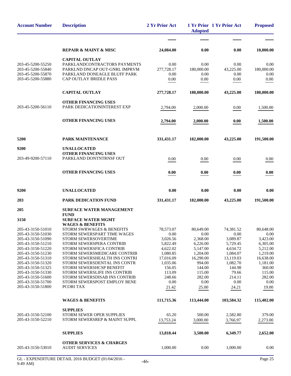| <b>Account Number</b>                  | <b>Description</b>                                                      | 2 Yr Prior Act        | <b>Adopted</b>        | 1 Yr Prior 1 Yr Prior Act | <b>Proposed</b>       |
|----------------------------------------|-------------------------------------------------------------------------|-----------------------|-----------------------|---------------------------|-----------------------|
|                                        |                                                                         |                       |                       |                           |                       |
|                                        | <b>REPAIR &amp; MAINT &amp; MISC</b>                                    | 24,084.00             | 0.00                  | 0.00                      | 10,000.00             |
|                                        | <b>CAPITAL OUTLAY</b>                                                   |                       |                       |                           |                       |
| 203-45-5200-55250                      | PARKLANDCONTRACTORS PAYMENTS                                            | 0.00                  | 0.00                  | 0.00                      | 0.00                  |
| 203-45-5200-55840<br>203-45-5200-55870 | PARKLND DNCAP OUT-GNRL IMPRVM<br>PARKLAND DONEAGLE BLUFF PARK           | 277,728.17<br>0.00    | 180,000.00<br>0.00    | 43,225.00<br>0.00         | 180,000.00<br>0.00    |
| 203-45-5200-55880                      | CAP OUTLAY BRIDLE PASS                                                  | 0.00                  | 0.00                  | 0.00                      | 0.00                  |
|                                        | <b>CAPITAL OUTLAY</b>                                                   | 277,728.17            | 180,000.00            | 43,225.00                 | 180,000.00            |
|                                        | <b>OTHER FINANCING USES</b>                                             |                       |                       |                           |                       |
| 203-45-5200-56110                      | PARK DEDICATIONINTEREST EXP                                             | 2,794.00              | 2,000.00              | 0.00                      | 1,500.00              |
|                                        | <b>OTHER FINANCING USES</b>                                             | 2,794.00              | 2,000.00              | 0.00                      | 1,500.00              |
| 5200                                   | PARK MAINTENANCE                                                        | 331,431.17            | 182,000.00            | 43,225.00                 | 191,500.00            |
| 9200                                   | <b>UNALLOCATED</b>                                                      |                       |                       |                           |                       |
|                                        | <b>OTHER FINANCING USES</b>                                             |                       |                       |                           |                       |
| 203-49-9200-57110                      | PARKLAND DONTNTRNSF OUT                                                 | 0.00                  | 0.00                  | 0.00                      | 0.00                  |
|                                        | <b>OTHER FINANCING USES</b>                                             | 0.00                  | 0.00                  | 0.00                      | 0.00                  |
| 9200                                   | <b>UNALLOCATED</b>                                                      | 0.00                  | 0.00                  | 0.00                      | 0.00                  |
| 203                                    | PARK DEDICATION FUND                                                    | 331,431.17            | 182,000.00            | 43,225.00                 | 191,500.00            |
| 205                                    | <b>SURFACE WATER MANAGEMENT</b>                                         |                       |                       |                           |                       |
| 3150                                   | <b>FUND</b><br><b>SURFACE WATER MGMT</b><br><b>WAGES &amp; BENEFITS</b> |                       |                       |                           |                       |
| 205-43-3150-51010                      | STORM SWRWAGES & BENEFITS                                               | 78,573.07             | 80,649.00             | 74,381.52                 | 80,648.00             |
| 205-43-3150-51030                      | STORM SEWERSPART TIME WAGES                                             | 0.00                  | $0.00\,$              | 0.00                      | 0.00                  |
| 205-43-3150-51090                      | STORM SEWERSOVERTIME                                                    | 3,026.56              | 2,368.00              | 3,089.87                  | 3,423.00              |
| 205-43-3150-51210                      | STORM SEWERSPERA CONTRIB                                                | 5,822.49              | 6,226.00              | 5,729.45                  | 6,305.00              |
| 205-43-3150-51220<br>205-43-3150-51230 | STORM SEWERSFICA CONTRIB<br>STORM SEWERSMEDICARE CONTRIB                | 4,622.02              | 5,147.00              | 4,634.72                  | 5,212.00              |
| 205-43-3150-51310                      | STORM SEWERSHEALTH INS CONTRI                                           | 1,080.85<br>17,016.09 | 1,204.00<br>16,290.00 | 1,084.07<br>13,119.03     | 1,219.00<br>16,638.00 |
| 205-43-3150-51320                      | STORM SEWERSDENTAL INS CONTR                                            | 1,035.06              | 994.00                | 1,082.70                  | 1,181.00              |
| 205-43-3150-51325                      | STORM SEWERSHCSP BENEFIT                                                | 156.05                | 144.00                | 144.98                    | 360.00                |
| 205-43-3150-51330                      | <b>STORM SEWERSLIFE INS CONTRIB</b>                                     | 113.09                | 115.00                | 79.66                     | 115.00                |
| 205-43-3150-51600                      | STORM SEWERSDISAB INS CONTRIB                                           | 248.66                | 282.00                | 214.11                    | 282.00                |
| 205-43-3150-51700<br>205-43-3150-51800 | STORM SEWERSPOST EMPLOY BENE<br>PCORI TAX                               | 0.00                  | 0.00                  | 0.00                      | 0.00                  |
|                                        |                                                                         | 21.42                 | 25.00                 | 24.21                     | 19.00                 |
|                                        | <b>WAGES &amp; BENEFITS</b>                                             | 111,715.36            | 113,444.00            | 103,584.32                | 115,402.00            |
|                                        | <b>SUPPLIES</b>                                                         |                       |                       |                           |                       |
| 205-43-3150-52100                      | STORM SEWER OPER SUPPLIES<br>STORM SEWERSREP & MAINT SUPPL              | 65.20                 | 500.00                | 2,582.80                  | 379.00                |
| 205-43-3150-52210                      |                                                                         | 13,753.24             | 3,000.00              | 3,766.97                  | 2,273.00              |
|                                        | <b>SUPPLIES</b>                                                         | 13,818.44             | 3,500.00              | 6,349.77                  | 2,652.00              |
| 205-43-3150-53010                      | <b>OTHER SERVICES &amp; CHARGES</b><br><b>AUDIT SERVICES</b>            | 1,000.00              | 0.00                  | 1,000.00                  | 0.00                  |
|                                        |                                                                         |                       |                       |                           |                       |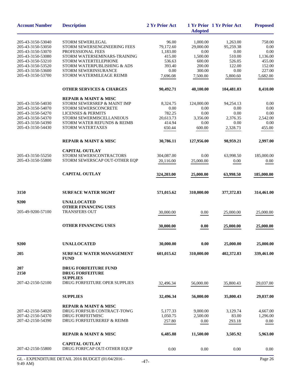| <b>Account Number</b>                                                                                                                           | <b>Description</b>                                                                                                                                                                                                 | 2 Yr Prior Act                                                       | <b>Adopted</b>                                                          | 1 Yr Prior 1 Yr Prior Act                                           | <b>Proposed</b>                                                  |
|-------------------------------------------------------------------------------------------------------------------------------------------------|--------------------------------------------------------------------------------------------------------------------------------------------------------------------------------------------------------------------|----------------------------------------------------------------------|-------------------------------------------------------------------------|---------------------------------------------------------------------|------------------------------------------------------------------|
| 205-43-3150-53040<br>205-43-3150-53050<br>205-43-3150-53070<br>205-43-3150-53080<br>205-43-3150-53210<br>205-43-3150-53520<br>205-43-3150-53600 | <b>STORM SEWERLEGAL</b><br>STORM SEWERSENGINEERING FEES<br>PROFESSIONAL FEES<br>STORM WATERSEMINARS-TRAINING<br>STORM WATERTELEPHONE<br>STORM WATERPUBLISHING & ADS<br>STORM SEWERINSURANCE                        | 96.00<br>79,172.60<br>1,183.00<br>415.00<br>536.63<br>393.40<br>0.00 | 1,000.00<br>29,000.00<br>0.00<br>1,500.00<br>600.00<br>200.00<br>300.00 | 1,263.00<br>95,259.38<br>0.00<br>510.00<br>526.05<br>122.00<br>0.00 | 758.00<br>0.00<br>0.00<br>1,136.00<br>455.00<br>152.00<br>227.00 |
| 205-43-3150-53700                                                                                                                               | STORM WATERMILEAGE REIMB                                                                                                                                                                                           | 7,696.08                                                             | 7,500.00                                                                | 5,800.60                                                            | 5,682.00                                                         |
|                                                                                                                                                 | <b>OTHER SERVICES &amp; CHARGES</b>                                                                                                                                                                                | 90,492.71                                                            | 40,100.00                                                               | 104,481.03                                                          | 8,410.00                                                         |
| 205-43-3150-54030<br>205-43-3150-54070<br>205-43-3150-54270<br>205-43-3150-54370<br>205-43-3150-54390<br>205-43-3150-54430                      | <b>REPAIR &amp; MAINT &amp; MISC</b><br>STORM SEWERSREP & MAINT IMP<br>STORM SEWERSCONCRETE<br><b>LICENSES &amp; PERMITS</b><br>STORM SEWERMISCELLANEOUS<br>STORM WATER REFUNDS & REIMB<br><b>STORM WATERTAXES</b> | 8,324.75<br>0.00<br>782.25<br>20,613.73<br>414.94<br>650.44          | 124,000.00<br>0.00<br>0.00<br>3,356.00<br>0.00<br>600.00                | 94,254.13<br>0.00<br>0.00<br>2,376.35<br>0.00<br>2,328.73           | 0.00<br>0.00<br>0.00<br>2,542.00<br>0.00<br>455.00               |
|                                                                                                                                                 | <b>REPAIR &amp; MAINT &amp; MISC</b>                                                                                                                                                                               | 30,786.11                                                            | 127,956.00                                                              | 98,959.21                                                           | 2,997.00                                                         |
| 205-43-3150-55250<br>205-43-3150-55800                                                                                                          | <b>CAPITAL OUTLAY</b><br>STORM SEWERSCONTRACTORS<br>STORM SEWERSCAP OUT-OTHER EQP<br><b>CAPITAL OUTLAY</b>                                                                                                         | 304,087.00<br>20,116.00<br>324,203.00                                | 0.00<br>25,000.00<br>25,000.00                                          | 63,998.50<br>0.00<br>63,998.50                                      | 185,000.00<br>0.00<br>185,000.00                                 |
| 3150                                                                                                                                            | <b>SURFACE WATER MGMT</b>                                                                                                                                                                                          | 571,015.62                                                           | 310,000.00                                                              | 377,372.83                                                          | 314,461.00                                                       |
| 9200                                                                                                                                            | <b>UNALLOCATED</b>                                                                                                                                                                                                 |                                                                      |                                                                         |                                                                     |                                                                  |
| 205-49-9200-57100                                                                                                                               | OTHER FINANCING USES<br><b>TRANSFERS OUT</b>                                                                                                                                                                       | 30,000.00                                                            | 0.00                                                                    | 25,000.00                                                           | 25,000.00                                                        |
|                                                                                                                                                 | <b>OTHER FINANCING USES</b>                                                                                                                                                                                        | 30,000.00                                                            | 0.00                                                                    | 25,000.00                                                           | 25,000.00                                                        |
| 9200                                                                                                                                            | <b>UNALLOCATED</b>                                                                                                                                                                                                 | 30,000.00                                                            | 0.00                                                                    | 25,000.00                                                           | 25,000.00                                                        |
| 205                                                                                                                                             | <b>SURFACE WATER MANAGEMENT</b><br><b>FUND</b>                                                                                                                                                                     | 601,015.62                                                           | 310,000.00                                                              | 402,372.83                                                          | 339,461.00                                                       |
| 207<br>2150                                                                                                                                     | <b>DRUG FORFEITURE FUND</b><br><b>DRUG FORFEITURE</b>                                                                                                                                                              |                                                                      |                                                                         |                                                                     |                                                                  |
| 207-42-2150-52100                                                                                                                               | <b>SUPPLIES</b><br>DRUG FORFEITURE OPER SUPPLIES                                                                                                                                                                   | 32,496.34                                                            | 56,000.00                                                               | 35,800.43                                                           | 29,037.00                                                        |
|                                                                                                                                                 | <b>SUPPLIES</b>                                                                                                                                                                                                    | 32,496.34                                                            | 56,000.00                                                               | 35,800.43                                                           | 29,037.00                                                        |
| 207-42-2150-54020<br>207-42-2150-54370<br>207-42-2150-54390                                                                                     | <b>REPAIR &amp; MAINT &amp; MISC</b><br>DRUG FORFSUB CONTRACT-TOWG<br><b>DRUG FORFEITMISC</b><br>DRUG FORFEITUREREF & REIMB                                                                                        | 5,177.33<br>1,050.75<br>257.80                                       | 9,000.00<br>2,500.00<br>0.00                                            | 3,129.74<br>83.00<br>293.18                                         | 4,667.00<br>1,296.00<br>0.00                                     |
|                                                                                                                                                 | <b>REPAIR &amp; MAINT &amp; MISC</b>                                                                                                                                                                               | 6,485.88                                                             | 11,500.00                                                               | 3,505.92                                                            | 5,963.00                                                         |
| 207-42-2150-55800                                                                                                                               | <b>CAPITAL OUTLAY</b><br>DRUG FORFCAP OUT-OTHER EQUP                                                                                                                                                               | 0.00                                                                 | 0.00                                                                    | 0.00                                                                | 0.00                                                             |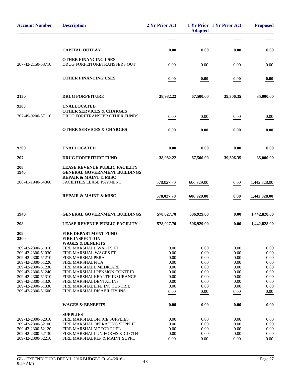| <b>Account Number</b>                  | <b>Description</b>                                                          | 2 Yr Prior Act | <b>Adopted</b> | 1 Yr Prior 1 Yr Prior Act | <b>Proposed</b> |
|----------------------------------------|-----------------------------------------------------------------------------|----------------|----------------|---------------------------|-----------------|
|                                        |                                                                             |                |                |                           |                 |
|                                        | <b>CAPITAL OUTLAY</b>                                                       | 0.00           | 0.00           | 0.00                      | 0.00            |
| 207-42-2150-53710                      | <b>OTHER FINANCING USES</b><br>DRUG FORFEITURETRANSFERS OUT                 | 0.00           | 0.00           | 0.00                      | 0.00            |
|                                        | <b>OTHER FINANCING USES</b>                                                 | 0.00           | 0.00           | 0.00                      | 0.00            |
|                                        |                                                                             |                |                |                           |                 |
| 2150                                   | <b>DRUG FORFEITURE</b>                                                      | 38,982.22      | 67,500.00      | 39,306.35                 | 35,000.00       |
| 9200                                   | <b>UNALLOCATED</b>                                                          |                |                |                           |                 |
| 207-49-9200-57110                      | <b>OTHER SERVICES &amp; CHARGES</b><br>DRUG FORFTRANSFER OTHER FUNDS        | 0.00           | 0.00           | 0.00                      | 0.00            |
|                                        | <b>OTHER SERVICES &amp; CHARGES</b>                                         | 0.00           | 0.00           | 0.00                      | 0.00            |
| 9200                                   | <b>UNALLOCATED</b>                                                          | 0.00           | 0.00           | 0.00                      | 0.00            |
| 207                                    | <b>DRUG FORFEITURE FUND</b>                                                 | 38,982.22      | 67,500.00      | 39,306.35                 | 35,000.00       |
| 208<br>1940                            | <b>LEASE REVENUE PUBLIC FACILITY</b><br><b>GENERAL GOVERNMENT BUILDINGS</b> |                |                |                           |                 |
| 208-41-1940-54360                      | <b>REPAIR &amp; MAINT &amp; MISC</b><br>FACILITIES LEASE PAYMENT            | 578,027.70     | 606,929.00     | 0.00                      | 1,442,828.00    |
|                                        | <b>REPAIR &amp; MAINT &amp; MISC</b>                                        | 578,027.70     | 606,929.00     | 0.00                      | 1,442,828.00    |
| 1940                                   | <b>GENERAL GOVERNMENT BUILDINGS</b>                                         | 578,027.70     | 606,929.00     | 0.00                      | 1,442,828.00    |
| 208                                    | <b>LEASE REVENUE PUBLIC FACILITY</b>                                        | 578,027.70     | 606,929.00     | 0.00                      | 1,442,828.00    |
| 209<br>2300                            | <b>FIRE DEPARTMENT FUND</b><br><b>FIRE INSPECTION</b>                       |                |                |                           |                 |
| 209-42-2300-51010                      | <b>WAGES &amp; BENEFITS</b><br>FIRE MARSHALL WAGES FT                       | 0.00           | 0.00           | 0.00                      | 0.00            |
| 209-42-2300-51030                      | FIRE MARSHAL WAGES PT                                                       | 0.00           | 0.00           | 0.00                      | 0.00            |
| 209-42-2300-51210                      | FIRE MARSHALPERA                                                            | 0.00           | 0.00           | 0.00                      | 0.00            |
| 209-42-2300-51220                      | FIRE MARSHALFICA                                                            | 0.00           | 0.00           | 0.00                      | 0.00            |
| 209-42-2300-51230<br>209-42-2300-51240 | FIRE MARSHALL MEDICARE<br>FIRE MARSHALLPENSION CONTRIB                      | 0.00<br>0.00   | 0.00<br>0.00   | 0.00<br>0.00              | 0.00<br>0.00    |
| 209-42-2300-51310                      | FIRE MARSHALHEALTH INSURANCE                                                | 0.00           | 0.00           | 0.00                      | 0.00            |
| 209-42-2300-51320                      | FIRE MARSHALDENTAL INS                                                      | 0.00           | 0.00           | 0.00                      | 0.00            |
| 209-42-2300-51330                      | FIRE MARSHALLIFE INS CONTRIB                                                | 0.00           | 0.00           | 0.00                      | 0.00            |
| 209-42-2300-51600                      | FIRE MARSHALDISABILITY INS                                                  | 0.00           | 0.00           | 0.00                      | 0.00            |
|                                        | <b>WAGES &amp; BENEFITS</b>                                                 | 0.00           | 0.00           | 0.00                      | 0.00            |
|                                        | <b>SUPPLIES</b>                                                             |                |                |                           |                 |
| 209-42-2300-52010                      | FIRE MARSHALOFFICE SUPPLIES                                                 | 0.00           | 0.00           | 0.00                      | 0.00            |
| 209-42-2300-52100<br>209-42-2300-52120 | FIRE MARSHALOPERATING SUPPLIE<br>FIRE MARSHALMOTOR FUEL                     | 0.00<br>0.00   | 0.00<br>0.00   | 0.00<br>0.00              | 0.00<br>0.00    |
| 209-42-2300-52130                      | FIRE MARSHALLUNIFORMS & CLOTH                                               | 0.00           | 0.00           | 0.00                      | 0.00            |
| 209-42-2300-52210                      | FIRE MARSHALREP & MAINT SUPPL                                               | 0.00           | 0.00           | 0.00                      | 0.00            |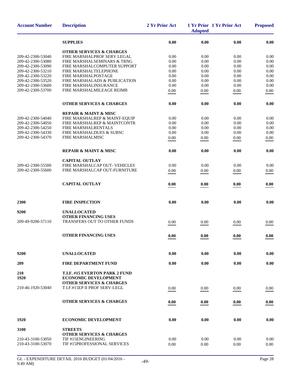| <b>Account Number</b>                  | <b>Description</b>                                            | 2 Yr Prior Act      | <b>Adopted</b> | 1 Yr Prior 1 Yr Prior Act | <b>Proposed</b> |
|----------------------------------------|---------------------------------------------------------------|---------------------|----------------|---------------------------|-----------------|
|                                        | <b>SUPPLIES</b>                                               | 0.00                | 0.00           | 0.00                      | 0.00            |
|                                        | <b>OTHER SERVICES &amp; CHARGES</b>                           |                     |                |                           |                 |
| 209-42-2300-53040                      | FIRE MARSHALPROF SERV LEGAL                                   | 0.00                | 0.00           | 0.00                      | 0.00            |
| 209-42-2300-53080                      | FIRE MARSHALSEMINARS & TRNG                                   | 0.00                | 0.00           | 0.00                      | 0.00            |
| 209-42-2300-53090                      | FIRE MARSHALCOMPUTER SUPPORT                                  | 0.00                | 0.00           | 0.00                      | 0.00            |
| 209-42-2300-53210                      | FIRE MARSHALTELEPHONE                                         | 0.00                | 0.00           | 0.00                      | 0.00            |
| 209-42-2300-53220                      | FIRE MARSHALPOSTAGE                                           | 0.00                | 0.00           | 0.00                      | 0.00            |
| 209-42-2300-53520<br>209-42-2300-53600 | FIRE MARSHALADS & PUBLICATION<br>FIRE MARSHALINSURANCE        | 0.00<br>0.00        | 0.00<br>0.00   | 0.00<br>0.00              | 0.00<br>0.00    |
| 209-42-2300-53700                      | FIRE MARSHALMILEAGE REIMB                                     |                     |                |                           |                 |
|                                        |                                                               | 0.00                | 0.00           | 0.00                      | 0.00            |
|                                        | <b>OTHER SERVICES &amp; CHARGES</b>                           | 0.00                | 0.00           | 0.00                      | 0.00            |
|                                        | <b>REPAIR &amp; MAINT &amp; MISC</b>                          |                     |                |                           |                 |
| 209-42-2300-54040                      | FIRE MARSHALREP & MAINT-EQUIP                                 | 0.00                | 0.00           | 0.00                      | 0.00            |
| 209-42-2300-54050                      | FIRE MARSHALREP & MAINTCONTR                                  | 0.00                | 0.00           | 0.00                      | 0.00            |
| 209-42-2300-54250                      | <b>FIRE MARSHALRENTALS</b>                                    | 0.00                | 0.00           | 0.00                      | 0.00            |
| 209-42-2300-54330<br>209-42-2300-54370 | FIRE MARSHALDUES & SUBSC<br>FIRE MARSHALMISC                  | 0.00                | 0.00           | 0.00                      | 0.00            |
|                                        |                                                               | 0.00                | 0.00           | 0.00                      | 0.00            |
|                                        | <b>REPAIR &amp; MAINT &amp; MISC</b>                          | 0.00                | 0.00           | 0.00                      | 0.00            |
|                                        | <b>CAPITAL OUTLAY</b>                                         |                     |                |                           |                 |
| 209-42-2300-55500                      | FIRE MARSHALCAP OUT- VEHICLES                                 | 0.00                | 0.00           | 0.00                      | 0.00            |
| 209-42-2300-55600                      | FIRE MARSHALCAP OUT-FURNITURE                                 | 0.00                | 0.00           | 0.00                      | 0.00            |
|                                        | <b>CAPITAL OUTLAY</b>                                         | 0.00                | 0.00           | 0.00                      | 0.00            |
| 2300                                   | <b>FIRE INSPECTION</b>                                        | 0.00                | 0.00           | 0.00                      | 0.00            |
|                                        | <b>UNALLOCATED</b>                                            |                     |                |                           |                 |
| 9200                                   | <b>OTHER FINANCING USES</b>                                   |                     |                |                           |                 |
| 209-49-9200-57110                      | TRANSFERS OUT TO OTHER FUNDS                                  | 0.00                | 0.00           | 0.00                      | 0.00            |
|                                        | <b>OTHER FINANCING USES</b>                                   | $\boldsymbol{0.00}$ | $0.00\,$       | 0.00                      | 0.00            |
|                                        |                                                               |                     |                |                           |                 |
| 9200                                   | <b>UNALLOCATED</b>                                            | 0.00                | 0.00           | 0.00                      | 0.00            |
| 209                                    | <b>FIRE DEPARTMENT FUND</b>                                   | 0.00                | 0.00           | 0.00                      | 0.00            |
| 210<br>1920                            | T.I.F. #15 EVERTON PARK 2 FUND<br><b>ECONOMIC DEVELOPMENT</b> |                     |                |                           |                 |
|                                        | <b>OTHER SERVICES &amp; CHARGES</b>                           |                     |                |                           |                 |
| 210-46-1920-53040                      | T.I.F.#15EP II PROF SERV-LEGL                                 | 0.00                | 0.00           | 0.00                      | 0.00            |
|                                        | <b>OTHER SERVICES &amp; CHARGES</b>                           | 0.00                | 0.00           | 0.00                      | 0.00            |
|                                        |                                                               |                     |                |                           |                 |
| 1920                                   | <b>ECONOMIC DEVELOPMENT</b>                                   | 0.00                | 0.00           | 0.00                      | 0.00            |
| 3100                                   | <b>STREETS</b>                                                |                     |                |                           |                 |
|                                        | <b>OTHER SERVICES &amp; CHARGES</b>                           |                     |                |                           |                 |
| 210-43-3100-53050                      | TIF #15ENGINEERING                                            | 0.00                | 0.00           | 0.00                      | 0.00            |
| 210-43-3100-53070                      | TIF #15PROFESSIONAL SERVICES                                  | 0.00                | 0.00           | 0.00                      | 0.00            |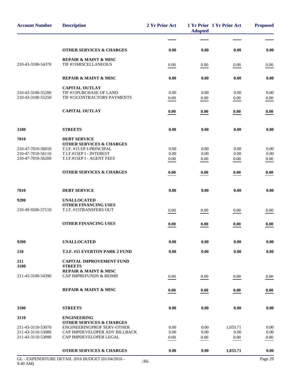| <b>Account Number</b>                  | <b>Description</b>                                                       | 2 Yr Prior Act | <b>Adopted</b> | 1 Yr Prior 1 Yr Prior Act | <b>Proposed</b> |
|----------------------------------------|--------------------------------------------------------------------------|----------------|----------------|---------------------------|-----------------|
|                                        |                                                                          |                |                |                           |                 |
|                                        | <b>OTHER SERVICES &amp; CHARGES</b>                                      | 0.00           | 0.00           | 0.00                      | 0.00            |
|                                        | <b>REPAIR &amp; MAINT &amp; MISC</b>                                     |                |                |                           |                 |
| 210-43-3100-54370                      | TIF #15MISCELLANEOUS                                                     | 0.00           | 0.00           | 0.00                      | 0.00            |
|                                        | <b>REPAIR &amp; MAINT &amp; MISC</b>                                     | 0.00           | 0.00           | 0.00                      | 0.00            |
|                                        | <b>CAPITAL OUTLAY</b>                                                    |                |                |                           |                 |
| 210-43-3100-55200                      | TIF #15PURCHASE OF LAND                                                  | 0.00           | 0.00           | 0.00                      | 0.00            |
| 210-43-3100-55250                      | TIF #15CONTRACTORS PAYMENTS                                              | 0.00           | 0.00           | 0.00                      | 0.00            |
|                                        | <b>CAPITAL OUTLAY</b>                                                    | 0.00           | 0.00           | 0.00                      | 0.00            |
| 3100                                   | <b>STREETS</b>                                                           | 0.00           | 0.00           | 0.00                      | 0.00            |
| 7010                                   | <b>DEBT SERVICE</b>                                                      |                |                |                           |                 |
|                                        | <b>OTHER SERVICES &amp; CHARGES</b>                                      |                |                |                           |                 |
| 210-47-7010-56010                      | T.I.F. #15 EP I-PRINCIPAL                                                | 0.00           | 0.00           | 0.00                      | 0.00            |
| 210-47-7010-56110<br>210-47-7010-56200 | T.I.F.#15EP I - INTEREST<br>T.I.F.#15EP I - AGENT FEES                   | 0.00<br>0.00   | 0.00<br>0.00   | 0.00<br>0.00              | 0.00<br>0.00    |
|                                        |                                                                          |                |                |                           |                 |
|                                        | <b>OTHER SERVICES &amp; CHARGES</b>                                      | 0.00           | 0.00           | 0.00                      | 0.00            |
| 7010                                   | <b>DEBT SERVICE</b>                                                      | 0.00           | 0.00           | 0.00                      | 0.00            |
| 9200                                   | <b>UNALLOCATED</b>                                                       |                |                |                           |                 |
|                                        | <b>OTHER FINANCING USES</b>                                              |                |                |                           |                 |
| 210-49-9200-57110                      | T.I.F. #15TRANSFERS OUT                                                  | 0.00           | 0.00           | 0.00                      | 0.00            |
|                                        | <b>OTHER FINANCING USES</b>                                              | 0.00           | 0.00           | 0.00                      | 0.00            |
|                                        |                                                                          |                |                |                           |                 |
| 9200                                   | <b>UNALLOCATED</b>                                                       | 0.00           | 0.00           | 0.00                      | 0.00            |
| 210                                    | T.I.F. #15 EVERTON PARK 2 FUND                                           | 0.00           | 0.00           | 0.00                      | 0.00            |
| 211<br>3100                            | <b>CAPITAL IMPROVEMENT FUND</b><br><b>STREETS</b>                        |                |                |                           |                 |
|                                        | <b>REPAIR &amp; MAINT &amp; MISC</b>                                     |                |                |                           |                 |
| 211-43-3100-54390                      | <b>CAP IMPREFUNDS &amp; REIMB</b>                                        | 0.00           | 0.00           | 0.00                      | 0.00            |
|                                        | <b>REPAIR &amp; MAINT &amp; MISC</b>                                     | 0.00           | 0.00           | 0.00                      | 0.00            |
|                                        |                                                                          |                |                |                           |                 |
| 3100                                   | <b>STREETS</b>                                                           | 0.00           | 0.00           | 0.00                      | 0.00            |
| 3110                                   | <b>ENGINEERING</b>                                                       |                |                |                           |                 |
| 211-43-3110-53070                      | <b>OTHER SERVICES &amp; CHARGES</b><br><b>ENGINEERINGPROF SERV-OTHER</b> | 0.00           | 0.00           | 1,033.71                  | 0.00            |
| 211-43-3110-53080                      | CAP IMPDEVELOPER ADV BILLBACK                                            | 0.00           | 0.00           | 0.00                      | 0.00            |
| 211-43-3110-53090                      | CAP IMPDEVELOPER LEGAL                                                   | 0.00           | 0.00           | 0.00                      | 0.00            |
|                                        | <b>OTHER SERVICES &amp; CHARGES</b>                                      | 0.00           | 0.00           | 1,033.71                  | 0.00            |
|                                        |                                                                          |                |                |                           |                 |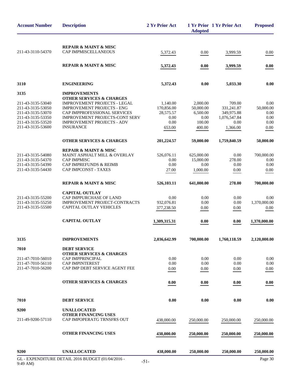| <b>REPAIR &amp; MAINT &amp; MISC</b><br>CAP IMPMISCELLANEOUS<br>3,999.59<br>5,372.43<br>0.00<br><b>REPAIR &amp; MAINT &amp; MISC</b><br>5,372.43<br>3,999.59<br>0.00<br>3110<br><b>ENGINEERING</b><br>5,372.43<br>0.00<br>5,033.30<br>0.00<br><b>IMPROVEMENTS</b><br>3135<br><b>OTHER SERVICES &amp; CHARGES</b><br><b>IMPROVEMENT PROJECTS - LEGAL</b><br>1,140.00<br>2,000.00<br>709.00<br><b>IMPROVEMENT PROJECTS - ENG</b><br>170,856.00<br>50,000.00<br>331,241.87<br>211-43-3135-53070<br>CAP IMPPROFESSIONAL SERVICES<br>28,575.57<br>6,500.00<br>349,975.88<br>IMPROVEMENT PROJECTS-CONT SERV<br>0.00<br>0.00<br>1,076,547.84<br>211-43-3135-53350<br>0.00<br>211-43-3135-53520<br><b>IMPROVEMENT PROJECTS - ADV</b><br>0.00<br>100.00<br>0.00<br>0.00<br><b>INSURANCE</b><br>1,366.00<br>653.00<br>400.00<br><b>OTHER SERVICES &amp; CHARGES</b><br>201,224.57<br>59,000.00<br>1,759,840.59<br>50,000.00<br><b>REPAIR &amp; MAINT &amp; MISC</b><br>700,000.00<br>211-43-3135-54080<br>MAINT ASPHALT MILL & OVERLAY<br>526,076.11<br>0.00<br>625,000.00<br><b>CAP IMPMISC</b><br>278.00<br>0.00<br>15,000.00<br><b>CAP IMPREFUNDS &amp; REIMB</b><br>0.00<br>211-43-3135-54390<br>0.00<br>0.00<br>211-43-3135-54430<br>CAP IMPCONST - TAXES<br>27.00<br>1,000.00<br>0.00<br><b>REPAIR &amp; MAINT &amp; MISC</b><br>526,103.11<br>641,000.00<br>278.00<br><b>CAPITAL OUTLAY</b><br>211-43-3135-55200<br>CAP IMPPURCHASE OF LAND<br>0.00<br>0.00<br>0.00<br>0.00<br>211-43-3135-55250<br><b>IMPROVEMENT PROJECT-CONTRACTS</b><br>932,076.81<br>0.00<br>0.00<br>1,370,000.00<br>CAPITAL OUTLAY VEHICLES<br>377,238.50<br>0.00<br>0.00<br><b>CAPITAL OUTLAY</b><br>1,309,315.31<br>0.00<br>0.00<br>3135<br><b>IMPROVEMENTS</b><br>2,036,642.99<br>700,000.00<br>1,760,118.59<br>7010<br><b>DEBT SERVICE</b><br><b>OTHER SERVICES &amp; CHARGES</b><br>CAP IMPPRINCIPAL<br>0.00<br>0.00<br>0.00<br>211-47-7010-56110<br>0.00<br>0.00<br><b>CAP IMPINTEREST</b><br>0.00<br>211-47-7010-56200<br>CAP IMP DEBT SERVICE AGENT FEE<br>0.00<br>0.00<br>0.00<br>0.00<br><b>OTHER SERVICES &amp; CHARGES</b><br>0.00<br>0.00<br>0.00<br><b>DEBT SERVICE</b><br>0.00<br>0.00<br>0.00<br><b>UNALLOCATED</b><br><b>OTHER FINANCING USES</b><br>CAP IMPOPERATG TRNSFRS OUT<br>211-49-9200-57110<br>438,000.00<br>250,000.00<br>250,000.00<br>250,000.00<br><b>OTHER FINANCING USES</b><br>438,000.00<br>250,000.00<br>250,000.00<br><b>UNALLOCATED</b><br>438,000.00<br>250,000.00<br>9200<br>250,000.00<br>GL - EXPENDITURE DETAIL 2016 BUDGET (01/04/2016 - | <b>Account Number</b> | <b>Description</b> | 2 Yr Prior Act | <b>Adopted</b> | 1 Yr Prior 1 Yr Prior Act | <b>Proposed</b> |
|--------------------------------------------------------------------------------------------------------------------------------------------------------------------------------------------------------------------------------------------------------------------------------------------------------------------------------------------------------------------------------------------------------------------------------------------------------------------------------------------------------------------------------------------------------------------------------------------------------------------------------------------------------------------------------------------------------------------------------------------------------------------------------------------------------------------------------------------------------------------------------------------------------------------------------------------------------------------------------------------------------------------------------------------------------------------------------------------------------------------------------------------------------------------------------------------------------------------------------------------------------------------------------------------------------------------------------------------------------------------------------------------------------------------------------------------------------------------------------------------------------------------------------------------------------------------------------------------------------------------------------------------------------------------------------------------------------------------------------------------------------------------------------------------------------------------------------------------------------------------------------------------------------------------------------------------------------------------------------------------------------------------------------------------------------------------------------------------------------------------------------------------------------------------------------------------------------------------------------------------------------------------------------------------------------------------------------------------------------------------------------------------------------------------------------------------------------------------------------------------------------------------------------------------------------|-----------------------|--------------------|----------------|----------------|---------------------------|-----------------|
|                                                                                                                                                                                                                                                                                                                                                                                                                                                                                                                                                                                                                                                                                                                                                                                                                                                                                                                                                                                                                                                                                                                                                                                                                                                                                                                                                                                                                                                                                                                                                                                                                                                                                                                                                                                                                                                                                                                                                                                                                                                                                                                                                                                                                                                                                                                                                                                                                                                                                                                                                        |                       |                    |                |                |                           |                 |
|                                                                                                                                                                                                                                                                                                                                                                                                                                                                                                                                                                                                                                                                                                                                                                                                                                                                                                                                                                                                                                                                                                                                                                                                                                                                                                                                                                                                                                                                                                                                                                                                                                                                                                                                                                                                                                                                                                                                                                                                                                                                                                                                                                                                                                                                                                                                                                                                                                                                                                                                                        | 211-43-3110-54370     |                    |                |                |                           | 0.00            |
|                                                                                                                                                                                                                                                                                                                                                                                                                                                                                                                                                                                                                                                                                                                                                                                                                                                                                                                                                                                                                                                                                                                                                                                                                                                                                                                                                                                                                                                                                                                                                                                                                                                                                                                                                                                                                                                                                                                                                                                                                                                                                                                                                                                                                                                                                                                                                                                                                                                                                                                                                        |                       |                    |                |                |                           | 0.00            |
|                                                                                                                                                                                                                                                                                                                                                                                                                                                                                                                                                                                                                                                                                                                                                                                                                                                                                                                                                                                                                                                                                                                                                                                                                                                                                                                                                                                                                                                                                                                                                                                                                                                                                                                                                                                                                                                                                                                                                                                                                                                                                                                                                                                                                                                                                                                                                                                                                                                                                                                                                        |                       |                    |                |                |                           |                 |
|                                                                                                                                                                                                                                                                                                                                                                                                                                                                                                                                                                                                                                                                                                                                                                                                                                                                                                                                                                                                                                                                                                                                                                                                                                                                                                                                                                                                                                                                                                                                                                                                                                                                                                                                                                                                                                                                                                                                                                                                                                                                                                                                                                                                                                                                                                                                                                                                                                                                                                                                                        |                       |                    |                |                |                           |                 |
|                                                                                                                                                                                                                                                                                                                                                                                                                                                                                                                                                                                                                                                                                                                                                                                                                                                                                                                                                                                                                                                                                                                                                                                                                                                                                                                                                                                                                                                                                                                                                                                                                                                                                                                                                                                                                                                                                                                                                                                                                                                                                                                                                                                                                                                                                                                                                                                                                                                                                                                                                        |                       |                    |                |                |                           |                 |
|                                                                                                                                                                                                                                                                                                                                                                                                                                                                                                                                                                                                                                                                                                                                                                                                                                                                                                                                                                                                                                                                                                                                                                                                                                                                                                                                                                                                                                                                                                                                                                                                                                                                                                                                                                                                                                                                                                                                                                                                                                                                                                                                                                                                                                                                                                                                                                                                                                                                                                                                                        | 211-43-3135-53040     |                    |                |                |                           | 0.00            |
|                                                                                                                                                                                                                                                                                                                                                                                                                                                                                                                                                                                                                                                                                                                                                                                                                                                                                                                                                                                                                                                                                                                                                                                                                                                                                                                                                                                                                                                                                                                                                                                                                                                                                                                                                                                                                                                                                                                                                                                                                                                                                                                                                                                                                                                                                                                                                                                                                                                                                                                                                        | 211-43-3135-53050     |                    |                |                |                           | 50,000.00       |
|                                                                                                                                                                                                                                                                                                                                                                                                                                                                                                                                                                                                                                                                                                                                                                                                                                                                                                                                                                                                                                                                                                                                                                                                                                                                                                                                                                                                                                                                                                                                                                                                                                                                                                                                                                                                                                                                                                                                                                                                                                                                                                                                                                                                                                                                                                                                                                                                                                                                                                                                                        |                       |                    |                |                |                           | 0.00            |
|                                                                                                                                                                                                                                                                                                                                                                                                                                                                                                                                                                                                                                                                                                                                                                                                                                                                                                                                                                                                                                                                                                                                                                                                                                                                                                                                                                                                                                                                                                                                                                                                                                                                                                                                                                                                                                                                                                                                                                                                                                                                                                                                                                                                                                                                                                                                                                                                                                                                                                                                                        |                       |                    |                |                |                           |                 |
|                                                                                                                                                                                                                                                                                                                                                                                                                                                                                                                                                                                                                                                                                                                                                                                                                                                                                                                                                                                                                                                                                                                                                                                                                                                                                                                                                                                                                                                                                                                                                                                                                                                                                                                                                                                                                                                                                                                                                                                                                                                                                                                                                                                                                                                                                                                                                                                                                                                                                                                                                        | 211-43-3135-53600     |                    |                |                |                           | 0.00            |
|                                                                                                                                                                                                                                                                                                                                                                                                                                                                                                                                                                                                                                                                                                                                                                                                                                                                                                                                                                                                                                                                                                                                                                                                                                                                                                                                                                                                                                                                                                                                                                                                                                                                                                                                                                                                                                                                                                                                                                                                                                                                                                                                                                                                                                                                                                                                                                                                                                                                                                                                                        |                       |                    |                |                |                           |                 |
|                                                                                                                                                                                                                                                                                                                                                                                                                                                                                                                                                                                                                                                                                                                                                                                                                                                                                                                                                                                                                                                                                                                                                                                                                                                                                                                                                                                                                                                                                                                                                                                                                                                                                                                                                                                                                                                                                                                                                                                                                                                                                                                                                                                                                                                                                                                                                                                                                                                                                                                                                        |                       |                    |                |                |                           |                 |
|                                                                                                                                                                                                                                                                                                                                                                                                                                                                                                                                                                                                                                                                                                                                                                                                                                                                                                                                                                                                                                                                                                                                                                                                                                                                                                                                                                                                                                                                                                                                                                                                                                                                                                                                                                                                                                                                                                                                                                                                                                                                                                                                                                                                                                                                                                                                                                                                                                                                                                                                                        |                       |                    |                |                |                           |                 |
|                                                                                                                                                                                                                                                                                                                                                                                                                                                                                                                                                                                                                                                                                                                                                                                                                                                                                                                                                                                                                                                                                                                                                                                                                                                                                                                                                                                                                                                                                                                                                                                                                                                                                                                                                                                                                                                                                                                                                                                                                                                                                                                                                                                                                                                                                                                                                                                                                                                                                                                                                        | 211-43-3135-54370     |                    |                |                |                           | 0.00            |
|                                                                                                                                                                                                                                                                                                                                                                                                                                                                                                                                                                                                                                                                                                                                                                                                                                                                                                                                                                                                                                                                                                                                                                                                                                                                                                                                                                                                                                                                                                                                                                                                                                                                                                                                                                                                                                                                                                                                                                                                                                                                                                                                                                                                                                                                                                                                                                                                                                                                                                                                                        |                       |                    |                |                |                           | 0.00            |
|                                                                                                                                                                                                                                                                                                                                                                                                                                                                                                                                                                                                                                                                                                                                                                                                                                                                                                                                                                                                                                                                                                                                                                                                                                                                                                                                                                                                                                                                                                                                                                                                                                                                                                                                                                                                                                                                                                                                                                                                                                                                                                                                                                                                                                                                                                                                                                                                                                                                                                                                                        |                       |                    |                |                |                           | 0.00            |
|                                                                                                                                                                                                                                                                                                                                                                                                                                                                                                                                                                                                                                                                                                                                                                                                                                                                                                                                                                                                                                                                                                                                                                                                                                                                                                                                                                                                                                                                                                                                                                                                                                                                                                                                                                                                                                                                                                                                                                                                                                                                                                                                                                                                                                                                                                                                                                                                                                                                                                                                                        |                       |                    |                |                |                           | 700,000.00      |
|                                                                                                                                                                                                                                                                                                                                                                                                                                                                                                                                                                                                                                                                                                                                                                                                                                                                                                                                                                                                                                                                                                                                                                                                                                                                                                                                                                                                                                                                                                                                                                                                                                                                                                                                                                                                                                                                                                                                                                                                                                                                                                                                                                                                                                                                                                                                                                                                                                                                                                                                                        |                       |                    |                |                |                           |                 |
|                                                                                                                                                                                                                                                                                                                                                                                                                                                                                                                                                                                                                                                                                                                                                                                                                                                                                                                                                                                                                                                                                                                                                                                                                                                                                                                                                                                                                                                                                                                                                                                                                                                                                                                                                                                                                                                                                                                                                                                                                                                                                                                                                                                                                                                                                                                                                                                                                                                                                                                                                        |                       |                    |                |                |                           |                 |
|                                                                                                                                                                                                                                                                                                                                                                                                                                                                                                                                                                                                                                                                                                                                                                                                                                                                                                                                                                                                                                                                                                                                                                                                                                                                                                                                                                                                                                                                                                                                                                                                                                                                                                                                                                                                                                                                                                                                                                                                                                                                                                                                                                                                                                                                                                                                                                                                                                                                                                                                                        | 211-43-3135-55500     |                    |                |                |                           | 0.00            |
|                                                                                                                                                                                                                                                                                                                                                                                                                                                                                                                                                                                                                                                                                                                                                                                                                                                                                                                                                                                                                                                                                                                                                                                                                                                                                                                                                                                                                                                                                                                                                                                                                                                                                                                                                                                                                                                                                                                                                                                                                                                                                                                                                                                                                                                                                                                                                                                                                                                                                                                                                        |                       |                    |                |                |                           | 1,370,000.00    |
|                                                                                                                                                                                                                                                                                                                                                                                                                                                                                                                                                                                                                                                                                                                                                                                                                                                                                                                                                                                                                                                                                                                                                                                                                                                                                                                                                                                                                                                                                                                                                                                                                                                                                                                                                                                                                                                                                                                                                                                                                                                                                                                                                                                                                                                                                                                                                                                                                                                                                                                                                        |                       |                    |                |                |                           | 2,120,000.00    |
|                                                                                                                                                                                                                                                                                                                                                                                                                                                                                                                                                                                                                                                                                                                                                                                                                                                                                                                                                                                                                                                                                                                                                                                                                                                                                                                                                                                                                                                                                                                                                                                                                                                                                                                                                                                                                                                                                                                                                                                                                                                                                                                                                                                                                                                                                                                                                                                                                                                                                                                                                        |                       |                    |                |                |                           |                 |
|                                                                                                                                                                                                                                                                                                                                                                                                                                                                                                                                                                                                                                                                                                                                                                                                                                                                                                                                                                                                                                                                                                                                                                                                                                                                                                                                                                                                                                                                                                                                                                                                                                                                                                                                                                                                                                                                                                                                                                                                                                                                                                                                                                                                                                                                                                                                                                                                                                                                                                                                                        |                       |                    |                |                |                           |                 |
|                                                                                                                                                                                                                                                                                                                                                                                                                                                                                                                                                                                                                                                                                                                                                                                                                                                                                                                                                                                                                                                                                                                                                                                                                                                                                                                                                                                                                                                                                                                                                                                                                                                                                                                                                                                                                                                                                                                                                                                                                                                                                                                                                                                                                                                                                                                                                                                                                                                                                                                                                        | 211-47-7010-56010     |                    |                |                |                           | 0.00            |
|                                                                                                                                                                                                                                                                                                                                                                                                                                                                                                                                                                                                                                                                                                                                                                                                                                                                                                                                                                                                                                                                                                                                                                                                                                                                                                                                                                                                                                                                                                                                                                                                                                                                                                                                                                                                                                                                                                                                                                                                                                                                                                                                                                                                                                                                                                                                                                                                                                                                                                                                                        |                       |                    |                |                |                           | 0.00            |
|                                                                                                                                                                                                                                                                                                                                                                                                                                                                                                                                                                                                                                                                                                                                                                                                                                                                                                                                                                                                                                                                                                                                                                                                                                                                                                                                                                                                                                                                                                                                                                                                                                                                                                                                                                                                                                                                                                                                                                                                                                                                                                                                                                                                                                                                                                                                                                                                                                                                                                                                                        |                       |                    |                |                |                           |                 |
|                                                                                                                                                                                                                                                                                                                                                                                                                                                                                                                                                                                                                                                                                                                                                                                                                                                                                                                                                                                                                                                                                                                                                                                                                                                                                                                                                                                                                                                                                                                                                                                                                                                                                                                                                                                                                                                                                                                                                                                                                                                                                                                                                                                                                                                                                                                                                                                                                                                                                                                                                        |                       |                    |                |                |                           | 0.00            |
|                                                                                                                                                                                                                                                                                                                                                                                                                                                                                                                                                                                                                                                                                                                                                                                                                                                                                                                                                                                                                                                                                                                                                                                                                                                                                                                                                                                                                                                                                                                                                                                                                                                                                                                                                                                                                                                                                                                                                                                                                                                                                                                                                                                                                                                                                                                                                                                                                                                                                                                                                        | 7010                  |                    |                |                |                           | 0.00            |
|                                                                                                                                                                                                                                                                                                                                                                                                                                                                                                                                                                                                                                                                                                                                                                                                                                                                                                                                                                                                                                                                                                                                                                                                                                                                                                                                                                                                                                                                                                                                                                                                                                                                                                                                                                                                                                                                                                                                                                                                                                                                                                                                                                                                                                                                                                                                                                                                                                                                                                                                                        | 9200                  |                    |                |                |                           |                 |
|                                                                                                                                                                                                                                                                                                                                                                                                                                                                                                                                                                                                                                                                                                                                                                                                                                                                                                                                                                                                                                                                                                                                                                                                                                                                                                                                                                                                                                                                                                                                                                                                                                                                                                                                                                                                                                                                                                                                                                                                                                                                                                                                                                                                                                                                                                                                                                                                                                                                                                                                                        |                       |                    |                |                |                           |                 |
|                                                                                                                                                                                                                                                                                                                                                                                                                                                                                                                                                                                                                                                                                                                                                                                                                                                                                                                                                                                                                                                                                                                                                                                                                                                                                                                                                                                                                                                                                                                                                                                                                                                                                                                                                                                                                                                                                                                                                                                                                                                                                                                                                                                                                                                                                                                                                                                                                                                                                                                                                        |                       |                    |                |                |                           |                 |
|                                                                                                                                                                                                                                                                                                                                                                                                                                                                                                                                                                                                                                                                                                                                                                                                                                                                                                                                                                                                                                                                                                                                                                                                                                                                                                                                                                                                                                                                                                                                                                                                                                                                                                                                                                                                                                                                                                                                                                                                                                                                                                                                                                                                                                                                                                                                                                                                                                                                                                                                                        |                       |                    |                |                |                           | 250,000.00      |
|                                                                                                                                                                                                                                                                                                                                                                                                                                                                                                                                                                                                                                                                                                                                                                                                                                                                                                                                                                                                                                                                                                                                                                                                                                                                                                                                                                                                                                                                                                                                                                                                                                                                                                                                                                                                                                                                                                                                                                                                                                                                                                                                                                                                                                                                                                                                                                                                                                                                                                                                                        |                       |                    |                |                |                           | 250,000.00      |
|                                                                                                                                                                                                                                                                                                                                                                                                                                                                                                                                                                                                                                                                                                                                                                                                                                                                                                                                                                                                                                                                                                                                                                                                                                                                                                                                                                                                                                                                                                                                                                                                                                                                                                                                                                                                                                                                                                                                                                                                                                                                                                                                                                                                                                                                                                                                                                                                                                                                                                                                                        |                       |                    |                |                |                           | Page 30         |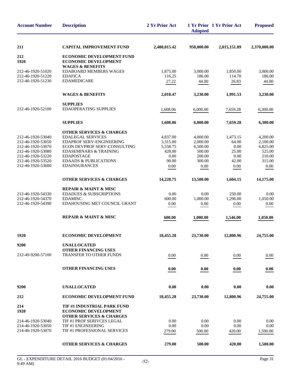| <b>Account Number</b> | <b>Description</b>                                                | 2 Yr Prior Act | <b>Adopted</b> | 1 Yr Prior 1 Yr Prior Act | <b>Proposed</b> |
|-----------------------|-------------------------------------------------------------------|----------------|----------------|---------------------------|-----------------|
| 211                   | <b>CAPITAL IMPROVEMENT FUND</b>                                   | 2,480,015.42   | 950,000.00     | 2,015,151.89              | 2,370,000.00    |
| 212<br>1920           | ECONOMIC DEVELOPMENT FUND<br><b>ECONOMIC DEVELOPMENT</b>          |                |                |                           |                 |
| 212-46-1920-51020     | <b>WAGES &amp; BENEFITS</b><br><b>EDABOARD MEMBERS WAGES</b>      | 1,875.00       | 3,000.00       | 1.850.00                  | 3,000.00        |
| 212-46-1920-51220     | <b>EDAFICA</b>                                                    | 116.25         | 186.00         | 114.70                    | 186.00          |
| 212-46-1920-51230     | <b>EDAMEDICARE</b>                                                | 27.22          | 44.00          | 26.83                     | 44.00           |
|                       | <b>WAGES &amp; BENEFITS</b>                                       | 2,018.47       | 3,230.00       | 1,991.53                  | 3,230.00        |
|                       | <b>SUPPLIES</b>                                                   |                |                |                           |                 |
| 212-46-1920-52100     | <b>EDAOPERATING SUPPLIES</b>                                      | 1,608.06       | 6,000.00       | 7,659.28                  | 6,300.00        |
|                       | <b>SUPPLIES</b>                                                   | 1,608.06       | 6,000.00       | 7,659.28                  | 6,300.00        |
|                       | <b>OTHER SERVICES &amp; CHARGES</b>                               |                |                |                           |                 |
| 212-46-1920-53040     | <b>EDALEGAL SERVICES</b>                                          | 4,837.00       | 4,000.00       | 1,473.15                  | 4,200.00        |
| 212-46-1920-53050     | <b>EDAPROF SERV-ENGINEERING</b>                                   | 3,315.00       | 2,000.00       | 64.00                     | 2,100.00        |
| 212-46-1920-53070     | ECON DEVPROF SERV-CONSULTING                                      | 5,558.75       | 6,500.00       | 0.00                      | 6.825.00        |
| 212-46-1920-53080     | <b>EDASEMINARS &amp; TRAINING</b>                                 | 428.00         | 500.00         | 25.00                     | 525.00          |
| 212-46-1920-53220     | <b>EDAPOSTAGE</b>                                                 | 0.00           | 200.00         | 0.00                      | 210.00          |
| 212-46-1920-53520     | <b>EDAADS &amp; PUBLICATIONS</b>                                  | 90.00          | 300.00         | 42.00                     | 315.00          |
| 212-46-1920-53600     | <b>EDAINSURANCES</b>                                              | 0.00           | 0.00           | 0.00                      | 0.00            |
|                       | <b>OTHER SERVICES &amp; CHARGES</b>                               | 14,228.75      | 13,500.00      | 1,604.15                  | 14,175.00       |
|                       | <b>REPAIR &amp; MAINT &amp; MISC</b>                              |                |                |                           |                 |
| 212-46-1920-54330     | <b>EDADUES &amp; SUBSCRIPTIONS</b>                                | 0.00           | 0.00           | 250.00                    | 0.00            |
| 212-46-1920-54370     | EDAMISC.                                                          | 600.00         | 1,000.00       | 1,296.00                  | 1,050.00        |
| 212-46-1920-54390     | EDAHOUSING MET COUNCIL GRANT                                      | 0.00           | 0.00           | 0.00                      | 0.00            |
|                       | <b>REPAIR &amp; MAINT &amp; MISC</b>                              | 600.00         | 1,000.00       | 1,546.00                  | 1,050.00        |
| 1920                  | <b>ECONOMIC DEVELOPMENT</b>                                       | 18,455.28      | 23,730.00      | 12,800.96                 | 24,755.00       |
| 9200                  | <b>UNALLOCATED</b>                                                |                |                |                           |                 |
|                       | <b>OTHER FINANCING USES</b>                                       |                |                |                           |                 |
| 212-49-9200-57100     | <b>TRANSFER TO OTHER FUNDS</b>                                    | 0.00           | 0.00           | 0.00                      | 0.00            |
|                       | <b>OTHER FINANCING USES</b>                                       | 0.00           | 0.00           | 0.00                      | 0.00            |
| 9200                  | <b>UNALLOCATED</b>                                                | 0.00           | 0.00           | 0.00                      | 0.00            |
|                       |                                                                   |                |                |                           |                 |
| 212                   | ECONOMIC DEVELOPMENT FUND                                         | 18,455.28      | 23,730.00      | 12,800.96                 | 24,755.00       |
| 214<br>1920           | TIF #1 INDUSTRIAL PARK FUND<br><b>ECONOMIC DEVELOPMENT</b>        |                |                |                           |                 |
| 214-46-1920-53040     | <b>OTHER SERVICES &amp; CHARGES</b><br>TIF #1 PROF SERIVCES LEGAL | 0.00           | 0.00           | 0.00                      | 0.00            |
| 214-46-1920-53050     | TIF #1 ENGINEERING                                                | 0.00           | 0.00           | 0.00                      | 0.00            |
| 214-46-1920-53070     | TIF #1 PROFESSIONAL SERVICES                                      | 279.00         | 500.00         | 420.00                    | 1,500.00        |
|                       |                                                                   |                |                |                           |                 |
|                       | <b>OTHER SERVICES &amp; CHARGES</b>                               | 279.00         | 500.00         | 420.00                    | 1,500.00        |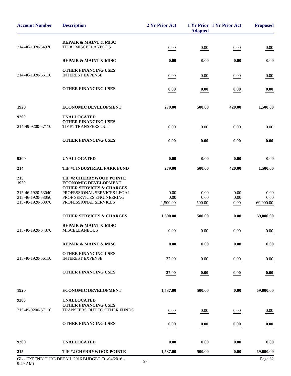| <b>Account Number</b>                                 | <b>Description</b>                                                                                                                                         | 2 Yr Prior Act | <b>Adopted</b> | 1 Yr Prior 1 Yr Prior Act | <b>Proposed</b> |
|-------------------------------------------------------|------------------------------------------------------------------------------------------------------------------------------------------------------------|----------------|----------------|---------------------------|-----------------|
| 214-46-1920-54370                                     | <b>REPAIR &amp; MAINT &amp; MISC</b><br>TIF #1 MISCELLANEOUS                                                                                               | 0.00           | 0.00           | 0.00                      | 0.00            |
|                                                       | <b>REPAIR &amp; MAINT &amp; MISC</b>                                                                                                                       | 0.00           | 0.00           | 0.00                      | 0.00            |
| 214-46-1920-56110                                     | <b>OTHER FINANCING USES</b><br><b>INTEREST EXPENSE</b>                                                                                                     | 0.00           | 0.00           | 0.00                      | 0.00            |
|                                                       | <b>OTHER FINANCING USES</b>                                                                                                                                | 0.00           | 0.00           | 0.00                      | 0.00            |
| 1920                                                  | <b>ECONOMIC DEVELOPMENT</b>                                                                                                                                | 279.00         | 500.00         | 420.00                    | 1,500.00        |
| 9200                                                  | <b>UNALLOCATED</b>                                                                                                                                         |                |                |                           |                 |
| 214-49-9200-57110                                     | <b>OTHER FINANCING USES</b><br>TIF #1 TRANSFERS OUT                                                                                                        | 0.00           | 0.00           | 0.00                      | 0.00            |
|                                                       | <b>OTHER FINANCING USES</b>                                                                                                                                | 0.00           | 0.00           | 0.00                      | 0.00            |
| 9200                                                  | <b>UNALLOCATED</b>                                                                                                                                         | 0.00           | 0.00           | 0.00                      | 0.00            |
| 214                                                   | TIF #1 INDUSTRIAL PARK FUND                                                                                                                                | 279.00         | 500.00         | 420.00                    | 1,500.00        |
| 215<br>1920<br>215-46-1920-53040<br>215-46-1920-53050 | TIF #2 CHERRYWOOD POINTE<br><b>ECONOMIC DEVELOPMENT</b><br><b>OTHER SERVICES &amp; CHARGES</b><br>PROFESSIONAL SERVICES LEGAL<br>PROF SERVICES ENGINEERING | 0.00<br>0.00   | 0.00<br>0.00   | 0.00<br>0.00              | 0.00<br>0.00    |
| 215-46-1920-53070                                     | PROFESSIONAL SERVICES                                                                                                                                      | 1,500.00       | 500.00         | 0.00                      | 69,000.00       |
|                                                       | <b>OTHER SERVICES &amp; CHARGES</b>                                                                                                                        | 1,500.00       | 500.00         | 0.00                      | 69,000.00       |
| 215-46-1920-54370                                     | <b>REPAIR &amp; MAINT &amp; MISC</b><br><b>MISCELLANEOUS</b>                                                                                               | 0.00           | 0.00           | 0.00                      | 0.00            |
|                                                       | <b>REPAIR &amp; MAINT &amp; MISC</b>                                                                                                                       | 0.00           | 0.00           | 0.00                      | 0.00            |
| 215-46-1920-56110                                     | <b>OTHER FINANCING USES</b><br><b>INTEREST EXPENSE</b>                                                                                                     | 37.00          | 0.00           | 0.00                      | 0.00            |
|                                                       | <b>OTHER FINANCING USES</b>                                                                                                                                | 37.00          | 0.00           | 0.00                      | 0.00            |
| 1920                                                  | <b>ECONOMIC DEVELOPMENT</b>                                                                                                                                | 1,537.00       | 500.00         | 0.00                      | 69,000.00       |
| 9200                                                  | <b>UNALLOCATED</b>                                                                                                                                         |                |                |                           |                 |
| 215-49-9200-57110                                     | <b>OTHER FINANCING USES</b><br>TRANSFERS OUT TO OTHER FUNDS                                                                                                | 0.00           | 0.00           | 0.00                      | 0.00            |
|                                                       | <b>OTHER FINANCING USES</b>                                                                                                                                | 0.00           | 0.00           | 0.00                      | 0.00            |
| 9200                                                  | <b>UNALLOCATED</b>                                                                                                                                         | 0.00           | 0.00           | 0.00                      | 0.00            |
| 215                                                   | <b>TIF #2 CHERRYWOOD POINTE</b>                                                                                                                            | 1,537.00       | 500.00         | 0.00                      | 69,000.00       |
|                                                       | GL - EXPENDITURE DETAIL 2016 BUDGET (01/04/2016 -                                                                                                          | $\epsilon$     |                |                           | Page 32         |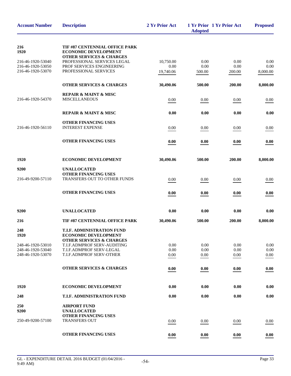| <b>Account Number</b>                  | <b>Description</b>                                               | 2 Yr Prior Act    | <b>Adopted</b> | 1 Yr Prior 1 Yr Prior Act | <b>Proposed</b>  |
|----------------------------------------|------------------------------------------------------------------|-------------------|----------------|---------------------------|------------------|
| 216<br>1920                            | TIF #87 CENTENNIAL OFFICE PARK<br><b>ECONOMIC DEVELOPMENT</b>    |                   |                |                           |                  |
|                                        | <b>OTHER SERVICES &amp; CHARGES</b>                              |                   |                |                           |                  |
| 216-46-1920-53040<br>216-46-1920-53050 | PROFESSIONAL SERVICES LEGAL<br>PROF SERVICES ENGINEERING         | 10,750.00<br>0.00 | 0.00<br>0.00   | 0.00<br>0.00              | 0.00<br>0.00     |
| 216-46-1920-53070                      | PROFESSIONAL SERVICES                                            | 19,740.06         | 500.00         | 200.00                    | 8,000.00         |
|                                        |                                                                  |                   |                |                           |                  |
|                                        | <b>OTHER SERVICES &amp; CHARGES</b>                              | 30,490.06         | 500.00         | 200.00                    | 8,000.00         |
|                                        | <b>REPAIR &amp; MAINT &amp; MISC</b>                             |                   |                |                           |                  |
| 216-46-1920-54370                      | <b>MISCELLANEOUS</b>                                             | 0.00              | 0.00           | 0.00                      | 0.00             |
|                                        |                                                                  |                   |                |                           |                  |
|                                        | <b>REPAIR &amp; MAINT &amp; MISC</b>                             | 0.00              | 0.00           | 0.00                      | 0.00             |
|                                        | <b>OTHER FINANCING USES</b>                                      |                   |                |                           |                  |
| 216-46-1920-56110                      | <b>INTEREST EXPENSE</b>                                          | 0.00              | 0.00           | 0.00                      | 0.00             |
|                                        | <b>OTHER FINANCING USES</b>                                      | 0.00              | 0.00           | 0.00                      | 0.00             |
|                                        |                                                                  |                   |                |                           |                  |
| 1920                                   | <b>ECONOMIC DEVELOPMENT</b>                                      | 30,490.06         | 500.00         | 200.00                    | 8,000.00         |
| 9200                                   | <b>UNALLOCATED</b>                                               |                   |                |                           |                  |
|                                        | <b>OTHER FINANCING USES</b>                                      |                   |                |                           |                  |
| 216-49-9200-57110                      | TRANSFERS OUT TO OTHER FUNDS                                     | 0.00              | 0.00           | 0.00                      | 0.00             |
|                                        | <b>OTHER FINANCING USES</b>                                      | 0.00              | 0.00           | 0.00                      | 0.00             |
|                                        |                                                                  |                   |                |                           |                  |
| 9200                                   | <b>UNALLOCATED</b>                                               | 0.00              | 0.00           | 0.00                      | 0.00             |
| 216                                    | TIF #87 CENTENNIAL OFFICE PARK                                   | 30,490.06         | 500.00         | 200.00                    | 8,000.00         |
| 248<br>1920                            | <b>T.I.F. ADMINISTRATION FUND</b><br><b>ECONOMIC DEVELOPMENT</b> |                   |                |                           |                  |
|                                        | <b>OTHER SERVICES &amp; CHARGES</b>                              |                   |                |                           |                  |
| 248-46-1920-53010                      | <b>T.I.F.ADMPROF SERV-AUDITING</b>                               | 0.00              | 0.00           | 0.00                      | 0.00             |
| 248-46-1920-53040<br>248-46-1920-53070 | T.I.F.ADMPROF SERV-LEGAL<br>T.I.F.ADMPROF SERV-OTHER             | 0.00<br>0.00      | 0.00<br>0.00   | 0.00<br>0.00              | 0.00<br>$0.00\,$ |
|                                        |                                                                  |                   |                |                           |                  |
|                                        | <b>OTHER SERVICES &amp; CHARGES</b>                              | 0.00              | 0.00           | 0.00                      | 0.00             |
|                                        |                                                                  |                   |                |                           |                  |
| 1920                                   | <b>ECONOMIC DEVELOPMENT</b>                                      | 0.00              | 0.00           | 0.00                      | 0.00             |
| 248                                    | <b>T.I.F. ADMINISTRATION FUND</b>                                | 0.00              | 0.00           | 0.00                      | 0.00             |
| 250                                    | <b>AIRPORT FUND</b>                                              |                   |                |                           |                  |
| 9200                                   | <b>UNALLOCATED</b>                                               |                   |                |                           |                  |
| 250-49-9200-57100                      | <b>OTHER FINANCING USES</b><br><b>TRANSFERS OUT</b>              |                   |                |                           |                  |
|                                        |                                                                  | 0.00              | 0.00           | 0.00                      | 0.00             |
|                                        | <b>OTHER FINANCING USES</b>                                      | 0.00              | 0.00           | 0.00                      | 0.00             |
|                                        |                                                                  |                   |                |                           |                  |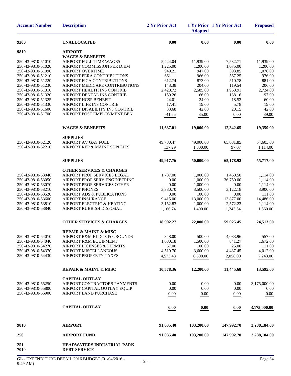| <b>Account Number</b>                  | <b>Description</b>                                              | 2 Yr Prior Act   | <b>Adopted</b>   | 1 Yr Prior 1 Yr Prior Act | <b>Proposed</b>    |
|----------------------------------------|-----------------------------------------------------------------|------------------|------------------|---------------------------|--------------------|
| 9200                                   | <b>UNALLOCATED</b>                                              | 0.00             | 0.00             | 0.00                      | 0.00               |
| 9810                                   | <b>AIRPORT</b>                                                  |                  |                  |                           |                    |
|                                        | <b>WAGES &amp; BENEFITS</b>                                     |                  |                  |                           |                    |
| 250-43-9810-51010                      | <b>AIRPORT FULL TIME WAGES</b>                                  | 5,424.04         | 11,939.00        | 7,532.71                  | 11,939.00          |
| 250-43-9810-51020                      | AIRPORT COMMISSION PER DIEM                                     | 1,225.00         | 1,200.00         | 1,075.00                  | 1,200.00           |
| 250-43-9810-51090                      | <b>AIRPORT OVERTIME</b>                                         | 949.21           | 947.00           | 393.85                    | 1,076.00           |
| 250-43-9810-51210                      | AIRPORT PERA CONTRIBUTIONS<br><b>AIRPORT FICA CONTRIBUTIONS</b> | 661.11           | 966.00           | 567.25                    | 976.00             |
| 250-43-9810-51220<br>250-43-9810-51230 | AIRPORT MEDICARE CONTRIBUTIONS                                  | 612.74<br>143.38 | 873.00<br>204.00 | 510.78<br>119.54          | 881.00<br>206.00   |
| 250-43-9810-51310                      | AIRPORT HEALTH INS CONTRIB                                      | 2,428.72         | 2,585.00         | 1,960.91                  | 2,724.00           |
| 250-43-9810-51320                      | AIRPORT DENTAL INS CONTRIB                                      | 159.26           | 166.00           | 138.16                    | 197.00             |
| 250-43-9810-51325                      | <b>AIRPORT HCSP BENEFIT</b>                                     | 24.01            | 24.00            | 18.52                     | 60.00              |
| 250-43-9810-51330                      | <b>AIRPORT LIFE INS CONTRIB</b>                                 | 17.41            | 19.00            | 5.78                      | 19.00              |
| 250-43-9810-51600                      | AIRPORT DISABILITY INS CONTRIB                                  | 33.68            | 42.00            | 20.15                     | 42.00              |
| 250-43-9810-51700                      | AIRPORT POST EMPLOYMENT BEN                                     | $-41.55$         | 35.00            | 0.00                      | 39.00              |
|                                        | <b>WAGES &amp; BENEFITS</b>                                     | 11,637.01        | 19,000.00        | 12,342.65                 | 19,359.00          |
|                                        | <b>SUPPLIES</b>                                                 |                  |                  |                           |                    |
| 250-43-9810-52120                      | <b>AIRPORT AV GAS FUEL</b>                                      | 49,780.47        | 49,000.00        | 65,081.85                 | 54,603.00          |
| 250-43-9810-52210                      | AIRPORT REP & MAINT SUPPLIES                                    | 137.29           | 1,000.00         | 97.07                     | 1,114.00           |
|                                        | <b>SUPPLIES</b>                                                 | 49,917.76        | 50,000.00        | 65,178.92                 | 55,717.00          |
|                                        | <b>OTHER SERVICES &amp; CHARGES</b>                             |                  |                  |                           |                    |
| 250-43-9810-53040                      | AIRPORT PROF SERVICES LEGAL                                     | 1,787.00         | 1,000.00         | 1,460.50                  | 1,114.00           |
| 250-43-9810-53050                      | AIRPORT PROF SERV ENGINEERING                                   | 0.00             | 1,000.00         | 36,750.00                 | 1,114.00           |
| 250-43-9810-53070                      | AIRPORT PROF SERVICES OTHER                                     | 0.00             | 1,000.00         | 0.00                      | 1,114.00           |
| 250-43-9810-53210                      | <b>AIRPORT PHONES</b>                                           | 3,380.70         | 3,500.00         | 3,122.18                  | 3,900.00           |
| 250-43-9810-53520                      | AIRPORT ADS & PUBLICATIONS                                      | 0.00             | 100.00           | 0.00                      | 111.00             |
| 250-43-9810-53600                      | AIRPORT INSURANCE                                               | 9,415.00         | 13,000.00        | 13,877.00                 | 14,486.00          |
| 250-43-9810-53810                      | AIRPORT ELECTRIC & HEATING                                      | 3,152.83         | 1,000.00         | 2,572.23                  | 1,114.00           |
| 250-43-9810-53840                      | AIRPORT RUBBISH DISPOSAL                                        | 1,166.74         | 1,400.00         | 1,243.54                  | 1,560.00           |
|                                        | <b>OTHER SERVICES &amp; CHARGES</b>                             | 18,902.27        | 22,000.00        | 59,025.45                 | 24,513.00          |
|                                        | <b>REPAIR &amp; MAINT &amp; MISC</b>                            |                  |                  |                           |                    |
| 250-43-9810-54010                      | AIRPORT R&M BLDGS & GROUNDS                                     | 348.00           | 500.00           | 4,083.96                  | 557.00             |
| 250-43-9810-54040                      | AIRPORT R&M EQUIPMENT                                           | 1,080.18         | 1,500.00         | 841.27                    | 1,672.00           |
| 250-43-9810-54270<br>250-43-9810-54370 | <b>AIRPORT LICENSES &amp; PERMITS</b><br>AIRPORT MISCELLANEOUS  | 57.00            | 100.00           | 25.00                     | 111.00<br>4,012.00 |
| 250-43-9810-54430                      | AIRPORT PROPERTY TAXES                                          | 4,519.70         | 3,600.00         | 4,437.45                  |                    |
|                                        |                                                                 | 4,573.48         | 6,500.00         | 2,058.00                  | 7,243.00           |
|                                        | <b>REPAIR &amp; MAINT &amp; MISC</b>                            | 10,578.36        | 12,200.00        | 11,445.68                 | 13,595.00          |
|                                        | <b>CAPITAL OUTLAY</b>                                           |                  |                  |                           |                    |
| 250-43-9810-55250                      | AIRPORT CONTRACTORS PAYMENTS                                    | 0.00             | 0.00             | 0.00                      | 3,175,000.00       |
| 250-43-9810-55800                      | AIRPORT CAPITAL OUTLAY EQUIP                                    | 0.00             | 0.00             | 0.00                      | 0.00               |
| 250-43-9810-55900                      | AIRPORT LAND PURCHASE                                           | 0.00             | 0.00             | 0.00                      | 0.00               |
|                                        | <b>CAPITAL OUTLAY</b>                                           | 0.00             | 0.00             | 0.00                      | 3,175,000.00       |
| 9810                                   | <b>AIRPORT</b>                                                  | 91,035.40        | 103,200.00       | 147,992.70                | 3,288,184.00       |
| 250                                    | <b>AIRPORT FUND</b>                                             | 91,035.40        | 103,200.00       | 147,992.70                | 3,288,184.00       |
| 251<br>7010                            | <b>HEADWATERS INDUSTRIAL PARK</b><br><b>DEBT SERVICE</b>        |                  |                  |                           |                    |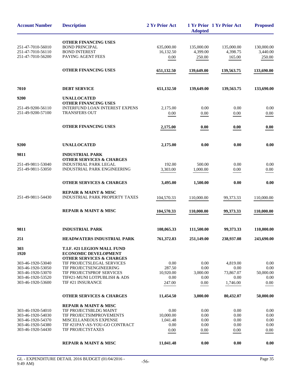| <b>Account Number</b>                  | <b>Description</b>                                                                                | 2 Yr Prior Act    | <b>Adopted</b> | 1 Yr Prior 1 Yr Prior Act | <b>Proposed</b> |
|----------------------------------------|---------------------------------------------------------------------------------------------------|-------------------|----------------|---------------------------|-----------------|
|                                        | <b>OTHER FINANCING USES</b>                                                                       |                   |                |                           |                 |
| 251-47-7010-56010                      | <b>BOND PRINCIPAL</b>                                                                             | 635,000.00        | 135,000.00     | 135,000.00                | 130,000.00      |
| 251-47-7010-56110                      | <b>BOND INTEREST</b>                                                                              | 16,132.50         | 4,399.00       | 4.398.75                  | 3.440.00        |
| 251-47-7010-56200                      | PAYING AGENT FEES                                                                                 | 0.00              | 250.00         | 165.00                    | 250.00          |
|                                        | <b>OTHER FINANCING USES</b>                                                                       | 651,132.50        | 139,649.00     | 139,563.75                | 133,690.00      |
| 7010                                   | <b>DEBT SERVICE</b>                                                                               | 651,132.50        | 139,649.00     | 139,563.75                | 133,690.00      |
| 9200                                   | <b>UNALLOCATED</b>                                                                                |                   |                |                           |                 |
| 251-49-9200-56110                      | <b>OTHER FINANCING USES</b><br><b>INTERFUND LOAN INTEREST EXPENS</b>                              | 2,175.00          | 0.00           | 0.00                      | 0.00            |
| 251-49-9200-57100                      | <b>TRANSFERS OUT</b>                                                                              | 0.00              | 0.00           | 0.00                      | 0.00            |
|                                        |                                                                                                   |                   |                |                           |                 |
|                                        | <b>OTHER FINANCING USES</b>                                                                       | 2,175.00          | 0.00           | 0.00                      | 0.00            |
| 9200                                   | <b>UNALLOCATED</b>                                                                                | 2,175.00          | 0.00           | 0.00                      | 0.00            |
| 9811                                   | <b>INDUSTRIAL PARK</b>                                                                            |                   |                |                           |                 |
| 251-49-9811-53040                      | <b>OTHER SERVICES &amp; CHARGES</b><br><b>INDUSTRIAL PARK LEGAL</b>                               | 192.00            | 500.00         | 0.00                      | 0.00            |
| 251-49-9811-53050                      | <b>INDUSTRIAL PARK ENGINEERING</b>                                                                | 3,303.00          | 1,000.00       | 0.00                      | 0.00            |
|                                        | <b>OTHER SERVICES &amp; CHARGES</b>                                                               | 3,495.00          | 1,500.00       | 0.00                      | 0.00            |
| 251-49-9811-54430                      | <b>REPAIR &amp; MAINT &amp; MISC</b><br>INDUSTRIAL PARK PROPERTY TAXES                            | 104,570.33        | 110,000.00     | 99,373.33                 | 110,000.00      |
|                                        | <b>REPAIR &amp; MAINT &amp; MISC</b>                                                              | 104,570.33        | 110,000.00     | 99,373.33                 | 110,000.00      |
| 9811                                   | <b>INDUSTRIAL PARK</b>                                                                            | 108,065.33        | 111,500.00     | 99,373.33                 | 110,000.00      |
| 251                                    | <b>HEADWATERS INDUSTRIAL PARK</b>                                                                 | 761,372.83        | 251,149.00     | 238,937.08                | 243,690.00      |
| 303<br>1920                            | T.I.F. #21 LEGION MALL FUND<br><b>ECONOMIC DEVELOPMENT</b><br><b>OTHER SERVICES &amp; CHARGES</b> |                   |                |                           |                 |
| 303-46-1920-53040                      | TIF PROJECTSLEGAL SERVICES                                                                        | 0.00              | 0.00           | 4,819.00                  | 0.00            |
| 303-46-1920-53050                      | TIF PROJECTSENGINEERING                                                                           | 287.50            | 0.00           | 0.00                      | 0.00            |
| 303-46-1920-53070                      | TIF PROJECTSPROF SERVICES                                                                         | 10,920.00         | 3,000.00       | 73,867.07                 | 50,000.00       |
| 303-46-1920-53520<br>303-46-1920-53600 | TIF#21-MUNI LOTPUBLISH & ADS<br>TIF #21 INSURANCE                                                 | 0.00<br>247.00    | 0.00<br>0.00   | 0.00<br>1,746.00          | 0.00            |
|                                        |                                                                                                   |                   |                |                           | $0.00\,$        |
|                                        | <b>OTHER SERVICES &amp; CHARGES</b>                                                               | 11,454.50         | 3,000.00       | 80,432.07                 | 50,000.00       |
|                                        | <b>REPAIR &amp; MAINT &amp; MISC</b>                                                              |                   |                |                           |                 |
| 303-46-1920-54010<br>303-46-1920-54030 | TIF PROJECTSBLDG MAINT<br>TIF PROJECTSIMPROVEMENTS                                                | 0.00<br>10,000.00 | 0.00<br>0.00   | 0.00<br>0.00              | 0.00<br>0.00    |
| 303-46-1920-54370                      | MISCELLANEOUS EXPENSE                                                                             | 1,041.48          | 0.00           | 0.00                      | 0.00            |
| 303-46-1920-54380                      | TIF #21PAY-AS-YOU-GO CONTRACT                                                                     | 0.00              | 0.00           | 0.00                      | 0.00            |
| 303-46-1920-54430                      | TIF PROJECTSTAXES                                                                                 | 0.00              | 0.00           | 0.00                      | 0.00            |
|                                        | <b>REPAIR &amp; MAINT &amp; MISC</b>                                                              | 11,041.48         | 0.00           | 0.00                      | 0.00            |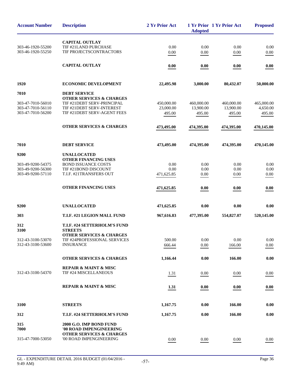| <b>Account Number</b> | <b>Description</b>                                        | 2 Yr Prior Act | <b>Adopted</b> | 1 Yr Prior 1 Yr Prior Act | <b>Proposed</b> |
|-----------------------|-----------------------------------------------------------|----------------|----------------|---------------------------|-----------------|
|                       | <b>CAPITAL OUTLAY</b>                                     |                |                |                           |                 |
| 303-46-1920-55200     | TIF #21LAND PURCHASE                                      | 0.00           | 0.00           | 0.00                      | 0.00            |
| 303-46-1920-55250     | TIF PROJECTSCONTRACTORS                                   | 0.00           | $0.00\,$       | $0.00\,$                  | 0.00            |
|                       |                                                           |                |                |                           |                 |
|                       | <b>CAPITAL OUTLAY</b>                                     | 0.00           | 0.00           | 0.00                      | 0.00            |
| 1920                  | <b>ECONOMIC DEVELOPMENT</b>                               | 22,495.98      | 3,000.00       | 80,432.07                 | 50,000.00       |
| 7010                  | <b>DEBT SERVICE</b>                                       |                |                |                           |                 |
|                       | <b>OTHER SERVICES &amp; CHARGES</b>                       |                |                |                           |                 |
| 303-47-7010-56010     | TIF #21DEBT SERV-PRINCIPAL                                | 450,000.00     | 460,000.00     | 460,000.00                | 465,000.00      |
| 303-47-7010-56110     | TIF #21DEBT SERV-INTEREST                                 | 23,000.00      | 13,900.00      | 13,900.00                 | 4,650.00        |
| 303-47-7010-56200     | TIF #21DEBT SERV-AGENT FEES                               | 495.00         | 495.00         | 495.00                    | 495.00          |
|                       | <b>OTHER SERVICES &amp; CHARGES</b>                       | 473,495.00     | 474,395.00     | 474,395.00                | 470,145.00      |
| 7010                  | <b>DEBT SERVICE</b>                                       | 473,495.00     | 474,395.00     | 474,395.00                | 470,145.00      |
|                       |                                                           |                |                |                           |                 |
| 9200                  | <b>UNALLOCATED</b>                                        |                |                |                           |                 |
| 303-49-9200-54375     | <b>OTHER FINANCING USES</b><br><b>BOND ISSUANCE COSTS</b> | 0.00           | 0.00           | 0.00                      | 0.00            |
| 303-49-9200-56300     | TIF #21BOND DISCOUNT                                      | 0.00           | 0.00           | 0.00                      | 0.00            |
| 303-49-9200-57110     | T.I.F. #21TRANSFERS OUT                                   | 471,625.85     | 0.00           | 0.00                      | 0.00            |
|                       |                                                           |                |                |                           |                 |
|                       | <b>OTHER FINANCING USES</b>                               | 471,625.85     | 0.00           | 0.00                      | 0.00            |
| 9200                  | <b>UNALLOCATED</b>                                        | 471,625.85     | 0.00           | 0.00                      | 0.00            |
| 303                   | T.I.F. #21 LEGION MALL FUND                               | 967,616.83     | 477,395.00     | 554,827.07                | 520,145.00      |
| 312<br>3100           | T.I.F. #24 SETTERHOLM'S FUND<br><b>STREETS</b>            |                |                |                           |                 |
|                       | <b>OTHER SERVICES &amp; CHARGES</b>                       |                |                |                           |                 |
| 312-43-3100-53070     | TIF #24PROFESSIONAL SERVICES                              | 500.00         | 0.00           | 0.00                      | 0.00            |
| 312-43-3100-53600     | <b>INSURANCE</b>                                          | 666.44         | 0.00           | 166.00                    | 0.00            |
|                       |                                                           |                |                |                           |                 |
|                       | <b>OTHER SERVICES &amp; CHARGES</b>                       | 1,166.44       | 0.00           | 166.00                    | 0.00            |
|                       | <b>REPAIR &amp; MAINT &amp; MISC</b>                      |                |                |                           |                 |
| 312-43-3100-54370     | TIF #24 MISCELLANEOUS                                     | 1.31           | 0.00           | 0.00                      | 0.00            |
|                       | <b>REPAIR &amp; MAINT &amp; MISC</b>                      | 1.31           | 0.00           | 0.00                      | 0.00            |
|                       |                                                           |                |                |                           |                 |
| 3100                  | <b>STREETS</b>                                            | 1,167.75       | 0.00           | 166.00                    | 0.00            |
| 312                   | T.I.F. #24 SETTERHOLM'S FUND                              | 1,167.75       | 0.00           | 166.00                    | 0.00            |
| 315                   | 2000 G.O. IMP BOND FUND                                   |                |                |                           |                 |
| 7000                  | '00 ROAD IMPENGINEERING                                   |                |                |                           |                 |
|                       | <b>OTHER SERVICES &amp; CHARGES</b>                       |                |                |                           |                 |
| 315-47-7000-53050     | '00 ROAD IMPENGINEERING                                   | 0.00           | 0.00           | 0.00                      | 0.00            |
|                       |                                                           |                |                |                           |                 |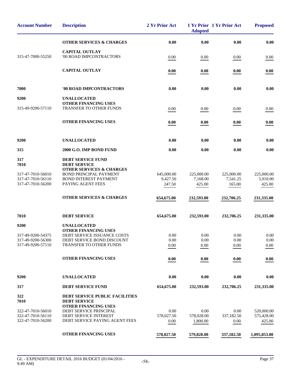| <b>Account Number</b>                  | <b>Description</b>                                                   | 2 Yr Prior Act     | <b>Adopted</b>         | 1 Yr Prior 1 Yr Prior Act | <b>Proposed</b>      |
|----------------------------------------|----------------------------------------------------------------------|--------------------|------------------------|---------------------------|----------------------|
|                                        | <b>OTHER SERVICES &amp; CHARGES</b>                                  | 0.00               | 0.00                   | 0.00                      | 0.00                 |
| 315-47-7000-55250                      | <b>CAPITAL OUTLAY</b><br>'00 ROAD IMPCONTRACTORS                     | 0.00               | 0.00                   | 0.00                      | 0.00                 |
|                                        | <b>CAPITAL OUTLAY</b>                                                | 0.00               | 0.00                   | 0.00                      | 0.00                 |
| 7000                                   | '00 ROAD IMPCONTRACTORS                                              | 0.00               | 0.00                   | 0.00                      | 0.00                 |
| 9200                                   | <b>UNALLOCATED</b>                                                   |                    |                        |                           |                      |
| 315-49-9200-57110                      | <b>OTHER FINANCING USES</b><br><b>TRANSFER TO OTHER FUNDS</b>        | 0.00               | 0.00                   | 0.00                      | 0.00                 |
|                                        | <b>OTHER FINANCING USES</b>                                          | 0.00               | 0.00                   | 0.00                      | 0.00                 |
| 9200                                   | <b>UNALLOCATED</b>                                                   | 0.00               | 0.00                   | 0.00                      | 0.00                 |
| 315                                    | 2000 G.O. IMP BOND FUND                                              | 0.00               | 0.00                   | 0.00                      | 0.00                 |
| 317<br>7010                            | <b>DEBT SERVICE FUND</b><br><b>DEBT SERVICE</b>                      |                    |                        |                           |                      |
| 317-47-7010-56010                      | <b>OTHER SERVICES &amp; CHARGES</b><br><b>BOND PRINCIPAL PAYMENT</b> | 645,000.00         | 225,000.00             | 225,000.00                | 225,000.00           |
| 317-47-7010-56110<br>317-47-7010-56200 | <b>BOND INTEREST PAYMENT</b><br>PAYING AGENT FEES                    | 9,427.50<br>247.50 | 7,168.00<br>425.00     | 7,541.25<br>165.00        | 5,910.00<br>425.00   |
|                                        | <b>OTHER SERVICES &amp; CHARGES</b>                                  | 654,675.00         | 232,593.00             | 232,706.25                | 231,335.00           |
| 7010                                   | <b>DEBT SERVICE</b>                                                  | 654,675.00         | 232,593.00             | 232,706.25                | 231,335.00           |
| 9200                                   | <b>UNALLOCATED</b>                                                   |                    |                        |                           |                      |
| 317-49-9200-54375                      | <b>OTHER FINANCING USES</b><br>DEBT SERVICE ISSUANCE COSTS           | 0.00               | 0.00                   | 0.00                      | 0.00                 |
| 317-49-9200-56300<br>317-49-9200-57110 | DEBT SERVICE BOND DISCOUNT<br>TRANSFER TO OTHER FUNDS                | 0.00               | 0.00                   | 0.00                      | 0.00                 |
|                                        |                                                                      | 0.00               | 0.00                   | 0.00                      | 0.00                 |
|                                        | <b>OTHER FINANCING USES</b>                                          | 0.00               | 0.00                   | 0.00                      | 0.00                 |
| 9200                                   | <b>UNALLOCATED</b>                                                   | 0.00               | 0.00                   | 0.00                      | 0.00                 |
| 317                                    | <b>DEBT SERVICE FUND</b>                                             | 654,675.00         | 232,593.00             | 232,706.25                | 231,335.00           |
| 322<br>7010                            | <b>DEBT SERVICE PUBLIC FACILITIES</b><br><b>DEBT SERVICE</b>         |                    |                        |                           |                      |
| 322-47-7010-56010                      | OTHER FINANCING USES<br>DEBT SERVICE PRINCIPAL                       | 0.00               | 0.00                   | 0.00                      | 520,000.00           |
| 322-47-7010-56110<br>322-47-7010-56200 | DEBT SERVICE INTEREST<br>DEBT SERVICE PAYING AGENT FEES              | 578,027.50<br>0.00 | 578,028.00<br>1,800.00 | 337,182.50<br>0.00        | 575,428.00<br>425.00 |
|                                        | <b>OTHER FINANCING USES</b>                                          | 578,027.50         | 579,828.00             | 337,182.50                | 1,095,853.00         |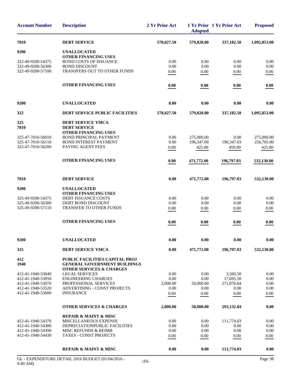| <b>Account Number</b>                  | <b>Description</b>                                                                                           | 2 Yr Prior Act | <b>Adopted</b> | 1 Yr Prior 1 Yr Prior Act | <b>Proposed</b> |
|----------------------------------------|--------------------------------------------------------------------------------------------------------------|----------------|----------------|---------------------------|-----------------|
| 7010                                   | <b>DEBT SERVICE</b>                                                                                          | 578,027.50     | 579,828.00     | 337,182.50                | 1,095,853.00    |
| 9200                                   | <b>UNALLOCATED</b><br><b>OTHER FINANCING USES</b>                                                            |                |                |                           |                 |
| 322-49-9200-54375                      | <b>BOND COSTS OF ISSUANCE</b>                                                                                | 0.00           | 0.00           | 0.00                      | 0.00            |
| 322-49-9200-56300                      | <b>BOND DISCOUNT</b>                                                                                         | 0.00           | 0.00           | 0.00                      | 0.00            |
| 322-49-9200-57100                      | TRANSFERS OUT TO OTHER FUNDS                                                                                 | 0.00           | 0.00           | 0.00                      | 0.00            |
|                                        | <b>OTHER FINANCING USES</b>                                                                                  | 0.00           | 0.00           | 0.00                      | 0.00            |
| 9200                                   | <b>UNALLOCATED</b>                                                                                           | 0.00           | 0.00           | 0.00                      | 0.00            |
| 322                                    | <b>DEBT SERVICE PUBLIC FACILITIES</b>                                                                        | 578,027.50     | 579,828.00     | 337,182.50                | 1,095,853.00    |
| 325<br>7010                            | DEBT SERVICE YMCA<br><b>DEBT SERVICE</b>                                                                     |                |                |                           |                 |
|                                        | <b>OTHER FINANCING USES</b>                                                                                  |                |                |                           |                 |
| 325-47-7010-56010                      | <b>BOND PRINCIPAL PAYMENT</b>                                                                                | 0.00           | 275,000.00     | 0.00                      | 275,000.00      |
| 325-47-7010-56110                      | <b>BOND INTEREST PAYMENT</b>                                                                                 | 0.00           | 196,347.00     | 196,347.03                | 256,705.00      |
| 325-47-7010-56200                      | PAYING AGENT FEES                                                                                            | 0.00           | 425.00         | 450.00                    | 425.00          |
|                                        | <b>OTHER FINANCING USES</b>                                                                                  | 0.00           | 471,772.00     | 196,797.03                | 532,130.00      |
| 7010                                   | <b>DEBT SERVICE</b>                                                                                          | 0.00           | 471,772.00     | 196,797.03                | 532,130.00      |
| 9200                                   | <b>UNALLOCATED</b>                                                                                           |                |                |                           |                 |
| 325-49-9200-54375                      | <b>OTHER FINANCING USES</b><br><b>DEBT ISSUANCE COSTS</b>                                                    | 0.00           | 0.00           | 0.00                      | 0.00            |
| 325-49-9200-56300                      | DEBT BOND DISCOUNT                                                                                           | 0.00           | 0.00           | 0.00                      | 0.00            |
| 325-49-9200-57110                      | <b>TRANSFER TO OTHER FUNDS</b>                                                                               | 0.00           | 0.00           | 0.00                      | 0.00            |
|                                        | <b>OTHER FINANCING USES</b>                                                                                  | 0.00           | 0.00           | 0.00                      | 0.00            |
| 9200                                   | <b>UNALLOCATED</b>                                                                                           | 0.00           | 0.00           | 0.00                      | 0.00            |
| 325                                    | <b>DEBT SERVICE YMCA</b>                                                                                     | 0.00           | 471,772.00     | 196,797.03                | 532,130.00      |
| 412<br>1940                            | PUBLIC FACILITIES CAPITAL PROJ<br><b>GENERAL GOVERNMENT BUILDINGS</b><br><b>OTHER SERVICES &amp; CHARGES</b> |                |                |                           |                 |
| 412-41-1940-53040                      | <b>LEGAL SERVICES</b>                                                                                        | 0.00           | 0.00           | 3,560.50                  | 0.00            |
| 412-41-1940-53050                      | <b>ENGINEERING CHARGES</b>                                                                                   | 0.00           | 0.00           | 17,695.50                 | 0.00            |
| 412-41-1940-53070<br>412-41-1940-53520 | PROFESSIONAL SERVICES                                                                                        | 2,000.00       | 50,000.00      | 271,876.84                | 0.00            |
| 412-41-1940-53600                      | ADVERTISING - CONST PROJECTS<br><b>INSURANCE</b>                                                             | 0.00<br>0.00   | 0.00<br>0.00   | 0.00<br>0.00              | 0.00<br>0.00    |
|                                        | <b>OTHER SERVICES &amp; CHARGES</b>                                                                          | 2,000.00       | 50,000.00      | 293,132.84                | 0.00            |
|                                        | <b>REPAIR &amp; MAINT &amp; MISC</b>                                                                         |                |                |                           |                 |
| 412-41-1940-54370<br>412-41-1940-54380 | MISCELLANEOUS EXPENSE<br>DEPRECIATIONPUBLIC FACILITIES                                                       | 0.00<br>0.00   | 0.00<br>0.00   | 111,774.03<br>0.00        | 0.00<br>0.00    |
| 412-41-1940-54390                      | <b>MISC REFUNDS &amp; REIMB</b>                                                                              | 0.00           | 0.00           | 0.00                      | 0.00            |
| 412-41-1940-54430                      | <b>TAXES - CONST PROJECTS</b>                                                                                | 0.00           | 0.00           | 0.00                      | 0.00            |
|                                        | <b>REPAIR &amp; MAINT &amp; MISC</b>                                                                         | 0.00           | 0.00           | 111,774.03                | 0.00            |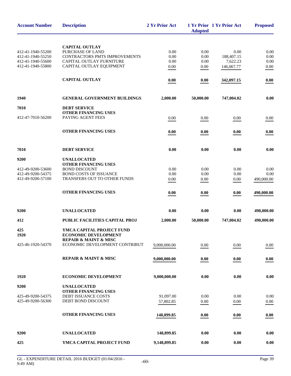| <b>Account Number</b>                  | <b>Description</b>                                                     | 2 Yr Prior Act         | <b>Adopted</b> | 1 Yr Prior 1 Yr Prior Act | <b>Proposed</b> |
|----------------------------------------|------------------------------------------------------------------------|------------------------|----------------|---------------------------|-----------------|
|                                        | <b>CAPITAL OUTLAY</b>                                                  |                        |                |                           |                 |
| 412-41-1940-55200                      | PURCHASE OF LAND                                                       | 0.00                   | 0.00           | 0.00                      | 0.00            |
| 412-41-1940-55250                      | CONTRACTORS PMTS IMPROVEMENTS                                          | 0.00                   | 0.00           | 188,407.15                | 0.00            |
| 412-41-1940-55600                      | CAPITAL OUTLAY FURNITURE                                               | 0.00                   | 0.00           | 7,622.23                  | 0.00            |
| 412-41-1940-55800                      | CAPITAL OUTLAY EQUIPMENT                                               | 0.00                   | 0.00           | 146,067.77                | 0.00            |
|                                        |                                                                        |                        |                |                           |                 |
|                                        | <b>CAPITAL OUTLAY</b>                                                  | 0.00                   | 0.00           | 342,097.15                | 0.00            |
| 1940                                   | <b>GENERAL GOVERNMENT BUILDINGS</b>                                    | 2,000.00               | 50,000.00      | 747,004.02                | 0.00            |
| 7010                                   | <b>DEBT SERVICE</b>                                                    |                        |                |                           |                 |
|                                        | <b>OTHER FINANCING USES</b>                                            |                        |                |                           |                 |
| 412-47-7010-56200                      | PAYING AGENT FEES                                                      | 0.00                   | 0.00           | 0.00                      | 0.00            |
|                                        | <b>OTHER FINANCING USES</b>                                            | 0.00                   | 0.00           | 0.00                      | 0.00            |
| 7010                                   | <b>DEBT SERVICE</b>                                                    | 0.00                   | 0.00           | 0.00                      | 0.00            |
|                                        |                                                                        |                        |                |                           |                 |
| 9200                                   | <b>UNALLOCATED</b>                                                     |                        |                |                           |                 |
|                                        | OTHER FINANCING USES                                                   |                        |                |                           |                 |
| 412-49-9200-53600<br>412-49-9200-54375 | <b>BOND DISCOUNT</b><br><b>BOND COSTS OF ISSUANCE</b>                  | 0.00<br>0.00           | 0.00<br>0.00   | 0.00<br>0.00              | 0.00<br>0.00    |
| 412-49-9200-57100                      | TRANSFERS OUT TO OTHER FUNDS                                           | 0.00                   |                |                           | 490,000.00      |
|                                        |                                                                        |                        | 0.00           | 0.00                      |                 |
|                                        | <b>OTHER FINANCING USES</b>                                            | 0.00                   | 0.00           | 0.00                      | 490,000.00      |
| 9200                                   | <b>UNALLOCATED</b>                                                     | 0.00                   | 0.00           | 0.00                      | 490,000.00      |
| 412                                    | PUBLIC FACILITIES CAPITAL PROJ                                         | 2,000.00               | 50,000.00      | 747,004.02                | 490,000.00      |
| 425<br>1920                            | YMCA CAPITAL PROJECT FUND<br><b>ECONOMIC DEVELOPMENT</b>               |                        |                |                           |                 |
| 425-46-1920-54370                      | <b>REPAIR &amp; MAINT &amp; MISC</b><br>ECONOMIC DEVELOPMENT CONTRIBUT | 9,000,000.00           | 0.00           | 0.00                      | 0.00            |
|                                        | <b>REPAIR &amp; MAINT &amp; MISC</b>                                   | 9,000,000.00           | 0.00           | 0.00                      | 0.00            |
| 1920                                   | <b>ECONOMIC DEVELOPMENT</b>                                            | 9,000,000.00           | 0.00           | 0.00                      | 0.00            |
| 9200                                   | <b>UNALLOCATED</b>                                                     |                        |                |                           |                 |
|                                        | <b>OTHER FINANCING USES</b>                                            |                        |                |                           |                 |
| 425-49-9200-54375<br>425-49-9200-56300 | DEBT ISSUANCE COSTS<br>DEBT BOND DISCOUNT                              | 91,097.00<br>57,802.85 | 0.00<br>0.00   | 0.00<br>0.00              | 0.00<br>0.00    |
|                                        | <b>OTHER FINANCING USES</b>                                            | 148,899.85             | 0.00           | 0.00                      | 0.00            |
|                                        |                                                                        |                        |                |                           |                 |
| 9200                                   | <b>UNALLOCATED</b>                                                     | 148,899.85             | 0.00           | 0.00                      | 0.00            |
| 425                                    | YMCA CAPITAL PROJECT FUND                                              | 9,148,899.85           | 0.00           | 0.00                      | 0.00            |
|                                        |                                                                        |                        |                |                           |                 |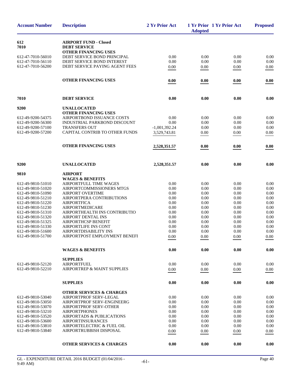| <b>Account Number</b>                  | <b>Description</b>                               | 2 Yr Prior Act  | <b>Adopted</b> | 1 Yr Prior 1 Yr Prior Act | <b>Proposed</b> |
|----------------------------------------|--------------------------------------------------|-----------------|----------------|---------------------------|-----------------|
| 612                                    | <b>AIRPORT FUND - Closed</b>                     |                 |                |                           |                 |
| 7010                                   | <b>DEBT SERVICE</b>                              |                 |                |                           |                 |
|                                        | <b>OTHER FINANCING USES</b>                      |                 |                |                           |                 |
| 612-47-7010-56010                      | DEBT SERVICE BOND PRINCIPAL                      | 0.00            | 0.00           | 0.00                      | 0.00            |
| 612-47-7010-56110                      | DEBT SERVICE BOND INTEREST                       | 0.00            | 0.00           | 0.00                      | 0.00            |
| 612-47-7010-56200                      | DEBT SERVICE PAYING AGENT FEES                   | 0.00            | 0.00           | 0.00                      | 0.00            |
|                                        | <b>OTHER FINANCING USES</b>                      | 0.00            | 0.00           | 0.00                      | 0.00            |
| 7010                                   | <b>DEBT SERVICE</b>                              | 0.00            | 0.00           | 0.00                      | 0.00            |
| 9200                                   | <b>UNALLOCATED</b>                               |                 |                |                           |                 |
|                                        | <b>OTHER FINANCING USES</b>                      |                 |                |                           |                 |
| 612-49-9200-54375                      | AIRPORTBOND ISSUANCE COSTS                       | 0.00            | 0.00           | 0.00                      | 0.00            |
| 612-49-9200-56300                      | INDUSTRIAL PARKBOND DISCOUNT                     | 0.00            | 0.00           | 0.00                      | 0.00            |
| 612-49-9200-57100                      | <b>TRANSFERS OUT</b>                             | $-1,001,392.24$ | 0.00           | 0.00                      | 0.00            |
| 612-49-9200-57200                      | CAPITAL CONTRIB TO OTHER FUNDS                   | 3,529,743.81    | 0.00           | 0.00                      | 0.00            |
|                                        | <b>OTHER FINANCING USES</b>                      | 2,528,351.57    | 0.00           | 0.00                      | 0.00            |
|                                        |                                                  |                 |                |                           |                 |
| 9200                                   | <b>UNALLOCATED</b>                               | 2,528,351.57    | 0.00           | 0.00                      | 0.00            |
| 9810                                   | <b>AIRPORT</b>                                   |                 |                |                           |                 |
|                                        | <b>WAGES &amp; BENEFITS</b>                      |                 |                |                           |                 |
| 612-49-9810-51010                      | AIRPORTFULL TIME WAGES                           | 0.00            | 0.00           | 0.00                      | 0.00            |
| 612-49-9810-51020                      | AIRPORTCOMMISSIONERS MTGS                        | 0.00            | 0.00           | 0.00                      | 0.00            |
| 612-49-9810-51090                      | AIRPORT OVERTIME                                 | 0.00            | 0.00           | 0.00                      | 0.00            |
| 612-49-9810-51210                      | AIRPORTPERA CONTRIBUTIONS                        | 0.00            | 0.00           | 0.00                      | 0.00            |
| 612-49-9810-51220                      | <b>AIRPORTFICA</b>                               | 0.00            | 0.00           | 0.00                      | 0.00            |
| 612-49-9810-51230<br>612-49-9810-51310 | AIRPORTMEDICARE<br>AIRPORTHEALTH INS CONTRIBUTIO | 0.00<br>0.00    | 0.00<br>0.00   | 0.00<br>0.00              | 0.00<br>0.00    |
| 612-49-9810-51320                      | AIRPORT DENTAL INS                               | 0.00            | 0.00           | 0.00                      | 0.00            |
| 612-49-9810-51325                      | AIRPORTHCSP BENEFIT                              | 0.00            | 0.00           | 0.00                      | 0.00            |
| 612-49-9810-51330                      | <b>AIRPORTLIFE INS CONT</b>                      | 0.00            | 0.00           | 0.00                      | 0.00            |
| 612-49-9810-51600                      | AIRPORTDISABILITY INS                            | 0.00            | 0.00           | 0.00                      | 0.00            |
| 612-49-9810-51700                      | AIRPORTPOST EMPLOYMENT BENEFI                    | 0.00            | 0.00           | 0.00                      | 0.00            |
|                                        | <b>WAGES &amp; BENEFITS</b>                      | 0.00            | 0.00           | 0.00                      | 0.00            |
|                                        |                                                  |                 |                |                           |                 |
|                                        | <b>SUPPLIES</b>                                  |                 |                |                           |                 |
| 612-49-9810-52120                      | <b>AIRPORTFUEL</b>                               | 0.00            | 0.00           | 0.00                      | 0.00            |
| 612-49-9810-52210                      | AIRPORTREP & MAINT SUPPLIES                      | 0.00            | 0.00           | 0.00                      | 0.00            |
|                                        | <b>SUPPLIES</b>                                  | 0.00            | 0.00           | 0.00                      | 0.00            |
|                                        | <b>OTHER SERVICES &amp; CHARGES</b>              |                 |                |                           |                 |
| 612-49-9810-53040                      | AIRPORTPROF SERV-LEGAL                           | 0.00            | 0.00           | 0.00                      | 0.00            |
| 612-49-9810-53050                      | AIRPORTPROF SERV-ENGINEERG                       | 0.00            | 0.00           | 0.00                      | 0.00            |
| 612-49-9810-53070                      | <b>AIRPORTPROF SERV-OTHER</b>                    | 0.00            | 0.00           | 0.00                      | 0.00            |
| 612-49-9810-53210                      | <b>AIRPORTPHONES</b>                             | 0.00            | 0.00           | 0.00                      | 0.00            |
| 612-49-9810-53520                      | AIRPORTADS & PUBLICATIONS                        | 0.00            | 0.00           | 0.00                      | 0.00            |
| 612-49-9810-53600                      | <b>AIRPORTINSURANCES</b>                         | 0.00            | 0.00           | 0.00                      | 0.00            |
| 612-49-9810-53810                      | AIRPORTELECTRIC & FUEL OIL                       | 0.00            | 0.00           | 0.00                      | 0.00            |
| 612-49-9810-53840                      | AIRPORTRUBBISH DISPOSAL                          | 0.00            | 0.00           | 0.00                      | 0.00            |
|                                        | <b>OTHER SERVICES &amp; CHARGES</b>              | 0.00            | 0.00           | 0.00                      | 0.00            |
|                                        |                                                  |                 |                |                           |                 |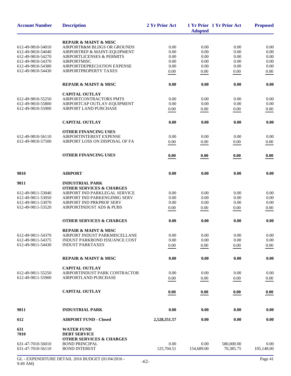| <b>Account Number</b> | <b>Description</b>                                            | 2 Yr Prior Act | <b>Adopted</b> | 1 Yr Prior 1 Yr Prior Act | <b>Proposed</b> |
|-----------------------|---------------------------------------------------------------|----------------|----------------|---------------------------|-----------------|
|                       | <b>REPAIR &amp; MAINT &amp; MISC</b>                          |                |                |                           |                 |
| 612-49-9810-54010     | AIRPORTR&M BLDGS OR GROUNDS                                   | 0.00           | 0.00           | 0.00                      | 0.00            |
| 612-49-9810-54040     | AIRPORTREP & MAINT-EQUIPMENT                                  | 0.00           | 0.00           | 0.00                      | 0.00            |
| 612-49-9810-54270     | <b>AIRPORTLICENSES &amp; PERMITS</b>                          | 0.00           | 0.00           | 0.00                      | 0.00            |
|                       | <b>AIRPORTMISC</b>                                            |                |                | 0.00                      | 0.00            |
| 612-49-9810-54370     |                                                               | 0.00           | 0.00           |                           |                 |
| 612-49-9810-54380     | AIRPORTDEPRECIATION EXPENSE                                   | 0.00           | 0.00           | 0.00                      | 0.00            |
| 612-49-9810-54430     | AIRPORTPROPERTY TAXES                                         | 0.00           | 0.00           | 0.00                      | 0.00            |
|                       | <b>REPAIR &amp; MAINT &amp; MISC</b>                          | 0.00           | 0.00           | 0.00                      | 0.00            |
|                       | <b>CAPITAL OUTLAY</b>                                         |                |                |                           |                 |
| 612-49-9810-55250     | AIRPORTCONTRACTORS PMTS                                       | 0.00           | 0.00           | 0.00                      | 0.00            |
| 612-49-9810-55800     | AIRPORTCAP OUTLAY-EQUIPMENT                                   | 0.00           | 0.00           | 0.00                      | 0.00            |
| 612-49-9810-55900     | AIRPORT LAND PURCHASE                                         | 0.00           | 0.00           | $0.00\,$                  | 0.00            |
|                       | <b>CAPITAL OUTLAY</b>                                         | 0.00           | 0.00           | 0.00                      | 0.00            |
|                       | <b>OTHER FINANCING USES</b>                                   |                |                |                           |                 |
| 612-49-9810-56110     | AIRPORTINTEREST EXPENSE                                       | 0.00           | 0.00           | 0.00                      | 0.00            |
| 612-49-9810-57500     | AIRPORT LOSS ON DISPOSAL OF FA                                | 0.00           | 0.00           | 0.00                      | 0.00            |
|                       | <b>OTHER FINANCING USES</b>                                   | 0.00           | 0.00           | 0.00                      | 0.00            |
|                       |                                                               |                |                |                           |                 |
| 9810                  | <b>AIRPORT</b>                                                | 0.00           | 0.00           | 0.00                      | 0.00            |
|                       |                                                               |                |                |                           |                 |
| 9811                  | <b>INDUSTRIAL PARK</b><br><b>OTHER SERVICES &amp; CHARGES</b> |                |                |                           |                 |
| 612-49-9811-53040     | AIRPORT IND PARKLEGAL SERVICE                                 | 0.00           | 0.00           | 0.00                      | 0.00            |
| 612-49-9811-53050     | AIRPORT IND PARKENGINRG SERV                                  | 0.00           | 0.00           | 0.00                      | 0.00            |
| 612-49-9811-53070     | AIRPORT IND PRKPROF SERV                                      | 0.00           | 0.00           | 0.00                      | 0.00            |
| 612-49-9811-53520     | <b>AIRPORTINDUST ADS &amp; PUBS</b>                           |                |                |                           |                 |
|                       |                                                               | 0.00           | 0.00           | 0.00                      | 0.00            |
|                       | <b>OTHER SERVICES &amp; CHARGES</b>                           | 0.00           | 0.00           | 0.00                      | 0.00            |
|                       | <b>REPAIR &amp; MAINT &amp; MISC</b>                          |                |                |                           |                 |
| 612-49-9811-54370     | AIRPORT INDUST PARKMISCELLANE                                 | 0.00           | 0.00           | $0.00\,$                  | 0.00            |
| 612-49-9811-54375     | INDUST PARKBOND ISSUANCE COST                                 | 0.00           | 0.00           | 0.00                      | 0.00            |
| 612-49-9811-54430     | <b>INDUST PARKTAXES</b>                                       | 0.00           | 0.00           | 0.00                      | $0.00\,$        |
|                       |                                                               |                |                |                           |                 |
|                       | <b>REPAIR &amp; MAINT &amp; MISC</b>                          | 0.00           | 0.00           | 0.00                      | 0.00            |
|                       | <b>CAPITAL OUTLAY</b>                                         |                |                |                           |                 |
| 612-49-9811-55250     | AIRPORTINDUST PARK CONTRACTOR                                 | 0.00           | 0.00           | 0.00                      | 0.00            |
| 612-49-9811-55900     | <b>AIRPORTLAND PURCHASE</b>                                   | 0.00           | 0.00           | 0.00                      | $0.00\,$        |
|                       | <b>CAPITAL OUTLAY</b>                                         | 0.00           | 0.00           | 0.00                      | 0.00            |
|                       |                                                               |                |                |                           |                 |
| 9811                  | <b>INDUSTRIAL PARK</b>                                        | 0.00           | 0.00           | 0.00                      | 0.00            |
| 612                   | <b>AIRPORT FUND - Closed</b>                                  | 2,528,351.57   | 0.00           | 0.00                      | 0.00            |
| 631<br>7010           | <b>WATER FUND</b><br><b>DEBT SERVICE</b>                      |                |                |                           |                 |
|                       | <b>OTHER SERVICES &amp; CHARGES</b>                           |                |                |                           |                 |
| 631-47-7010-56010     | <b>BOND PRINCIPAL</b>                                         | 0.00           | 0.00           | 580,000.00                | 0.00            |
| 631-47-7010-56110     | <b>BOND INTEREST</b>                                          | 125,704.51     | 154,689.00     | 70,385.75                 | 105,148.00      |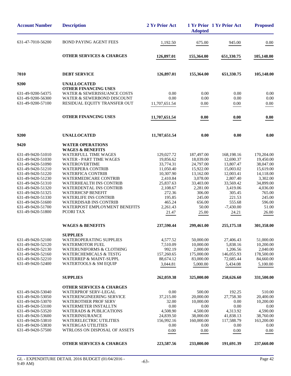| <b>Account Number</b>                                                                                                                                                                                                                                                                                                                                                                                       | <b>Description</b>                                                                                                                                                                                                                                                                                                                                                                                                                                                                                                                                                                                                                                                                      | 2 Yr Prior Act                                                                                                                                                                                                                                | <b>Adopted</b>                                                                                                                                                                                                                                 | 1 Yr Prior 1 Yr Prior Act                                                                                                                                                                                                                           | <b>Proposed</b>                                                                                                                                                                                                                                |
|-------------------------------------------------------------------------------------------------------------------------------------------------------------------------------------------------------------------------------------------------------------------------------------------------------------------------------------------------------------------------------------------------------------|-----------------------------------------------------------------------------------------------------------------------------------------------------------------------------------------------------------------------------------------------------------------------------------------------------------------------------------------------------------------------------------------------------------------------------------------------------------------------------------------------------------------------------------------------------------------------------------------------------------------------------------------------------------------------------------------|-----------------------------------------------------------------------------------------------------------------------------------------------------------------------------------------------------------------------------------------------|------------------------------------------------------------------------------------------------------------------------------------------------------------------------------------------------------------------------------------------------|-----------------------------------------------------------------------------------------------------------------------------------------------------------------------------------------------------------------------------------------------------|------------------------------------------------------------------------------------------------------------------------------------------------------------------------------------------------------------------------------------------------|
| 631-47-7010-56200                                                                                                                                                                                                                                                                                                                                                                                           | <b>BOND PAYING AGENT FEES</b>                                                                                                                                                                                                                                                                                                                                                                                                                                                                                                                                                                                                                                                           | 1,192.50                                                                                                                                                                                                                                      | 675.00                                                                                                                                                                                                                                         | 945.00                                                                                                                                                                                                                                              | 0.00                                                                                                                                                                                                                                           |
|                                                                                                                                                                                                                                                                                                                                                                                                             | <b>OTHER SERVICES &amp; CHARGES</b>                                                                                                                                                                                                                                                                                                                                                                                                                                                                                                                                                                                                                                                     | 126,897.01                                                                                                                                                                                                                                    | 155,364.00                                                                                                                                                                                                                                     | 651,330.75                                                                                                                                                                                                                                          | 105,148.00                                                                                                                                                                                                                                     |
| 7010                                                                                                                                                                                                                                                                                                                                                                                                        | <b>DEBT SERVICE</b>                                                                                                                                                                                                                                                                                                                                                                                                                                                                                                                                                                                                                                                                     | 126,897.01                                                                                                                                                                                                                                    | 155,364.00                                                                                                                                                                                                                                     | 651,330.75                                                                                                                                                                                                                                          | 105,148.00                                                                                                                                                                                                                                     |
| 9200                                                                                                                                                                                                                                                                                                                                                                                                        | <b>UNALLOCATED</b>                                                                                                                                                                                                                                                                                                                                                                                                                                                                                                                                                                                                                                                                      |                                                                                                                                                                                                                                               |                                                                                                                                                                                                                                                |                                                                                                                                                                                                                                                     |                                                                                                                                                                                                                                                |
| 631-49-9200-54375<br>631-49-9200-56300<br>631-49-9200-57100                                                                                                                                                                                                                                                                                                                                                 | <b>OTHER FINANCING USES</b><br>WATER & SEWERISSUANCE COSTS<br>WATER & SEWERBOND DISCOUNT<br>RESIDUAL EQUITY TRANSFER OUT                                                                                                                                                                                                                                                                                                                                                                                                                                                                                                                                                                | 0.00<br>0.00<br>11,707,651.54                                                                                                                                                                                                                 | 0.00<br>0.00<br>0.00                                                                                                                                                                                                                           | 0.00<br>0.00<br>0.00                                                                                                                                                                                                                                | 0.00<br>0.00<br>0.00                                                                                                                                                                                                                           |
|                                                                                                                                                                                                                                                                                                                                                                                                             | <b>OTHER FINANCING USES</b>                                                                                                                                                                                                                                                                                                                                                                                                                                                                                                                                                                                                                                                             | 11,707,651.54                                                                                                                                                                                                                                 | 0.00                                                                                                                                                                                                                                           | 0.00                                                                                                                                                                                                                                                | 0.00                                                                                                                                                                                                                                           |
| 9200                                                                                                                                                                                                                                                                                                                                                                                                        | <b>UNALLOCATED</b>                                                                                                                                                                                                                                                                                                                                                                                                                                                                                                                                                                                                                                                                      | 11,707,651.54                                                                                                                                                                                                                                 | 0.00                                                                                                                                                                                                                                           | 0.00                                                                                                                                                                                                                                                | 0.00                                                                                                                                                                                                                                           |
| 9420                                                                                                                                                                                                                                                                                                                                                                                                        | <b>WATER OPERATIONS</b>                                                                                                                                                                                                                                                                                                                                                                                                                                                                                                                                                                                                                                                                 |                                                                                                                                                                                                                                               |                                                                                                                                                                                                                                                |                                                                                                                                                                                                                                                     |                                                                                                                                                                                                                                                |
| 631-49-9420-51010<br>631-49-9420-51030<br>631-49-9420-51090<br>631-49-9420-51210<br>631-49-9420-51220<br>631-49-9420-51230<br>631-49-9420-51310<br>631-49-9420-51320<br>631-49-9420-51325<br>631-49-9420-51330<br>631-49-9420-51600<br>631-49-9420-51700<br>631-49-9420-51800<br>631-49-9420-52100<br>631-49-9420-52120<br>631-49-9420-52130<br>631-49-9420-52160<br>631-49-9420-52210<br>631-49-9420-52400 | <b>WAGES &amp; BENEFITS</b><br><b>WATERFULL TIME WAGES</b><br><b>WATER - PART TIME WAGES</b><br>WATEROVERTIME<br><b>WATERPERA CONTRIB</b><br><b>WATERFICA CONTRIB</b><br>WATERMEDICARE CONTRIB<br><b>WATERHEALTH INS CONTRIB</b><br><b>WATERDENTAL INS CONTRIB</b><br><b>WATERHCSP BENEFIT</b><br><b>WATERLIFE INS CONTRIB</b><br><b>WATERDISAB INS CONTRIB</b><br><b>WATERPOST EMPLOYMENT BENEFITS</b><br>PCORI TAX<br><b>WAGES &amp; BENEFITS</b><br><b>SUPPLIES</b><br><b>WATEROPERATING SUPPLIES</b><br><b>WATERMOTOR FUEL</b><br><b>WATERUNIFORMS &amp; CLOTHING</b><br><b>WATERCHEMICALS &amp; TESTG</b><br><b>WATERREP &amp; MAINT-SUPPL</b><br><b>WATERTOOLS &amp; SM EQUIP</b> | 129,027.72<br>19,856.62<br>33,774.31<br>11,050.40<br>10,307.90<br>2,410.84<br>25,837.63<br>2,108.67<br>272.36<br>195.85<br>465.24<br>2,261.43<br>21.47<br>237,590.44<br>4,577.52<br>7,510.09<br>992.19<br>157,260.65<br>88,674.12<br>3,044.81 | 187,497.00<br>18,039.00<br>24,797.00<br>15,922.00<br>13,162.00<br>3,078.00<br>33,403.00<br>2,281.00<br>306.00<br>245.00<br>656.00<br>50.00<br>25.00<br>299,461.00<br>50,000.00<br>10,000.00<br>2,000.00<br>175,000.00<br>83,000.00<br>5,000.00 | 168,198.16<br>12,690.37<br>13,807.47<br>15,003.02<br>12,003.41<br>2,807.40<br>33,569.42<br>3,419.06<br>305.45<br>221.53<br>555.68<br>$-7,430.00$<br>24.21<br>255,175.18<br>27,406.43<br>5,838.16<br>1,206.56<br>146,055.93<br>72,685.44<br>5,434.08 | 170,204.00<br>19,450.00<br>38,047.00<br>15,619.00<br>14,118.00<br>3,302.00<br>34,899.00<br>4,036.00<br>765.00<br>245.00<br>596.00<br>51.00<br>26.00<br>301,358.00<br>51,000.00<br>10,200.00<br>2,040.00<br>178,500.00<br>84,660.00<br>5,100.00 |
|                                                                                                                                                                                                                                                                                                                                                                                                             | <b>SUPPLIES</b>                                                                                                                                                                                                                                                                                                                                                                                                                                                                                                                                                                                                                                                                         | 262,059.38                                                                                                                                                                                                                                    | 325,000.00                                                                                                                                                                                                                                     | 258,626.60                                                                                                                                                                                                                                          | 331,500.00                                                                                                                                                                                                                                     |
| 631-49-9420-53040<br>631-49-9420-53050<br>631-49-9420-53070<br>631-49-9420-53100<br>631-49-9420-53520<br>631-49-9420-53600<br>631-49-9420-53810<br>631-49-9420-53830<br>631-49-9420-57500                                                                                                                                                                                                                   | <b>OTHER SERVICES &amp; CHARGES</b><br><b>WATERPROF SERV-LEGAL</b><br>WATERENGINEERING SERVICE<br><b>WATEROTHER PROF SERV</b><br><b>WATERMETER INSTALLTN</b><br><b>WATERADS &amp; PUBLICATIONS</b><br>WATERINSURANCE<br><b>WATERELECTRIC UTILITIES</b><br><b>WATERGAS UTILITIES</b><br>WTRLOSS ON DISPOSAL OF ASSETS                                                                                                                                                                                                                                                                                                                                                                    | 0.00<br>37,215.00<br>32.00<br>0.00<br>4,508.90<br>24,839.50<br>156,992.16<br>0.00<br>0.00                                                                                                                                                     | 500.00<br>20,000.00<br>10,000.00<br>0.00<br>4,500.00<br>38,000.00<br>160,000.00<br>0.00<br>0.00                                                                                                                                                | 192.25<br>27,758.30<br>0.00<br>0.00<br>4,313.92<br>41,838.13<br>117,588.79<br>0.00<br>0.00                                                                                                                                                          | 510.00<br>20,400.00<br>10,200.00<br>0.00<br>4,590.00<br>38,760.00<br>163,200.00<br>0.00<br>0.00                                                                                                                                                |
|                                                                                                                                                                                                                                                                                                                                                                                                             | <b>OTHER SERVICES &amp; CHARGES</b>                                                                                                                                                                                                                                                                                                                                                                                                                                                                                                                                                                                                                                                     | 223,587.56                                                                                                                                                                                                                                    | 233,000.00                                                                                                                                                                                                                                     | 191,691.39                                                                                                                                                                                                                                          | 237,660.00                                                                                                                                                                                                                                     |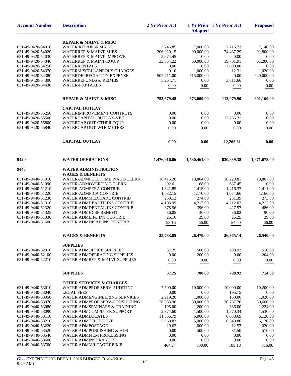| <b>Account Number</b>                  | <b>Description</b>                                                   | 2 Yr Prior Act     | <b>Adopted</b>       | 1 Yr Prior 1 Yr Prior Act | <b>Proposed</b>      |
|----------------------------------------|----------------------------------------------------------------------|--------------------|----------------------|---------------------------|----------------------|
|                                        | <b>REPAIR &amp; MAINT &amp; MISC</b>                                 |                    |                      |                           |                      |
| 631-49-9420-54010                      | WATER REPAIR & MAINT                                                 | 2,245.85           | 7,000.00             | 7,716.73                  | 7,140.00             |
| 631-49-9420-54020                      | <b>WATERREP &amp; MAINT-SUBS</b>                                     | 206,929.15         | 90,000.00            | 74,437.29                 | 91,800.00            |
| 631-49-9420-54030                      | <b>WATERREP &amp; MAINT-IMPROVE</b>                                  | 2,974.45           | 0.00                 | 0.00                      | 0.00                 |
| 631-49-9420-54040                      | <b>WATERREP &amp; MAINT-EQUIP</b>                                    | 33,554.22          | 60,000.00            | 19,701.91                 | 61,200.00            |
| 631-49-9420-54250                      | <b>WATERRENTALS</b>                                                  | 0.00               | 0.00                 | 7,600.00                  | 0.00                 |
| 631-49-9420-54370                      | WATERMISCELLANEOUS CHARGES                                           | 0.10               | 1,000.00             | 12.31                     | 1,020.00             |
| 631-49-9420-54380                      | <b>WATERDEPRECIATION EXPENSE</b>                                     | 502,711.00         | 515,000.00           | 0.00                      | 640,000.00           |
| 631-49-9420-54390                      | <b>WATERREFUNDS &amp; REIMBS</b>                                     | 5,264.71           | 0.00                 | 3,611.66                  | 0.00                 |
| 631-49-9420-54430                      | WATER-P&PTAXES                                                       | 0.00               | 0.00                 | 0.00                      | 0.00                 |
|                                        | <b>REPAIR &amp; MAINT &amp; MISC</b>                                 | 753,679.48         | 673,000.00           | 113,079.90                | 801,160.00           |
|                                        | <b>CAPITAL OUTLAY</b>                                                |                    |                      |                           |                      |
| 631-49-9420-55250                      | WATERIMPROVEMENT CONTRCTS                                            | 0.00               | 0.00                 | 0.00                      | 0.00                 |
| 631-49-9420-55500                      | WATERCAPITAL OUTLAY-VEH                                              | $0.00\,$           | 0.00                 | 12,266.31                 | 0.00                 |
| 631-49-9420-55800                      | WATERCAP OUT-OTHER EQUP                                              | 0.00               | 0.00                 | 0.00                      | 0.00                 |
| 631-49-9420-55840                      | <b>WATERCAP OUT-WTR METERS</b>                                       | 0.00               | 0.00                 | 0.00                      | 0.00                 |
|                                        | <b>CAPITAL OUTLAY</b>                                                | 0.00               | 0.00                 | 12,266.31                 | 0.00                 |
| 9420                                   | <b>WATER OPERATIONS</b>                                              | 1,476,916.86       | 1,530,461.00         | 830,839.38                | 1,671,678.00         |
| 9440                                   | <b>WATER ADMINISTRATION</b>                                          |                    |                      |                           |                      |
|                                        | <b>WAGES &amp; BENEFITS</b>                                          |                    |                      |                           |                      |
| 631-49-9440-51010                      | WATER-ADMFULL TIME WAGE-CLERK                                        | 18,416.20          | 18,804.00            | 18,228.81                 | 18,807.00            |
| 631-49-9440-51090                      | WATER-ADMOVERTIME-CLERK                                              | 92.61              | 68.00                | 637.45                    | 0.00                 |
| 631-49-9440-51210                      | <b>WATER-ADMPERA CONTRIB</b>                                         | 1,341.85           | 1,415.00             | 1,416.37                  | 1,411.00             |
| 631-49-9440-51220                      | <b>WATER-ADMFICA CONTRIB</b>                                         | 1,082.15           | 1,170.00             | 1,074.66                  | 1,166.00             |
| 631-49-9440-51230                      | WATER ADMMEDICARE CONTRIB                                            | 253.12             | 274.00               | 251.39                    | 273.00               |
| 631-49-9440-51310                      | WATER ADMHEALTH INS CONTRIB                                          | 4,103.99           | 4,212.00             | 4,212.02                  | 4,212.00             |
| 631-49-9440-51320                      | WATER ADMDENTAL INS CONTRIB                                          | 378.56             | 396.00               | 427.57                    | 486.00               |
| 631-49-9440-51325                      | WATER ADMHCSP BENEFIT                                                | 36.05              | 36.00                | 36.02                     | 90.00                |
| 631-49-9440-51330                      | <b>WATER ADMLIFE INS CONTRIB</b>                                     | 26.16              | 29.00                | 26.25                     | 29.00                |
| 631-49-9440-51600                      | <b>WATER ADMDISAB INS CONTRIB</b>                                    | 53.16              | 66.00                | 54.60                     | 66.00                |
|                                        | <b>WAGES &amp; BENEFITS</b>                                          | 25,783.85          | 26,470.00            | 26,365.14                 | 26,540.00            |
|                                        | <b>SUPPLIES</b>                                                      |                    |                      |                           |                      |
| 631-49-9440-52010                      | <b>WATER ADMOFFICE SUPPLIES</b>                                      | 37.25              | 500.00               | 798.92                    | 510.00               |
| 631-49-9440-52100                      | WATER ADMOPERATING SUPPLIES                                          | 0.00               | 200.00               | 0.00                      | 204.00               |
| 631-49-9440-52210                      | WATER ADMREP & MAINT SUPPLIES                                        | 0.00               | 0.00                 | 0.00                      | 0.00                 |
|                                        | <b>SUPPLIES</b>                                                      | 37.25              | 700.00               | 798.92                    | 714.00               |
|                                        | <b>OTHER SERVICES &amp; CHARGES</b>                                  |                    |                      |                           |                      |
| 631-49-9440-53010                      | WATER ADMPROF SERV-AUDITING                                          | 7,500.00           | 10,000.00            | 10,000.00                 | 10,200.00            |
| 631-49-9440-53040                      | <b>LEGAL FEES</b>                                                    | 0.00               | 0.00                 | 195.75                    | 0.00                 |
| 631-49-9440-53050                      | WATER ADMENGINEERING SERVICES                                        | 2,919.20           | 1,000.00             | 150.00                    | 1,020.00             |
| 631-49-9440-53070                      | WATER ADMPROF SERV-CONSULTING                                        | 28,383.96          | 30,000.00            | 20,787.76                 | 30,600.00            |
| 631-49-9440-53080<br>631-49-9440-53090 | <b>WATER ADMSEMINARS &amp; TRAINING</b><br>WATER ADMCOMPUTER SUPPORT | 195.00<br>2,374.60 | 1,200.00<br>1,500.00 | 386.00<br>1,570.34        | 1,224.00<br>1,530.00 |
| 631-49-9440-53110                      | <b>WATER ADMLOCATES</b>                                              | 11,356.79          | 6,000.00             | 6,638.69                  | 6,120.00             |
| 631-49-9440-53210                      | WATER ADMTELEPHONE                                                   | 5,968.83           | 6,000.00             | 6,549.86                  | 6,120.00             |
| 631-49-9440-53220                      | <b>WATER ADMPOSTAGE</b>                                              | 20.62              | 1,000.00             | 12.53                     | 1,020.00             |
| 631-49-9440-53520                      | WATER ADMPUBLISHING & ADS                                            | 0.00               | 500.00               | 31.50                     | 510.00               |
| 631-49-9440-53540                      | WATER ADMFILM PROCESSING                                             | 0.00               | 0.00                 | 0.00                      | 0.00                 |
| 631-49-9440-53600                      | <b>WATER ADMINSURANCES</b>                                           | 0.00               | 0.00                 | 0.00                      | 0.00                 |
| 631-49-9440-53700                      | WATER ADMMILEAGE REIMB                                               | 464.24             | 800.00               | 189.18                    | 816.00               |
|                                        |                                                                      |                    |                      |                           |                      |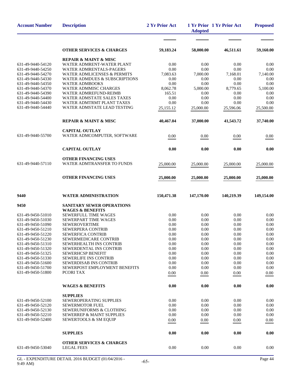| <b>Account Number</b>                  | <b>Description</b>                                                       | 2 Yr Prior Act   | <b>Adopted</b>   | 1 Yr Prior 1 Yr Prior Act | <b>Proposed</b>  |
|----------------------------------------|--------------------------------------------------------------------------|------------------|------------------|---------------------------|------------------|
|                                        |                                                                          |                  |                  |                           |                  |
|                                        | <b>OTHER SERVICES &amp; CHARGES</b>                                      | 59,183.24        | 58,000.00        | 46,511.61                 | 59,160.00        |
|                                        | <b>REPAIR &amp; MAINT &amp; MISC</b>                                     |                  |                  |                           |                  |
| 631-49-9440-54120                      | WATER ADMRENT-WATER PLANT                                                | 0.00             | 0.00             | 0.00                      | 0.00             |
| 631-49-9440-54250<br>631-49-9440-54270 | <b>WATER ADMRENTALS-PAGERS</b><br><b>WATER ADMLICENSES &amp; PERMITS</b> | 0.00             | 0.00             | 0.00                      | 0.00             |
| 631-49-9440-54330                      | <b>WATER ADMDUES &amp; SUBSCRIPTIONS</b>                                 | 7,083.63<br>0.00 | 7,000.00<br>0.00 | 7,168.01<br>0.00          | 7,140.00<br>0.00 |
| 631-49-9440-54350                      | <b>WATER ADMBOOKS</b>                                                    | 0.00             | 0.00             | 0.00                      | 0.00             |
| 631-49-9440-54370                      | <b>WATER ADMMISC CHARGES</b>                                             | 8,062.78         | 5,000.00         | 8,779.65                  | 5,100.00         |
| 631-49-9440-54390                      | WATER ADMREFUND-REIMB                                                    | 165.51           | 0.00             | 0.00                      | 0.00             |
| 631-49-9440-54400                      | <b>WATER ADMSTATE SALES TAXES</b>                                        | 0.00             | 0.00             | 0.00                      | 0.00             |
| 631-49-9440-54430                      | WATER ADMTRMT PLANT TAXES                                                | 0.00             | 0.00             | 0.00                      | 0.00             |
| 631-49-9440-54440                      | WATER ADMSTATE LEAD TESTING                                              | 25,155.12        | 25,000.00        | 25,596.06                 | 25,500.00        |
|                                        | <b>REPAIR &amp; MAINT &amp; MISC</b>                                     | 40,467.04        | 37,000.00        | 41,543.72                 | 37,740.00        |
|                                        | <b>CAPITAL OUTLAY</b>                                                    |                  |                  |                           |                  |
| 631-49-9440-55700                      | WATER ADMCOMPUTER, SOFTWARE                                              | 0.00             | 0.00             | 0.00                      | 0.00             |
|                                        | <b>CAPITAL OUTLAY</b>                                                    | 0.00             | 0.00             | 0.00                      | 0.00             |
|                                        | <b>OTHER FINANCING USES</b>                                              |                  |                  |                           |                  |
| 631-49-9440-57110                      | WATER ADMTRANSFER TO FUNDS                                               | 25,000.00        | 25,000.00        | 25,000.00                 | 25,000.00        |
|                                        | <b>OTHER FINANCING USES</b>                                              | 25,000.00        | 25,000.00        | 25,000.00                 | 25,000.00        |
| 9440                                   | <b>WATER ADMINISTRATION</b>                                              | 150,471.38       | 147,170.00       | 140,219.39                | 149,154.00       |
|                                        |                                                                          |                  |                  |                           |                  |
| 9450                                   | SANITARY SEWER OPERATIONS                                                |                  |                  |                           |                  |
| 631-49-9450-51010                      | <b>WAGES &amp; BENEFITS</b><br>SEWERFULL TIME WAGES                      | 0.00             | 0.00             | 0.00                      | 0.00             |
| 631-49-9450-51030                      | SEWERPART TIME WAGES                                                     | 0.00             | 0.00             | 0.00                      | 0.00             |
| 631-49-9450-51090                      | <b>SEWEROVERTIME</b>                                                     | 0.00             | 0.00             | 0.00                      | 0.00             |
| 631-49-9450-51210                      | <b>SEWERPERA CONTRIB</b>                                                 | 0.00             | 0.00             | 0.00                      | 0.00             |
| 631-49-9450-51220                      | SEWERFICA CONTRIB                                                        | 0.00             | 0.00             | $0.00\,$                  | 0.00             |
| 631-49-9450-51230                      | <b>SEWERMEDICARE CONTRIB</b>                                             | 0.00             | 0.00             | 0.00                      | 0.00             |
| 631-49-9450-51310                      | SEWERHEALTH INS CONTRIB                                                  | 0.00             | 0.00             | 0.00                      | 0.00             |
| 631-49-9450-51320                      | SEWERDENTAL INS CONTRIB                                                  | 0.00             | 0.00             | 0.00                      | 0.00             |
| 631-49-9450-51325                      | <b>SEWERHCSP BENEFIT</b>                                                 | 0.00             | 0.00             | 0.00                      | 0.00             |
| 631-49-9450-51330<br>631-49-9450-51600 | <b>SEWERLIFE INS CONTRIB</b><br><b>SEWERDISAB INS CONTRIB</b>            | 0.00             | 0.00<br>0.00     | 0.00<br>0.00              | 0.00<br>0.00     |
| 631-49-9450-51700                      | SEWERPOST EMPLOYMENT BENEFITS                                            | 0.00<br>0.00     | 0.00             | 0.00                      | 0.00             |
| 631-49-9450-51800                      | PCORI TAX                                                                | 0.00             | 0.00             | 0.00                      | 0.00             |
|                                        | <b>WAGES &amp; BENEFITS</b>                                              | 0.00             | 0.00             | 0.00                      | 0.00             |
|                                        | <b>SUPPLIES</b>                                                          |                  |                  |                           |                  |
| 631-49-9450-52100                      | SEWEROPERATING SUPPLIES                                                  | 0.00             | 0.00             | 0.00                      | 0.00             |
| 631-49-9450-52120                      | <b>SEWERMOTOR FUEL</b>                                                   | 0.00             | 0.00             | 0.00                      | 0.00             |
| 631-49-9450-52130                      | SEWERUNIFORMS & CLOTHING                                                 | 0.00             | 0.00             | 0.00                      | 0.00             |
| 631-49-9450-52210                      | SEWERREP & MAINT SUPPLIES                                                | 0.00             | 0.00             | 0.00                      | 0.00             |
| 631-49-9450-52400                      | SEWERTOOLS & SM EQUIP                                                    | 0.00             | 0.00             | 0.00                      | 0.00             |
|                                        | <b>SUPPLIES</b>                                                          | 0.00             | 0.00             | 0.00                      | 0.00             |
|                                        | <b>OTHER SERVICES &amp; CHARGES</b>                                      |                  |                  |                           |                  |
| 631-49-9450-53040                      | <b>LEGAL FEES</b>                                                        | 0.00             | 0.00             | 0.00                      | 0.00             |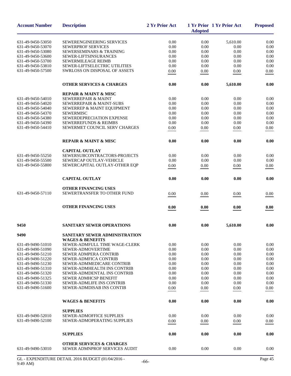| <b>Account Number</b> | <b>Description</b>                                                   | 2 Yr Prior Act | <b>Adopted</b> | 1 Yr Prior 1 Yr Prior Act | <b>Proposed</b> |
|-----------------------|----------------------------------------------------------------------|----------------|----------------|---------------------------|-----------------|
| 631-49-9450-53050     | SEWERENGINEERING SERVICES                                            | 0.00           | 0.00           | 5,610.00                  | 0.00            |
| 631-49-9450-53070     | <b>SEWERPROF SERVICES</b>                                            | 0.00           | 0.00           | 0.00                      | 0.00            |
| 631-49-9450-53080     | SEWERSEMINARS & TRAINING                                             | 0.00           | 0.00           | 0.00                      | 0.00            |
| 631-49-9450-53600     | SEWER-LIFTSINSURANCES                                                | 0.00           | 0.00           | 0.00                      | 0.00            |
| 631-49-9450-53700     | SEWERMILEAGE REIMB                                                   | 0.00           | 0.00           | 0.00                      | 0.00            |
| 631-49-9450-53810     | SEWER-LIFTSELECTRIC UTILITIES                                        | 0.00           | 0.00           | 0.00                      | 0.00            |
| 631-49-9450-57500     | SWRLOSS ON DISPOSAL OF ASSETS                                        | 0.00           | 0.00           | 0.00                      | 0.00            |
|                       | <b>OTHER SERVICES &amp; CHARGES</b>                                  | 0.00           | 0.00           | 5,610.00                  | 0.00            |
|                       | <b>REPAIR &amp; MAINT &amp; MISC</b>                                 |                |                |                           |                 |
| 631-49-9450-54010     | <b>SEWERREPAIR &amp; MAINT</b>                                       | 0.00           | 0.00           | 0.00                      | 0.00            |
| 631-49-9450-54020     | SEWERREPAIR & MAINT-SUBS                                             | 0.00           | 0.00           | 0.00                      | 0.00            |
| 631-49-9450-54040     | SEWERREP & MAINT EQUIPMENT                                           | 0.00           | 0.00           | 0.00                      | 0.00            |
| 631-49-9450-54370     | <b>SEWERMISC</b>                                                     | 0.00           | 0.00           | 0.00                      | 0.00            |
| 631-49-9450-54380     | SEWERDEPRECIATION EXPENSE                                            | 0.00           | 0.00           | 0.00                      | 0.00            |
| 631-49-9450-54390     | SEWERREFUNDS & REIMBS                                                | 0.00           | 0.00           | 0.00                      | 0.00            |
| 631-49-9450-54410     | SEWERMET COUNCIL SERV CHARGES                                        | 0.00           | $0.00\,$       | 0.00                      | 0.00            |
|                       | <b>REPAIR &amp; MAINT &amp; MISC</b>                                 | 0.00           | 0.00           | 0.00                      | 0.00            |
|                       | <b>CAPITAL OUTLAY</b>                                                |                |                |                           |                 |
| 631-49-9450-55250     | SEWERSUBCONTRACTORS-PROJECTS                                         | 0.00           | 0.00           | 0.00                      | 0.00            |
| 631-49-9450-55500     | SEWERCAP OUTLAY-VEHICLE                                              | 0.00           | 0.00           | 0.00                      | 0.00            |
| 631-49-9450-55800     | SEWERCAPITAL OUTLAY-OTHER EQP                                        | 0.00           | 0.00           | 0.00                      | 0.00            |
|                       |                                                                      |                |                |                           |                 |
|                       | <b>CAPITAL OUTLAY</b>                                                | 0.00           | 0.00           | 0.00                      | 0.00            |
|                       | <b>OTHER FINANCING USES</b>                                          |                |                |                           |                 |
| 631-49-9450-57110     | SEWERTRANSFER TO OTHER FUND                                          | 0.00           | 0.00           | 0.00                      | 0.00            |
|                       | <b>OTHER FINANCING USES</b>                                          | 0.00           | 0.00           | 0.00                      | 0.00            |
| 9450                  | <b>SANITARY SEWER OPERATIONS</b>                                     | 0.00           | 0.00           | 5,610.00                  | 0.00            |
| 9490                  | SANITARY SEWER ADMINISTRATION<br><b>WAGES &amp; BENEFITS</b>         |                |                |                           |                 |
| 631-49-9490-51010     | <b>SEWER-ADMFULL TIME WAGE-CLERK</b>                                 | 0.00           | 0.00           | 0.00                      | 0.00            |
| 631-49-9490-51090     | SEWER-ADMOVERTIME                                                    | 0.00           | 0.00           | 0.00                      | 0.00            |
| 631-49-9490-51210     | <b>SEWER ADMPERA CONTRIB</b>                                         | 0.00           | 0.00           | 0.00                      | 0.00            |
| 631-49-9490-51220     | <b>SEWER-ADMFICA CONTRIB</b>                                         | 0.00           | 0.00           | 0.00                      | 0.00            |
| 631-49-9490-51230     | SEWER-ADMMEDICARE CONTRIB                                            | 0.00           | 0.00           | 0.00                      | 0.00            |
| 631-49-9490-51310     | SEWER-ADMHEALTH INS CONTRIB                                          | 0.00           | 0.00           | 0.00                      | 0.00            |
| 631-49-9490-51320     | <b>SEWER-ADMDENTAL INS CONTRIB</b>                                   | 0.00           | 0.00           | 0.00                      | 0.00            |
| 631-49-9490-51325     | <b>SEWER ADMHCSP BENEFIT</b>                                         | 0.00           | 0.00           | 0.00                      | 0.00            |
| 631-49-9490-51330     | <b>SEWER-ADMLIFE INS CONTRIB</b>                                     | 0.00           | 0.00           | 0.00                      | 0.00            |
| 631-49-9490-51600     | <b>SEWER-ADMDISAB INS CONTIB</b>                                     | 0.00           | 0.00           | 0.00                      | 0.00            |
|                       | <b>WAGES &amp; BENEFITS</b>                                          | 0.00           | 0.00           | 0.00                      | 0.00            |
|                       | <b>SUPPLIES</b>                                                      |                |                |                           |                 |
| 631-49-9490-52010     | SEWER-ADMOFFICE SUPPLIES                                             | 0.00           | 0.00           | 0.00                      | 0.00            |
| 631-49-9490-52100     | SEWER-ADMOPERATING SUPPLIES                                          | 0.00           | 0.00           | 0.00                      | 0.00            |
|                       |                                                                      |                |                |                           |                 |
|                       | <b>SUPPLIES</b>                                                      | 0.00           | 0.00           | 0.00                      | 0.00            |
| 631-49-9490-53010     | <b>OTHER SERVICES &amp; CHARGES</b><br>SEWER ADMNPROF SERVICES AUDIT | 0.00           | 0.00           | 0.00                      | 0.00            |
|                       |                                                                      |                |                |                           |                 |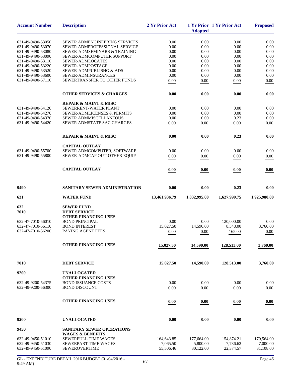| <b>Account Number</b>                  | <b>Description</b>                                              | 2 Yr Prior Act | <b>Adopted</b> | 1 Yr Prior 1 Yr Prior Act | <b>Proposed</b> |
|----------------------------------------|-----------------------------------------------------------------|----------------|----------------|---------------------------|-----------------|
|                                        |                                                                 |                |                |                           |                 |
| 631-49-9490-53050<br>631-49-9490-53070 | SEWER ADMENGINEERING SERVICES                                   | 0.00           | 0.00           | 0.00                      | 0.00            |
|                                        | SEWER ADMPROFESSIONAL SERVICE<br>SEWER-ADMSEMINARS & TRAINING   | 0.00<br>0.00   | 0.00<br>0.00   | 0.00<br>0.00              | 0.00<br>0.00    |
| 631-49-9490-53080<br>631-49-9490-53090 | SEWER-ADMCOMPUTER SUPPORT                                       | 0.00           | 0.00           | 0.00                      | 0.00            |
| 631-49-9490-53110                      | <b>SEWER-ADMLOCATES</b>                                         | 0.00           | 0.00           | 0.00                      | 0.00            |
| 631-49-9490-53220                      | SEWER-ADMPOSTAGE                                                | 0.00           | 0.00           | 0.00                      | 0.00            |
| 631-49-9490-53520                      | SEWER-ADMPUBLISHG & ADS                                         | 0.00           | 0.00           | 0.00                      | 0.00            |
| 631-49-9490-53600                      | SEWER-ADMINSURANCES                                             | 0.00           | 0.00           | 0.00                      | 0.00            |
| 631-49-9490-57110                      | SEWERTRANSFER TO OTHER FUNDS                                    | 0.00           | 0.00           | 0.00                      | 0.00            |
|                                        |                                                                 |                |                |                           |                 |
|                                        | <b>OTHER SERVICES &amp; CHARGES</b>                             | 0.00           | 0.00           | 0.00                      | 0.00            |
|                                        | <b>REPAIR &amp; MAINT &amp; MISC</b>                            |                |                |                           |                 |
| 631-49-9490-54120                      | SEWERRENT-WATER PLANT                                           | 0.00           | 0.00           | 0.00                      | 0.00            |
| 631-49-9490-54270                      | <b>SEWER-ADMLICENSES &amp; PERMITS</b>                          | 0.00           | 0.00           | 0.00                      | 0.00            |
| 631-49-9490-54370                      | SEWER ADMMISCELLANEOUS                                          | 0.00           | 0.00           | 0.23                      | 0.00            |
| 631-49-9490-54420                      | SEWER ADMSTATE SAC CHARGES                                      | 0.00           | 0.00           | 0.00                      | 0.00            |
|                                        | <b>REPAIR &amp; MAINT &amp; MISC</b>                            | 0.00           | 0.00           | 0.23                      | 0.00            |
|                                        |                                                                 |                |                |                           |                 |
| 631-49-9490-55700                      | <b>CAPITAL OUTLAY</b>                                           | 0.00           | 0.00           | 0.00                      | 0.00            |
|                                        | SEWER ADMCOMPUTER, SOFTWARE                                     |                |                |                           |                 |
| 631-49-9490-55800                      | SEWER-ADMCAP OUT-OTHER EQUIP                                    | 0.00           | 0.00           | 0.00                      | 0.00            |
|                                        | <b>CAPITAL OUTLAY</b>                                           | 0.00           | 0.00           | 0.00                      | 0.00            |
| 9490                                   | SANITARY SEWER ADMINISTRATION                                   | 0.00           | 0.00           | 0.23                      | 0.00            |
| 631                                    | <b>WATER FUND</b>                                               | 13,461,936.79  | 1,832,995.00   | 1,627,999.75              | 1,925,980.00    |
| 632                                    | <b>SEWER FUND</b>                                               |                |                |                           |                 |
| 7010                                   | <b>DEBT SERVICE</b>                                             |                |                |                           |                 |
|                                        | <b>OTHER FINANCING USES</b>                                     |                |                |                           |                 |
| 632-47-7010-56010                      | <b>BOND PRINCIPAL</b>                                           | 0.00           | 0.00           | 120,000.00                | 0.00            |
| 632-47-7010-56110                      | <b>BOND INTEREST</b>                                            | 15,027.50      | 14,590.00      | 8,348.00                  | 3,760.00        |
| 632-47-7010-56200                      | PAYING AGENT FEES                                               | 0.00           | 0.00           | 165.00                    | 0.00            |
|                                        |                                                                 |                |                |                           |                 |
|                                        | <b>OTHER FINANCING USES</b>                                     | 15,027.50      | 14,590.00      | 128,513.00                | 3,760.00        |
| 7010                                   | <b>DEBT SERVICE</b>                                             | 15,027.50      | 14,590.00      | 128,513.00                | 3,760.00        |
| 9200                                   | <b>UNALLOCATED</b>                                              |                |                |                           |                 |
|                                        | <b>OTHER FINANCING USES</b>                                     |                |                |                           |                 |
| 632-49-9200-54375                      | <b>BOND ISSUANCE COSTS</b>                                      | 0.00           | 0.00           | 0.00                      | 0.00            |
| 632-49-9200-56300                      | <b>BOND DISCOUNT</b>                                            | 0.00           | 0.00           | 0.00                      | 0.00            |
|                                        | <b>OTHER FINANCING USES</b>                                     | 0.00           | 0.00           | 0.00                      | 0.00            |
|                                        |                                                                 |                |                |                           |                 |
| 9200                                   | <b>UNALLOCATED</b>                                              | 0.00           | 0.00           | 0.00                      | 0.00            |
| 9450                                   | <b>SANITARY SEWER OPERATIONS</b><br><b>WAGES &amp; BENEFITS</b> |                |                |                           |                 |
| 632-49-9450-51010                      | SEWERFULL TIME WAGES                                            | 164,643.85     | 177,664.00     | 154,874.21                | 170,564.00      |
| 632-49-9450-51030                      | SEWERPART TIME WAGES                                            | 7,065.50       | 5,800.00       | 7,736.62                  | 7,000.00        |
| 632-49-9450-51090                      | <b>SEWEROVERTIME</b>                                            | 55,506.46      | 30,122.00      | 22,374.57                 | 31,108.00       |
|                                        |                                                                 |                |                |                           |                 |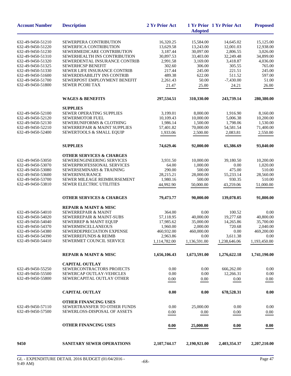| <b>Account Number</b>                  | <b>Description</b>                                                     | 2 Yr Prior Act        | <b>Adopted</b>        | 1 Yr Prior 1 Yr Prior Act | <b>Proposed</b>        |
|----------------------------------------|------------------------------------------------------------------------|-----------------------|-----------------------|---------------------------|------------------------|
| 632-49-9450-51210                      | SEWERPERA CONTRIBUTION                                                 | 16,320.25             | 15,584.00             | 14,645.02                 | 15,125.00              |
| 632-49-9450-51220                      | SEWERFICA CONTRIBUTION                                                 | 13,629.58             | 13,243.00             | 12,001.03                 | 12,938.00              |
| 632-49-9450-51230                      | SEWERMEDICARE CONTRIBUTION                                             | 3,187.44              | 30,097.00             | 2,806.55                  | 3,026.00               |
| 632-49-9450-51310                      | SEWERHEALTH INS CONTRIBUTION                                           | 30,897.53             | 33,403.00             | 32,249.48                 | 34,899.00              |
| 632-49-9450-51320                      | SEWERDENTAL INSURANCE CONTRIB                                          | 2,991.58              | 3,169.00              | 3,418.87                  | 4,036.00               |
| 632-49-9450-51325                      | <b>SEWERHCSP BENEFIT</b>                                               | 302.60                | 306.00                | 305.55                    | 765.00                 |
| 632-49-9450-51330                      | <b>SEWER LIFE INSURANCE CONTRIB</b>                                    | 217.44                | 245.00                | 221.51                    | 245.00                 |
| 632-49-9450-51600                      | SEWERDISABILITY INS CONTRIB                                            | 489.38                | 622.00                | 511.52                    | 597.00                 |
| 632-49-9450-51700                      | SEWERPOST EMPLOYMENT BENEFIT                                           | 2,261.43              | 50.00                 | $-7,430.00$               | 51.00                  |
| 632-49-9450-51800                      | <b>SEWER PCORI TAX</b>                                                 | 21.47                 | 25.00                 | 24.21                     | 26.00                  |
|                                        | <b>WAGES &amp; BENEFITS</b>                                            | 297,534.51            | 310,330.00            | 243,739.14                | 280,380.00             |
|                                        | <b>SUPPLIES</b>                                                        |                       |                       |                           |                        |
| 632-49-9450-52100                      | <b>SEWER OPERATING SUPPLIES</b>                                        | 3,199.01              | 8,000.00              | 1,916.90                  | 8,160.00               |
| 632-49-9450-52120                      | SEWERMOTOR FUEL                                                        | 10.109.43             | 10,000.00             | 5,006.38                  | 10,200.00              |
| 632-49-9450-52130                      | <b>SEWERUNIFORMS &amp; CLOTHING</b>                                    | 1,986.14              | 1,500.00              | 1,798.06                  | 1,530.00               |
| 632-49-9450-52210                      | SEWERREPAIR & MAINT SUPPLIES                                           | 57,401.82             | 70,000.00             | 54,581.54                 | 71,400.00              |
| 632-49-9450-52400                      | SEWERTOOLS & SMALL EQUIP                                               | 1,933.06              | 2,500.00              | 2,083.81                  | 2,550.00               |
|                                        | <b>SUPPLIES</b>                                                        | 74,629.46             | 92,000.00             | 65,386.69                 | 93,840.00              |
|                                        | <b>OTHER SERVICES &amp; CHARGES</b>                                    |                       |                       |                           |                        |
| 632-49-9450-53050                      | SEWERENGINEERING SERVICES                                              | 3,931.50              | 10,000.00             | 39,180.50                 | 10,200.00              |
| 632-49-9450-53070                      | SEWERPROFESSIONAL SERVICES                                             | 64.00                 | 1,000.00              | 0.00                      | 1,020.00               |
| 632-49-9450-53080                      | SEWERSEMINARS & TRAINING                                               | 290.00                | 500.00                | 475.00                    | 510.00                 |
| 632-49-9450-53600                      | <b>SEWERINSURANCE</b>                                                  | 28,215.21             | 28,000.00             | 55,233.14                 | 28,560.00              |
| 632-49-9450-53700                      | SEWER MILEAGE REIMBURSEMENT                                            | 1,980.16              | 500.00                | 930.35                    | 510.00                 |
| 632-49-9450-53810                      | SEWER ELECTRIC UTILITIES                                               | 44,992.90             | 50,000.00             | 43,259.06                 | 51,000.00              |
|                                        | <b>OTHER SERVICES &amp; CHARGES</b>                                    | 79,473.77             | 90,000.00             | 139,078.05                | 91,800.00              |
|                                        |                                                                        |                       |                       |                           |                        |
| 632-49-9450-54010                      | <b>REPAIR &amp; MAINT &amp; MISC</b><br><b>SEWERREPAIR &amp; MAINT</b> |                       |                       |                           |                        |
| 632-49-9450-54020                      | SEWERREPAIR & MAINT-SUBS                                               | 364.00<br>57,118.95   | 0.00<br>40,000.00     | 100.52<br>19,277.68       | 0.00                   |
|                                        |                                                                        |                       |                       |                           | 40,800.00<br>35,700.00 |
| 632-49-9450-54040<br>632-49-9450-54370 | <b>SEWERREP &amp; MAINT EQUIP</b><br>SEWERMISCELLANEOUS                | 17,985.62<br>1,960.00 | 35,000.00<br>2,000.00 | 14,265.86<br>720.68       | 2,040.00               |
| 632-49-9450-54380                      | SEWERDEPRECIATION EXPENSE                                              | 460,932.00            | 460,000.00            | 0.00                      | 469,200.00             |
| 632-49-9450-54390                      | <b>SEWERREFUNDS &amp; REIMB</b>                                        | 2,963.86              | 0.00                  | 3,611.38                  | 0.00                   |
| 632-49-9450-54410                      | SEWERMET COUNCIL SERVICE                                               | 1,114,782.00          | 1,136,591.00          | 1,238,646.06              | 1,193,450.00           |
|                                        |                                                                        |                       |                       |                           |                        |
|                                        | <b>REPAIR &amp; MAINT &amp; MISC</b>                                   | 1,656,106.43          | 1,673,591.00          | 1,276,622.18              | 1,741,190.00           |
|                                        | <b>CAPITAL OUTLAY</b>                                                  |                       |                       |                           |                        |
| 632-49-9450-55250                      | SEWERCONTRACTORS PROJECTS                                              | 0.00                  | 0.00                  | 666,262.00                | 0.00                   |
| 632-49-9450-55500                      | SEWERCAP OUTLAY-VEHICLES                                               | 0.00                  | 0.00                  | 12,266.31                 | 0.00                   |
| 632-49-9450-55800                      | SEWERCAPITAL OUTLAY OTHER                                              | 0.00                  | 0.00                  | 0.00                      | 0.00                   |
|                                        | <b>CAPITAL OUTLAY</b>                                                  | 0.00                  | 0.00                  | 678,528.31                | 0.00                   |
|                                        | <b>OTHER FINANCING USES</b>                                            |                       |                       |                           |                        |
| 632-49-9450-57110                      | SEWERTRANSFER TO OTHER FUNDS                                           | 0.00                  | 25,000.00             | 0.00                      | 0.00                   |
| 632-49-9450-57500                      | <b>SEWERLOSS-DISPOSAL OF ASSETS</b>                                    | 0.00                  | 0.00                  | 0.00                      | 0.00                   |
|                                        | <b>OTHER FINANCING USES</b>                                            | 0.00                  | 25,000.00             | 0.00                      | 0.00                   |
| 9450                                   | <b>SANITARY SEWER OPERATIONS</b>                                       | 2,107,744.17          | 2,190,921.00          | 2,403,354.37              | 2,207,210.00           |
|                                        |                                                                        |                       |                       |                           |                        |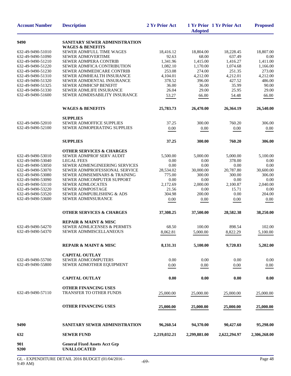| <b>Account Number</b>                                                                                                                                                                                                                                                                                                                                             | <b>Description</b>                                            | 2 Yr Prior Act      | <b>Adopted</b>      | 1 Yr Prior 1 Yr Prior Act | <b>Proposed</b>     |
|-------------------------------------------------------------------------------------------------------------------------------------------------------------------------------------------------------------------------------------------------------------------------------------------------------------------------------------------------------------------|---------------------------------------------------------------|---------------------|---------------------|---------------------------|---------------------|
| 9490                                                                                                                                                                                                                                                                                                                                                              | SANITARY SEWER ADMINISTRATION<br><b>WAGES &amp; BENEFITS</b>  |                     |                     |                           |                     |
| 632-49-9490-51010                                                                                                                                                                                                                                                                                                                                                 | SEWER ADMFULL TIME WAGES                                      | 18,416.12           | 18,804.00           | 18,228.45                 | 18,807.00           |
| 632-49-9490-51090                                                                                                                                                                                                                                                                                                                                                 | <b>SEWER ADMOVERTIME</b>                                      | 92.63               | 68.00               | 637.49                    | 0.00                |
| 632-49-9490-51210                                                                                                                                                                                                                                                                                                                                                 | SEWER ADMPERA CONTRIB                                         | 1,341.96            | 1,415.00            | 1,416.27                  | 1,411.00            |
| 632-49-9490-51220                                                                                                                                                                                                                                                                                                                                                 | SEWER ADMFICA CONTRIBUTION                                    | 1,082.10            | 1,170.00            | 1,074.68                  | 1,166.00            |
| 632-49-9490-51230                                                                                                                                                                                                                                                                                                                                                 | SEWER ADMMEDICARE CONTRIB                                     | 253.08              | 274.00              | 251.35                    | 273.00              |
| 632-49-9490-51310                                                                                                                                                                                                                                                                                                                                                 | SEWER ADMHEALTH INSURANCE                                     | 4,104.01            | 4,212.00            | 4,212.01                  | 4,212.00            |
|                                                                                                                                                                                                                                                                                                                                                                   | SEWER ADMDENTAL INSURANCE                                     | 378.52              | 396.00              | 427.52                    | 486.00              |
|                                                                                                                                                                                                                                                                                                                                                                   | <b>SEWER ADMHCSP BENEFIT</b>                                  | 36.00               | 36.00               | 35.99                     | 90.00               |
|                                                                                                                                                                                                                                                                                                                                                                   | SEWER ADMLIFE INSURANCE                                       | 26.04               | 29.00               | 25.95                     | 29.00               |
|                                                                                                                                                                                                                                                                                                                                                                   | SEWER ADMDISABILITY INSURANCE                                 | 53.27               | 66.00               | 54.48                     | 66.00               |
|                                                                                                                                                                                                                                                                                                                                                                   | <b>WAGES &amp; BENEFITS</b>                                   | 25,783.73           | 26,470.00           | 26,364.19                 | 26,540.00           |
|                                                                                                                                                                                                                                                                                                                                                                   | <b>SUPPLIES</b>                                               |                     |                     |                           |                     |
|                                                                                                                                                                                                                                                                                                                                                                   | <b>SEWER ADMOFFICE SUPPLIES</b>                               | 37.25               | 300.00              | 760.20                    | 306.00              |
| 632-49-9490-51320<br>632-49-9490-51325<br>632-49-9490-51330<br>632-49-9490-51600<br>632-49-9490-52010<br>632-49-9490-52100<br>632-49-9490-53010<br>632-49-9490-53040<br>632-49-9490-53050<br>632-49-9490-53070<br>632-49-9490-53080<br>632-49-9490-53090<br>632-49-9490-53110<br>632-49-9490-53220<br>632-49-9490-53520<br>632-49-9490-54270<br>632-49-9490-54370 | SEWER ADMOPERATING SUPPLIES                                   | 0.00                | 0.00                | 0.00                      | 0.00                |
|                                                                                                                                                                                                                                                                                                                                                                   | <b>SUPPLIES</b>                                               | 37.25               | 300.00              | 760.20                    | 306.00              |
|                                                                                                                                                                                                                                                                                                                                                                   | <b>OTHER SERVICES &amp; CHARGES</b>                           |                     |                     |                           |                     |
|                                                                                                                                                                                                                                                                                                                                                                   | SEWER ADMPROF SERV AUDIT                                      | 5,500.00            | 5,000.00            | 5,000.00                  | 5,100.00            |
|                                                                                                                                                                                                                                                                                                                                                                   | <b>LEGAL FEES</b>                                             | 0.00                | 0.00                | 378.00                    | 0.00                |
|                                                                                                                                                                                                                                                                                                                                                                   | SEWER ADMENGINEERING SERVICES                                 | 0.00                | 0.00                | 0.00                      | 0.00                |
|                                                                                                                                                                                                                                                                                                                                                                   | SEWER ADMPROFESSIONAL SERVICE<br>SEWER ADMSEMINARS & TRAINING | 28,534.02<br>775.00 | 30,000.00<br>300.00 | 20,787.80<br>300.00       | 30,600.00<br>306.00 |
|                                                                                                                                                                                                                                                                                                                                                                   | SEWER ADMCOMPUTER SUPPORT                                     | 0.00                | 0.00                | 0.00                      | 0.00                |
|                                                                                                                                                                                                                                                                                                                                                                   | <b>SEWER ADMLOCATES</b>                                       | 2,172.69            | 2,000.00            | 2,100.87                  | 2,040.00            |
|                                                                                                                                                                                                                                                                                                                                                                   | <b>SEWER ADMPOSTAGE</b>                                       | 21.56               | 0.00                | 15.71                     | 0.00                |
|                                                                                                                                                                                                                                                                                                                                                                   | SEWER ADMPUBLISHING & ADS                                     | 304.98              | 200.00              | 0.00                      | 204.00              |
| 632-49-9490-53600                                                                                                                                                                                                                                                                                                                                                 | <b>SEWER ADMINSURANCE</b>                                     | 0.00                | 0.00                | 0.00                      | 0.00                |
|                                                                                                                                                                                                                                                                                                                                                                   | <b>OTHER SERVICES &amp; CHARGES</b>                           | 37,308.25           | 37,500.00           | 28,582.38                 | 38,250.00           |
|                                                                                                                                                                                                                                                                                                                                                                   | <b>REPAIR &amp; MAINT &amp; MISC</b>                          |                     |                     |                           |                     |
|                                                                                                                                                                                                                                                                                                                                                                   | <b>SEWER ADMLICENSES &amp; PERMITS</b>                        | 68.50               | 100.00              | 898.54                    | 102.00              |
|                                                                                                                                                                                                                                                                                                                                                                   | SEWER ADMMISCELLANEOUS                                        | 8,062.81            | 5,000.00            | 8.822.29                  | 5,100.00            |
|                                                                                                                                                                                                                                                                                                                                                                   |                                                               |                     |                     |                           |                     |
|                                                                                                                                                                                                                                                                                                                                                                   | <b>REPAIR &amp; MAINT &amp; MISC</b>                          | 8,131.31            | 5,100.00            | 9,720.83                  | 5,202.00            |
| 632-49-9490-55700                                                                                                                                                                                                                                                                                                                                                 | <b>CAPITAL OUTLAY</b><br><b>SEWER ADMCOMPUTERS</b>            | 0.00                | 0.00                | 0.00                      | 0.00                |
| 632-49-9490-55800                                                                                                                                                                                                                                                                                                                                                 | SEWER ADMOTHER EQUIPMENT                                      |                     |                     |                           |                     |
|                                                                                                                                                                                                                                                                                                                                                                   |                                                               | 0.00                | 0.00                | 0.00                      | 0.00                |
|                                                                                                                                                                                                                                                                                                                                                                   | <b>CAPITAL OUTLAY</b>                                         | 0.00                | 0.00                | 0.00                      | 0.00                |
|                                                                                                                                                                                                                                                                                                                                                                   | <b>OTHER FINANCING USES</b>                                   |                     |                     |                           |                     |
| 632-49-9490-57110                                                                                                                                                                                                                                                                                                                                                 | TRANSFER TO OTHER FUNDS                                       | 25,000.00           | 25,000.00           | 25,000.00                 | 25,000.00           |
|                                                                                                                                                                                                                                                                                                                                                                   | <b>OTHER FINANCING USES</b>                                   | 25,000.00           | 25,000.00           | 25,000.00                 | 25,000.00           |
| 9490                                                                                                                                                                                                                                                                                                                                                              | SANITARY SEWER ADMINISTRATION                                 | 96,260.54           | 94,370.00           | 90,427.60                 | 95,298.00           |
| 632                                                                                                                                                                                                                                                                                                                                                               | <b>SEWER FUND</b>                                             | 2,219,032.21        | 2,299,881.00        | 2,622,294.97              | 2,306,268.00        |
| 901<br>9200                                                                                                                                                                                                                                                                                                                                                       | <b>General Fixed Assets Acct Grp</b><br><b>UNALLOCATED</b>    |                     |                     |                           |                     |